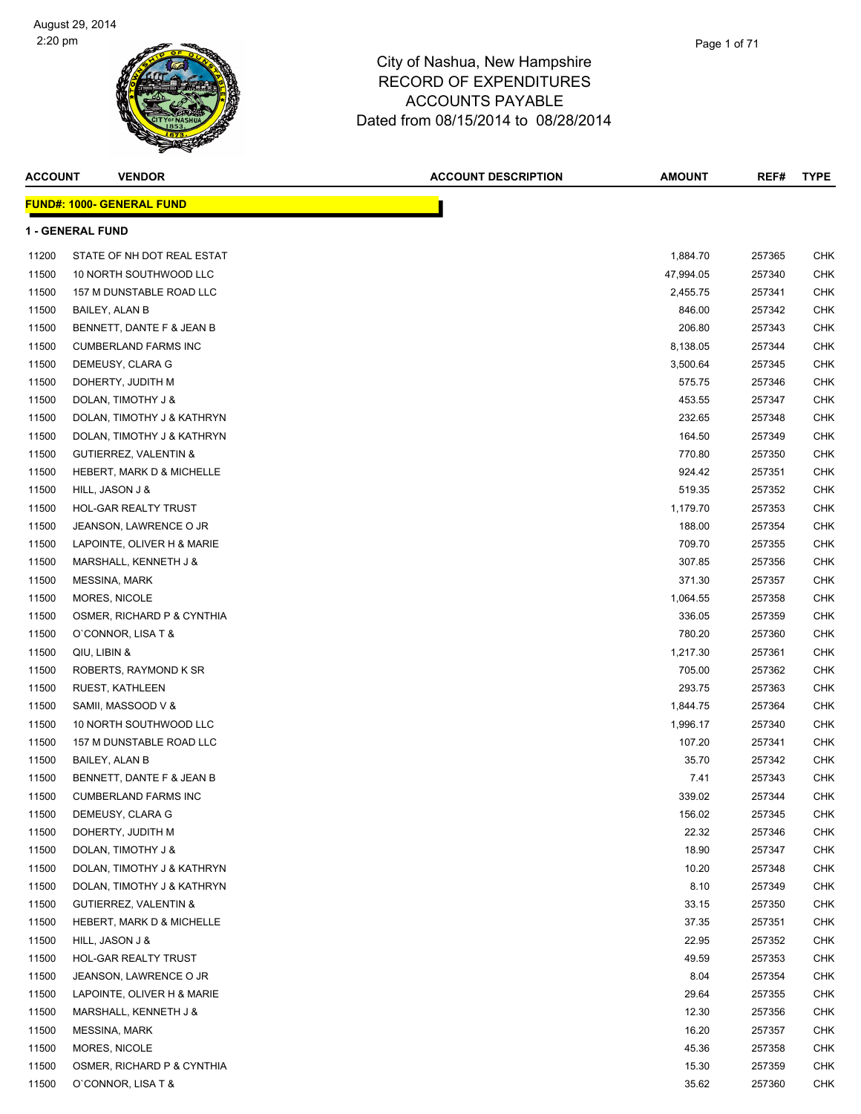

| <b>ACCOUNT</b> | <b>VENDOR</b>                    | <b>ACCOUNT DESCRIPTION</b> | <b>AMOUNT</b> | REF#   | <b>TYPE</b> |
|----------------|----------------------------------|----------------------------|---------------|--------|-------------|
|                | <b>FUND#: 1000- GENERAL FUND</b> |                            |               |        |             |
|                | <b>1 - GENERAL FUND</b>          |                            |               |        |             |
| 11200          | STATE OF NH DOT REAL ESTAT       |                            | 1,884.70      | 257365 | CHK         |
| 11500          | 10 NORTH SOUTHWOOD LLC           |                            | 47,994.05     | 257340 | CHK         |
| 11500          | 157 M DUNSTABLE ROAD LLC         |                            | 2,455.75      | 257341 | CHK         |
| 11500          | BAILEY, ALAN B                   |                            | 846.00        | 257342 | <b>CHK</b>  |
| 11500          | BENNETT, DANTE F & JEAN B        |                            | 206.80        | 257343 | CHK         |
| 11500          | <b>CUMBERLAND FARMS INC</b>      |                            | 8,138.05      | 257344 | CHK         |
| 11500          | DEMEUSY, CLARA G                 |                            | 3,500.64      | 257345 | CHK         |
| 11500          | DOHERTY, JUDITH M                |                            | 575.75        | 257346 | CHK         |
| 11500          | DOLAN, TIMOTHY J &               |                            | 453.55        | 257347 | CHK         |
| 11500          | DOLAN, TIMOTHY J & KATHRYN       |                            | 232.65        | 257348 | CHK         |
| 11500          | DOLAN, TIMOTHY J & KATHRYN       |                            | 164.50        | 257349 | <b>CHK</b>  |
| 11500          | <b>GUTIERREZ, VALENTIN &amp;</b> |                            | 770.80        | 257350 | <b>CHK</b>  |
| 11500          | HEBERT, MARK D & MICHELLE        |                            | 924.42        | 257351 | CHK         |
| 11500          | HILL, JASON J &                  |                            | 519.35        | 257352 | CHK         |
| 11500          | <b>HOL-GAR REALTY TRUST</b>      |                            | 1,179.70      | 257353 | CHK         |
| 11500          | JEANSON, LAWRENCE O JR           |                            | 188.00        | 257354 | CHK         |
| 11500          | LAPOINTE, OLIVER H & MARIE       |                            | 709.70        | 257355 | CHK         |
| 11500          | MARSHALL, KENNETH J &            |                            | 307.85        | 257356 | CHK         |
| 11500          | <b>MESSINA, MARK</b>             |                            | 371.30        | 257357 | <b>CHK</b>  |
| 11500          | MORES, NICOLE                    |                            | 1,064.55      | 257358 | CHK         |
| 11500          | OSMER, RICHARD P & CYNTHIA       |                            | 336.05        | 257359 | CHK         |
| 11500          | O'CONNOR, LISA T &               |                            | 780.20        | 257360 | CHK         |
| 11500          | QIU, LIBIN &                     |                            | 1,217.30      | 257361 | CHK         |
| 11500          | ROBERTS, RAYMOND K SR            |                            | 705.00        | 257362 | CHK         |
| 11500          | RUEST, KATHLEEN                  |                            | 293.75        | 257363 | CHK         |
| 11500          | SAMII, MASSOOD V &               |                            | 1,844.75      | 257364 | <b>CHK</b>  |
| 11500          | 10 NORTH SOUTHWOOD LLC           |                            | 1,996.17      | 257340 | CHK         |
| 11500          | 157 M DUNSTABLE ROAD LLC         |                            | 107.20        | 257341 | CHK         |
| 11500          | BAILEY, ALAN B                   |                            | 35.70         | 257342 | CHK         |
| 11500          | BENNETT, DANTE F & JEAN B        |                            | 7.41          | 257343 | CHK         |
| 11500          | <b>CUMBERLAND FARMS INC</b>      |                            | 339.02        | 257344 | <b>CHK</b>  |
| 11500          | DEMEUSY, CLARA G                 |                            | 156.02        | 257345 | CHK         |
| 11500          | DOHERTY, JUDITH M                |                            | 22.32         | 257346 | CHK         |
| 11500          | DOLAN, TIMOTHY J &               |                            | 18.90         | 257347 | <b>CHK</b>  |
| 11500          | DOLAN, TIMOTHY J & KATHRYN       |                            | 10.20         | 257348 | CHK         |
| 11500          | DOLAN, TIMOTHY J & KATHRYN       |                            | 8.10          | 257349 | CHK         |
| 11500          | <b>GUTIERREZ, VALENTIN &amp;</b> |                            | 33.15         | 257350 | CHK         |
| 11500          | HEBERT, MARK D & MICHELLE        |                            | 37.35         | 257351 | CHK         |
| 11500          | HILL, JASON J &                  |                            | 22.95         | 257352 | CHK         |
| 11500          | HOL-GAR REALTY TRUST             |                            | 49.59         | 257353 | CHK         |
| 11500          | JEANSON, LAWRENCE O JR           |                            | 8.04          | 257354 | <b>CHK</b>  |
| 11500          | LAPOINTE, OLIVER H & MARIE       |                            | 29.64         | 257355 | CHK         |
| 11500          | MARSHALL, KENNETH J &            |                            | 12.30         | 257356 | CHK         |
| 11500          | <b>MESSINA, MARK</b>             |                            | 16.20         | 257357 | CHK         |
| 11500          | MORES, NICOLE                    |                            | 45.36         | 257358 | CHK         |
| 11500          | OSMER, RICHARD P & CYNTHIA       |                            | 15.30         | 257359 | CHK         |
| 11500          | O'CONNOR, LISA T &               |                            | 35.62         | 257360 | <b>CHK</b>  |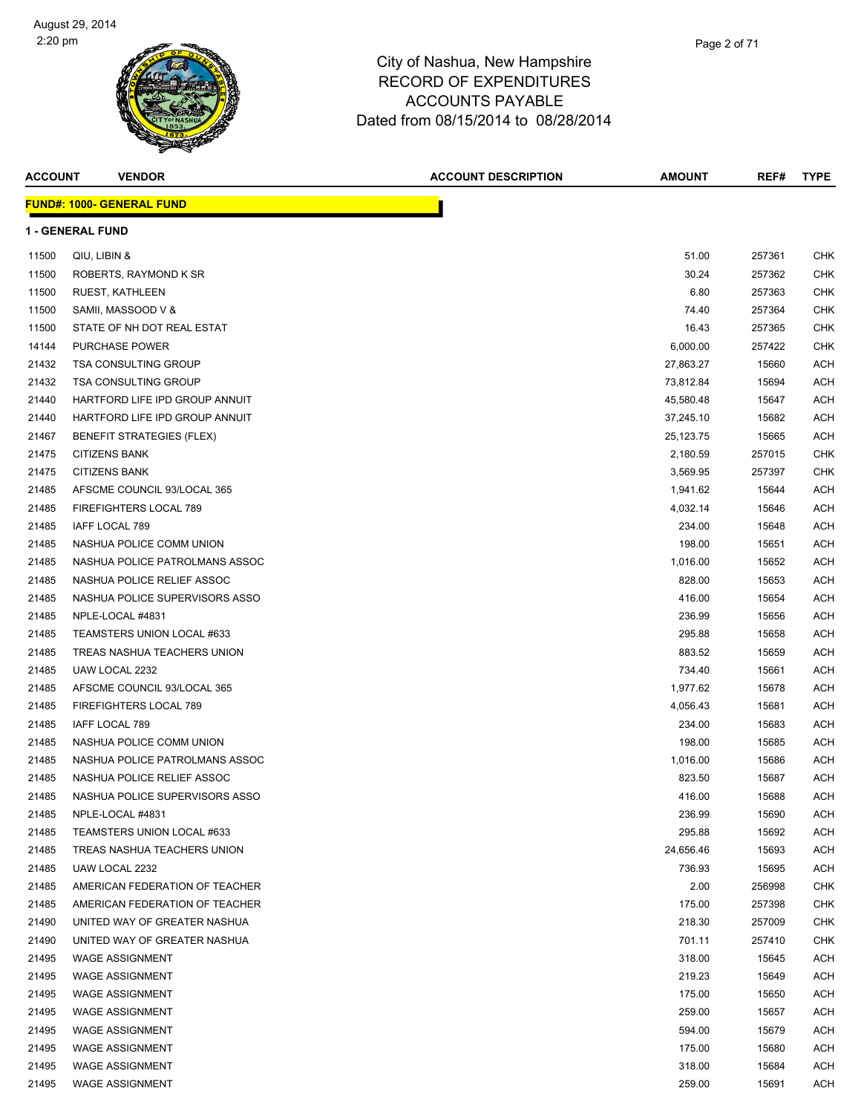

| <b>ACCOUNT</b> | <b>VENDOR</b>                    | <b>ACCOUNT DESCRIPTION</b> | AMOUNT      | REF#   | <b>TYPE</b> |
|----------------|----------------------------------|----------------------------|-------------|--------|-------------|
|                | <b>FUND#: 1000- GENERAL FUND</b> |                            |             |        |             |
|                | <b>1 - GENERAL FUND</b>          |                            |             |        |             |
| 11500          | QIU, LIBIN &                     |                            | 51.00       | 257361 | CHK         |
| 11500          | ROBERTS, RAYMOND K SR            |                            | 30.24       | 257362 | CHK         |
| 11500          | <b>RUEST, KATHLEEN</b>           |                            | 6.80        | 257363 | CHK         |
| 11500          | SAMII, MASSOOD V &               |                            | 74.40       | 257364 | CHK         |
| 11500          | STATE OF NH DOT REAL ESTAT       |                            | 16.43       | 257365 | <b>CHK</b>  |
| 14144          | <b>PURCHASE POWER</b>            |                            | 6,000.00    | 257422 | CHK         |
| 21432          | <b>TSA CONSULTING GROUP</b>      |                            | 27,863.27   | 15660  | <b>ACH</b>  |
| 21432          | <b>TSA CONSULTING GROUP</b>      |                            | 73,812.84   | 15694  | <b>ACH</b>  |
| 21440          | HARTFORD LIFE IPD GROUP ANNUIT   |                            | 45,580.48   | 15647  | <b>ACH</b>  |
| 21440          | HARTFORD LIFE IPD GROUP ANNUIT   |                            | 37,245.10   | 15682  | <b>ACH</b>  |
| 21467          | <b>BENEFIT STRATEGIES (FLEX)</b> |                            | 25, 123. 75 | 15665  | <b>ACH</b>  |
| 21475          | <b>CITIZENS BANK</b>             |                            | 2,180.59    | 257015 | <b>CHK</b>  |
| 21475          | <b>CITIZENS BANK</b>             |                            | 3,569.95    | 257397 | CHK         |
| 21485          | AFSCME COUNCIL 93/LOCAL 365      |                            | 1,941.62    | 15644  | <b>ACH</b>  |
| 21485          | FIREFIGHTERS LOCAL 789           |                            | 4,032.14    | 15646  | <b>ACH</b>  |
| 21485          | IAFF LOCAL 789                   |                            | 234.00      | 15648  | <b>ACH</b>  |
| 21485          | NASHUA POLICE COMM UNION         |                            | 198.00      | 15651  | <b>ACH</b>  |
| 21485          | NASHUA POLICE PATROLMANS ASSOC   |                            | 1,016.00    | 15652  | <b>ACH</b>  |
| 21485          | NASHUA POLICE RELIEF ASSOC       |                            | 828.00      | 15653  | <b>ACH</b>  |
| 21485          | NASHUA POLICE SUPERVISORS ASSO   |                            | 416.00      | 15654  | <b>ACH</b>  |
| 21485          | NPLE-LOCAL #4831                 |                            | 236.99      | 15656  | <b>ACH</b>  |
| 21485          | TEAMSTERS UNION LOCAL #633       |                            | 295.88      | 15658  | <b>ACH</b>  |
| 21485          | TREAS NASHUA TEACHERS UNION      |                            | 883.52      | 15659  | <b>ACH</b>  |
| 21485          | UAW LOCAL 2232                   |                            | 734.40      | 15661  | <b>ACH</b>  |
| 21485          | AFSCME COUNCIL 93/LOCAL 365      |                            | 1,977.62    | 15678  | <b>ACH</b>  |
| 21485          | FIREFIGHTERS LOCAL 789           |                            | 4,056.43    | 15681  | <b>ACH</b>  |
| 21485          | <b>IAFF LOCAL 789</b>            |                            | 234.00      | 15683  | <b>ACH</b>  |
| 21485          | NASHUA POLICE COMM UNION         |                            | 198.00      | 15685  | <b>ACH</b>  |
| 21485          | NASHUA POLICE PATROLMANS ASSOC   |                            | 1,016.00    | 15686  | <b>ACH</b>  |
| 21485          | NASHUA POLICE RELIEF ASSOC       |                            | 823.50      | 15687  | <b>ACH</b>  |
| 21485          | NASHUA POLICE SUPERVISORS ASSO   |                            | 416.00      | 15688  | <b>ACH</b>  |
| 21485          | NPLE-LOCAL #4831                 |                            | 236.99      | 15690  | <b>ACH</b>  |
| 21485          | TEAMSTERS UNION LOCAL #633       |                            | 295.88      | 15692  | <b>ACH</b>  |
| 21485          | TREAS NASHUA TEACHERS UNION      |                            | 24,656.46   | 15693  | <b>ACH</b>  |
| 21485          | UAW LOCAL 2232                   |                            | 736.93      | 15695  | <b>ACH</b>  |
| 21485          | AMERICAN FEDERATION OF TEACHER   |                            | 2.00        | 256998 | CHK         |
| 21485          | AMERICAN FEDERATION OF TEACHER   |                            | 175.00      | 257398 | CHK         |
| 21490          | UNITED WAY OF GREATER NASHUA     |                            | 218.30      | 257009 | CHK         |
| 21490          | UNITED WAY OF GREATER NASHUA     |                            | 701.11      | 257410 | CHK         |
| 21495          | <b>WAGE ASSIGNMENT</b>           |                            | 318.00      | 15645  | <b>ACH</b>  |
| 21495          | <b>WAGE ASSIGNMENT</b>           |                            | 219.23      | 15649  | <b>ACH</b>  |
| 21495          | <b>WAGE ASSIGNMENT</b>           |                            | 175.00      | 15650  | <b>ACH</b>  |
| 21495          | <b>WAGE ASSIGNMENT</b>           |                            | 259.00      | 15657  | <b>ACH</b>  |
| 21495          | <b>WAGE ASSIGNMENT</b>           |                            | 594.00      | 15679  | <b>ACH</b>  |
| 21495          | <b>WAGE ASSIGNMENT</b>           |                            | 175.00      | 15680  | <b>ACH</b>  |
| 21495          | <b>WAGE ASSIGNMENT</b>           |                            | 318.00      | 15684  | <b>ACH</b>  |
| 21495          | WAGE ASSIGNMENT                  |                            | 259.00      | 15691  | <b>ACH</b>  |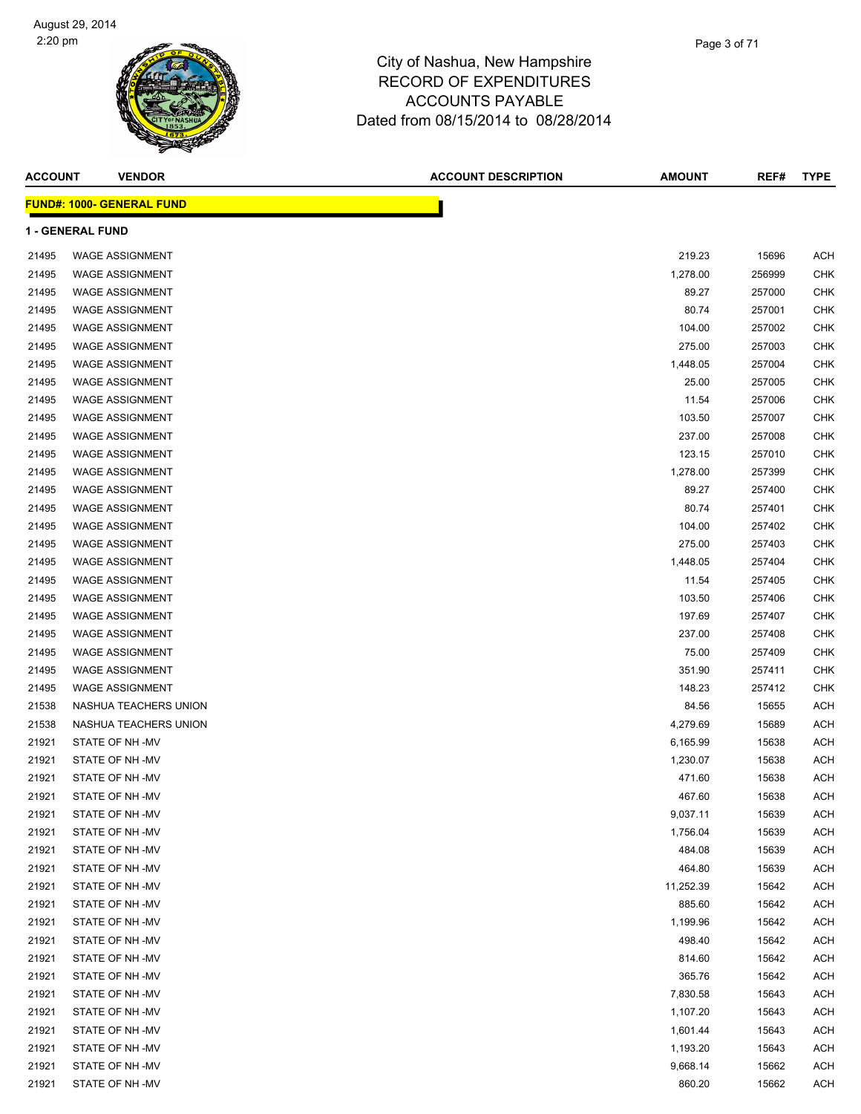| <b>ACCOUNT</b> | <b>VENDOR</b>                    | <b>ACCOUNT DESCRIPTION</b> | <b>AMOUNT</b> | REF#   | <b>TYPE</b> |
|----------------|----------------------------------|----------------------------|---------------|--------|-------------|
|                | <b>FUND#: 1000- GENERAL FUND</b> |                            |               |        |             |
|                | <b>1 - GENERAL FUND</b>          |                            |               |        |             |
| 21495          | <b>WAGE ASSIGNMENT</b>           |                            | 219.23        | 15696  | <b>ACH</b>  |
| 21495          | <b>WAGE ASSIGNMENT</b>           |                            | 1,278.00      | 256999 | CHK         |
| 21495          | <b>WAGE ASSIGNMENT</b>           |                            | 89.27         | 257000 | CHK         |
| 21495          | <b>WAGE ASSIGNMENT</b>           |                            | 80.74         | 257001 | CHK         |
| 21495          | <b>WAGE ASSIGNMENT</b>           |                            | 104.00        | 257002 | <b>CHK</b>  |
| 21495          | <b>WAGE ASSIGNMENT</b>           |                            | 275.00        | 257003 | CHK         |
| 21495          | <b>WAGE ASSIGNMENT</b>           |                            | 1,448.05      | 257004 | CHK         |
| 21495          | <b>WAGE ASSIGNMENT</b>           |                            | 25.00         | 257005 | CHK         |
| 21495          | <b>WAGE ASSIGNMENT</b>           |                            | 11.54         | 257006 | CHK         |
| 21495          | <b>WAGE ASSIGNMENT</b>           |                            | 103.50        | 257007 | CHK         |
| 21495          | <b>WAGE ASSIGNMENT</b>           |                            | 237.00        | 257008 | CHK         |
| 21495          | <b>WAGE ASSIGNMENT</b>           |                            | 123.15        | 257010 | <b>CHK</b>  |
| 21495          | <b>WAGE ASSIGNMENT</b>           |                            | 1,278.00      | 257399 | CHK         |
| 21495          | <b>WAGE ASSIGNMENT</b>           |                            | 89.27         | 257400 | CHK         |
| 21495          | <b>WAGE ASSIGNMENT</b>           |                            | 80.74         | 257401 | CHK         |
| 21495          | <b>WAGE ASSIGNMENT</b>           |                            | 104.00        | 257402 | CHK         |
| 21495          | <b>WAGE ASSIGNMENT</b>           |                            | 275.00        | 257403 | CHK         |
| 21495          | <b>WAGE ASSIGNMENT</b>           |                            | 1,448.05      | 257404 | <b>CHK</b>  |
| 21495          | <b>WAGE ASSIGNMENT</b>           |                            | 11.54         | 257405 | CHK         |
| 21495          | <b>WAGE ASSIGNMENT</b>           |                            | 103.50        | 257406 | CHK         |
| 21495          | <b>WAGE ASSIGNMENT</b>           |                            | 197.69        | 257407 | CHK         |
| 21495          | <b>WAGE ASSIGNMENT</b>           |                            | 237.00        | 257408 | CHK         |
| 21495          | <b>WAGE ASSIGNMENT</b>           |                            | 75.00         | 257409 | CHK         |
| 21495          | <b>WAGE ASSIGNMENT</b>           |                            | 351.90        | 257411 | CHK         |
| 21495          | <b>WAGE ASSIGNMENT</b>           |                            | 148.23        | 257412 | CHK         |
| 21538          | NASHUA TEACHERS UNION            |                            | 84.56         | 15655  | <b>ACH</b>  |
| 21538          | NASHUA TEACHERS UNION            |                            | 4,279.69      | 15689  | <b>ACH</b>  |
| 21921          | STATE OF NH-MV                   |                            | 6,165.99      | 15638  | <b>ACH</b>  |
| 21921          | STATE OF NH-MV                   |                            | 1,230.07      | 15638  | <b>ACH</b>  |
| 21921          | STATE OF NH-MV                   |                            | 471.60        | 15638  | <b>ACH</b>  |
| 21921          | STATE OF NH-MV                   |                            | 467.60        | 15638  | <b>ACH</b>  |
| 21921          | STATE OF NH-MV                   |                            | 9,037.11      | 15639  | <b>ACH</b>  |
| 21921          | STATE OF NH-MV                   |                            | 1,756.04      | 15639  | <b>ACH</b>  |
| 21921          | STATE OF NH-MV                   |                            | 484.08        | 15639  | <b>ACH</b>  |
| 21921          | STATE OF NH-MV                   |                            | 464.80        | 15639  | <b>ACH</b>  |
| 21921          | STATE OF NH-MV                   |                            | 11,252.39     | 15642  | <b>ACH</b>  |
| 21921          | STATE OF NH-MV                   |                            | 885.60        | 15642  | <b>ACH</b>  |
| 21921          | STATE OF NH-MV                   |                            | 1,199.96      | 15642  | <b>ACH</b>  |
| 21921          | STATE OF NH-MV                   |                            | 498.40        | 15642  | <b>ACH</b>  |
| 21921          | STATE OF NH-MV                   |                            | 814.60        | 15642  | <b>ACH</b>  |
| 21921          | STATE OF NH-MV                   |                            | 365.76        | 15642  | <b>ACH</b>  |
| 21921          | STATE OF NH-MV                   |                            | 7,830.58      | 15643  | <b>ACH</b>  |
| 21921          | STATE OF NH-MV                   |                            | 1,107.20      | 15643  | <b>ACH</b>  |
| 21921          | STATE OF NH-MV                   |                            | 1,601.44      | 15643  | <b>ACH</b>  |
| 21921          | STATE OF NH-MV                   |                            | 1,193.20      | 15643  | <b>ACH</b>  |
| 21921          | STATE OF NH-MV                   |                            | 9,668.14      | 15662  | <b>ACH</b>  |
| 21921          | STATE OF NH-MV                   |                            | 860.20        | 15662  | <b>ACH</b>  |
|                |                                  |                            |               |        |             |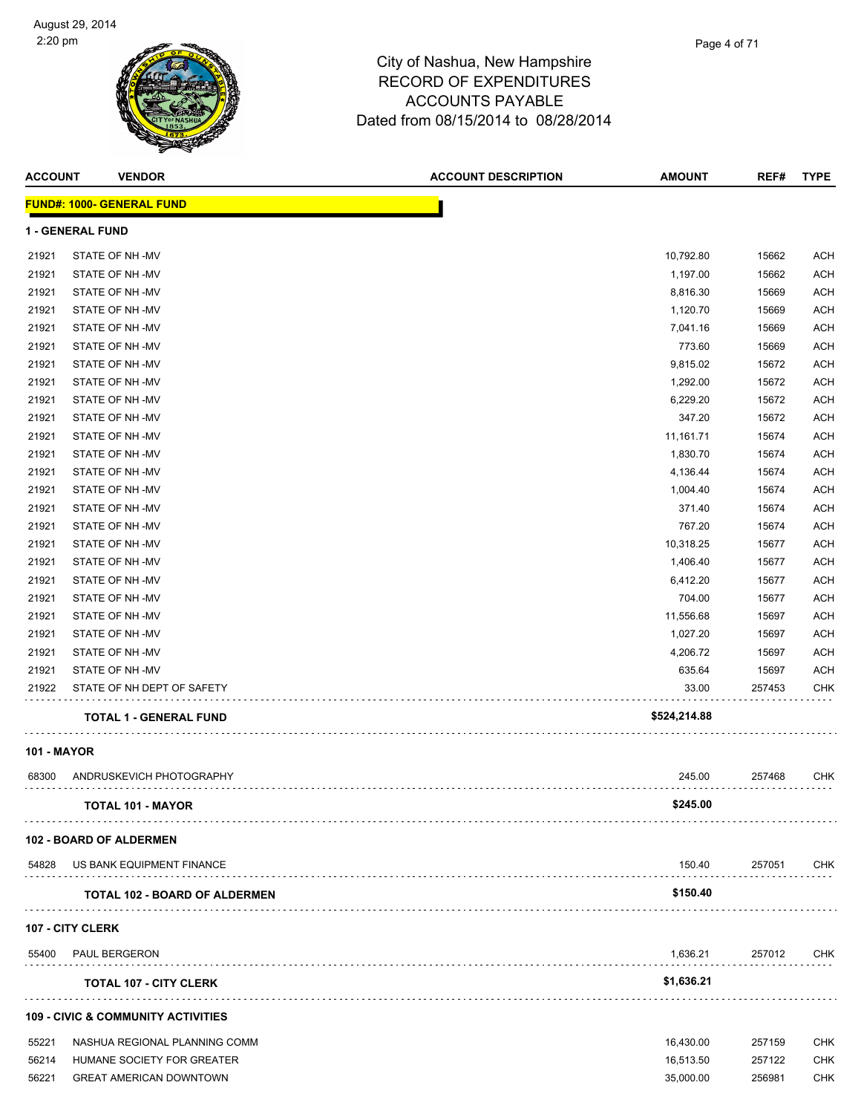| <b>ACCOUNT</b> | <b>VENDOR</b>                                 | <b>ACCOUNT DESCRIPTION</b> | <b>AMOUNT</b> | REF#   | <b>TYPE</b> |
|----------------|-----------------------------------------------|----------------------------|---------------|--------|-------------|
|                | <b>FUND#: 1000- GENERAL FUND</b>              |                            |               |        |             |
|                | <b>1 - GENERAL FUND</b>                       |                            |               |        |             |
| 21921          | STATE OF NH-MV                                |                            | 10,792.80     | 15662  | <b>ACH</b>  |
| 21921          | STATE OF NH-MV                                |                            | 1,197.00      | 15662  | <b>ACH</b>  |
| 21921          | STATE OF NH-MV                                |                            | 8,816.30      | 15669  | <b>ACH</b>  |
| 21921          | STATE OF NH-MV                                |                            | 1,120.70      | 15669  | <b>ACH</b>  |
| 21921          | STATE OF NH-MV                                |                            | 7,041.16      | 15669  | <b>ACH</b>  |
| 21921          | STATE OF NH-MV                                |                            | 773.60        | 15669  | <b>ACH</b>  |
| 21921          | STATE OF NH-MV                                |                            | 9,815.02      | 15672  | <b>ACH</b>  |
| 21921          | STATE OF NH-MV                                |                            | 1,292.00      | 15672  | <b>ACH</b>  |
| 21921          | STATE OF NH-MV                                |                            | 6,229.20      | 15672  | <b>ACH</b>  |
| 21921          | STATE OF NH-MV                                |                            | 347.20        | 15672  | <b>ACH</b>  |
| 21921          | STATE OF NH-MV                                |                            | 11,161.71     | 15674  | <b>ACH</b>  |
| 21921          | STATE OF NH-MV                                |                            | 1,830.70      | 15674  | <b>ACH</b>  |
| 21921          | STATE OF NH-MV                                |                            | 4,136.44      | 15674  | <b>ACH</b>  |
| 21921          | STATE OF NH-MV                                |                            | 1,004.40      | 15674  | <b>ACH</b>  |
| 21921          | STATE OF NH-MV                                |                            | 371.40        | 15674  | <b>ACH</b>  |
| 21921          | STATE OF NH-MV                                |                            | 767.20        | 15674  | <b>ACH</b>  |
| 21921          | STATE OF NH-MV                                |                            | 10,318.25     | 15677  | <b>ACH</b>  |
| 21921          | STATE OF NH-MV                                |                            | 1,406.40      | 15677  | <b>ACH</b>  |
| 21921          | STATE OF NH-MV                                |                            | 6,412.20      | 15677  | <b>ACH</b>  |
| 21921          | STATE OF NH-MV                                |                            | 704.00        | 15677  | <b>ACH</b>  |
| 21921          | STATE OF NH-MV                                |                            | 11,556.68     | 15697  | <b>ACH</b>  |
| 21921          | STATE OF NH-MV                                |                            | 1,027.20      | 15697  | <b>ACH</b>  |
| 21921          | STATE OF NH-MV                                |                            | 4,206.72      | 15697  | <b>ACH</b>  |
| 21921          | STATE OF NH-MV                                |                            | 635.64        | 15697  | <b>ACH</b>  |
| 21922          | STATE OF NH DEPT OF SAFETY                    |                            | 33.00         | 257453 | <b>CHK</b>  |
|                | <b>TOTAL 1 - GENERAL FUND</b>                 |                            | \$524,214.88  |        |             |
| 101 - MAYOR    |                                               |                            |               |        |             |
| 68300          | ANDRUSKEVICH PHOTOGRAPHY                      |                            | 245.00        | 257468 | <b>CHK</b>  |
|                | <b>TOTAL 101 - MAYOR</b>                      |                            | \$245.00      |        |             |
|                | 102 - BOARD OF ALDERMEN                       |                            |               |        |             |
| 54828          | US BANK EQUIPMENT FINANCE                     |                            | 150.40        | 257051 | CHK         |
|                | <b>TOTAL 102 - BOARD OF ALDERMEN</b>          |                            | \$150.40      |        |             |
|                | <b>107 - CITY CLERK</b>                       |                            |               |        |             |
| 55400          | <b>PAUL BERGERON</b>                          |                            | 1,636.21      | 257012 | CHK         |
|                | <b>TOTAL 107 - CITY CLERK</b>                 |                            | \$1,636.21    |        |             |
|                | <b>109 - CIVIC &amp; COMMUNITY ACTIVITIES</b> |                            |               |        |             |
| 55221          | NASHUA REGIONAL PLANNING COMM                 |                            | 16,430.00     | 257159 | <b>CHK</b>  |
| 56214          | HUMANE SOCIETY FOR GREATER                    |                            | 16,513.50     | 257122 | <b>CHK</b>  |
| 56221          | <b>GREAT AMERICAN DOWNTOWN</b>                |                            | 35,000.00     | 256981 | <b>CHK</b>  |

ACCOUNTS PAYABLE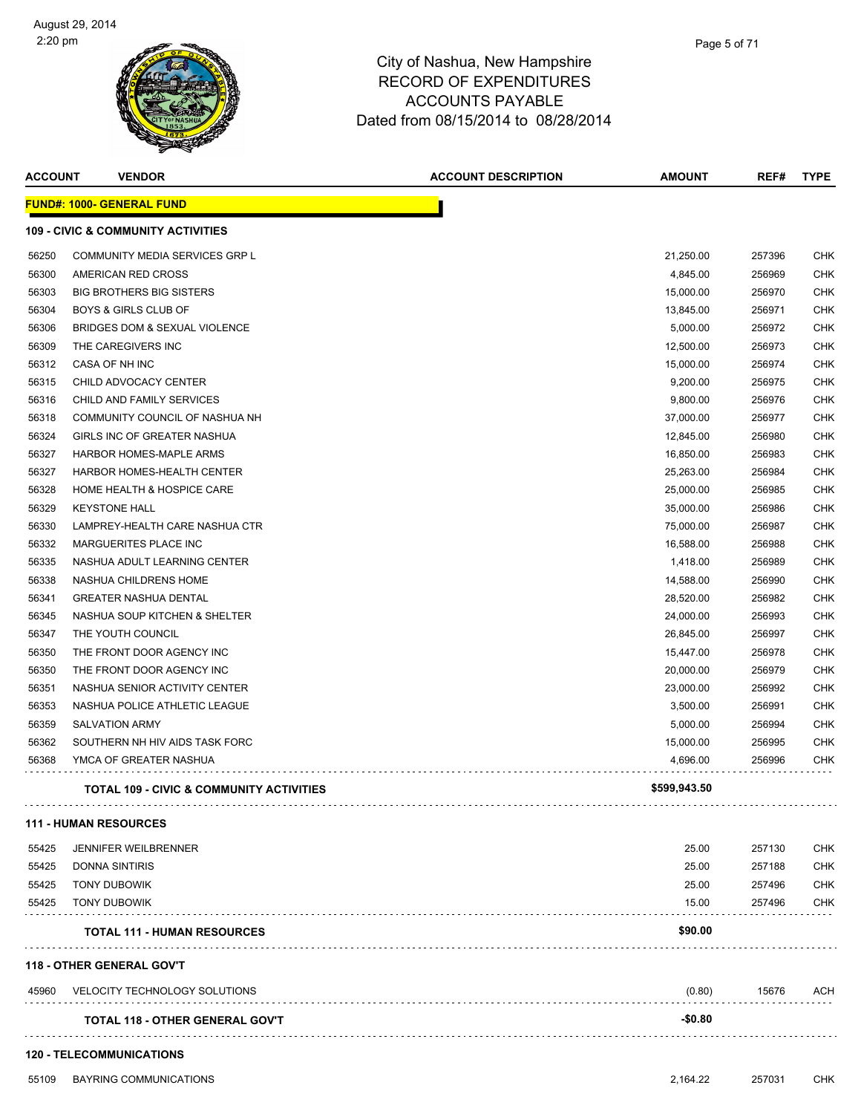

| <b>ACCOUNT</b> | <b>VENDOR</b>                                       | <b>ACCOUNT DESCRIPTION</b> | <b>AMOUNT</b> | REF#   | <b>TYPE</b> |
|----------------|-----------------------------------------------------|----------------------------|---------------|--------|-------------|
|                | <b>FUND#: 1000- GENERAL FUND</b>                    |                            |               |        |             |
|                | <b>109 - CIVIC &amp; COMMUNITY ACTIVITIES</b>       |                            |               |        |             |
| 56250          | COMMUNITY MEDIA SERVICES GRP L                      |                            | 21,250.00     | 257396 | <b>CHK</b>  |
| 56300          | AMERICAN RED CROSS                                  |                            | 4,845.00      | 256969 | <b>CHK</b>  |
| 56303          | <b>BIG BROTHERS BIG SISTERS</b>                     |                            | 15,000.00     | 256970 | <b>CHK</b>  |
| 56304          | <b>BOYS &amp; GIRLS CLUB OF</b>                     |                            | 13,845.00     | 256971 | <b>CHK</b>  |
| 56306          | BRIDGES DOM & SEXUAL VIOLENCE                       |                            | 5,000.00      | 256972 | <b>CHK</b>  |
| 56309          | THE CAREGIVERS INC                                  |                            | 12,500.00     | 256973 | <b>CHK</b>  |
| 56312          | CASA OF NH INC                                      |                            | 15,000.00     | 256974 | <b>CHK</b>  |
| 56315          | CHILD ADVOCACY CENTER                               |                            | 9,200.00      | 256975 | <b>CHK</b>  |
| 56316          | CHILD AND FAMILY SERVICES                           |                            | 9,800.00      | 256976 | <b>CHK</b>  |
| 56318          | COMMUNITY COUNCIL OF NASHUA NH                      |                            | 37,000.00     | 256977 | <b>CHK</b>  |
| 56324          | GIRLS INC OF GREATER NASHUA                         |                            | 12,845.00     | 256980 | <b>CHK</b>  |
| 56327          | HARBOR HOMES-MAPLE ARMS                             |                            | 16,850.00     | 256983 | <b>CHK</b>  |
| 56327          | HARBOR HOMES-HEALTH CENTER                          |                            | 25,263.00     | 256984 | <b>CHK</b>  |
| 56328          | HOME HEALTH & HOSPICE CARE                          |                            | 25,000.00     | 256985 | <b>CHK</b>  |
| 56329          | <b>KEYSTONE HALL</b>                                |                            | 35,000.00     | 256986 | <b>CHK</b>  |
| 56330          | LAMPREY-HEALTH CARE NASHUA CTR                      |                            | 75,000.00     | 256987 | <b>CHK</b>  |
| 56332          | MARGUERITES PLACE INC                               |                            | 16,588.00     | 256988 | <b>CHK</b>  |
| 56335          | NASHUA ADULT LEARNING CENTER                        |                            | 1,418.00      | 256989 | <b>CHK</b>  |
| 56338          | NASHUA CHILDRENS HOME                               |                            | 14,588.00     | 256990 | <b>CHK</b>  |
| 56341          | <b>GREATER NASHUA DENTAL</b>                        |                            | 28,520.00     | 256982 | <b>CHK</b>  |
| 56345          | NASHUA SOUP KITCHEN & SHELTER                       |                            | 24,000.00     | 256993 | <b>CHK</b>  |
| 56347          | THE YOUTH COUNCIL                                   |                            | 26,845.00     | 256997 | <b>CHK</b>  |
| 56350          | THE FRONT DOOR AGENCY INC                           |                            | 15,447.00     | 256978 | <b>CHK</b>  |
| 56350          | THE FRONT DOOR AGENCY INC                           |                            | 20,000.00     | 256979 | <b>CHK</b>  |
| 56351          | NASHUA SENIOR ACTIVITY CENTER                       |                            | 23,000.00     | 256992 | <b>CHK</b>  |
| 56353          | NASHUA POLICE ATHLETIC LEAGUE                       |                            | 3,500.00      | 256991 | <b>CHK</b>  |
| 56359          | <b>SALVATION ARMY</b>                               |                            | 5,000.00      | 256994 | <b>CHK</b>  |
| 56362          | SOUTHERN NH HIV AIDS TASK FORC                      |                            | 15,000.00     | 256995 | <b>CHK</b>  |
| 56368          | YMCA OF GREATER NASHUA                              |                            | 4,696.00      | 256996 | <b>CHK</b>  |
|                | <b>TOTAL 109 - CIVIC &amp; COMMUNITY ACTIVITIES</b> |                            | \$599,943.50  |        |             |
|                | <b>111 - HUMAN RESOURCES</b>                        |                            |               |        |             |
| 55425          | <b>JENNIFER WEILBRENNER</b>                         |                            | 25.00         | 257130 | <b>CHK</b>  |
| 55425          | <b>DONNA SINTIRIS</b>                               |                            | 25.00         | 257188 | <b>CHK</b>  |
| 55425          | <b>TONY DUBOWIK</b>                                 |                            | 25.00         | 257496 | <b>CHK</b>  |
| 55425          | <b>TONY DUBOWIK</b>                                 |                            | 15.00         | 257496 | <b>CHK</b>  |
|                | <b>TOTAL 111 - HUMAN RESOURCES</b>                  |                            | \$90.00       |        |             |
|                | <b>118 - OTHER GENERAL GOV'T</b>                    |                            |               |        |             |
| 45960          | VELOCITY TECHNOLOGY SOLUTIONS                       |                            | (0.80)        | 15676  | ACH         |
|                | <b>TOTAL 118 - OTHER GENERAL GOV'T</b>              |                            | $-$0.80$      |        |             |
|                | <b>120 - TELECOMMUNICATIONS</b>                     |                            |               |        |             |
| 55109          | BAYRING COMMUNICATIONS                              |                            | 2,164.22      | 257031 | <b>CHK</b>  |
|                |                                                     |                            |               |        |             |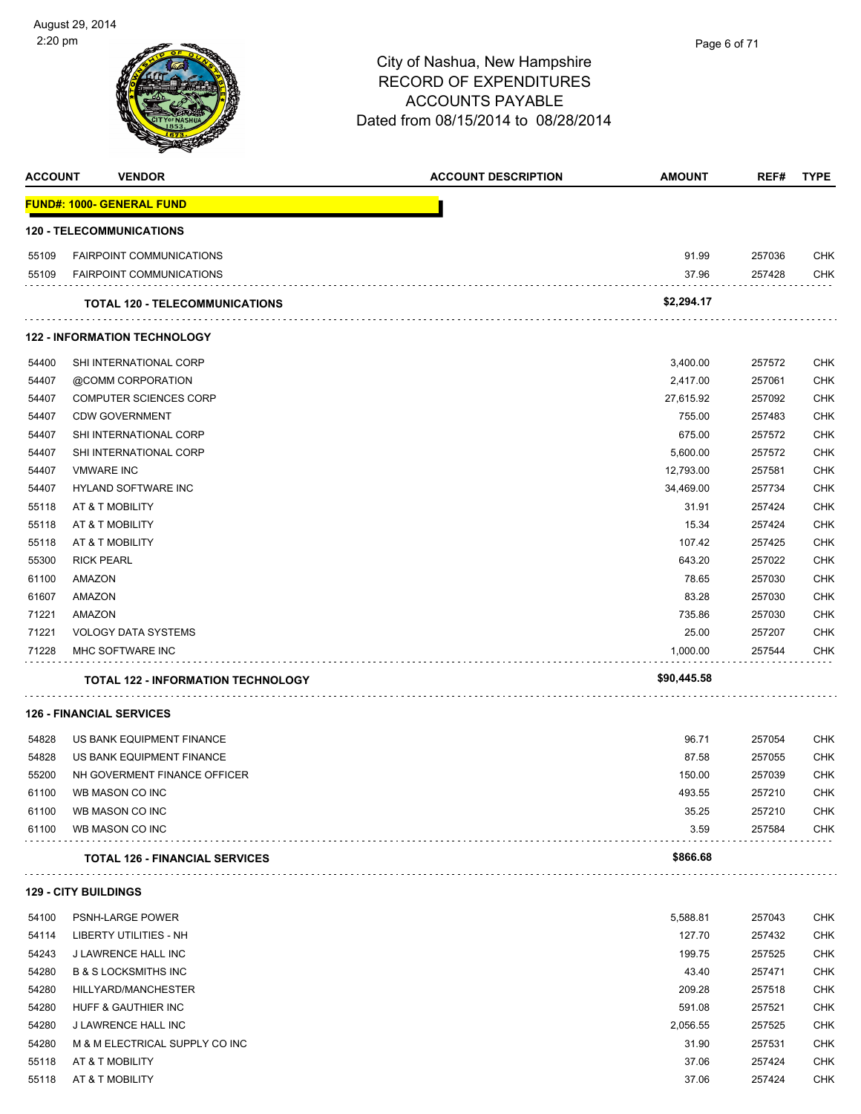

| <b>ACCOUNT</b> | <b>VENDOR</b>                             | <b>ACCOUNT DESCRIPTION</b> | <b>AMOUNT</b> | REF#   | <b>TYPE</b> |
|----------------|-------------------------------------------|----------------------------|---------------|--------|-------------|
|                | <b>FUND#: 1000- GENERAL FUND</b>          |                            |               |        |             |
|                | <b>120 - TELECOMMUNICATIONS</b>           |                            |               |        |             |
| 55109          | <b>FAIRPOINT COMMUNICATIONS</b>           |                            | 91.99         | 257036 | <b>CHK</b>  |
| 55109          | <b>FAIRPOINT COMMUNICATIONS</b>           |                            | 37.96         | 257428 | <b>CHK</b>  |
|                | <b>TOTAL 120 - TELECOMMUNICATIONS</b>     |                            | \$2,294.17    |        |             |
|                | <b>122 - INFORMATION TECHNOLOGY</b>       |                            |               |        |             |
| 54400          | SHI INTERNATIONAL CORP                    |                            | 3,400.00      | 257572 | <b>CHK</b>  |
| 54407          | @COMM CORPORATION                         |                            | 2,417.00      | 257061 | <b>CHK</b>  |
| 54407          | <b>COMPUTER SCIENCES CORP</b>             |                            | 27,615.92     | 257092 | <b>CHK</b>  |
| 54407          | <b>CDW GOVERNMENT</b>                     |                            | 755.00        | 257483 | <b>CHK</b>  |
| 54407          | SHI INTERNATIONAL CORP                    |                            | 675.00        | 257572 | <b>CHK</b>  |
| 54407          | SHI INTERNATIONAL CORP                    |                            | 5,600.00      | 257572 | <b>CHK</b>  |
| 54407          | <b>VMWARE INC</b>                         |                            | 12,793.00     | 257581 | <b>CHK</b>  |
| 54407          | HYLAND SOFTWARE INC                       |                            | 34,469.00     | 257734 | <b>CHK</b>  |
| 55118          | AT & T MOBILITY                           |                            | 31.91         | 257424 | <b>CHK</b>  |
| 55118          | AT & T MOBILITY                           |                            | 15.34         | 257424 | <b>CHK</b>  |
| 55118          | AT & T MOBILITY                           |                            | 107.42        | 257425 | <b>CHK</b>  |
| 55300          | <b>RICK PEARL</b>                         |                            | 643.20        | 257022 | <b>CHK</b>  |
| 61100          | AMAZON                                    |                            | 78.65         | 257030 | <b>CHK</b>  |
| 61607          | AMAZON                                    |                            | 83.28         | 257030 | <b>CHK</b>  |
| 71221          | AMAZON                                    |                            | 735.86        | 257030 | <b>CHK</b>  |
| 71221          | <b>VOLOGY DATA SYSTEMS</b>                |                            | 25.00         | 257207 | <b>CHK</b>  |
| 71228          | MHC SOFTWARE INC                          |                            | 1,000.00      | 257544 | <b>CHK</b>  |
|                | <b>TOTAL 122 - INFORMATION TECHNOLOGY</b> |                            | \$90,445.58   |        |             |
|                | <b>126 - FINANCIAL SERVICES</b>           |                            |               |        |             |
| 54828          | US BANK EQUIPMENT FINANCE                 |                            | 96.71         | 257054 | <b>CHK</b>  |
| 54828          | US BANK EQUIPMENT FINANCE                 |                            | 87.58         | 257055 | <b>CHK</b>  |
| 55200          | NH GOVERMENT FINANCE OFFICER              |                            | 150.00        | 257039 | CHK         |
| 61100          | WB MASON CO INC                           |                            | 493.55        | 257210 | <b>CHK</b>  |
| 61100          | WB MASON CO INC                           |                            | 35.25         | 257210 | <b>CHK</b>  |
| 61100          | WB MASON CO INC                           |                            | 3.59          | 257584 | <b>CHK</b>  |
|                | <b>TOTAL 126 - FINANCIAL SERVICES</b>     |                            | \$866.68      |        |             |
|                | <b>129 - CITY BUILDINGS</b>               |                            |               |        |             |
| 54100          | <b>PSNH-LARGE POWER</b>                   |                            | 5,588.81      | 257043 | <b>CHK</b>  |
| 54114          | <b>LIBERTY UTILITIES - NH</b>             |                            | 127.70        | 257432 | <b>CHK</b>  |
| 54243          | J LAWRENCE HALL INC                       |                            | 199.75        | 257525 | <b>CHK</b>  |
| 54280          | <b>B &amp; S LOCKSMITHS INC</b>           |                            | 43.40         | 257471 | <b>CHK</b>  |
| 54280          | HILLYARD/MANCHESTER                       |                            | 209.28        | 257518 | <b>CHK</b>  |
| 54280          | HUFF & GAUTHIER INC                       |                            | 591.08        | 257521 | <b>CHK</b>  |
| 54280          | J LAWRENCE HALL INC                       |                            | 2,056.55      | 257525 | <b>CHK</b>  |
| 54280          | M & M ELECTRICAL SUPPLY CO INC            |                            | 31.90         | 257531 | <b>CHK</b>  |
| 55118          | AT & T MOBILITY                           |                            | 37.06         | 257424 | <b>CHK</b>  |
| 55118          | AT & T MOBILITY                           |                            | 37.06         | 257424 | <b>CHK</b>  |
|                |                                           |                            |               |        |             |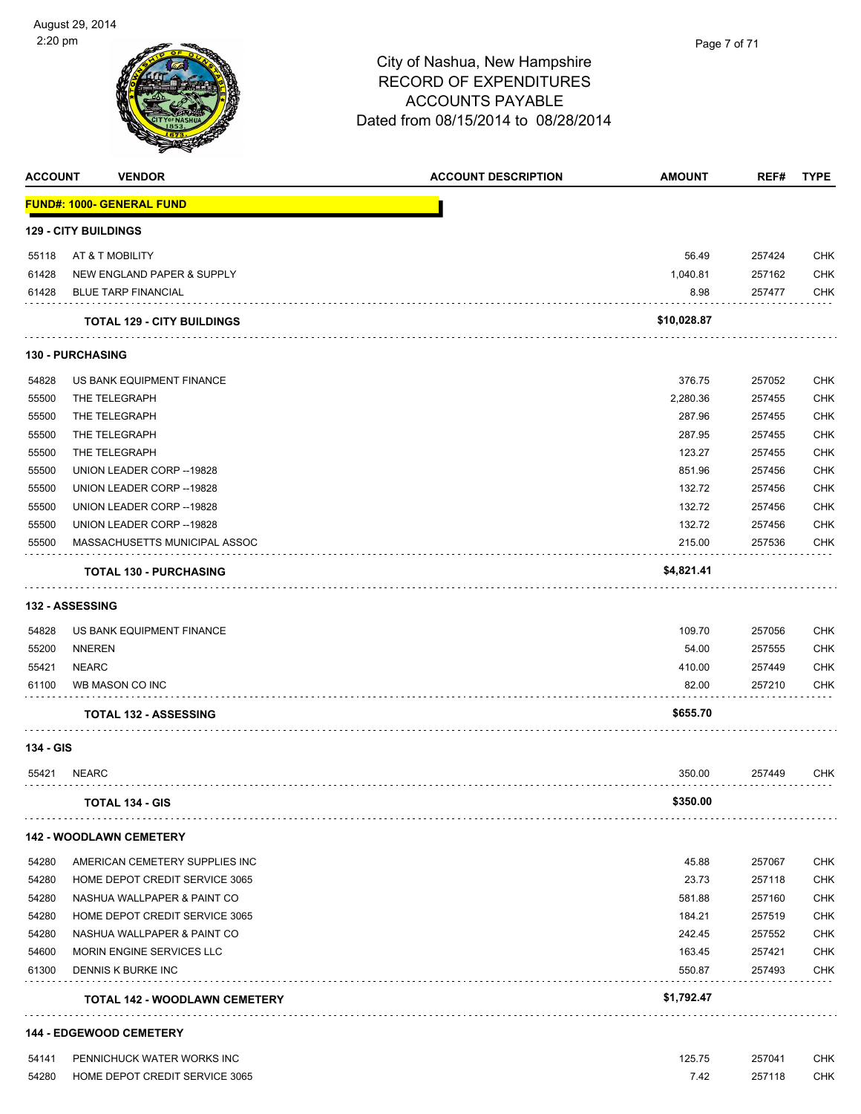

| <b>ACCOUNT</b> | <b>VENDOR</b>                        | <b>ACCOUNT DESCRIPTION</b> | <b>AMOUNT</b> | REF#   | <b>TYPE</b> |
|----------------|--------------------------------------|----------------------------|---------------|--------|-------------|
|                | <b>FUND#: 1000- GENERAL FUND</b>     |                            |               |        |             |
|                | <b>129 - CITY BUILDINGS</b>          |                            |               |        |             |
| 55118          | AT & T MOBILITY                      |                            | 56.49         | 257424 | <b>CHK</b>  |
| 61428          | NEW ENGLAND PAPER & SUPPLY           |                            | 1,040.81      | 257162 | <b>CHK</b>  |
| 61428          | <b>BLUE TARP FINANCIAL</b>           |                            | 8.98          | 257477 | CHK         |
|                | <b>TOTAL 129 - CITY BUILDINGS</b>    |                            | \$10,028.87   |        |             |
|                | <b>130 - PURCHASING</b>              |                            |               |        |             |
| 54828          | US BANK EQUIPMENT FINANCE            |                            | 376.75        | 257052 | CHK         |
| 55500          | THE TELEGRAPH                        |                            | 2,280.36      | 257455 | <b>CHK</b>  |
| 55500          | THE TELEGRAPH                        |                            | 287.96        | 257455 | <b>CHK</b>  |
| 55500          | THE TELEGRAPH                        |                            | 287.95        | 257455 | <b>CHK</b>  |
| 55500          | THE TELEGRAPH                        |                            | 123.27        | 257455 | <b>CHK</b>  |
| 55500          | UNION LEADER CORP -- 19828           |                            | 851.96        | 257456 | <b>CHK</b>  |
| 55500          | UNION LEADER CORP -- 19828           |                            | 132.72        | 257456 | <b>CHK</b>  |
| 55500          | UNION LEADER CORP -- 19828           |                            | 132.72        | 257456 | <b>CHK</b>  |
| 55500          | UNION LEADER CORP -- 19828           |                            | 132.72        | 257456 | <b>CHK</b>  |
| 55500          | MASSACHUSETTS MUNICIPAL ASSOC        |                            | 215.00        | 257536 | CHK         |
|                | <b>TOTAL 130 - PURCHASING</b>        |                            | \$4,821.41    |        |             |
|                | <b>132 - ASSESSING</b>               |                            |               |        |             |
| 54828          | US BANK EQUIPMENT FINANCE            |                            | 109.70        | 257056 | <b>CHK</b>  |
| 55200          | <b>NNEREN</b>                        |                            | 54.00         | 257555 | <b>CHK</b>  |
| 55421          | <b>NEARC</b>                         |                            | 410.00        | 257449 | <b>CHK</b>  |
| 61100          | WB MASON CO INC                      |                            | 82.00         | 257210 | <b>CHK</b>  |
|                | <b>TOTAL 132 - ASSESSING</b>         |                            | \$655.70      |        |             |
| 134 - GIS      |                                      |                            |               |        |             |
| 55421          | NEARC                                |                            | 350.00        | 257449 | CHK         |
|                | <b>TOTAL 134 - GIS</b>               |                            | \$350.00      |        |             |
|                | <b>142 - WOODLAWN CEMETERY</b>       |                            |               |        |             |
| 54280          | AMERICAN CEMETERY SUPPLIES INC       |                            | 45.88         | 257067 | CHK         |
| 54280          | HOME DEPOT CREDIT SERVICE 3065       |                            | 23.73         | 257118 | <b>CHK</b>  |
| 54280          | NASHUA WALLPAPER & PAINT CO          |                            | 581.88        | 257160 | <b>CHK</b>  |
| 54280          | HOME DEPOT CREDIT SERVICE 3065       |                            | 184.21        | 257519 | CHK         |
| 54280          | NASHUA WALLPAPER & PAINT CO          |                            | 242.45        | 257552 | <b>CHK</b>  |
| 54600          | MORIN ENGINE SERVICES LLC            |                            | 163.45        | 257421 | CHK         |
| 61300          | DENNIS K BURKE INC                   |                            | 550.87        | 257493 | <b>CHK</b>  |
|                | <b>TOTAL 142 - WOODLAWN CEMETERY</b> |                            | \$1,792.47    |        |             |
|                | <b>144 - EDGEWOOD CEMETERY</b>       |                            |               |        |             |
| 54141          | PENNICHUCK WATER WORKS INC           |                            | 125.75        | 257041 | CHK         |
| 54280          | HOME DEPOT CREDIT SERVICE 3065       |                            | 7.42          | 257118 | CHK         |

l,

l,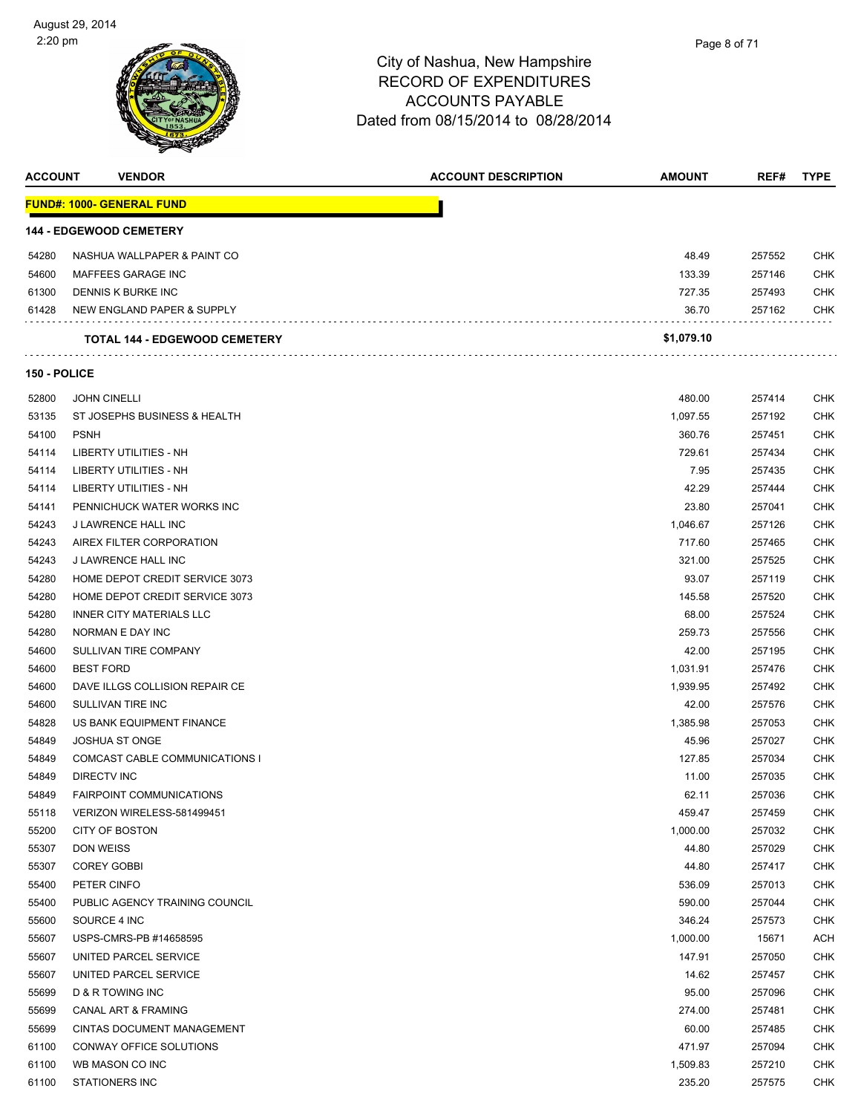| Page 8 of 71 |  |
|--------------|--|
|              |  |
|              |  |

| <b>ACCOUNT</b>      | <b>VENDOR</b>                        | <b>ACCOUNT DESCRIPTION</b> | <b>AMOUNT</b> | REF#   | <b>TYPE</b> |
|---------------------|--------------------------------------|----------------------------|---------------|--------|-------------|
|                     | <b>FUND#: 1000- GENERAL FUND</b>     |                            |               |        |             |
|                     | <b>144 - EDGEWOOD CEMETERY</b>       |                            |               |        |             |
| 54280               | NASHUA WALLPAPER & PAINT CO          |                            | 48.49         | 257552 | <b>CHK</b>  |
| 54600               | MAFFEES GARAGE INC                   |                            | 133.39        | 257146 | <b>CHK</b>  |
| 61300               | DENNIS K BURKE INC                   |                            | 727.35        | 257493 | <b>CHK</b>  |
| 61428               | NEW ENGLAND PAPER & SUPPLY           |                            | 36.70         | 257162 | <b>CHK</b>  |
|                     | <b>TOTAL 144 - EDGEWOOD CEMETERY</b> |                            | \$1,079.10    |        |             |
| <b>150 - POLICE</b> |                                      |                            |               |        |             |
| 52800               | <b>JOHN CINELLI</b>                  |                            | 480.00        | 257414 | <b>CHK</b>  |
| 53135               | ST JOSEPHS BUSINESS & HEALTH         |                            | 1,097.55      | 257192 | <b>CHK</b>  |
| 54100               | <b>PSNH</b>                          |                            | 360.76        | 257451 | <b>CHK</b>  |
| 54114               | LIBERTY UTILITIES - NH               |                            | 729.61        | 257434 | <b>CHK</b>  |
| 54114               | LIBERTY UTILITIES - NH               |                            | 7.95          | 257435 | <b>CHK</b>  |
| 54114               | LIBERTY UTILITIES - NH               |                            | 42.29         | 257444 | <b>CHK</b>  |
| 54141               | PENNICHUCK WATER WORKS INC           |                            | 23.80         | 257041 | <b>CHK</b>  |
| 54243               | <b>J LAWRENCE HALL INC</b>           |                            | 1,046.67      | 257126 | <b>CHK</b>  |
| 54243               | AIREX FILTER CORPORATION             |                            | 717.60        | 257465 | <b>CHK</b>  |
| 54243               | <b>J LAWRENCE HALL INC</b>           |                            | 321.00        | 257525 | <b>CHK</b>  |
| 54280               | HOME DEPOT CREDIT SERVICE 3073       |                            | 93.07         | 257119 | <b>CHK</b>  |
| 54280               | HOME DEPOT CREDIT SERVICE 3073       |                            | 145.58        | 257520 | <b>CHK</b>  |
| 54280               | <b>INNER CITY MATERIALS LLC</b>      |                            | 68.00         | 257524 | <b>CHK</b>  |
| 54280               | NORMAN E DAY INC                     |                            | 259.73        | 257556 | <b>CHK</b>  |
| 54600               | SULLIVAN TIRE COMPANY                |                            | 42.00         | 257195 | <b>CHK</b>  |
| 54600               | <b>BEST FORD</b>                     |                            | 1,031.91      | 257476 | <b>CHK</b>  |
| 54600               | DAVE ILLGS COLLISION REPAIR CE       |                            | 1,939.95      | 257492 | <b>CHK</b>  |
| 54600               | SULLIVAN TIRE INC                    |                            | 42.00         | 257576 | <b>CHK</b>  |
| 54828               | US BANK EQUIPMENT FINANCE            |                            | 1,385.98      | 257053 | <b>CHK</b>  |
| 54849               | <b>JOSHUA ST ONGE</b>                |                            | 45.96         | 257027 | <b>CHK</b>  |
| 54849               | COMCAST CABLE COMMUNICATIONS I       |                            | 127.85        | 257034 | <b>CHK</b>  |
| 54849               | <b>DIRECTV INC</b>                   |                            | 11.00         | 257035 | <b>CHK</b>  |
| 54849               | <b>FAIRPOINT COMMUNICATIONS</b>      |                            | 62.11         | 257036 | <b>CHK</b>  |
| 55118               | VERIZON WIRELESS-581499451           |                            | 459.47        | 257459 | <b>CHK</b>  |
| 55200               | CITY OF BOSTON                       |                            | 1,000.00      | 257032 | <b>CHK</b>  |
| 55307               | <b>DON WEISS</b>                     |                            | 44.80         | 257029 | <b>CHK</b>  |
| 55307               | <b>COREY GOBBI</b>                   |                            | 44.80         | 257417 | <b>CHK</b>  |
| 55400               | PETER CINFO                          |                            | 536.09        | 257013 | <b>CHK</b>  |
| 55400               | PUBLIC AGENCY TRAINING COUNCIL       |                            | 590.00        | 257044 | <b>CHK</b>  |
| 55600               | SOURCE 4 INC                         |                            | 346.24        | 257573 | <b>CHK</b>  |
| 55607               | USPS-CMRS-PB #14658595               |                            | 1,000.00      | 15671  | ACH         |
| 55607               | UNITED PARCEL SERVICE                |                            | 147.91        | 257050 | <b>CHK</b>  |
| 55607               | UNITED PARCEL SERVICE                |                            | 14.62         | 257457 | <b>CHK</b>  |
| 55699               | D & R TOWING INC                     |                            | 95.00         | 257096 | <b>CHK</b>  |
| 55699               | CANAL ART & FRAMING                  |                            | 274.00        | 257481 | <b>CHK</b>  |
| 55699               | CINTAS DOCUMENT MANAGEMENT           |                            | 60.00         | 257485 | <b>CHK</b>  |
| 61100               | CONWAY OFFICE SOLUTIONS              |                            | 471.97        | 257094 | <b>CHK</b>  |
| 61100               | WB MASON CO INC                      |                            | 1,509.83      | 257210 | <b>CHK</b>  |
| 61100               | <b>STATIONERS INC</b>                |                            | 235.20        | 257575 | <b>CHK</b>  |
|                     |                                      |                            |               |        |             |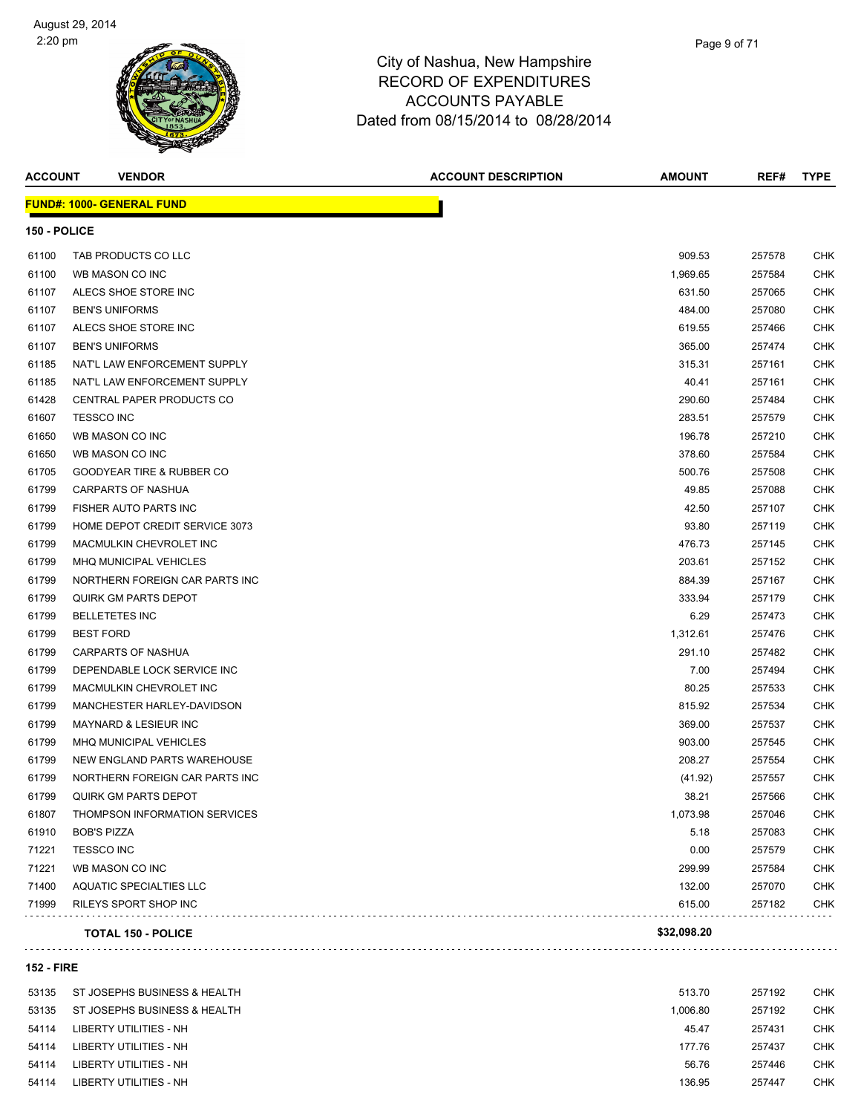

| <b>ACCOUNT</b>    | <b>VENDOR</b>                        | <b>ACCOUNT DESCRIPTION</b> | <b>AMOUNT</b> | REF#   | <b>TYPE</b> |
|-------------------|--------------------------------------|----------------------------|---------------|--------|-------------|
|                   | <b>FUND#: 1000- GENERAL FUND</b>     |                            |               |        |             |
| 150 - POLICE      |                                      |                            |               |        |             |
| 61100             | TAB PRODUCTS CO LLC                  |                            | 909.53        | 257578 | <b>CHK</b>  |
| 61100             | WB MASON CO INC                      |                            | 1,969.65      | 257584 | <b>CHK</b>  |
| 61107             | ALECS SHOE STORE INC                 |                            | 631.50        | 257065 | <b>CHK</b>  |
| 61107             | <b>BEN'S UNIFORMS</b>                |                            | 484.00        | 257080 | <b>CHK</b>  |
| 61107             | ALECS SHOE STORE INC                 |                            | 619.55        | 257466 | <b>CHK</b>  |
| 61107             | <b>BEN'S UNIFORMS</b>                |                            | 365.00        | 257474 | <b>CHK</b>  |
| 61185             | NAT'L LAW ENFORCEMENT SUPPLY         |                            | 315.31        | 257161 | <b>CHK</b>  |
| 61185             | NAT'L LAW ENFORCEMENT SUPPLY         |                            | 40.41         | 257161 | <b>CHK</b>  |
| 61428             | CENTRAL PAPER PRODUCTS CO            |                            | 290.60        | 257484 | <b>CHK</b>  |
| 61607             | <b>TESSCO INC</b>                    |                            | 283.51        | 257579 | <b>CHK</b>  |
| 61650             | WB MASON CO INC                      |                            | 196.78        | 257210 | CHK         |
| 61650             | WB MASON CO INC                      |                            | 378.60        | 257584 | <b>CHK</b>  |
| 61705             | <b>GOODYEAR TIRE &amp; RUBBER CO</b> |                            | 500.76        | 257508 | <b>CHK</b>  |
| 61799             | <b>CARPARTS OF NASHUA</b>            |                            | 49.85         | 257088 | <b>CHK</b>  |
| 61799             | FISHER AUTO PARTS INC                |                            | 42.50         | 257107 | <b>CHK</b>  |
| 61799             | HOME DEPOT CREDIT SERVICE 3073       |                            | 93.80         | 257119 | <b>CHK</b>  |
| 61799             | MACMULKIN CHEVROLET INC              |                            | 476.73        | 257145 | <b>CHK</b>  |
| 61799             | MHQ MUNICIPAL VEHICLES               |                            | 203.61        | 257152 | <b>CHK</b>  |
| 61799             | NORTHERN FOREIGN CAR PARTS INC       |                            | 884.39        | 257167 | <b>CHK</b>  |
| 61799             | QUIRK GM PARTS DEPOT                 |                            | 333.94        | 257179 | <b>CHK</b>  |
| 61799             | <b>BELLETETES INC</b>                |                            | 6.29          | 257473 | <b>CHK</b>  |
| 61799             | <b>BEST FORD</b>                     |                            | 1,312.61      | 257476 | <b>CHK</b>  |
| 61799             | CARPARTS OF NASHUA                   |                            | 291.10        | 257482 | <b>CHK</b>  |
| 61799             | DEPENDABLE LOCK SERVICE INC          |                            | 7.00          | 257494 | <b>CHK</b>  |
| 61799             | MACMULKIN CHEVROLET INC              |                            | 80.25         | 257533 | <b>CHK</b>  |
| 61799             | MANCHESTER HARLEY-DAVIDSON           |                            | 815.92        | 257534 | <b>CHK</b>  |
| 61799             | MAYNARD & LESIEUR INC                |                            | 369.00        | 257537 | <b>CHK</b>  |
| 61799             | <b>MHQ MUNICIPAL VEHICLES</b>        |                            | 903.00        | 257545 | <b>CHK</b>  |
| 61799             | NEW ENGLAND PARTS WAREHOUSE          |                            | 208.27        | 257554 | <b>CHK</b>  |
| 61799             | NORTHERN FOREIGN CAR PARTS INC       |                            | (41.92)       | 257557 | <b>CHK</b>  |
| 61799             | QUIRK GM PARTS DEPOT                 |                            | 38.21         | 257566 | <b>CHK</b>  |
| 61807             | THOMPSON INFORMATION SERVICES        |                            | 1,073.98      | 257046 | <b>CHK</b>  |
| 61910             | <b>BOB'S PIZZA</b>                   |                            | 5.18          | 257083 | <b>CHK</b>  |
| 71221             | <b>TESSCO INC</b>                    |                            | 0.00          | 257579 | <b>CHK</b>  |
| 71221             | WB MASON CO INC                      |                            | 299.99        | 257584 | <b>CHK</b>  |
| 71400             | AQUATIC SPECIALTIES LLC              |                            | 132.00        | 257070 | <b>CHK</b>  |
| 71999             | RILEYS SPORT SHOP INC                |                            | 615.00        | 257182 | <b>CHK</b>  |
|                   | <b>TOTAL 150 - POLICE</b>            |                            | \$32,098.20   |        |             |
| <b>152 - FIRE</b> |                                      |                            |               |        |             |
| 53135             | ST JOSEPHS BUSINESS & HEALTH         |                            | 513.70        | 257192 | <b>CHK</b>  |
|                   |                                      |                            |               |        |             |

| <b>UU IUU</b> | <u>ST JOSEF HS DOSINESS &amp; HEALTH</u> | <b>JIJ.IU</b> | 201192 | ◡᠁         |
|---------------|------------------------------------------|---------------|--------|------------|
| 53135         | ST JOSEPHS BUSINESS & HEALTH             | 1.006.80      | 257192 | CHK        |
| 54114         | LIBERTY UTILITIES - NH                   | 45.47         | 257431 | CHK        |
| 54114         | LIBERTY UTILITIES - NH                   | 177.76        | 257437 | <b>CHK</b> |
| 54114         | LIBERTY UTILITIES - NH                   | 56.76         | 257446 | <b>CHK</b> |
| 54114         | LIBERTY UTILITIES - NH                   | 136.95        | 257447 | <b>CHK</b> |
|               |                                          |               |        |            |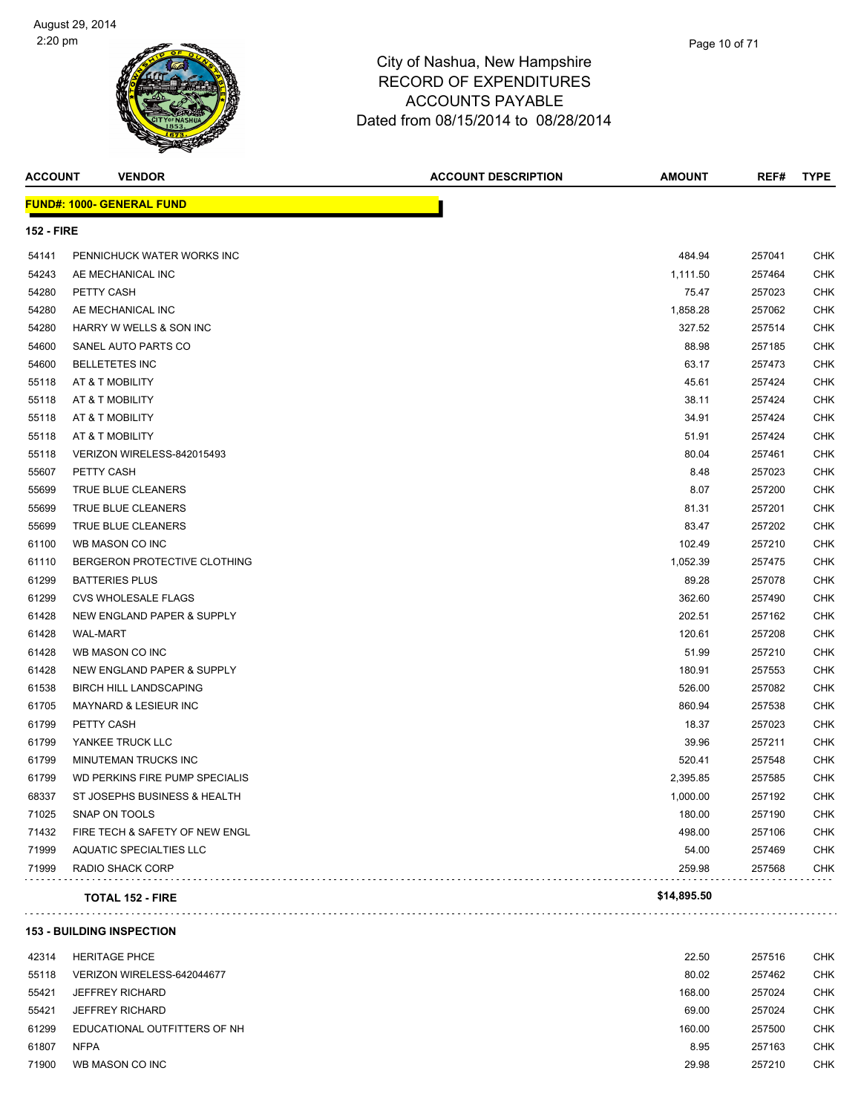

| <b>ACCOUNT</b>    | <b>VENDOR</b>                    | <b>ACCOUNT DESCRIPTION</b> | <b>AMOUNT</b> | REF#   | <b>TYPE</b> |
|-------------------|----------------------------------|----------------------------|---------------|--------|-------------|
|                   | <b>FUND#: 1000- GENERAL FUND</b> |                            |               |        |             |
| <b>152 - FIRE</b> |                                  |                            |               |        |             |
| 54141             | PENNICHUCK WATER WORKS INC       |                            | 484.94        | 257041 | CHK         |
| 54243             | AE MECHANICAL INC                |                            | 1,111.50      | 257464 | CHK         |
| 54280             | PETTY CASH                       |                            | 75.47         | 257023 | CHK         |
| 54280             | AE MECHANICAL INC                |                            | 1,858.28      | 257062 | CHK         |
| 54280             | HARRY W WELLS & SON INC          |                            | 327.52        | 257514 | <b>CHK</b>  |
| 54600             | SANEL AUTO PARTS CO              |                            | 88.98         | 257185 | CHK         |
| 54600             | <b>BELLETETES INC</b>            |                            | 63.17         | 257473 | CHK         |
| 55118             | AT & T MOBILITY                  |                            | 45.61         | 257424 | CHK         |
| 55118             | AT & T MOBILITY                  |                            | 38.11         | 257424 | CHK         |
| 55118             | AT & T MOBILITY                  |                            | 34.91         | 257424 | CHK         |
| 55118             | AT & T MOBILITY                  |                            | 51.91         | 257424 | CHK         |
| 55118             | VERIZON WIRELESS-842015493       |                            | 80.04         | 257461 | <b>CHK</b>  |
| 55607             | PETTY CASH                       |                            | 8.48          | 257023 | CHK         |
| 55699             | TRUE BLUE CLEANERS               |                            | 8.07          | 257200 | CHK         |
| 55699             | TRUE BLUE CLEANERS               |                            | 81.31         | 257201 | CHK         |
| 55699             | TRUE BLUE CLEANERS               |                            | 83.47         | 257202 | CHK         |
| 61100             | WB MASON CO INC                  |                            | 102.49        | 257210 | CHK         |
| 61110             | BERGERON PROTECTIVE CLOTHING     |                            | 1,052.39      | 257475 | CHK         |
| 61299             | <b>BATTERIES PLUS</b>            |                            | 89.28         | 257078 | CHK         |
| 61299             | <b>CVS WHOLESALE FLAGS</b>       |                            | 362.60        | 257490 | CHK         |
| 61428             | NEW ENGLAND PAPER & SUPPLY       |                            | 202.51        | 257162 | CHK         |
| 61428             | <b>WAL-MART</b>                  |                            | 120.61        | 257208 | CHK         |
| 61428             | WB MASON CO INC                  |                            | 51.99         | 257210 | CHK         |
| 61428             | NEW ENGLAND PAPER & SUPPLY       |                            | 180.91        | 257553 | CHK         |
| 61538             | <b>BIRCH HILL LANDSCAPING</b>    |                            | 526.00        | 257082 | CHK         |
| 61705             | <b>MAYNARD &amp; LESIEUR INC</b> |                            | 860.94        | 257538 | CHK         |
| 61799             | PETTY CASH                       |                            | 18.37         | 257023 | <b>CHK</b>  |
| 61799             | YANKEE TRUCK LLC                 |                            | 39.96         | 257211 | CHK         |
| 61799             | <b>MINUTEMAN TRUCKS INC</b>      |                            | 520.41        | 257548 | CHK         |
| 61799             | WD PERKINS FIRE PUMP SPECIALIS   |                            | 2,395.85      | 257585 | CHK         |
| 68337             | ST JOSEPHS BUSINESS & HEALTH     |                            | 1,000.00      | 257192 | <b>CHK</b>  |
| 71025             | SNAP ON TOOLS                    |                            | 180.00        | 257190 | <b>CHK</b>  |
| 71432             | FIRE TECH & SAFETY OF NEW ENGL   |                            | 498.00        | 257106 | <b>CHK</b>  |
| 71999             | AQUATIC SPECIALTIES LLC          |                            | 54.00         | 257469 | <b>CHK</b>  |
| 71999             | <b>RADIO SHACK CORP</b>          |                            | 259.98        | 257568 | <b>CHK</b>  |
|                   | <b>TOTAL 152 - FIRE</b>          |                            | \$14,895.50   |        |             |

**153 - BUILDING INSPECTION**

| 42314 | <b>HERITAGE PHCE</b>         | 22.50  | 257516 | <b>CHK</b> |
|-------|------------------------------|--------|--------|------------|
| 55118 | VERIZON WIRELESS-642044677   | 80.02  | 257462 | <b>CHK</b> |
| 55421 | <b>JEFFREY RICHARD</b>       | 168.00 | 257024 | <b>CHK</b> |
| 55421 | <b>JEFFREY RICHARD</b>       | 69.00  | 257024 | <b>CHK</b> |
| 61299 | EDUCATIONAL OUTFITTERS OF NH | 160.00 | 257500 | <b>CHK</b> |
| 61807 | <b>NFPA</b>                  | 8.95   | 257163 | <b>CHK</b> |
| 71900 | WB MASON CO INC              | 29.98  | 257210 | <b>CHK</b> |
|       |                              |        |        |            |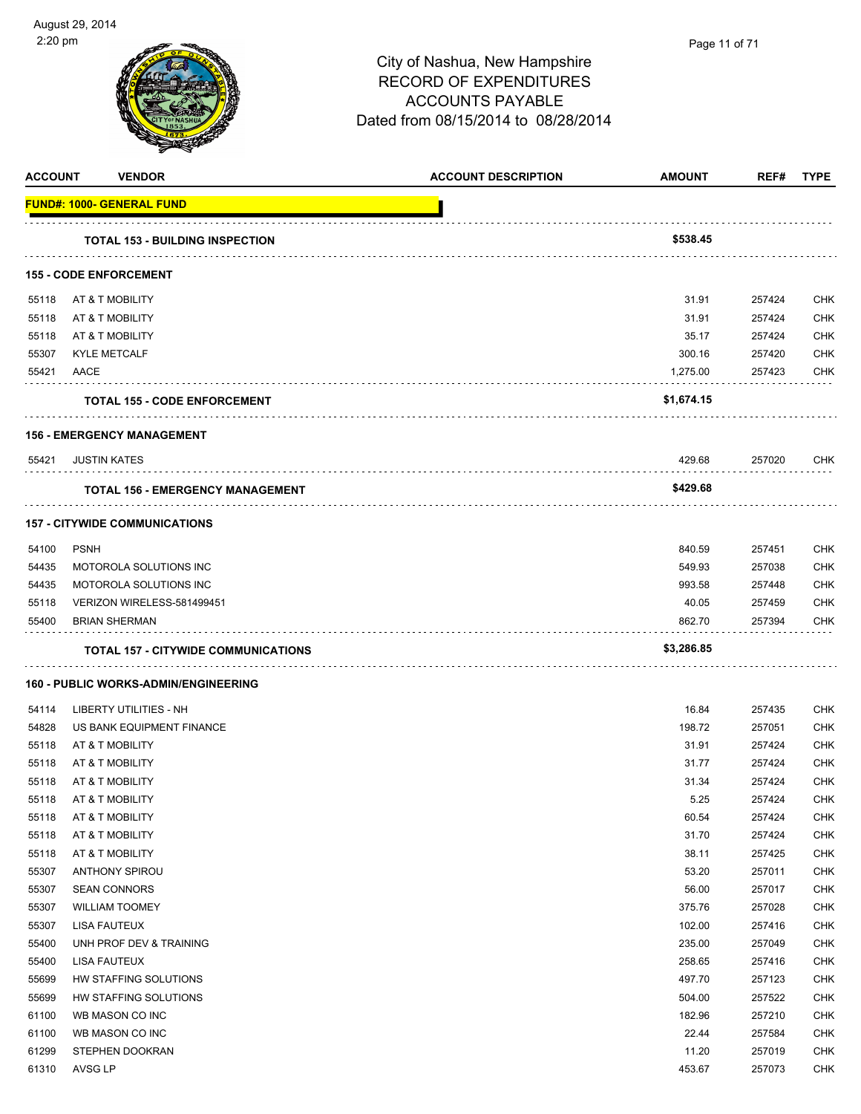| <b>ACCOUNT</b> | <b>VENDOR</b>                               | <b>ACCOUNT DESCRIPTION</b> | <b>AMOUNT</b> | REF#   | <b>TYPE</b> |
|----------------|---------------------------------------------|----------------------------|---------------|--------|-------------|
|                | <b>FUND#: 1000- GENERAL FUND</b>            |                            |               |        |             |
|                | <b>TOTAL 153 - BUILDING INSPECTION</b>      |                            | \$538.45      |        |             |
|                | <b>155 - CODE ENFORCEMENT</b>               |                            |               |        |             |
| 55118          | AT & T MOBILITY                             |                            | 31.91         | 257424 | CHK         |
| 55118          | AT & T MOBILITY                             |                            | 31.91         | 257424 | CHK         |
| 55118          | AT & T MOBILITY                             |                            | 35.17         | 257424 | <b>CHK</b>  |
| 55307          | <b>KYLE METCALF</b>                         |                            | 300.16        | 257420 | <b>CHK</b>  |
| 55421          | AACE                                        |                            | 1,275.00      | 257423 | CHK         |
|                | <b>TOTAL 155 - CODE ENFORCEMENT</b>         |                            | \$1,674.15    |        |             |
|                | <b>156 - EMERGENCY MANAGEMENT</b>           |                            |               |        |             |
| 55421          | <b>JUSTIN KATES</b>                         |                            | 429.68        | 257020 | CHK         |
|                | <b>TOTAL 156 - EMERGENCY MANAGEMENT</b>     |                            | \$429.68      |        |             |
|                | <b>157 - CITYWIDE COMMUNICATIONS</b>        |                            |               |        |             |
| 54100          | <b>PSNH</b>                                 |                            | 840.59        | 257451 | CHK         |
| 54435          | MOTOROLA SOLUTIONS INC                      |                            | 549.93        | 257038 | CHK         |
| 54435          | MOTOROLA SOLUTIONS INC                      |                            | 993.58        | 257448 | CHK         |
| 55118          | VERIZON WIRELESS-581499451                  |                            | 40.05         | 257459 | <b>CHK</b>  |
| 55400          | <b>BRIAN SHERMAN</b>                        |                            | 862.70        | 257394 | CHK         |
|                | <b>TOTAL 157 - CITYWIDE COMMUNICATIONS</b>  |                            | \$3,286.85    |        |             |
|                | <b>160 - PUBLIC WORKS-ADMIN/ENGINEERING</b> |                            |               |        |             |
| 54114          | LIBERTY UTILITIES - NH                      |                            | 16.84         | 257435 | CHK         |
| 54828          | US BANK EQUIPMENT FINANCE                   |                            | 198.72        | 257051 | <b>CHK</b>  |
| 55118          | AT & T MOBILITY                             |                            | 31.91         | 257424 | CHK         |
| 55118          | AT & T MOBILITY                             |                            | 31.77         | 257424 | <b>CHK</b>  |
| 55118          | AT & T MOBILITY                             |                            | 31.34         | 257424 | CHK         |
| 55118          | AT & T MOBILITY                             |                            | 5.25          | 257424 | <b>CHK</b>  |
| 55118          | AT & T MOBILITY                             |                            | 60.54         | 257424 | <b>CHK</b>  |
| 55118          | AT & T MOBILITY                             |                            | 31.70         | 257424 | <b>CHK</b>  |
| 55118          | AT & T MOBILITY                             |                            | 38.11         | 257425 | <b>CHK</b>  |
| 55307          | <b>ANTHONY SPIROU</b>                       |                            | 53.20         | 257011 | <b>CHK</b>  |
| 55307          | <b>SEAN CONNORS</b>                         |                            | 56.00         | 257017 | <b>CHK</b>  |
| 55307          | <b>WILLIAM TOOMEY</b>                       |                            | 375.76        | 257028 | <b>CHK</b>  |
| 55307          | LISA FAUTEUX                                |                            | 102.00        | 257416 | CHK         |
| 55400          | UNH PROF DEV & TRAINING                     |                            | 235.00        | 257049 | CHK         |
| 55400          | LISA FAUTEUX                                |                            | 258.65        | 257416 | <b>CHK</b>  |
| 55699          | HW STAFFING SOLUTIONS                       |                            | 497.70        | 257123 | <b>CHK</b>  |
| 55699          | HW STAFFING SOLUTIONS                       |                            | 504.00        | 257522 | <b>CHK</b>  |
| 61100          | WB MASON CO INC                             |                            | 182.96        | 257210 | CHK         |
| 61100          | WB MASON CO INC                             |                            | 22.44         | 257584 | <b>CHK</b>  |
| 61299          | STEPHEN DOOKRAN                             |                            | 11.20         | 257019 | CHK         |
| 61310          | AVSG LP                                     |                            | 453.67        | 257073 | <b>CHK</b>  |

l,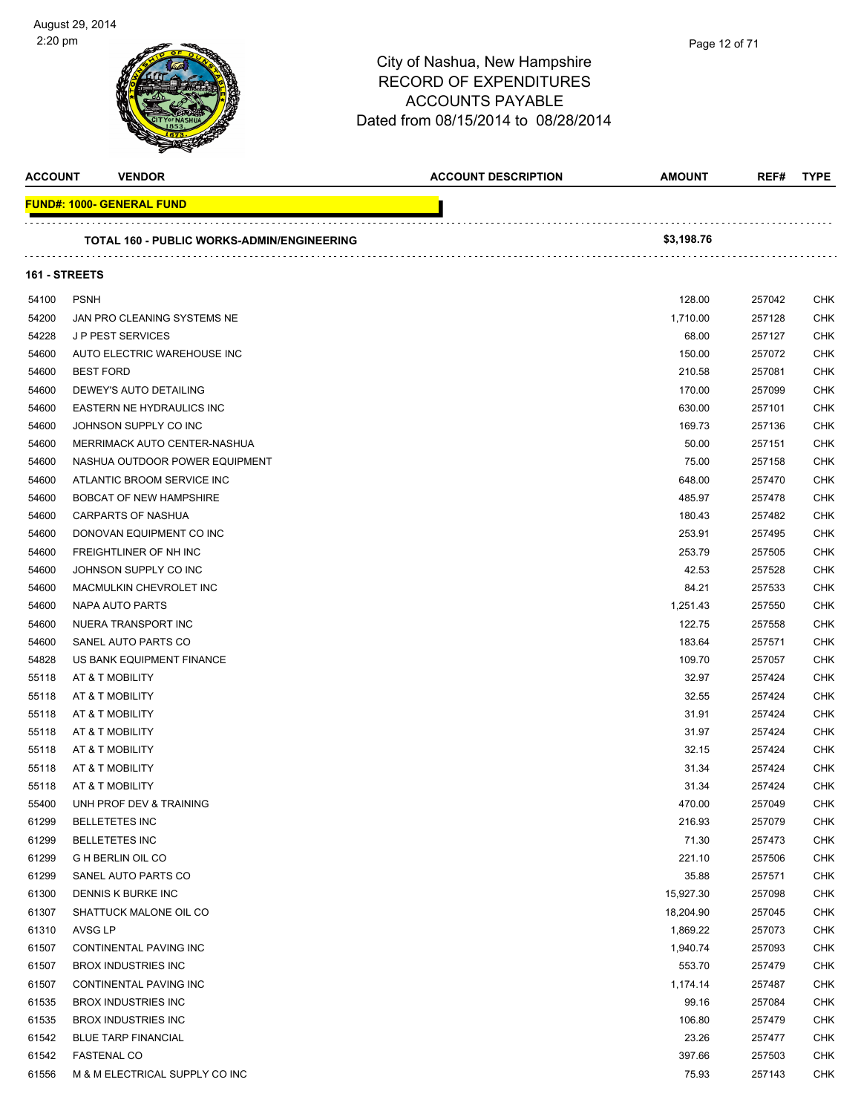

| <b>ACCOUNT</b> | <b>VENDOR</b>                                     | <b>ACCOUNT DESCRIPTION</b> | <b>AMOUNT</b> | REF#   | <b>TYPE</b> |
|----------------|---------------------------------------------------|----------------------------|---------------|--------|-------------|
|                | <b>FUND#: 1000- GENERAL FUND</b>                  |                            |               |        |             |
|                | <b>TOTAL 160 - PUBLIC WORKS-ADMIN/ENGINEERING</b> |                            | \$3,198.76    |        |             |
|                | 161 - STREETS                                     |                            |               |        |             |
| 54100          | <b>PSNH</b>                                       |                            | 128.00        | 257042 | CHK         |
| 54200          | JAN PRO CLEANING SYSTEMS NE                       |                            | 1,710.00      | 257128 | CHK         |
| 54228          | <b>JP PEST SERVICES</b>                           |                            | 68.00         | 257127 | CHK         |
| 54600          | AUTO ELECTRIC WAREHOUSE INC                       |                            | 150.00        | 257072 | CHK         |
| 54600          | <b>BEST FORD</b>                                  |                            | 210.58        | 257081 | CHK         |
| 54600          | DEWEY'S AUTO DETAILING                            |                            | 170.00        | 257099 | CHK         |
| 54600          | EASTERN NE HYDRAULICS INC                         |                            | 630.00        | 257101 | СНК         |
| 54600          | JOHNSON SUPPLY CO INC                             |                            | 169.73        | 257136 | CHK         |
| 54600          | MERRIMACK AUTO CENTER-NASHUA                      |                            | 50.00         | 257151 | <b>CHK</b>  |
| 54600          | NASHUA OUTDOOR POWER EQUIPMENT                    |                            | 75.00         | 257158 | CHK         |
| 54600          | ATLANTIC BROOM SERVICE INC                        |                            | 648.00        | 257470 | CHK         |
| 54600          | <b>BOBCAT OF NEW HAMPSHIRE</b>                    |                            | 485.97        | 257478 | <b>CHK</b>  |
| 54600          | CARPARTS OF NASHUA                                |                            | 180.43        | 257482 | <b>CHK</b>  |
| 54600          | DONOVAN EQUIPMENT CO INC                          |                            | 253.91        | 257495 | СНК         |
| 54600          | FREIGHTLINER OF NH INC                            |                            | 253.79        | 257505 | CHK         |
| 54600          | JOHNSON SUPPLY CO INC                             |                            | 42.53         | 257528 | CHK         |
| 54600          | MACMULKIN CHEVROLET INC                           |                            | 84.21         | 257533 | CHK         |
| 54600          | NAPA AUTO PARTS                                   |                            | 1,251.43      | 257550 | CHK         |
| 54600          | NUERA TRANSPORT INC                               |                            | 122.75        | 257558 | <b>CHK</b>  |
| 54600          | SANEL AUTO PARTS CO                               |                            | 183.64        | 257571 | CHK         |
| 54828          | US BANK EQUIPMENT FINANCE                         |                            | 109.70        | 257057 | CHK         |
| 55118          | AT & T MOBILITY                                   |                            | 32.97         | 257424 | СНК         |
| 55118          | AT & T MOBILITY                                   |                            | 32.55         | 257424 | CHK         |
| 55118          | AT & T MOBILITY                                   |                            | 31.91         | 257424 | CHK         |
| 55118          | AT & T MOBILITY                                   |                            | 31.97         | 257424 | CHK         |
| 55118          | AT & T MOBILITY                                   |                            | 32.15         | 257424 | CHK         |
| 55118          | AT & T MOBILITY                                   |                            | 31.34         | 257424 | CHK         |
| 55118          | AT & T MOBILITY                                   |                            | 31.34         | 257424 | CHK         |
| 55400          | UNH PROF DEV & TRAINING                           |                            | 470.00        | 257049 | <b>CHK</b>  |
| 61299          | <b>BELLETETES INC</b>                             |                            | 216.93        | 257079 | <b>CHK</b>  |
| 61299          | <b>BELLETETES INC</b>                             |                            | 71.30         | 257473 | <b>CHK</b>  |
| 61299          | <b>G H BERLIN OIL CO</b>                          |                            | 221.10        | 257506 | CHK         |
| 61299          | SANEL AUTO PARTS CO                               |                            | 35.88         | 257571 | CHK         |
| 61300          | DENNIS K BURKE INC                                |                            | 15,927.30     | 257098 | CHK         |
| 61307          | SHATTUCK MALONE OIL CO                            |                            | 18,204.90     | 257045 | CHK         |
| 61310          | AVSG LP                                           |                            | 1,869.22      | 257073 | CHK         |
| 61507          | CONTINENTAL PAVING INC                            |                            | 1,940.74      | 257093 | CHK         |
| 61507          | <b>BROX INDUSTRIES INC</b>                        |                            | 553.70        | 257479 | CHK         |
| 61507          | CONTINENTAL PAVING INC                            |                            | 1,174.14      | 257487 | CHK         |
| 61535          | <b>BROX INDUSTRIES INC</b>                        |                            | 99.16         | 257084 | CHK         |
| 61535          | <b>BROX INDUSTRIES INC</b>                        |                            | 106.80        | 257479 | CHK         |
| 61542          | <b>BLUE TARP FINANCIAL</b>                        |                            | 23.26         | 257477 | CHK         |
| 61542          | <b>FASTENAL CO</b>                                |                            | 397.66        | 257503 | CHK         |
| 61556          | M & M ELECTRICAL SUPPLY CO INC                    |                            | 75.93         | 257143 | CHK         |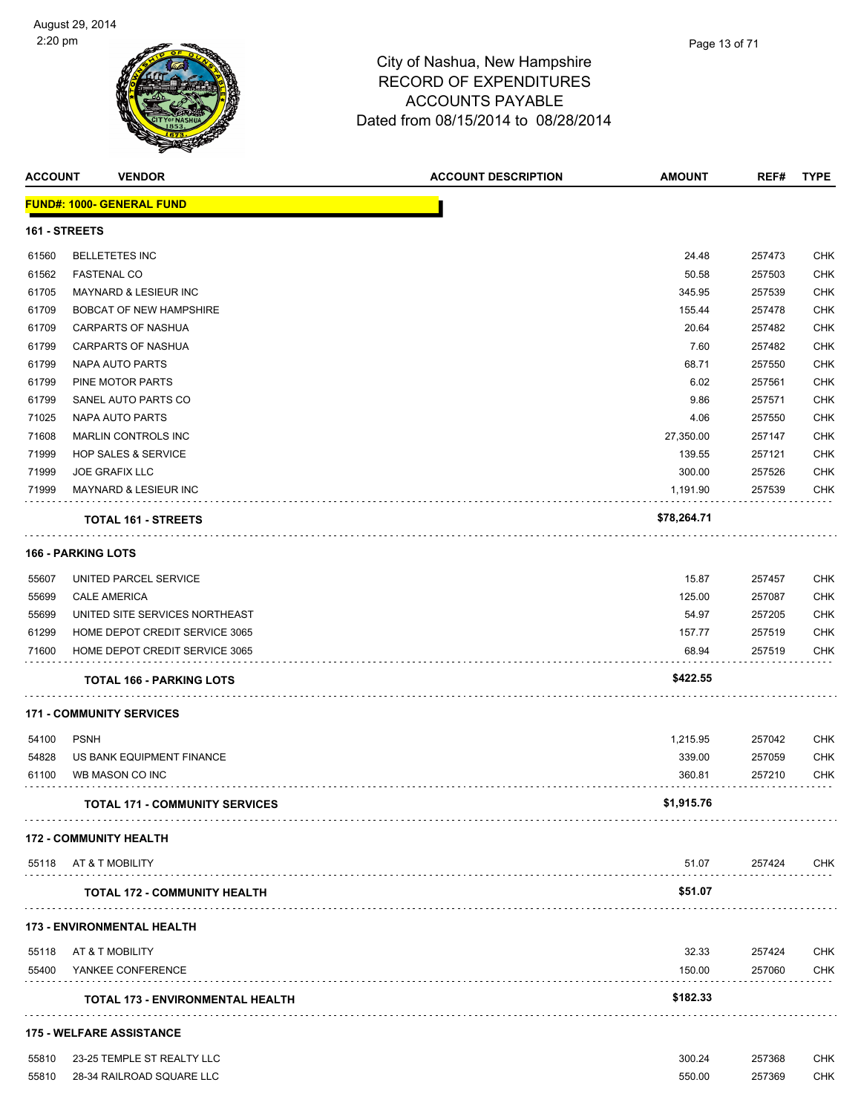

| <b>ACCOUNT</b> | <b>VENDOR</b>                           | <b>ACCOUNT DESCRIPTION</b> | <b>AMOUNT</b> | REF#   | <b>TYPE</b> |
|----------------|-----------------------------------------|----------------------------|---------------|--------|-------------|
|                | <b>FUND#: 1000- GENERAL FUND</b>        |                            |               |        |             |
| 161 - STREETS  |                                         |                            |               |        |             |
| 61560          | <b>BELLETETES INC</b>                   |                            | 24.48         | 257473 | <b>CHK</b>  |
| 61562          | <b>FASTENAL CO</b>                      |                            | 50.58         | 257503 | <b>CHK</b>  |
| 61705          | MAYNARD & LESIEUR INC                   |                            | 345.95        | 257539 | <b>CHK</b>  |
| 61709          | BOBCAT OF NEW HAMPSHIRE                 |                            | 155.44        | 257478 | CHK         |
| 61709          | CARPARTS OF NASHUA                      |                            | 20.64         | 257482 | <b>CHK</b>  |
| 61799          | CARPARTS OF NASHUA                      |                            | 7.60          | 257482 | <b>CHK</b>  |
| 61799          | NAPA AUTO PARTS                         |                            | 68.71         | 257550 | <b>CHK</b>  |
| 61799          | PINE MOTOR PARTS                        |                            | 6.02          | 257561 | <b>CHK</b>  |
| 61799          | SANEL AUTO PARTS CO                     |                            | 9.86          | 257571 | <b>CHK</b>  |
| 71025          | NAPA AUTO PARTS                         |                            | 4.06          | 257550 | <b>CHK</b>  |
| 71608          | MARLIN CONTROLS INC                     |                            | 27,350.00     | 257147 | <b>CHK</b>  |
| 71999          | <b>HOP SALES &amp; SERVICE</b>          |                            | 139.55        | 257121 | <b>CHK</b>  |
| 71999          | <b>JOE GRAFIX LLC</b>                   |                            | 300.00        | 257526 | <b>CHK</b>  |
| 71999          | MAYNARD & LESIEUR INC                   |                            | 1,191.90      | 257539 | <b>CHK</b>  |
|                | <b>TOTAL 161 - STREETS</b>              |                            | \$78,264.71   |        |             |
|                | <b>166 - PARKING LOTS</b>               |                            |               |        |             |
| 55607          | UNITED PARCEL SERVICE                   |                            | 15.87         | 257457 | <b>CHK</b>  |
| 55699          | <b>CALE AMERICA</b>                     |                            | 125.00        | 257087 | <b>CHK</b>  |
| 55699          | UNITED SITE SERVICES NORTHEAST          |                            | 54.97         | 257205 | <b>CHK</b>  |
| 61299          | HOME DEPOT CREDIT SERVICE 3065          |                            | 157.77        | 257519 | <b>CHK</b>  |
| 71600          | HOME DEPOT CREDIT SERVICE 3065          |                            | 68.94         | 257519 | <b>CHK</b>  |
|                | <b>TOTAL 166 - PARKING LOTS</b>         |                            | \$422.55      |        |             |
|                | <b>171 - COMMUNITY SERVICES</b>         |                            |               |        |             |
| 54100          | <b>PSNH</b>                             |                            | 1,215.95      | 257042 | <b>CHK</b>  |
| 54828          | US BANK EQUIPMENT FINANCE               |                            | 339.00        | 257059 | <b>CHK</b>  |
| 61100          | WB MASON CO INC                         |                            | 360.81        | 257210 | <b>CHK</b>  |
|                | <b>TOTAL 171 - COMMUNITY SERVICES</b>   |                            | \$1,915.76    |        |             |
|                | <b>172 - COMMUNITY HEALTH</b>           |                            |               |        |             |
| 55118          | AT & T MOBILITY                         |                            | 51.07         | 257424 | <b>CHK</b>  |
|                | <b>TOTAL 172 - COMMUNITY HEALTH</b>     |                            | \$51.07       |        |             |
|                | 173 - ENVIRONMENTAL HEALTH              |                            |               |        |             |
| 55118          | AT & T MOBILITY                         |                            | 32.33         | 257424 | <b>CHK</b>  |
| 55400          | YANKEE CONFERENCE                       |                            | 150.00        | 257060 | <b>CHK</b>  |
|                | <b>TOTAL 173 - ENVIRONMENTAL HEALTH</b> |                            | \$182.33      |        |             |
|                | <b>175 - WELFARE ASSISTANCE</b>         |                            |               |        |             |
| 55810          | 23-25 TEMPLE ST REALTY LLC              |                            | 300.24        | 257368 | <b>CHK</b>  |
| 55810          | 28-34 RAILROAD SQUARE LLC               |                            | 550.00        | 257369 | <b>CHK</b>  |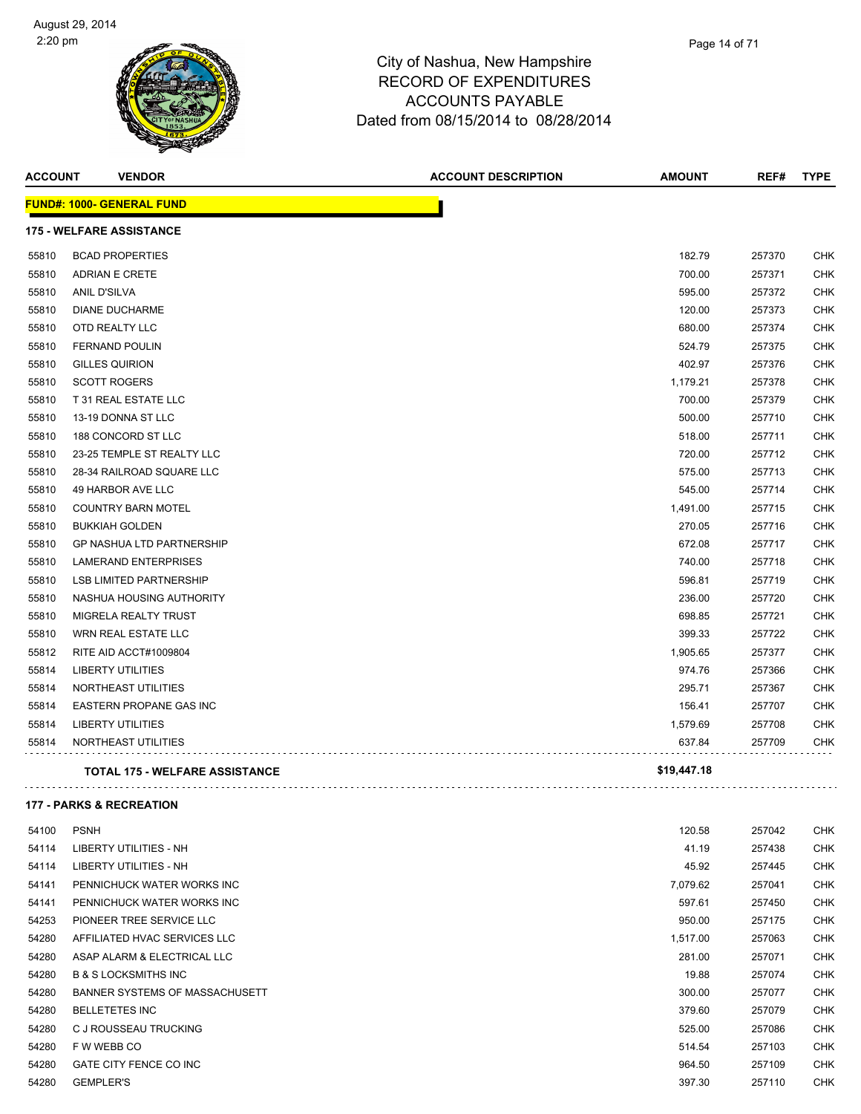

| <b>ACCOUNT</b> | <b>VENDOR</b>                         | <b>ACCOUNT DESCRIPTION</b> | <b>AMOUNT</b> | REF#   | <b>TYPE</b> |
|----------------|---------------------------------------|----------------------------|---------------|--------|-------------|
|                | <b>FUND#: 1000- GENERAL FUND</b>      |                            |               |        |             |
|                | <b>175 - WELFARE ASSISTANCE</b>       |                            |               |        |             |
| 55810          | <b>BCAD PROPERTIES</b>                |                            | 182.79        | 257370 | CHK         |
| 55810          | <b>ADRIAN E CRETE</b>                 |                            | 700.00        | 257371 | <b>CHK</b>  |
| 55810          | <b>ANIL D'SILVA</b>                   |                            | 595.00        | 257372 | <b>CHK</b>  |
| 55810          | <b>DIANE DUCHARME</b>                 |                            | 120.00        | 257373 | <b>CHK</b>  |
| 55810          | OTD REALTY LLC                        |                            | 680.00        | 257374 | CHK         |
| 55810          | <b>FERNAND POULIN</b>                 |                            | 524.79        | 257375 | <b>CHK</b>  |
| 55810          | <b>GILLES QUIRION</b>                 |                            | 402.97        | 257376 | <b>CHK</b>  |
| 55810          | <b>SCOTT ROGERS</b>                   |                            | 1,179.21      | 257378 | <b>CHK</b>  |
| 55810          | T 31 REAL ESTATE LLC                  |                            | 700.00        | 257379 | <b>CHK</b>  |
| 55810          | 13-19 DONNA ST LLC                    |                            | 500.00        | 257710 | <b>CHK</b>  |
| 55810          | 188 CONCORD ST LLC                    |                            | 518.00        | 257711 | CHK         |
| 55810          | 23-25 TEMPLE ST REALTY LLC            |                            | 720.00        | 257712 | <b>CHK</b>  |
| 55810          | 28-34 RAILROAD SQUARE LLC             |                            | 575.00        | 257713 | <b>CHK</b>  |
| 55810          | 49 HARBOR AVE LLC                     |                            | 545.00        | 257714 | <b>CHK</b>  |
| 55810          | <b>COUNTRY BARN MOTEL</b>             |                            | 1,491.00      | 257715 | <b>CHK</b>  |
| 55810          | <b>BUKKIAH GOLDEN</b>                 |                            | 270.05        | 257716 | <b>CHK</b>  |
| 55810          | <b>GP NASHUA LTD PARTNERSHIP</b>      |                            | 672.08        | 257717 | <b>CHK</b>  |
| 55810          | <b>LAMERAND ENTERPRISES</b>           |                            | 740.00        | 257718 | <b>CHK</b>  |
| 55810          | <b>LSB LIMITED PARTNERSHIP</b>        |                            | 596.81        | 257719 | <b>CHK</b>  |
| 55810          | NASHUA HOUSING AUTHORITY              |                            | 236.00        | 257720 | <b>CHK</b>  |
| 55810          | MIGRELA REALTY TRUST                  |                            | 698.85        | 257721 | CHK         |
| 55810          | WRN REAL ESTATE LLC                   |                            | 399.33        | 257722 | <b>CHK</b>  |
| 55812          | RITE AID ACCT#1009804                 |                            | 1,905.65      | 257377 | <b>CHK</b>  |
| 55814          | <b>LIBERTY UTILITIES</b>              |                            | 974.76        | 257366 | <b>CHK</b>  |
| 55814          | NORTHEAST UTILITIES                   |                            | 295.71        | 257367 | <b>CHK</b>  |
| 55814          | EASTERN PROPANE GAS INC               |                            | 156.41        | 257707 | CHK         |
| 55814          | <b>LIBERTY UTILITIES</b>              |                            | 1,579.69      | 257708 | <b>CHK</b>  |
| 55814          | NORTHEAST UTILITIES                   |                            | 637.84        | 257709 | <b>CHK</b>  |
|                | <b>TOTAL 175 - WELFARE ASSISTANCE</b> |                            | \$19,447.18   |        |             |
|                |                                       |                            |               |        |             |

#### **177 - PARKS & RECREATION**

| 54100 | <b>PSNH</b>                     | 120.58   | 257042 | <b>CHK</b> |
|-------|---------------------------------|----------|--------|------------|
| 54114 | LIBERTY UTILITIES - NH          | 41.19    | 257438 | <b>CHK</b> |
| 54114 | LIBERTY UTILITIES - NH          | 45.92    | 257445 | <b>CHK</b> |
| 54141 | PENNICHUCK WATER WORKS INC      | 7,079.62 | 257041 | <b>CHK</b> |
| 54141 | PENNICHUCK WATER WORKS INC      | 597.61   | 257450 | <b>CHK</b> |
| 54253 | PIONEER TREE SERVICE LLC        | 950.00   | 257175 | <b>CHK</b> |
| 54280 | AFFILIATED HVAC SERVICES LLC    | 1,517.00 | 257063 | <b>CHK</b> |
| 54280 | ASAP ALARM & ELECTRICAL LLC     | 281.00   | 257071 | <b>CHK</b> |
| 54280 | <b>B &amp; S LOCKSMITHS INC</b> | 19.88    | 257074 | <b>CHK</b> |
| 54280 | BANNER SYSTEMS OF MASSACHUSETT  | 300.00   | 257077 | <b>CHK</b> |
| 54280 | <b>BELLETETES INC</b>           | 379.60   | 257079 | <b>CHK</b> |
| 54280 | C J ROUSSEAU TRUCKING           | 525.00   | 257086 | <b>CHK</b> |
| 54280 | F W WEBB CO                     | 514.54   | 257103 | <b>CHK</b> |
| 54280 | GATE CITY FENCE CO INC          | 964.50   | 257109 | <b>CHK</b> |
| 54280 | <b>GEMPLER'S</b>                | 397.30   | 257110 | <b>CHK</b> |

l,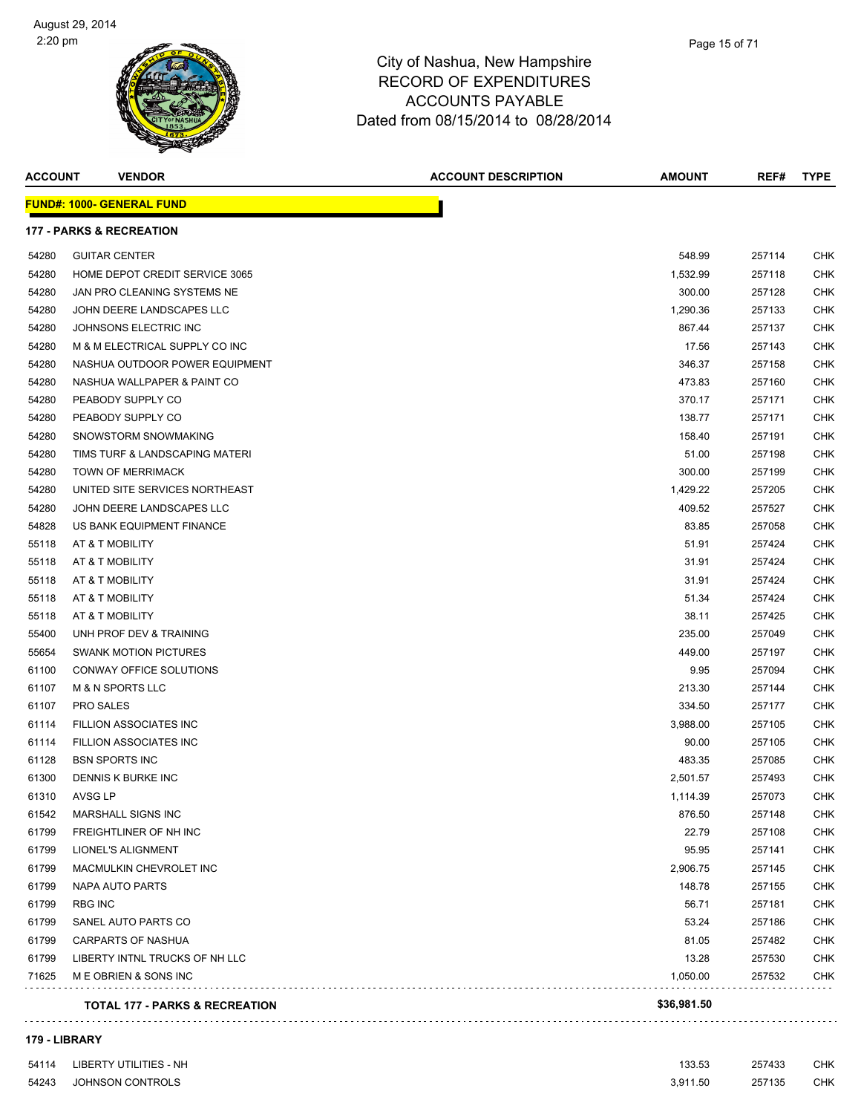

| <b>ACCOUNT</b> | <b>VENDOR</b>                             | <b>ACCOUNT DESCRIPTION</b> | <b>AMOUNT</b> | REF#   | <b>TYPE</b> |
|----------------|-------------------------------------------|----------------------------|---------------|--------|-------------|
|                | <b>FUND#: 1000- GENERAL FUND</b>          |                            |               |        |             |
|                | <b>177 - PARKS &amp; RECREATION</b>       |                            |               |        |             |
| 54280          | <b>GUITAR CENTER</b>                      |                            | 548.99        | 257114 | CHK         |
| 54280          | HOME DEPOT CREDIT SERVICE 3065            |                            | 1,532.99      | 257118 | CHK         |
| 54280          | JAN PRO CLEANING SYSTEMS NE               |                            | 300.00        | 257128 | CHK         |
| 54280          | JOHN DEERE LANDSCAPES LLC                 |                            | 1,290.36      | 257133 | CHK         |
| 54280          | JOHNSONS ELECTRIC INC                     |                            | 867.44        | 257137 | CHK         |
| 54280          | M & M ELECTRICAL SUPPLY CO INC            |                            | 17.56         | 257143 | CHK         |
| 54280          | NASHUA OUTDOOR POWER EQUIPMENT            |                            | 346.37        | 257158 | CHK         |
| 54280          | NASHUA WALLPAPER & PAINT CO               |                            | 473.83        | 257160 | <b>CHK</b>  |
| 54280          | PEABODY SUPPLY CO                         |                            | 370.17        | 257171 | CHK         |
| 54280          | PEABODY SUPPLY CO                         |                            | 138.77        | 257171 | CHK         |
| 54280          | SNOWSTORM SNOWMAKING                      |                            | 158.40        | 257191 | CHK         |
| 54280          | TIMS TURF & LANDSCAPING MATERI            |                            | 51.00         | 257198 | CHK         |
| 54280          | <b>TOWN OF MERRIMACK</b>                  |                            | 300.00        | 257199 | CHK         |
| 54280          | UNITED SITE SERVICES NORTHEAST            |                            | 1,429.22      | 257205 | CHK         |
| 54280          | JOHN DEERE LANDSCAPES LLC                 |                            | 409.52        | 257527 | CHK         |
| 54828          | US BANK EQUIPMENT FINANCE                 |                            | 83.85         | 257058 | CHK         |
| 55118          | AT & T MOBILITY                           |                            | 51.91         | 257424 | CHK         |
| 55118          | AT & T MOBILITY                           |                            | 31.91         | 257424 | CHK         |
| 55118          | AT & T MOBILITY                           |                            | 31.91         | 257424 | CHK         |
| 55118          | AT & T MOBILITY                           |                            | 51.34         | 257424 | CHK         |
| 55118          | AT & T MOBILITY                           |                            | 38.11         | 257425 | CHK         |
| 55400          | UNH PROF DEV & TRAINING                   |                            | 235.00        | 257049 | CHK         |
| 55654          | <b>SWANK MOTION PICTURES</b>              |                            | 449.00        | 257197 | <b>CHK</b>  |
| 61100          | CONWAY OFFICE SOLUTIONS                   |                            | 9.95          | 257094 | CHK         |
| 61107          | <b>M &amp; N SPORTS LLC</b>               |                            | 213.30        | 257144 | CHK         |
| 61107          | <b>PRO SALES</b>                          |                            | 334.50        | 257177 | CHK         |
| 61114          | FILLION ASSOCIATES INC                    |                            | 3,988.00      | 257105 | CHK         |
| 61114          | FILLION ASSOCIATES INC                    |                            | 90.00         | 257105 | CHK         |
| 61128          | <b>BSN SPORTS INC</b>                     |                            | 483.35        | 257085 | CHK         |
| 61300          | DENNIS K BURKE INC                        |                            | 2,501.57      | 257493 | CHK         |
| 61310          | AVSG LP                                   |                            | 1,114.39      | 257073 | CHK         |
| 61542          | MARSHALL SIGNS INC                        |                            | 876.50        | 257148 | <b>CHK</b>  |
| 61799          | FREIGHTLINER OF NH INC                    |                            | 22.79         | 257108 | <b>CHK</b>  |
| 61799          | LIONEL'S ALIGNMENT                        |                            | 95.95         | 257141 | <b>CHK</b>  |
| 61799          | MACMULKIN CHEVROLET INC                   |                            | 2,906.75      | 257145 | CHK         |
| 61799          | NAPA AUTO PARTS                           |                            | 148.78        | 257155 | <b>CHK</b>  |
| 61799          | RBG INC                                   |                            | 56.71         | 257181 | CHK         |
| 61799          | SANEL AUTO PARTS CO                       |                            | 53.24         | 257186 | <b>CHK</b>  |
| 61799          | CARPARTS OF NASHUA                        |                            | 81.05         | 257482 | <b>CHK</b>  |
| 61799          | LIBERTY INTNL TRUCKS OF NH LLC            |                            | 13.28         | 257530 | CHK         |
| 71625          | M E OBRIEN & SONS INC                     |                            | 1,050.00      | 257532 | CHK         |
|                | <b>TOTAL 177 - PARKS &amp; RECREATION</b> |                            | \$36,981.50   |        |             |
|                |                                           |                            |               |        |             |

#### **179 - LIBRARY**

| 54114 | LIBERTY UTILITIES - NH | 133.53   | 257433 | <b>CHK</b> |
|-------|------------------------|----------|--------|------------|
| 54243 | JOHNSON CONTROLS       | 3.911.50 | 257135 | <b>CHK</b> |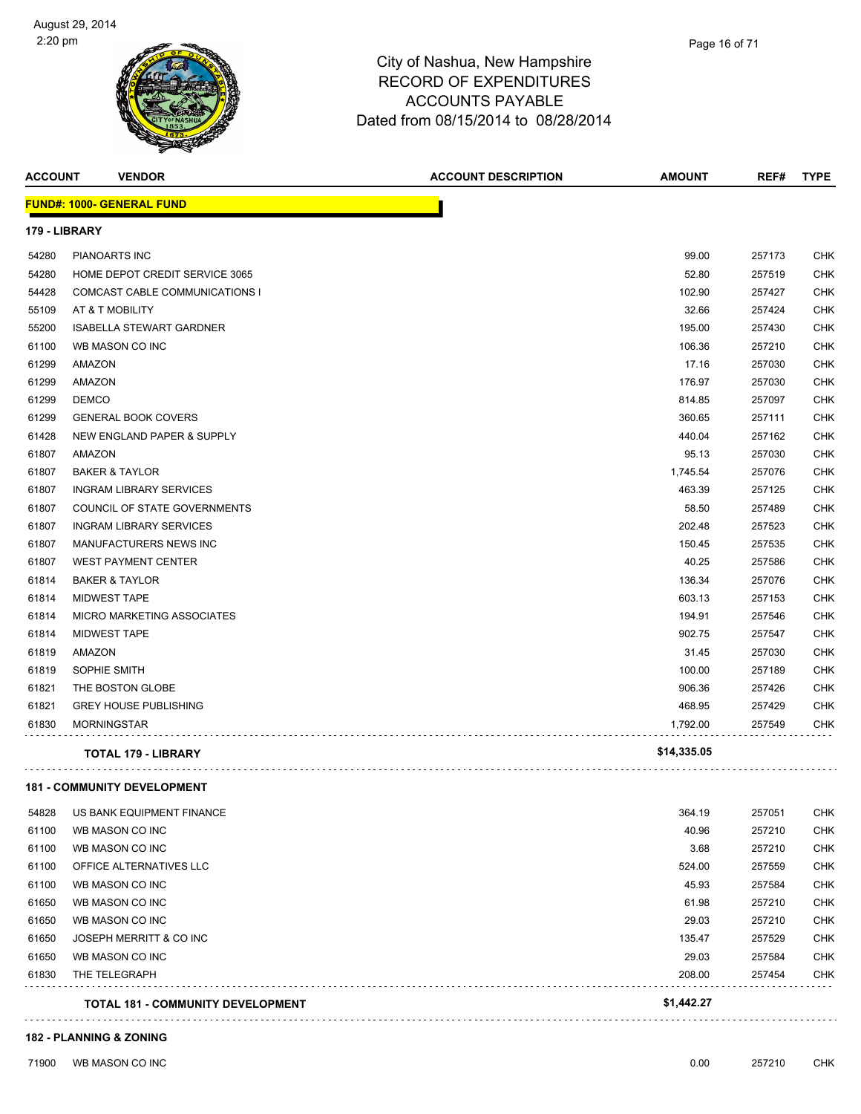

| <b>ACCOUNT</b> | <b>VENDOR</b>                            | <b>ACCOUNT DESCRIPTION</b> | <b>AMOUNT</b> | REF#   | <b>TYPE</b> |
|----------------|------------------------------------------|----------------------------|---------------|--------|-------------|
|                | <b>FUND#: 1000- GENERAL FUND</b>         |                            |               |        |             |
|                | 179 - LIBRARY                            |                            |               |        |             |
| 54280          | <b>PIANOARTS INC</b>                     |                            | 99.00         | 257173 | CHK         |
| 54280          | HOME DEPOT CREDIT SERVICE 3065           |                            | 52.80         | 257519 | CHK         |
| 54428          | COMCAST CABLE COMMUNICATIONS I           |                            | 102.90        | 257427 | <b>CHK</b>  |
| 55109          | AT & T MOBILITY                          |                            | 32.66         | 257424 | <b>CHK</b>  |
| 55200          | <b>ISABELLA STEWART GARDNER</b>          |                            | 195.00        | 257430 | CHK         |
| 61100          | WB MASON CO INC                          |                            | 106.36        | 257210 | CHK         |
| 61299          | AMAZON                                   |                            | 17.16         | 257030 | CHK         |
| 61299          | AMAZON                                   |                            | 176.97        | 257030 | CHK         |
| 61299          | <b>DEMCO</b>                             |                            | 814.85        | 257097 | CHK         |
| 61299          | <b>GENERAL BOOK COVERS</b>               |                            | 360.65        | 257111 | CHK         |
| 61428          | NEW ENGLAND PAPER & SUPPLY               |                            | 440.04        | 257162 | <b>CHK</b>  |
| 61807          | AMAZON                                   |                            | 95.13         | 257030 | CHK         |
| 61807          | <b>BAKER &amp; TAYLOR</b>                |                            | 1,745.54      | 257076 | CHK         |
| 61807          | <b>INGRAM LIBRARY SERVICES</b>           |                            | 463.39        | 257125 | CHK         |
| 61807          | COUNCIL OF STATE GOVERNMENTS             |                            | 58.50         | 257489 | <b>CHK</b>  |
| 61807          | <b>INGRAM LIBRARY SERVICES</b>           |                            | 202.48        | 257523 | CHK         |
| 61807          | MANUFACTURERS NEWS INC                   |                            | 150.45        | 257535 | CHK         |
| 61807          | <b>WEST PAYMENT CENTER</b>               |                            | 40.25         | 257586 | <b>CHK</b>  |
| 61814          | <b>BAKER &amp; TAYLOR</b>                |                            | 136.34        | 257076 | <b>CHK</b>  |
| 61814          | <b>MIDWEST TAPE</b>                      |                            | 603.13        | 257153 | CHK         |
| 61814          | MICRO MARKETING ASSOCIATES               |                            | 194.91        | 257546 | CHK         |
| 61814          | <b>MIDWEST TAPE</b>                      |                            | 902.75        | 257547 | CHK         |
| 61819          | AMAZON                                   |                            | 31.45         | 257030 | CHK         |
| 61819          | SOPHIE SMITH                             |                            | 100.00        | 257189 | CHK         |
| 61821          | THE BOSTON GLOBE                         |                            | 906.36        | 257426 | CHK         |
| 61821          | <b>GREY HOUSE PUBLISHING</b>             |                            | 468.95        | 257429 | <b>CHK</b>  |
| 61830          | <b>MORNINGSTAR</b>                       |                            | 1,792.00      | 257549 | CHK         |
|                | TOTAL 179 - LIBRARY                      |                            | \$14,335.05   |        |             |
|                | <b>181 - COMMUNITY DEVELOPMENT</b>       |                            |               |        |             |
| 54828          | US BANK EQUIPMENT FINANCE                |                            | 364.19        | 257051 | CHK         |
| 61100          | WB MASON CO INC                          |                            | 40.96         | 257210 | <b>CHK</b>  |
| 61100          | WB MASON CO INC                          |                            | 3.68          | 257210 | CHK         |
| 61100          | OFFICE ALTERNATIVES LLC                  |                            | 524.00        | 257559 | <b>CHK</b>  |
| 61100          | WB MASON CO INC                          |                            | 45.93         | 257584 | <b>CHK</b>  |
| 61650          | WB MASON CO INC                          |                            | 61.98         | 257210 | CHK         |
| 61650          | WB MASON CO INC                          |                            | 29.03         | 257210 | CHK         |
| 61650          | JOSEPH MERRITT & CO INC                  |                            | 135.47        | 257529 | CHK         |
| 61650          | WB MASON CO INC                          |                            | 29.03         | 257584 | CHK         |
| 61830          | THE TELEGRAPH                            |                            | 208.00        | 257454 | <b>CHK</b>  |
|                | <b>TOTAL 181 - COMMUNITY DEVELOPMENT</b> |                            | \$1,442.27    |        |             |
|                |                                          |                            |               |        |             |

#### **182 - PLANNING & ZONING**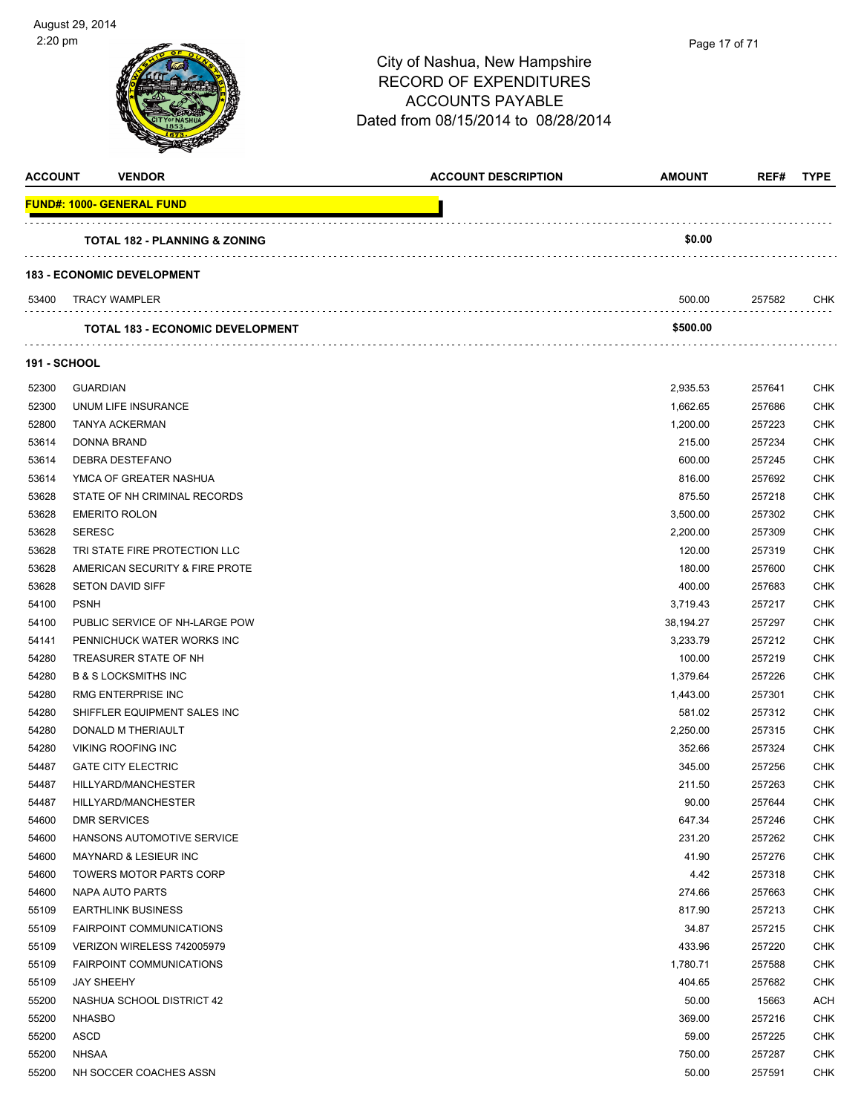

| <b>FUND#: 1000- GENERAL FUND</b><br>\$0.00<br><b>TOTAL 182 - PLANNING &amp; ZONING</b><br><b>183 - ECONOMIC DEVELOPMENT</b><br><b>TRACY WAMPLER</b><br>500.00<br>53400<br>257582<br>CHK<br>\$500.00<br><b>TOTAL 183 - ECONOMIC DEVELOPMENT</b><br><b>191 - SCHOOL</b><br>52300<br><b>GUARDIAN</b><br>2,935.53<br>257641<br><b>CHK</b><br>52300<br>UNUM LIFE INSURANCE<br>1,662.65<br>257686<br><b>CHK</b><br>52800<br><b>CHK</b><br><b>TANYA ACKERMAN</b><br>1,200.00<br>257223<br>53614<br>DONNA BRAND<br>215.00<br>257234<br><b>CHK</b><br><b>CHK</b><br>53614<br><b>DEBRA DESTEFANO</b><br>600.00<br>257245<br>53614<br>YMCA OF GREATER NASHUA<br>816.00<br>257692<br><b>CHK</b><br><b>CHK</b><br>53628<br>STATE OF NH CRIMINAL RECORDS<br>875.50<br>257218<br><b>CHK</b><br>53628<br><b>EMERITO ROLON</b><br>3,500.00<br>257302<br>53628<br><b>CHK</b><br><b>SERESC</b><br>2,200.00<br>257309<br>53628<br>TRI STATE FIRE PROTECTION LLC<br>120.00<br>257319<br><b>CHK</b><br>53628<br>AMERICAN SECURITY & FIRE PROTE<br>180.00<br>257600<br><b>CHK</b><br>53628<br><b>CHK</b><br><b>SETON DAVID SIFF</b><br>400.00<br>257683<br>54100<br><b>PSNH</b><br><b>CHK</b><br>3,719.43<br>257217<br>54100<br>PUBLIC SERVICE OF NH-LARGE POW<br>38,194.27<br>257297<br><b>CHK</b><br><b>CHK</b><br>PENNICHUCK WATER WORKS INC<br>3,233.79<br>257212<br>54141<br><b>CHK</b><br>54280<br>TREASURER STATE OF NH<br>100.00<br>257219<br>54280<br><b>B &amp; S LOCKSMITHS INC</b><br>1,379.64<br>257226<br><b>CHK</b><br>54280<br>RMG ENTERPRISE INC<br><b>CHK</b><br>1,443.00<br>257301<br>54280<br>SHIFFLER EQUIPMENT SALES INC<br>581.02<br>257312<br><b>CHK</b><br>54280<br>DONALD M THERIAULT<br>2,250.00<br>257315<br><b>CHK</b><br>54280<br><b>VIKING ROOFING INC</b><br>352.66<br>257324<br><b>CHK</b><br><b>GATE CITY ELECTRIC</b><br>54487<br>345.00<br>257256<br><b>CHK</b><br>54487<br>HILLYARD/MANCHESTER<br>211.50<br>257263<br><b>CHK</b><br>54487<br>90.00<br>257644<br><b>CHK</b><br>HILLYARD/MANCHESTER<br>647.34<br>54600<br><b>DMR SERVICES</b><br>257246<br><b>CHK</b><br>54600<br><b>CHK</b><br>HANSONS AUTOMOTIVE SERVICE<br>231.20<br>257262<br>41.90<br>54600<br>MAYNARD & LESIEUR INC<br>257276<br><b>CHK</b><br>54600<br><b>TOWERS MOTOR PARTS CORP</b><br>4.42<br>257318<br><b>CHK</b><br>274.66<br>54600<br>NAPA AUTO PARTS<br>257663<br><b>CHK</b><br>55109<br><b>EARTHLINK BUSINESS</b><br>817.90<br>257213<br><b>CHK</b><br>55109<br><b>FAIRPOINT COMMUNICATIONS</b><br>34.87<br>257215<br><b>CHK</b><br>55109<br>VERIZON WIRELESS 742005979<br>433.96<br>257220<br><b>CHK</b><br>55109<br><b>FAIRPOINT COMMUNICATIONS</b><br>1,780.71<br>257588<br><b>CHK</b><br>55109<br><b>JAY SHEEHY</b><br>404.65<br>257682<br><b>CHK</b><br>55200<br>NASHUA SCHOOL DISTRICT 42<br>50.00<br>15663<br><b>ACH</b><br>55200<br><b>NHASBO</b><br>369.00<br>257216<br><b>CHK</b><br>55200<br>ASCD<br>59.00<br>257225<br><b>CHK</b><br>55200<br><b>NHSAA</b><br>750.00<br>257287<br><b>CHK</b><br>55200<br>50.00<br>257591<br><b>CHK</b><br>NH SOCCER COACHES ASSN | <b>ACCOUNT</b> | <b>VENDOR</b> | <b>ACCOUNT DESCRIPTION</b> | <b>AMOUNT</b> | REF# | <b>TYPE</b> |
|-------------------------------------------------------------------------------------------------------------------------------------------------------------------------------------------------------------------------------------------------------------------------------------------------------------------------------------------------------------------------------------------------------------------------------------------------------------------------------------------------------------------------------------------------------------------------------------------------------------------------------------------------------------------------------------------------------------------------------------------------------------------------------------------------------------------------------------------------------------------------------------------------------------------------------------------------------------------------------------------------------------------------------------------------------------------------------------------------------------------------------------------------------------------------------------------------------------------------------------------------------------------------------------------------------------------------------------------------------------------------------------------------------------------------------------------------------------------------------------------------------------------------------------------------------------------------------------------------------------------------------------------------------------------------------------------------------------------------------------------------------------------------------------------------------------------------------------------------------------------------------------------------------------------------------------------------------------------------------------------------------------------------------------------------------------------------------------------------------------------------------------------------------------------------------------------------------------------------------------------------------------------------------------------------------------------------------------------------------------------------------------------------------------------------------------------------------------------------------------------------------------------------------------------------------------------------------------------------------------------------------------------------------------------------------------------------------------------------------------------------------------------------------------------------------------------------------------------------------------------------------------------------------------------------------------------------------------------------------------------------------------------------------------------------------------------------|----------------|---------------|----------------------------|---------------|------|-------------|
|                                                                                                                                                                                                                                                                                                                                                                                                                                                                                                                                                                                                                                                                                                                                                                                                                                                                                                                                                                                                                                                                                                                                                                                                                                                                                                                                                                                                                                                                                                                                                                                                                                                                                                                                                                                                                                                                                                                                                                                                                                                                                                                                                                                                                                                                                                                                                                                                                                                                                                                                                                                                                                                                                                                                                                                                                                                                                                                                                                                                                                                                         |                |               |                            |               |      |             |
|                                                                                                                                                                                                                                                                                                                                                                                                                                                                                                                                                                                                                                                                                                                                                                                                                                                                                                                                                                                                                                                                                                                                                                                                                                                                                                                                                                                                                                                                                                                                                                                                                                                                                                                                                                                                                                                                                                                                                                                                                                                                                                                                                                                                                                                                                                                                                                                                                                                                                                                                                                                                                                                                                                                                                                                                                                                                                                                                                                                                                                                                         |                |               |                            |               |      |             |
|                                                                                                                                                                                                                                                                                                                                                                                                                                                                                                                                                                                                                                                                                                                                                                                                                                                                                                                                                                                                                                                                                                                                                                                                                                                                                                                                                                                                                                                                                                                                                                                                                                                                                                                                                                                                                                                                                                                                                                                                                                                                                                                                                                                                                                                                                                                                                                                                                                                                                                                                                                                                                                                                                                                                                                                                                                                                                                                                                                                                                                                                         |                |               |                            |               |      |             |
|                                                                                                                                                                                                                                                                                                                                                                                                                                                                                                                                                                                                                                                                                                                                                                                                                                                                                                                                                                                                                                                                                                                                                                                                                                                                                                                                                                                                                                                                                                                                                                                                                                                                                                                                                                                                                                                                                                                                                                                                                                                                                                                                                                                                                                                                                                                                                                                                                                                                                                                                                                                                                                                                                                                                                                                                                                                                                                                                                                                                                                                                         |                |               |                            |               |      |             |
|                                                                                                                                                                                                                                                                                                                                                                                                                                                                                                                                                                                                                                                                                                                                                                                                                                                                                                                                                                                                                                                                                                                                                                                                                                                                                                                                                                                                                                                                                                                                                                                                                                                                                                                                                                                                                                                                                                                                                                                                                                                                                                                                                                                                                                                                                                                                                                                                                                                                                                                                                                                                                                                                                                                                                                                                                                                                                                                                                                                                                                                                         |                |               |                            |               |      |             |
|                                                                                                                                                                                                                                                                                                                                                                                                                                                                                                                                                                                                                                                                                                                                                                                                                                                                                                                                                                                                                                                                                                                                                                                                                                                                                                                                                                                                                                                                                                                                                                                                                                                                                                                                                                                                                                                                                                                                                                                                                                                                                                                                                                                                                                                                                                                                                                                                                                                                                                                                                                                                                                                                                                                                                                                                                                                                                                                                                                                                                                                                         |                |               |                            |               |      |             |
|                                                                                                                                                                                                                                                                                                                                                                                                                                                                                                                                                                                                                                                                                                                                                                                                                                                                                                                                                                                                                                                                                                                                                                                                                                                                                                                                                                                                                                                                                                                                                                                                                                                                                                                                                                                                                                                                                                                                                                                                                                                                                                                                                                                                                                                                                                                                                                                                                                                                                                                                                                                                                                                                                                                                                                                                                                                                                                                                                                                                                                                                         |                |               |                            |               |      |             |
|                                                                                                                                                                                                                                                                                                                                                                                                                                                                                                                                                                                                                                                                                                                                                                                                                                                                                                                                                                                                                                                                                                                                                                                                                                                                                                                                                                                                                                                                                                                                                                                                                                                                                                                                                                                                                                                                                                                                                                                                                                                                                                                                                                                                                                                                                                                                                                                                                                                                                                                                                                                                                                                                                                                                                                                                                                                                                                                                                                                                                                                                         |                |               |                            |               |      |             |
|                                                                                                                                                                                                                                                                                                                                                                                                                                                                                                                                                                                                                                                                                                                                                                                                                                                                                                                                                                                                                                                                                                                                                                                                                                                                                                                                                                                                                                                                                                                                                                                                                                                                                                                                                                                                                                                                                                                                                                                                                                                                                                                                                                                                                                                                                                                                                                                                                                                                                                                                                                                                                                                                                                                                                                                                                                                                                                                                                                                                                                                                         |                |               |                            |               |      |             |
|                                                                                                                                                                                                                                                                                                                                                                                                                                                                                                                                                                                                                                                                                                                                                                                                                                                                                                                                                                                                                                                                                                                                                                                                                                                                                                                                                                                                                                                                                                                                                                                                                                                                                                                                                                                                                                                                                                                                                                                                                                                                                                                                                                                                                                                                                                                                                                                                                                                                                                                                                                                                                                                                                                                                                                                                                                                                                                                                                                                                                                                                         |                |               |                            |               |      |             |
|                                                                                                                                                                                                                                                                                                                                                                                                                                                                                                                                                                                                                                                                                                                                                                                                                                                                                                                                                                                                                                                                                                                                                                                                                                                                                                                                                                                                                                                                                                                                                                                                                                                                                                                                                                                                                                                                                                                                                                                                                                                                                                                                                                                                                                                                                                                                                                                                                                                                                                                                                                                                                                                                                                                                                                                                                                                                                                                                                                                                                                                                         |                |               |                            |               |      |             |
|                                                                                                                                                                                                                                                                                                                                                                                                                                                                                                                                                                                                                                                                                                                                                                                                                                                                                                                                                                                                                                                                                                                                                                                                                                                                                                                                                                                                                                                                                                                                                                                                                                                                                                                                                                                                                                                                                                                                                                                                                                                                                                                                                                                                                                                                                                                                                                                                                                                                                                                                                                                                                                                                                                                                                                                                                                                                                                                                                                                                                                                                         |                |               |                            |               |      |             |
|                                                                                                                                                                                                                                                                                                                                                                                                                                                                                                                                                                                                                                                                                                                                                                                                                                                                                                                                                                                                                                                                                                                                                                                                                                                                                                                                                                                                                                                                                                                                                                                                                                                                                                                                                                                                                                                                                                                                                                                                                                                                                                                                                                                                                                                                                                                                                                                                                                                                                                                                                                                                                                                                                                                                                                                                                                                                                                                                                                                                                                                                         |                |               |                            |               |      |             |
|                                                                                                                                                                                                                                                                                                                                                                                                                                                                                                                                                                                                                                                                                                                                                                                                                                                                                                                                                                                                                                                                                                                                                                                                                                                                                                                                                                                                                                                                                                                                                                                                                                                                                                                                                                                                                                                                                                                                                                                                                                                                                                                                                                                                                                                                                                                                                                                                                                                                                                                                                                                                                                                                                                                                                                                                                                                                                                                                                                                                                                                                         |                |               |                            |               |      |             |
|                                                                                                                                                                                                                                                                                                                                                                                                                                                                                                                                                                                                                                                                                                                                                                                                                                                                                                                                                                                                                                                                                                                                                                                                                                                                                                                                                                                                                                                                                                                                                                                                                                                                                                                                                                                                                                                                                                                                                                                                                                                                                                                                                                                                                                                                                                                                                                                                                                                                                                                                                                                                                                                                                                                                                                                                                                                                                                                                                                                                                                                                         |                |               |                            |               |      |             |
|                                                                                                                                                                                                                                                                                                                                                                                                                                                                                                                                                                                                                                                                                                                                                                                                                                                                                                                                                                                                                                                                                                                                                                                                                                                                                                                                                                                                                                                                                                                                                                                                                                                                                                                                                                                                                                                                                                                                                                                                                                                                                                                                                                                                                                                                                                                                                                                                                                                                                                                                                                                                                                                                                                                                                                                                                                                                                                                                                                                                                                                                         |                |               |                            |               |      |             |
|                                                                                                                                                                                                                                                                                                                                                                                                                                                                                                                                                                                                                                                                                                                                                                                                                                                                                                                                                                                                                                                                                                                                                                                                                                                                                                                                                                                                                                                                                                                                                                                                                                                                                                                                                                                                                                                                                                                                                                                                                                                                                                                                                                                                                                                                                                                                                                                                                                                                                                                                                                                                                                                                                                                                                                                                                                                                                                                                                                                                                                                                         |                |               |                            |               |      |             |
|                                                                                                                                                                                                                                                                                                                                                                                                                                                                                                                                                                                                                                                                                                                                                                                                                                                                                                                                                                                                                                                                                                                                                                                                                                                                                                                                                                                                                                                                                                                                                                                                                                                                                                                                                                                                                                                                                                                                                                                                                                                                                                                                                                                                                                                                                                                                                                                                                                                                                                                                                                                                                                                                                                                                                                                                                                                                                                                                                                                                                                                                         |                |               |                            |               |      |             |
|                                                                                                                                                                                                                                                                                                                                                                                                                                                                                                                                                                                                                                                                                                                                                                                                                                                                                                                                                                                                                                                                                                                                                                                                                                                                                                                                                                                                                                                                                                                                                                                                                                                                                                                                                                                                                                                                                                                                                                                                                                                                                                                                                                                                                                                                                                                                                                                                                                                                                                                                                                                                                                                                                                                                                                                                                                                                                                                                                                                                                                                                         |                |               |                            |               |      |             |
|                                                                                                                                                                                                                                                                                                                                                                                                                                                                                                                                                                                                                                                                                                                                                                                                                                                                                                                                                                                                                                                                                                                                                                                                                                                                                                                                                                                                                                                                                                                                                                                                                                                                                                                                                                                                                                                                                                                                                                                                                                                                                                                                                                                                                                                                                                                                                                                                                                                                                                                                                                                                                                                                                                                                                                                                                                                                                                                                                                                                                                                                         |                |               |                            |               |      |             |
|                                                                                                                                                                                                                                                                                                                                                                                                                                                                                                                                                                                                                                                                                                                                                                                                                                                                                                                                                                                                                                                                                                                                                                                                                                                                                                                                                                                                                                                                                                                                                                                                                                                                                                                                                                                                                                                                                                                                                                                                                                                                                                                                                                                                                                                                                                                                                                                                                                                                                                                                                                                                                                                                                                                                                                                                                                                                                                                                                                                                                                                                         |                |               |                            |               |      |             |
|                                                                                                                                                                                                                                                                                                                                                                                                                                                                                                                                                                                                                                                                                                                                                                                                                                                                                                                                                                                                                                                                                                                                                                                                                                                                                                                                                                                                                                                                                                                                                                                                                                                                                                                                                                                                                                                                                                                                                                                                                                                                                                                                                                                                                                                                                                                                                                                                                                                                                                                                                                                                                                                                                                                                                                                                                                                                                                                                                                                                                                                                         |                |               |                            |               |      |             |
|                                                                                                                                                                                                                                                                                                                                                                                                                                                                                                                                                                                                                                                                                                                                                                                                                                                                                                                                                                                                                                                                                                                                                                                                                                                                                                                                                                                                                                                                                                                                                                                                                                                                                                                                                                                                                                                                                                                                                                                                                                                                                                                                                                                                                                                                                                                                                                                                                                                                                                                                                                                                                                                                                                                                                                                                                                                                                                                                                                                                                                                                         |                |               |                            |               |      |             |
|                                                                                                                                                                                                                                                                                                                                                                                                                                                                                                                                                                                                                                                                                                                                                                                                                                                                                                                                                                                                                                                                                                                                                                                                                                                                                                                                                                                                                                                                                                                                                                                                                                                                                                                                                                                                                                                                                                                                                                                                                                                                                                                                                                                                                                                                                                                                                                                                                                                                                                                                                                                                                                                                                                                                                                                                                                                                                                                                                                                                                                                                         |                |               |                            |               |      |             |
|                                                                                                                                                                                                                                                                                                                                                                                                                                                                                                                                                                                                                                                                                                                                                                                                                                                                                                                                                                                                                                                                                                                                                                                                                                                                                                                                                                                                                                                                                                                                                                                                                                                                                                                                                                                                                                                                                                                                                                                                                                                                                                                                                                                                                                                                                                                                                                                                                                                                                                                                                                                                                                                                                                                                                                                                                                                                                                                                                                                                                                                                         |                |               |                            |               |      |             |
|                                                                                                                                                                                                                                                                                                                                                                                                                                                                                                                                                                                                                                                                                                                                                                                                                                                                                                                                                                                                                                                                                                                                                                                                                                                                                                                                                                                                                                                                                                                                                                                                                                                                                                                                                                                                                                                                                                                                                                                                                                                                                                                                                                                                                                                                                                                                                                                                                                                                                                                                                                                                                                                                                                                                                                                                                                                                                                                                                                                                                                                                         |                |               |                            |               |      |             |
|                                                                                                                                                                                                                                                                                                                                                                                                                                                                                                                                                                                                                                                                                                                                                                                                                                                                                                                                                                                                                                                                                                                                                                                                                                                                                                                                                                                                                                                                                                                                                                                                                                                                                                                                                                                                                                                                                                                                                                                                                                                                                                                                                                                                                                                                                                                                                                                                                                                                                                                                                                                                                                                                                                                                                                                                                                                                                                                                                                                                                                                                         |                |               |                            |               |      |             |
|                                                                                                                                                                                                                                                                                                                                                                                                                                                                                                                                                                                                                                                                                                                                                                                                                                                                                                                                                                                                                                                                                                                                                                                                                                                                                                                                                                                                                                                                                                                                                                                                                                                                                                                                                                                                                                                                                                                                                                                                                                                                                                                                                                                                                                                                                                                                                                                                                                                                                                                                                                                                                                                                                                                                                                                                                                                                                                                                                                                                                                                                         |                |               |                            |               |      |             |
|                                                                                                                                                                                                                                                                                                                                                                                                                                                                                                                                                                                                                                                                                                                                                                                                                                                                                                                                                                                                                                                                                                                                                                                                                                                                                                                                                                                                                                                                                                                                                                                                                                                                                                                                                                                                                                                                                                                                                                                                                                                                                                                                                                                                                                                                                                                                                                                                                                                                                                                                                                                                                                                                                                                                                                                                                                                                                                                                                                                                                                                                         |                |               |                            |               |      |             |
|                                                                                                                                                                                                                                                                                                                                                                                                                                                                                                                                                                                                                                                                                                                                                                                                                                                                                                                                                                                                                                                                                                                                                                                                                                                                                                                                                                                                                                                                                                                                                                                                                                                                                                                                                                                                                                                                                                                                                                                                                                                                                                                                                                                                                                                                                                                                                                                                                                                                                                                                                                                                                                                                                                                                                                                                                                                                                                                                                                                                                                                                         |                |               |                            |               |      |             |
|                                                                                                                                                                                                                                                                                                                                                                                                                                                                                                                                                                                                                                                                                                                                                                                                                                                                                                                                                                                                                                                                                                                                                                                                                                                                                                                                                                                                                                                                                                                                                                                                                                                                                                                                                                                                                                                                                                                                                                                                                                                                                                                                                                                                                                                                                                                                                                                                                                                                                                                                                                                                                                                                                                                                                                                                                                                                                                                                                                                                                                                                         |                |               |                            |               |      |             |
|                                                                                                                                                                                                                                                                                                                                                                                                                                                                                                                                                                                                                                                                                                                                                                                                                                                                                                                                                                                                                                                                                                                                                                                                                                                                                                                                                                                                                                                                                                                                                                                                                                                                                                                                                                                                                                                                                                                                                                                                                                                                                                                                                                                                                                                                                                                                                                                                                                                                                                                                                                                                                                                                                                                                                                                                                                                                                                                                                                                                                                                                         |                |               |                            |               |      |             |
|                                                                                                                                                                                                                                                                                                                                                                                                                                                                                                                                                                                                                                                                                                                                                                                                                                                                                                                                                                                                                                                                                                                                                                                                                                                                                                                                                                                                                                                                                                                                                                                                                                                                                                                                                                                                                                                                                                                                                                                                                                                                                                                                                                                                                                                                                                                                                                                                                                                                                                                                                                                                                                                                                                                                                                                                                                                                                                                                                                                                                                                                         |                |               |                            |               |      |             |
|                                                                                                                                                                                                                                                                                                                                                                                                                                                                                                                                                                                                                                                                                                                                                                                                                                                                                                                                                                                                                                                                                                                                                                                                                                                                                                                                                                                                                                                                                                                                                                                                                                                                                                                                                                                                                                                                                                                                                                                                                                                                                                                                                                                                                                                                                                                                                                                                                                                                                                                                                                                                                                                                                                                                                                                                                                                                                                                                                                                                                                                                         |                |               |                            |               |      |             |
|                                                                                                                                                                                                                                                                                                                                                                                                                                                                                                                                                                                                                                                                                                                                                                                                                                                                                                                                                                                                                                                                                                                                                                                                                                                                                                                                                                                                                                                                                                                                                                                                                                                                                                                                                                                                                                                                                                                                                                                                                                                                                                                                                                                                                                                                                                                                                                                                                                                                                                                                                                                                                                                                                                                                                                                                                                                                                                                                                                                                                                                                         |                |               |                            |               |      |             |
|                                                                                                                                                                                                                                                                                                                                                                                                                                                                                                                                                                                                                                                                                                                                                                                                                                                                                                                                                                                                                                                                                                                                                                                                                                                                                                                                                                                                                                                                                                                                                                                                                                                                                                                                                                                                                                                                                                                                                                                                                                                                                                                                                                                                                                                                                                                                                                                                                                                                                                                                                                                                                                                                                                                                                                                                                                                                                                                                                                                                                                                                         |                |               |                            |               |      |             |
|                                                                                                                                                                                                                                                                                                                                                                                                                                                                                                                                                                                                                                                                                                                                                                                                                                                                                                                                                                                                                                                                                                                                                                                                                                                                                                                                                                                                                                                                                                                                                                                                                                                                                                                                                                                                                                                                                                                                                                                                                                                                                                                                                                                                                                                                                                                                                                                                                                                                                                                                                                                                                                                                                                                                                                                                                                                                                                                                                                                                                                                                         |                |               |                            |               |      |             |
|                                                                                                                                                                                                                                                                                                                                                                                                                                                                                                                                                                                                                                                                                                                                                                                                                                                                                                                                                                                                                                                                                                                                                                                                                                                                                                                                                                                                                                                                                                                                                                                                                                                                                                                                                                                                                                                                                                                                                                                                                                                                                                                                                                                                                                                                                                                                                                                                                                                                                                                                                                                                                                                                                                                                                                                                                                                                                                                                                                                                                                                                         |                |               |                            |               |      |             |
|                                                                                                                                                                                                                                                                                                                                                                                                                                                                                                                                                                                                                                                                                                                                                                                                                                                                                                                                                                                                                                                                                                                                                                                                                                                                                                                                                                                                                                                                                                                                                                                                                                                                                                                                                                                                                                                                                                                                                                                                                                                                                                                                                                                                                                                                                                                                                                                                                                                                                                                                                                                                                                                                                                                                                                                                                                                                                                                                                                                                                                                                         |                |               |                            |               |      |             |
|                                                                                                                                                                                                                                                                                                                                                                                                                                                                                                                                                                                                                                                                                                                                                                                                                                                                                                                                                                                                                                                                                                                                                                                                                                                                                                                                                                                                                                                                                                                                                                                                                                                                                                                                                                                                                                                                                                                                                                                                                                                                                                                                                                                                                                                                                                                                                                                                                                                                                                                                                                                                                                                                                                                                                                                                                                                                                                                                                                                                                                                                         |                |               |                            |               |      |             |
|                                                                                                                                                                                                                                                                                                                                                                                                                                                                                                                                                                                                                                                                                                                                                                                                                                                                                                                                                                                                                                                                                                                                                                                                                                                                                                                                                                                                                                                                                                                                                                                                                                                                                                                                                                                                                                                                                                                                                                                                                                                                                                                                                                                                                                                                                                                                                                                                                                                                                                                                                                                                                                                                                                                                                                                                                                                                                                                                                                                                                                                                         |                |               |                            |               |      |             |
|                                                                                                                                                                                                                                                                                                                                                                                                                                                                                                                                                                                                                                                                                                                                                                                                                                                                                                                                                                                                                                                                                                                                                                                                                                                                                                                                                                                                                                                                                                                                                                                                                                                                                                                                                                                                                                                                                                                                                                                                                                                                                                                                                                                                                                                                                                                                                                                                                                                                                                                                                                                                                                                                                                                                                                                                                                                                                                                                                                                                                                                                         |                |               |                            |               |      |             |
|                                                                                                                                                                                                                                                                                                                                                                                                                                                                                                                                                                                                                                                                                                                                                                                                                                                                                                                                                                                                                                                                                                                                                                                                                                                                                                                                                                                                                                                                                                                                                                                                                                                                                                                                                                                                                                                                                                                                                                                                                                                                                                                                                                                                                                                                                                                                                                                                                                                                                                                                                                                                                                                                                                                                                                                                                                                                                                                                                                                                                                                                         |                |               |                            |               |      |             |
|                                                                                                                                                                                                                                                                                                                                                                                                                                                                                                                                                                                                                                                                                                                                                                                                                                                                                                                                                                                                                                                                                                                                                                                                                                                                                                                                                                                                                                                                                                                                                                                                                                                                                                                                                                                                                                                                                                                                                                                                                                                                                                                                                                                                                                                                                                                                                                                                                                                                                                                                                                                                                                                                                                                                                                                                                                                                                                                                                                                                                                                                         |                |               |                            |               |      |             |
|                                                                                                                                                                                                                                                                                                                                                                                                                                                                                                                                                                                                                                                                                                                                                                                                                                                                                                                                                                                                                                                                                                                                                                                                                                                                                                                                                                                                                                                                                                                                                                                                                                                                                                                                                                                                                                                                                                                                                                                                                                                                                                                                                                                                                                                                                                                                                                                                                                                                                                                                                                                                                                                                                                                                                                                                                                                                                                                                                                                                                                                                         |                |               |                            |               |      |             |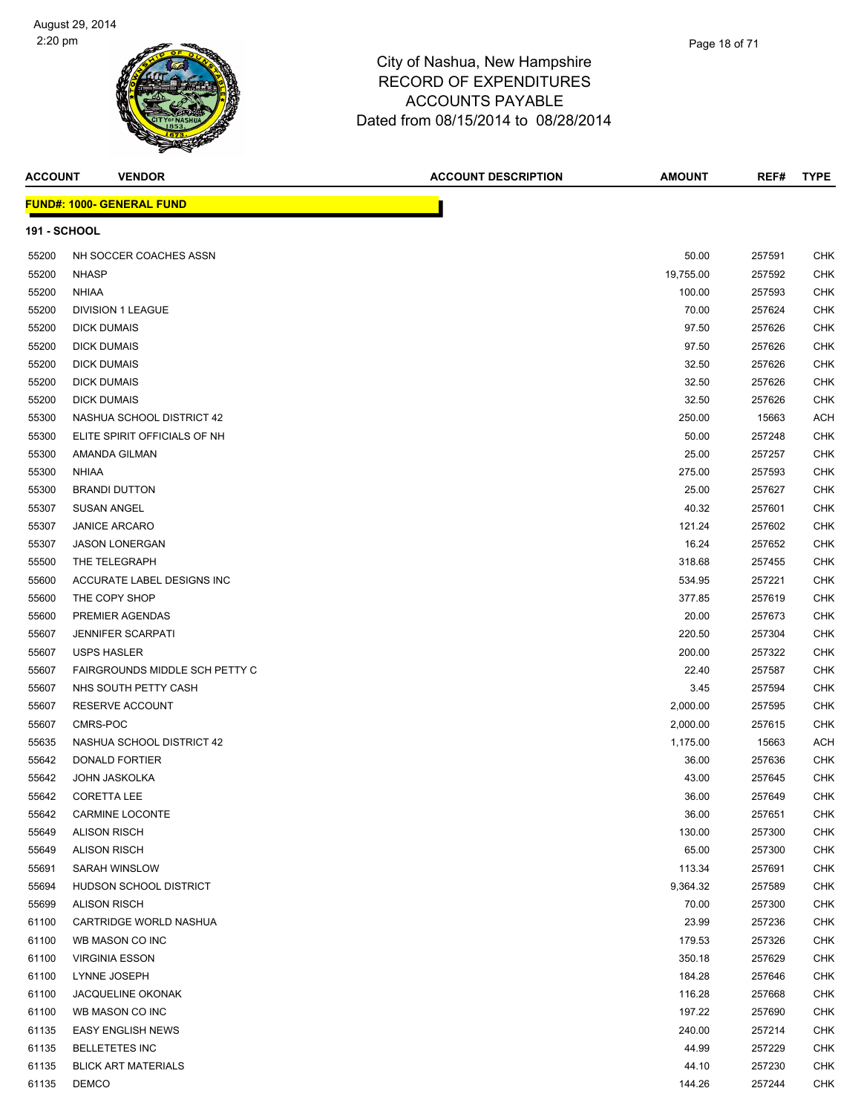

| ACCOUNT             | <b>VENDOR</b>                         | <b>ACCOUNT DESCRIPTION</b> | <b>AMOUNT</b> | REF#   | <b>TYPE</b> |
|---------------------|---------------------------------------|----------------------------|---------------|--------|-------------|
|                     | <u> FUND#: 1000- GENERAL FUND</u>     |                            |               |        |             |
| <b>191 - SCHOOL</b> |                                       |                            |               |        |             |
| 55200               | NH SOCCER COACHES ASSN                |                            | 50.00         | 257591 | CHK         |
| 55200               | <b>NHASP</b>                          |                            | 19,755.00     | 257592 | CHK         |
| 55200               | <b>NHIAA</b>                          |                            | 100.00        | 257593 | CHK         |
| 55200               | <b>DIVISION 1 LEAGUE</b>              |                            | 70.00         | 257624 | CHK         |
| 55200               | <b>DICK DUMAIS</b>                    |                            | 97.50         | 257626 | CHK         |
| 55200               | <b>DICK DUMAIS</b>                    |                            | 97.50         | 257626 | CHK         |
| 55200               | <b>DICK DUMAIS</b>                    |                            | 32.50         | 257626 | CHK         |
| 55200               | <b>DICK DUMAIS</b>                    |                            | 32.50         | 257626 | CHK         |
| 55200               | <b>DICK DUMAIS</b>                    |                            | 32.50         | 257626 | CHK         |
| 55300               | NASHUA SCHOOL DISTRICT 42             |                            | 250.00        | 15663  | <b>ACH</b>  |
| 55300               | ELITE SPIRIT OFFICIALS OF NH          |                            | 50.00         | 257248 | CHK         |
| 55300               | AMANDA GILMAN                         |                            | 25.00         | 257257 | CHK         |
| 55300               | <b>NHIAA</b>                          |                            | 275.00        | 257593 | CHK         |
| 55300               | <b>BRANDI DUTTON</b>                  |                            | 25.00         | 257627 | CHK         |
| 55307               | <b>SUSAN ANGEL</b>                    |                            | 40.32         | 257601 | CHK         |
| 55307               | <b>JANICE ARCARO</b>                  |                            | 121.24        | 257602 | <b>CHK</b>  |
| 55307               | <b>JASON LONERGAN</b>                 |                            | 16.24         | 257652 | CHK         |
| 55500               | THE TELEGRAPH                         |                            | 318.68        | 257455 | CHK         |
| 55600               | ACCURATE LABEL DESIGNS INC            |                            | 534.95        | 257221 | CHK         |
| 55600               | THE COPY SHOP                         |                            | 377.85        | 257619 | CHK         |
| 55600               | PREMIER AGENDAS                       |                            | 20.00         | 257673 | CHK         |
| 55607               | <b>JENNIFER SCARPATI</b>              |                            | 220.50        | 257304 | CHK         |
| 55607               | <b>USPS HASLER</b>                    |                            | 200.00        | 257322 | CHK         |
| 55607               | <b>FAIRGROUNDS MIDDLE SCH PETTY C</b> |                            | 22.40         | 257587 | CHK         |
| 55607               | NHS SOUTH PETTY CASH                  |                            | 3.45          | 257594 | CHK         |
| 55607               | RESERVE ACCOUNT                       |                            | 2,000.00      | 257595 | CHK         |
| 55607               | CMRS-POC                              |                            | 2,000.00      | 257615 | CHK         |
| 55635               | NASHUA SCHOOL DISTRICT 42             |                            | 1,175.00      | 15663  | <b>ACH</b>  |
| 55642               | DONALD FORTIER                        |                            | 36.00         | 257636 | CHK         |
| 55642               | <b>JOHN JASKOLKA</b>                  |                            | 43.00         | 257645 | CHK         |
| 55642               | <b>CORETTA LEE</b>                    |                            | 36.00         | 257649 | <b>CHK</b>  |
| 55642               | CARMINE LOCONTE                       |                            | 36.00         | 257651 | <b>CHK</b>  |
| 55649               | <b>ALISON RISCH</b>                   |                            | 130.00        | 257300 | CHK         |
| 55649               | <b>ALISON RISCH</b>                   |                            | 65.00         | 257300 | CHK         |
| 55691               | <b>SARAH WINSLOW</b>                  |                            | 113.34        | 257691 | CHK         |
| 55694               | HUDSON SCHOOL DISTRICT                |                            | 9,364.32      | 257589 | CHK         |
| 55699               | <b>ALISON RISCH</b>                   |                            | 70.00         | 257300 | CHK         |
| 61100               | CARTRIDGE WORLD NASHUA                |                            | 23.99         | 257236 | CHK         |
| 61100               | WB MASON CO INC                       |                            | 179.53        | 257326 | CHK         |
| 61100               | <b>VIRGINIA ESSON</b>                 |                            | 350.18        | 257629 | <b>CHK</b>  |
| 61100               | LYNNE JOSEPH                          |                            | 184.28        | 257646 | CHK         |
| 61100               | <b>JACQUELINE OKONAK</b>              |                            | 116.28        | 257668 | <b>CHK</b>  |
| 61100               | WB MASON CO INC                       |                            | 197.22        | 257690 | CHK         |
| 61135               | <b>EASY ENGLISH NEWS</b>              |                            | 240.00        | 257214 | <b>CHK</b>  |
| 61135               | <b>BELLETETES INC</b>                 |                            | 44.99         | 257229 | CHK         |
| 61135               | <b>BLICK ART MATERIALS</b>            |                            | 44.10         | 257230 | <b>CHK</b>  |
| 61135               | <b>DEMCO</b>                          |                            | 144.26        | 257244 | <b>CHK</b>  |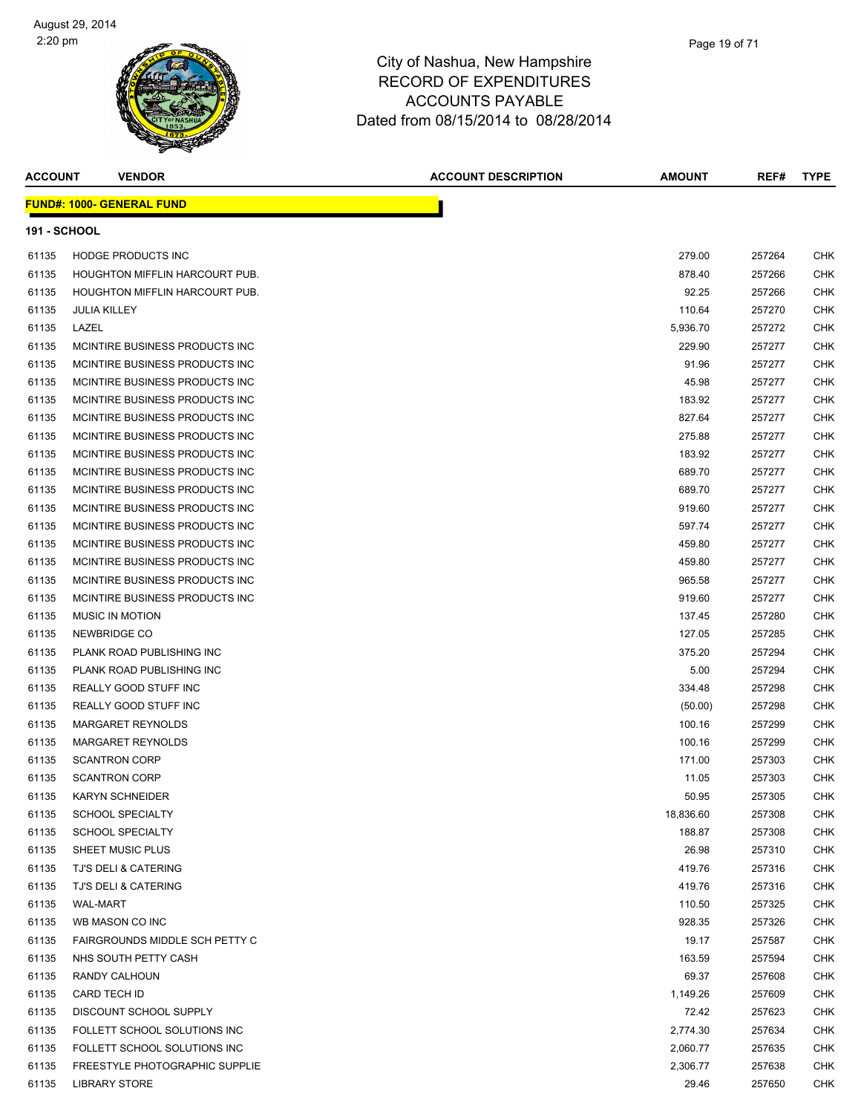# City of Nashua, New Hampshire

Page 19 of 71

# RECORD OF EXPENDITURES ACCOUNTS PAYABLE Dated from 08/15/2014 to 08/28/2014

| <b>ACCOUNT</b>      | <b>VENDOR</b>                     | <b>ACCOUNT DESCRIPTION</b> | AMOUNT    | REF#   | <b>TYPE</b> |
|---------------------|-----------------------------------|----------------------------|-----------|--------|-------------|
|                     | <u> FUND#: 1000- GENERAL FUND</u> |                            |           |        |             |
| <b>191 - SCHOOL</b> |                                   |                            |           |        |             |
| 61135               | <b>HODGE PRODUCTS INC</b>         |                            | 279.00    | 257264 | CHK         |
| 61135               | HOUGHTON MIFFLIN HARCOURT PUB.    |                            | 878.40    | 257266 | CHK         |
| 61135               | HOUGHTON MIFFLIN HARCOURT PUB.    |                            | 92.25     | 257266 | CHK         |
| 61135               | <b>JULIA KILLEY</b>               |                            | 110.64    | 257270 | CHK         |
| 61135               | LAZEL                             |                            | 5,936.70  | 257272 | CHK         |
| 61135               | MCINTIRE BUSINESS PRODUCTS INC    |                            | 229.90    | 257277 | CHK         |
| 61135               | MCINTIRE BUSINESS PRODUCTS INC    |                            | 91.96     | 257277 | <b>CHK</b>  |
| 61135               | MCINTIRE BUSINESS PRODUCTS INC    |                            | 45.98     | 257277 | CHK         |
| 61135               | MCINTIRE BUSINESS PRODUCTS INC    |                            | 183.92    | 257277 | CHK         |
| 61135               | MCINTIRE BUSINESS PRODUCTS INC    |                            | 827.64    | 257277 | CHK         |
| 61135               | MCINTIRE BUSINESS PRODUCTS INC    |                            | 275.88    | 257277 | CHK         |
| 61135               | MCINTIRE BUSINESS PRODUCTS INC    |                            | 183.92    | 257277 | CHK         |
| 61135               | MCINTIRE BUSINESS PRODUCTS INC    |                            | 689.70    | 257277 | CHK         |
| 61135               | MCINTIRE BUSINESS PRODUCTS INC    |                            | 689.70    | 257277 | CHK         |
| 61135               | MCINTIRE BUSINESS PRODUCTS INC    |                            | 919.60    | 257277 | CHK         |
| 61135               | MCINTIRE BUSINESS PRODUCTS INC    |                            | 597.74    | 257277 | CHK         |
| 61135               | MCINTIRE BUSINESS PRODUCTS INC    |                            | 459.80    | 257277 | CHK         |
| 61135               | MCINTIRE BUSINESS PRODUCTS INC    |                            | 459.80    | 257277 | CHK         |
| 61135               | MCINTIRE BUSINESS PRODUCTS INC    |                            | 965.58    | 257277 | CHK         |
| 61135               | MCINTIRE BUSINESS PRODUCTS INC    |                            | 919.60    | 257277 | CHK         |
| 61135               | <b>MUSIC IN MOTION</b>            |                            | 137.45    | 257280 | CHK         |
| 61135               | NEWBRIDGE CO                      |                            | 127.05    | 257285 | CHK         |
| 61135               | PLANK ROAD PUBLISHING INC         |                            | 375.20    | 257294 | CHK         |
| 61135               | PLANK ROAD PUBLISHING INC         |                            | 5.00      | 257294 | CHK         |
| 61135               | REALLY GOOD STUFF INC             |                            | 334.48    | 257298 | CHK         |
| 61135               | REALLY GOOD STUFF INC             |                            | (50.00)   | 257298 | CHK         |
| 61135               | <b>MARGARET REYNOLDS</b>          |                            | 100.16    | 257299 | CHK         |
| 61135               | MARGARET REYNOLDS                 |                            | 100.16    | 257299 | CHK         |
| 61135               | <b>SCANTRON CORP</b>              |                            | 171.00    | 257303 | CHK         |
| 61135               | <b>SCANTRON CORP</b>              |                            | 11.05     | 257303 | CHK         |
| 61135               | <b>KARYN SCHNEIDER</b>            |                            | 50.95     | 257305 | CHK         |
| 61135               | <b>SCHOOL SPECIALTY</b>           |                            | 18,836.60 | 257308 | CHK         |
| 61135               | <b>SCHOOL SPECIALTY</b>           |                            | 188.87    | 257308 | CHK         |
| 61135               | SHEET MUSIC PLUS                  |                            | 26.98     | 257310 | CHK         |
| 61135               | TJ'S DELI & CATERING              |                            | 419.76    | 257316 | CHK         |
| 61135               | TJ'S DELI & CATERING              |                            | 419.76    | 257316 | CHK         |
| 61135               | <b>WAL-MART</b>                   |                            | 110.50    | 257325 | CHK         |
| 61135               | WB MASON CO INC                   |                            | 928.35    | 257326 | CHK         |
| 61135               | FAIRGROUNDS MIDDLE SCH PETTY C    |                            | 19.17     | 257587 | CHK         |
| 61135               | NHS SOUTH PETTY CASH              |                            | 163.59    | 257594 | CHK         |
| 61135               | RANDY CALHOUN                     |                            | 69.37     | 257608 | CHK         |
| 61135               | CARD TECH ID                      |                            | 1,149.26  | 257609 | CHK         |
| 61135               | DISCOUNT SCHOOL SUPPLY            |                            | 72.42     | 257623 | CHK         |
| 61135               | FOLLETT SCHOOL SOLUTIONS INC      |                            | 2,774.30  | 257634 | CHK         |
| 61135               | FOLLETT SCHOOL SOLUTIONS INC      |                            | 2,060.77  | 257635 | CHK         |
| 61135               | FREESTYLE PHOTOGRAPHIC SUPPLIE    |                            | 2,306.77  | 257638 | CHK         |
| 61135               | <b>LIBRARY STORE</b>              |                            | 29.46     | 257650 | CHK         |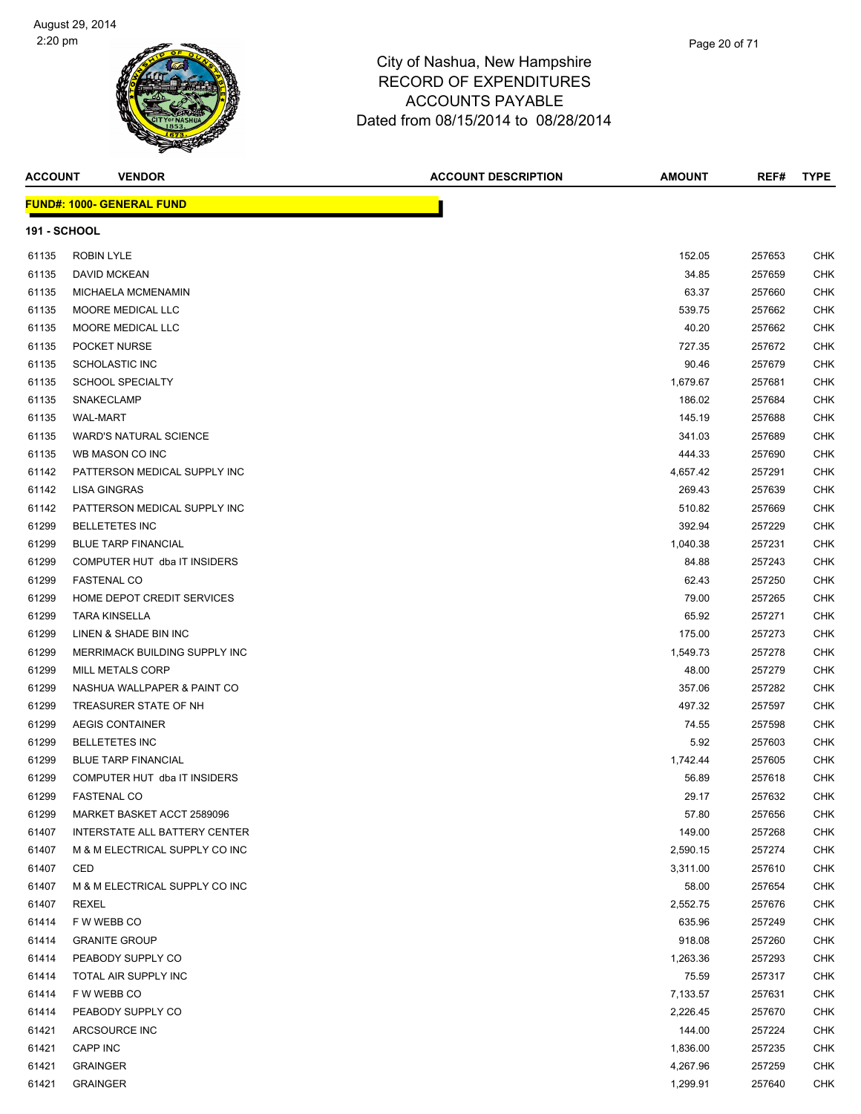

| <b>ACCOUNT</b>      | <b>VENDOR</b>                        | <b>ACCOUNT DESCRIPTION</b> | AMOUNT   | REF#   | <b>TYPE</b> |
|---------------------|--------------------------------------|----------------------------|----------|--------|-------------|
|                     | <b>FUND#: 1000- GENERAL FUND</b>     |                            |          |        |             |
| <b>191 - SCHOOL</b> |                                      |                            |          |        |             |
| 61135               | <b>ROBIN LYLE</b>                    |                            | 152.05   | 257653 | CHK         |
| 61135               | DAVID MCKEAN                         |                            | 34.85    | 257659 | CHK         |
| 61135               | MICHAELA MCMENAMIN                   |                            | 63.37    | 257660 | CHK         |
| 61135               | MOORE MEDICAL LLC                    |                            | 539.75   | 257662 | CHK         |
| 61135               | MOORE MEDICAL LLC                    |                            | 40.20    | 257662 | CHK         |
| 61135               | POCKET NURSE                         |                            | 727.35   | 257672 | CHK         |
| 61135               | <b>SCHOLASTIC INC</b>                |                            | 90.46    | 257679 | CHK         |
| 61135               | <b>SCHOOL SPECIALTY</b>              |                            | 1,679.67 | 257681 | CHK         |
| 61135               | <b>SNAKECLAMP</b>                    |                            | 186.02   | 257684 | <b>CHK</b>  |
| 61135               | <b>WAL-MART</b>                      |                            | 145.19   | 257688 | CHK         |
| 61135               | <b>WARD'S NATURAL SCIENCE</b>        |                            | 341.03   | 257689 | CHK         |
| 61135               | WB MASON CO INC                      |                            | 444.33   | 257690 | CHK         |
| 61142               | PATTERSON MEDICAL SUPPLY INC         |                            | 4,657.42 | 257291 | CHK         |
| 61142               | LISA GINGRAS                         |                            | 269.43   | 257639 | CHK         |
| 61142               | PATTERSON MEDICAL SUPPLY INC         |                            | 510.82   | 257669 | CHK         |
| 61299               | <b>BELLETETES INC</b>                |                            | 392.94   | 257229 | CHK         |
| 61299               | <b>BLUE TARP FINANCIAL</b>           |                            | 1,040.38 | 257231 | CHK         |
| 61299               | COMPUTER HUT dba IT INSIDERS         |                            | 84.88    | 257243 | CHK         |
| 61299               | <b>FASTENAL CO</b>                   |                            | 62.43    | 257250 | CHK         |
| 61299               | HOME DEPOT CREDIT SERVICES           |                            | 79.00    | 257265 | CHK         |
| 61299               | <b>TARA KINSELLA</b>                 |                            | 65.92    | 257271 | CHK         |
| 61299               | LINEN & SHADE BIN INC                |                            | 175.00   | 257273 | CHK         |
| 61299               | MERRIMACK BUILDING SUPPLY INC        |                            | 1,549.73 | 257278 | CHK         |
| 61299               | <b>MILL METALS CORP</b>              |                            | 48.00    | 257279 | <b>CHK</b>  |
| 61299               | NASHUA WALLPAPER & PAINT CO          |                            | 357.06   | 257282 | CHK         |
| 61299               | TREASURER STATE OF NH                |                            | 497.32   | 257597 | CHK         |
| 61299               | <b>AEGIS CONTAINER</b>               |                            | 74.55    | 257598 | CHK         |
| 61299               | <b>BELLETETES INC</b>                |                            | 5.92     | 257603 | CHK         |
| 61299               | <b>BLUE TARP FINANCIAL</b>           |                            | 1,742.44 | 257605 | CHK         |
| 61299               | COMPUTER HUT dba IT INSIDERS         |                            | 56.89    | 257618 | CHK         |
| 61299               | <b>FASTENAL CO</b>                   |                            | 29.17    | 257632 | CHK         |
| 61299               | MARKET BASKET ACCT 2589096           |                            | 57.80    | 257656 | <b>CHK</b>  |
| 61407               | <b>INTERSTATE ALL BATTERY CENTER</b> |                            | 149.00   | 257268 | CHK         |
| 61407               | M & M ELECTRICAL SUPPLY CO INC       |                            | 2,590.15 | 257274 | CHK         |
| 61407               | CED                                  |                            | 3,311.00 | 257610 | CHK         |
| 61407               | M & M ELECTRICAL SUPPLY CO INC       |                            | 58.00    | 257654 | <b>CHK</b>  |
| 61407               | REXEL                                |                            | 2,552.75 | 257676 | CHK         |
| 61414               | F W WEBB CO                          |                            | 635.96   | 257249 | CHK         |
| 61414               | <b>GRANITE GROUP</b>                 |                            | 918.08   | 257260 | <b>CHK</b>  |
| 61414               | PEABODY SUPPLY CO                    |                            | 1,263.36 | 257293 | CHK         |
| 61414               | TOTAL AIR SUPPLY INC                 |                            | 75.59    | 257317 | CHK         |
| 61414               | F W WEBB CO                          |                            | 7,133.57 | 257631 | CHK         |
| 61414               | PEABODY SUPPLY CO                    |                            | 2,226.45 | 257670 | CHK         |
| 61421               | ARCSOURCE INC                        |                            | 144.00   | 257224 | CHK         |
| 61421               | CAPP INC                             |                            | 1,836.00 | 257235 | CHK         |
| 61421               | <b>GRAINGER</b>                      |                            | 4,267.96 | 257259 | <b>CHK</b>  |
| 61421               | <b>GRAINGER</b>                      |                            | 1,299.91 | 257640 | <b>CHK</b>  |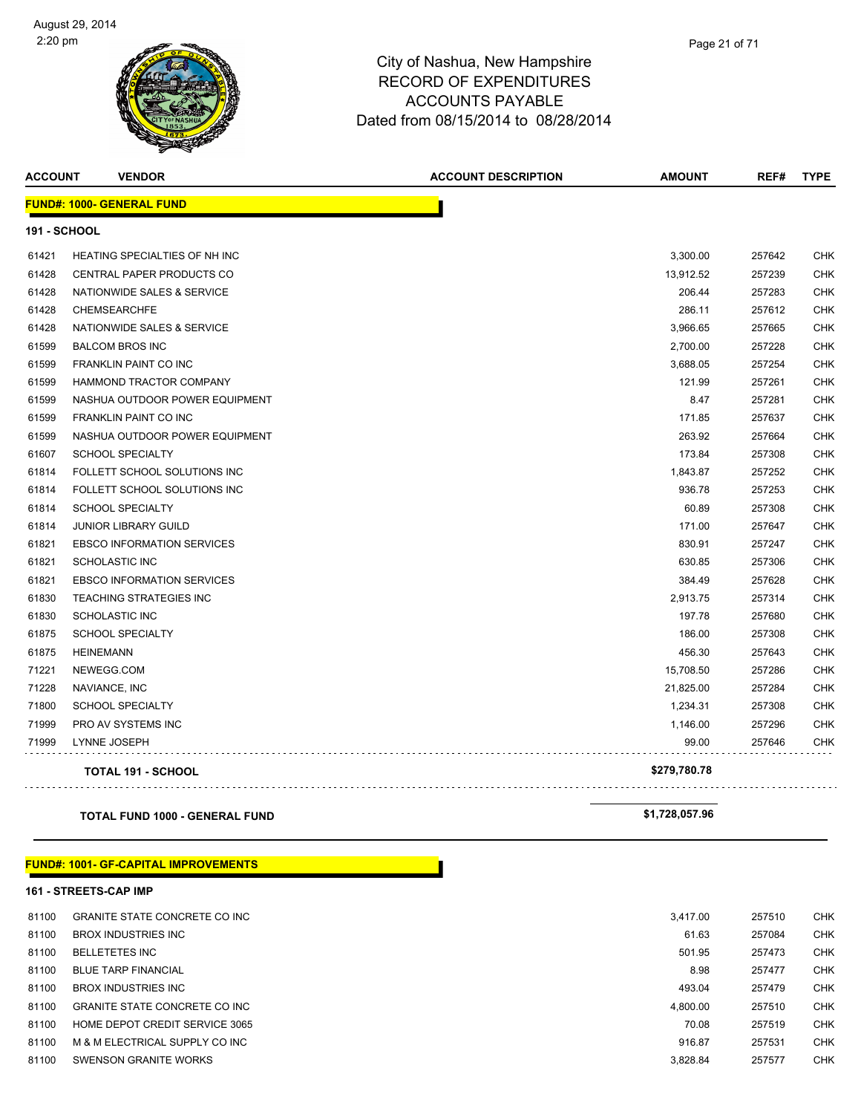

| <b>ACCOUNT</b>      | <b>VENDOR</b>                     | <b>ACCOUNT DESCRIPTION</b> | <b>AMOUNT</b> | REF#   | <b>TYPE</b> |
|---------------------|-----------------------------------|----------------------------|---------------|--------|-------------|
|                     | <b>FUND#: 1000- GENERAL FUND</b>  |                            |               |        |             |
| <b>191 - SCHOOL</b> |                                   |                            |               |        |             |
| 61421               | HEATING SPECIALTIES OF NH INC     |                            | 3,300.00      | 257642 | CHK         |
| 61428               | CENTRAL PAPER PRODUCTS CO         |                            | 13,912.52     | 257239 | CHK         |
| 61428               | NATIONWIDE SALES & SERVICE        |                            | 206.44        | 257283 | <b>CHK</b>  |
| 61428               | <b>CHEMSEARCHFE</b>               |                            | 286.11        | 257612 | <b>CHK</b>  |
| 61428               | NATIONWIDE SALES & SERVICE        |                            | 3,966.65      | 257665 | <b>CHK</b>  |
| 61599               | <b>BALCOM BROS INC</b>            |                            | 2,700.00      | 257228 | <b>CHK</b>  |
| 61599               | <b>FRANKLIN PAINT CO INC</b>      |                            | 3,688.05      | 257254 | <b>CHK</b>  |
| 61599               | HAMMOND TRACTOR COMPANY           |                            | 121.99        | 257261 | CHK         |
| 61599               | NASHUA OUTDOOR POWER EQUIPMENT    |                            | 8.47          | 257281 | <b>CHK</b>  |
| 61599               | FRANKLIN PAINT CO INC             |                            | 171.85        | 257637 | <b>CHK</b>  |
| 61599               | NASHUA OUTDOOR POWER EQUIPMENT    |                            | 263.92        | 257664 | CHK         |
| 61607               | <b>SCHOOL SPECIALTY</b>           |                            | 173.84        | 257308 | <b>CHK</b>  |
| 61814               | FOLLETT SCHOOL SOLUTIONS INC      |                            | 1,843.87      | 257252 | <b>CHK</b>  |
| 61814               | FOLLETT SCHOOL SOLUTIONS INC      |                            | 936.78        | 257253 | <b>CHK</b>  |
| 61814               | <b>SCHOOL SPECIALTY</b>           |                            | 60.89         | 257308 | <b>CHK</b>  |
| 61814               | JUNIOR LIBRARY GUILD              |                            | 171.00        | 257647 | <b>CHK</b>  |
| 61821               | <b>EBSCO INFORMATION SERVICES</b> |                            | 830.91        | 257247 | <b>CHK</b>  |
| 61821               | <b>SCHOLASTIC INC</b>             |                            | 630.85        | 257306 | <b>CHK</b>  |
| 61821               | <b>EBSCO INFORMATION SERVICES</b> |                            | 384.49        | 257628 | <b>CHK</b>  |
| 61830               | <b>TEACHING STRATEGIES INC</b>    |                            | 2,913.75      | 257314 | <b>CHK</b>  |
| 61830               | <b>SCHOLASTIC INC</b>             |                            | 197.78        | 257680 | <b>CHK</b>  |
| 61875               | <b>SCHOOL SPECIALTY</b>           |                            | 186.00        | 257308 | CHK         |
| 61875               | <b>HEINEMANN</b>                  |                            | 456.30        | 257643 | <b>CHK</b>  |
| 71221               | NEWEGG.COM                        |                            | 15,708.50     | 257286 | <b>CHK</b>  |
| 71228               | NAVIANCE, INC                     |                            | 21,825.00     | 257284 | <b>CHK</b>  |
| 71800               | <b>SCHOOL SPECIALTY</b>           |                            | 1,234.31      | 257308 | <b>CHK</b>  |
| 71999               | PRO AV SYSTEMS INC                |                            | 1,146.00      | 257296 | <b>CHK</b>  |
| 71999               | LYNNE JOSEPH                      |                            | 99.00         | 257646 | CHK         |
|                     | <b>TOTAL 191 - SCHOOL</b>         |                            | \$279,780.78  |        |             |

### **TOTAL FUND 1000 - GENERAL FUND \$1,728,057.96**

# **FUND#: 1001- GF-CAPITAL IMPROVEMENTS**

#### **161 - STREETS-CAP IMP**

| 81100 | <b>GRANITE STATE CONCRETE CO INC.</b> | 3.417.00 | 257510 | <b>CHK</b> |
|-------|---------------------------------------|----------|--------|------------|
| 81100 | <b>BROX INDUSTRIES INC</b>            | 61.63    | 257084 | <b>CHK</b> |
| 81100 | <b>BELLETETES INC</b>                 | 501.95   | 257473 | <b>CHK</b> |
| 81100 | <b>BLUE TARP FINANCIAL</b>            | 8.98     | 257477 | <b>CHK</b> |
| 81100 | <b>BROX INDUSTRIES INC</b>            | 493.04   | 257479 | <b>CHK</b> |
| 81100 | <b>GRANITE STATE CONCRETE CO INC.</b> | 4,800.00 | 257510 | <b>CHK</b> |
| 81100 | HOME DEPOT CREDIT SERVICE 3065        | 70.08    | 257519 | <b>CHK</b> |
| 81100 | M & M ELECTRICAL SUPPLY CO INC        | 916.87   | 257531 | <b>CHK</b> |
| 81100 | SWENSON GRANITE WORKS                 | 3,828.84 | 257577 | <b>CHK</b> |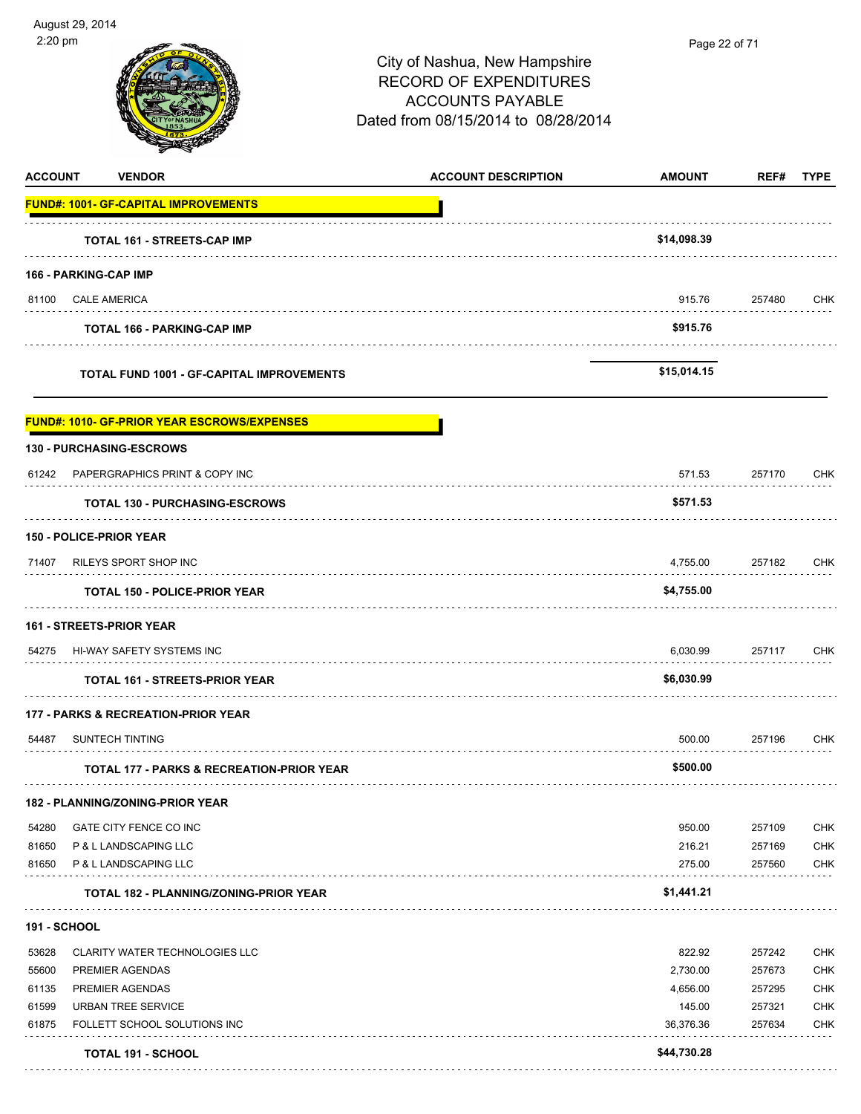| <b>ACCOUNT</b> | <b>VENDOR</b>                                        | <b>ACCOUNT DESCRIPTION</b> | <b>AMOUNT</b>            | REF#   | <b>TYPE</b>              |
|----------------|------------------------------------------------------|----------------------------|--------------------------|--------|--------------------------|
|                | <b>FUND#: 1001- GF-CAPITAL IMPROVEMENTS</b>          |                            |                          |        |                          |
|                | <b>TOTAL 161 - STREETS-CAP IMP</b>                   |                            | \$14,098.39              |        |                          |
|                | 166 - PARKING-CAP IMP                                |                            |                          |        |                          |
| 81100          | <b>CALE AMERICA</b>                                  |                            | 915.76                   | 257480 | CHK                      |
|                | <b>TOTAL 166 - PARKING-CAP IMP</b>                   |                            | \$915.76                 |        |                          |
|                | TOTAL FUND 1001 - GF-CAPITAL IMPROVEMENTS            |                            | \$15,014.15              |        |                          |
|                | <b>FUND#: 1010- GF-PRIOR YEAR ESCROWS/EXPENSES</b>   |                            |                          |        |                          |
|                | <b>130 - PURCHASING-ESCROWS</b>                      |                            |                          |        |                          |
|                | 61242 PAPERGRAPHICS PRINT & COPY INC                 |                            | 571.53                   | 257170 | CHK                      |
|                | <b>TOTAL 130 - PURCHASING-ESCROWS</b>                |                            | \$571.53                 |        |                          |
|                | <b>150 - POLICE-PRIOR YEAR</b>                       |                            |                          |        |                          |
| 71407          | RILEYS SPORT SHOP INC                                |                            | 4,755.00                 | 257182 | <b>CHK</b>               |
|                | <b>TOTAL 150 - POLICE-PRIOR YEAR</b>                 |                            | \$4,755.00               |        |                          |
|                | <b>161 - STREETS-PRIOR YEAR</b>                      |                            |                          |        |                          |
| 54275          | HI-WAY SAFETY SYSTEMS INC                            |                            | 6,030.99                 | 257117 | CHK                      |
|                | <b>TOTAL 161 - STREETS-PRIOR YEAR</b>                |                            | \$6,030.99               |        |                          |
|                | <b>177 - PARKS &amp; RECREATION-PRIOR YEAR</b>       |                            |                          |        |                          |
| 54487          | <b>SUNTECH TINTING</b>                               |                            | 500.00                   | 257196 | CHK                      |
|                | <b>TOTAL 177 - PARKS &amp; RECREATION-PRIOR YEAR</b> |                            | \$500.00                 |        |                          |
|                | 182 - PLANNING/ZONING-PRIOR YEAR                     |                            |                          |        |                          |
| 54280          | GATE CITY FENCE CO INC                               |                            | 950.00                   | 257109 | <b>CHK</b>               |
| 81650          | P & L LANDSCAPING LLC                                |                            | 216.21                   | 257169 | <b>CHK</b>               |
| 81650          | P & L LANDSCAPING LLC                                |                            | 275.00                   | 257560 | <b>CHK</b>               |
|                | <b>TOTAL 182 - PLANNING/ZONING-PRIOR YEAR</b>        |                            | \$1,441.21               |        |                          |
| 191 - SCHOOL   |                                                      |                            |                          |        |                          |
| 53628          | <b>CLARITY WATER TECHNOLOGIES LLC</b>                |                            | 822.92                   | 257242 | <b>CHK</b>               |
| 55600          | PREMIER AGENDAS                                      |                            | 2,730.00                 | 257673 | <b>CHK</b>               |
| 61135          | PREMIER AGENDAS                                      |                            | 4,656.00                 | 257295 | <b>CHK</b>               |
| 61599<br>61875 | URBAN TREE SERVICE<br>FOLLETT SCHOOL SOLUTIONS INC   |                            | 145.00                   | 257321 | <b>CHK</b><br><b>CHK</b> |
|                |                                                      |                            | 36,376.36<br>\$44,730.28 | 257634 |                          |
|                | <b>TOTAL 191 - SCHOOL</b>                            |                            |                          |        |                          |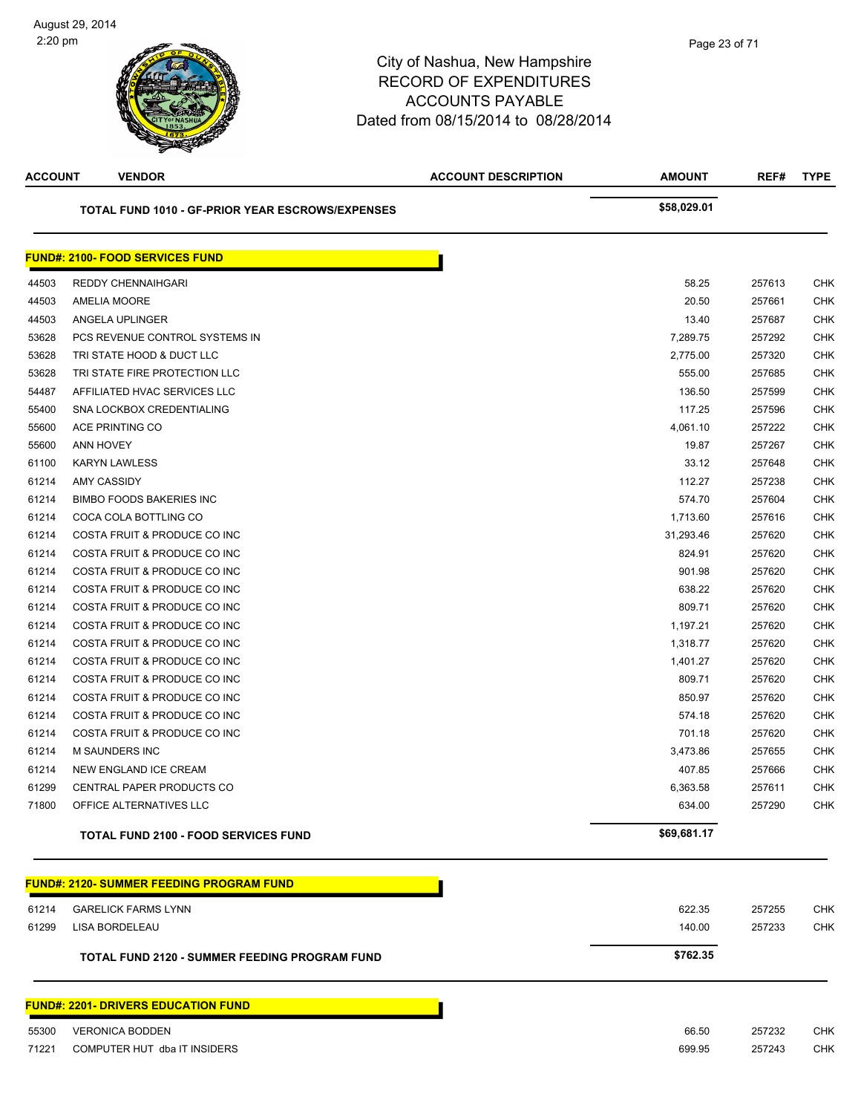| <b>ACCOUNT</b> | <b>VENDOR</b>                                    | <b>ACCOUNT DESCRIPTION</b> | <b>AMOUNT</b> | REF#   | <b>TYPE</b> |
|----------------|--------------------------------------------------|----------------------------|---------------|--------|-------------|
|                | TOTAL FUND 1010 - GF-PRIOR YEAR ESCROWS/EXPENSES |                            | \$58,029.01   |        |             |
|                | <b>FUND#: 2100- FOOD SERVICES FUND</b>           |                            |               |        |             |
| 44503          | REDDY CHENNAIHGARI                               |                            | 58.25         | 257613 | CHK         |
| 44503          | <b>AMELIA MOORE</b>                              |                            | 20.50         | 257661 | CHK         |
| 44503          | ANGELA UPLINGER                                  |                            | 13.40         | 257687 | <b>CHK</b>  |
| 53628          | PCS REVENUE CONTROL SYSTEMS IN                   |                            | 7,289.75      | 257292 | <b>CHK</b>  |
| 53628          | TRI STATE HOOD & DUCT LLC                        |                            | 2,775.00      | 257320 | <b>CHK</b>  |
| 53628          | TRI STATE FIRE PROTECTION LLC                    |                            | 555.00        | 257685 | <b>CHK</b>  |
| 54487          | AFFILIATED HVAC SERVICES LLC                     |                            | 136.50        | 257599 | <b>CHK</b>  |
| 55400          | SNA LOCKBOX CREDENTIALING                        |                            | 117.25        | 257596 | <b>CHK</b>  |
| 55600          | ACE PRINTING CO                                  |                            | 4,061.10      | 257222 | CHK         |
| 55600          | ANN HOVEY                                        |                            | 19.87         | 257267 | CHK         |
| 61100          | <b>KARYN LAWLESS</b>                             |                            | 33.12         | 257648 | <b>CHK</b>  |
| 61214          | AMY CASSIDY                                      |                            | 112.27        | 257238 | <b>CHK</b>  |
| 61214          | <b>BIMBO FOODS BAKERIES INC</b>                  |                            | 574.70        | 257604 | <b>CHK</b>  |
| 61214          | COCA COLA BOTTLING CO                            |                            | 1,713.60      | 257616 | <b>CHK</b>  |
| 61214          | COSTA FRUIT & PRODUCE CO INC                     |                            | 31,293.46     | 257620 | <b>CHK</b>  |
| 61214          | COSTA FRUIT & PRODUCE CO INC                     |                            | 824.91        | 257620 | CHK         |
| 61214          | COSTA FRUIT & PRODUCE CO INC                     |                            | 901.98        | 257620 | <b>CHK</b>  |
| 61214          | COSTA FRUIT & PRODUCE CO INC                     |                            | 638.22        | 257620 | <b>CHK</b>  |
| 61214          | COSTA FRUIT & PRODUCE CO INC                     |                            | 809.71        | 257620 | <b>CHK</b>  |
| 61214          | COSTA FRUIT & PRODUCE CO INC                     |                            | 1,197.21      | 257620 | <b>CHK</b>  |
| 61214          | COSTA FRUIT & PRODUCE CO INC                     |                            | 1,318.77      | 257620 | CHK         |
| 61214          | COSTA FRUIT & PRODUCE CO INC                     |                            | 1,401.27      | 257620 | <b>CHK</b>  |
| 61214          | COSTA FRUIT & PRODUCE CO INC                     |                            | 809.71        | 257620 | CHK         |
| 61214          | COSTA FRUIT & PRODUCE CO INC                     |                            | 850.97        | 257620 | CHK         |
| 61214          | COSTA FRUIT & PRODUCE CO INC                     |                            | 574.18        | 257620 | CHK         |
| 61214          | COSTA FRUIT & PRODUCE CO INC                     |                            | 701.18        | 257620 | <b>CHK</b>  |
| 61214          | M SAUNDERS INC                                   |                            | 3,473.86      | 257655 | CHK         |
| 61214          | NEW ENGLAND ICE CREAM                            |                            | 407.85        | 257666 | CHK         |
| 61299          | CENTRAL PAPER PRODUCTS CO                        |                            | 6,363.58      | 257611 | CHK         |
| 71800          | OFFICE ALTERNATIVES LLC                          |                            | 634.00        | 257290 | <b>CHK</b>  |
|                | <b>TOTAL FUND 2100 - FOOD SERVICES FUND</b>      |                            | \$69,681.17   |        |             |
|                | <b>FUND#: 2120- SUMMER FEEDING PROGRAM FUND</b>  |                            |               |        |             |
|                |                                                  |                            |               |        |             |
| 61214          | <b>GARELICK FARMS LYNN</b>                       |                            | 622.35        | 257255 | CHK         |
| 61299          | LISA BORDELEAU                                   |                            | 140.00        | 257233 | <b>CHK</b>  |
|                | TOTAL FUND 2120 - SUMMER FEEDING PROGRAM FUND    |                            | \$762.35      |        |             |
|                | <b>FUND#: 2201- DRIVERS EDUCATION FUND</b>       |                            |               |        |             |
| 55300          | <b>VERONICA BODDEN</b>                           |                            | 66.50         | 257232 | <b>CHK</b>  |
| 71221          | COMPUTER HUT dba IT INSIDERS                     |                            | 699.95        | 257243 | CHK         |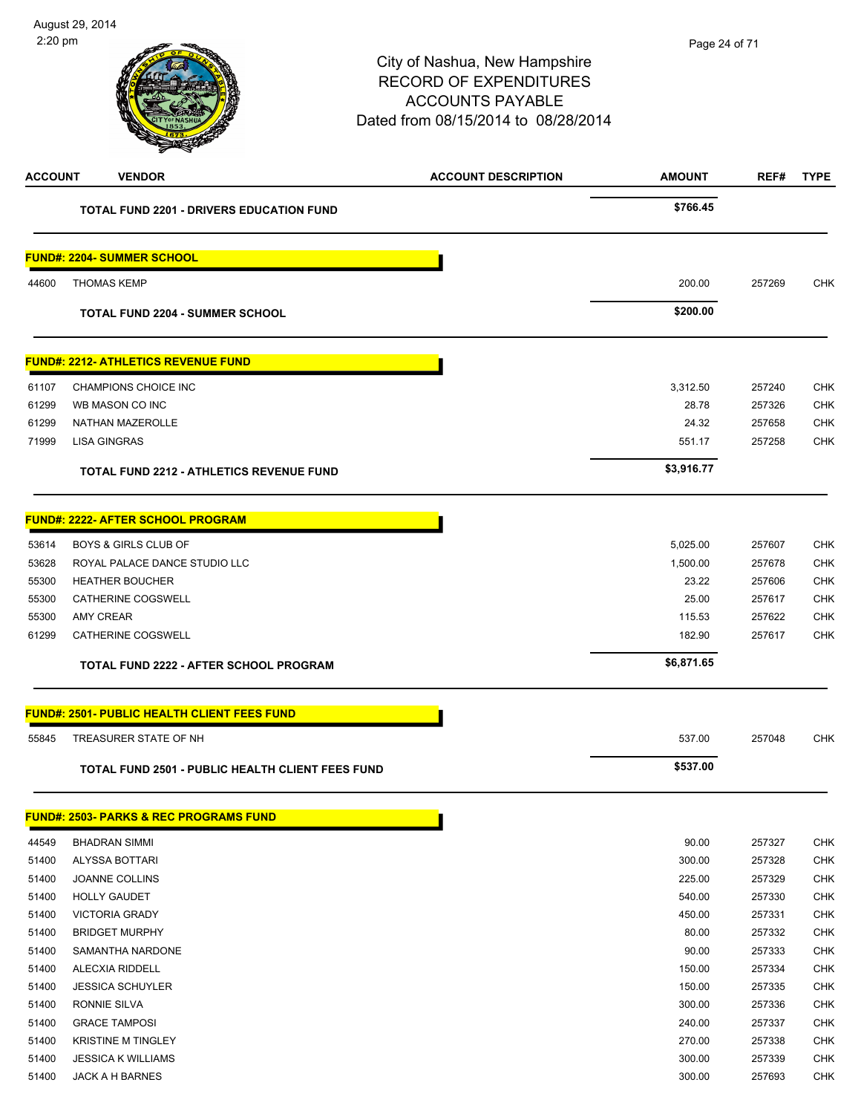| <b>ACCOUNT</b> | <b>VENDOR</b>                                           | <b>ACCOUNT DESCRIPTION</b> | <b>AMOUNT</b> | REF#   | <b>TYPE</b> |
|----------------|---------------------------------------------------------|----------------------------|---------------|--------|-------------|
|                | <b>TOTAL FUND 2201 - DRIVERS EDUCATION FUND</b>         |                            | \$766.45      |        |             |
|                | <u> FUND#: 2204- SUMMER SCHOOL</u>                      |                            |               |        |             |
| 44600          | <b>THOMAS KEMP</b>                                      |                            | 200.00        | 257269 | CHK         |
|                | <b>TOTAL FUND 2204 - SUMMER SCHOOL</b>                  |                            | \$200.00      |        |             |
|                | <b>FUND#: 2212- ATHLETICS REVENUE FUND</b>              |                            |               |        |             |
| 61107          | CHAMPIONS CHOICE INC                                    |                            | 3,312.50      | 257240 | CHK         |
| 61299          | WB MASON CO INC                                         |                            | 28.78         | 257326 | <b>CHK</b>  |
| 61299          | NATHAN MAZEROLLE                                        |                            | 24.32         | 257658 | <b>CHK</b>  |
| 71999          | <b>LISA GINGRAS</b>                                     |                            | 551.17        | 257258 | <b>CHK</b>  |
|                | <b>TOTAL FUND 2212 - ATHLETICS REVENUE FUND</b>         |                            | \$3,916.77    |        |             |
|                | <b>FUND#: 2222- AFTER SCHOOL PROGRAM</b>                |                            |               |        |             |
| 53614          | <b>BOYS &amp; GIRLS CLUB OF</b>                         |                            | 5,025.00      | 257607 | <b>CHK</b>  |
| 53628          | ROYAL PALACE DANCE STUDIO LLC                           |                            | 1,500.00      | 257678 | <b>CHK</b>  |
| 55300          | <b>HEATHER BOUCHER</b>                                  |                            | 23.22         | 257606 | <b>CHK</b>  |
| 55300          | <b>CATHERINE COGSWELL</b>                               |                            | 25.00         | 257617 | <b>CHK</b>  |
| 55300          | <b>AMY CREAR</b>                                        |                            | 115.53        | 257622 | <b>CHK</b>  |
| 61299          | CATHERINE COGSWELL                                      |                            | 182.90        | 257617 | <b>CHK</b>  |
|                | <b>TOTAL FUND 2222 - AFTER SCHOOL PROGRAM</b>           |                            | \$6,871.65    |        |             |
|                | <u> FUND#: 2501- PUBLIC HEALTH CLIENT FEES FUND</u>     |                            |               |        |             |
| 55845          | TREASURER STATE OF NH                                   |                            | 537.00        | 257048 | <b>CHK</b>  |
|                | <b>TOTAL FUND 2501 - PUBLIC HEALTH CLIENT FEES FUND</b> |                            | \$537.00      |        |             |
|                | <b>FUND#: 2503- PARKS &amp; REC PROGRAMS FUND</b>       |                            |               |        |             |
| 44549          | <b>BHADRAN SIMMI</b>                                    |                            | 90.00         | 257327 | <b>CHK</b>  |
| 51400          | ALYSSA BOTTARI                                          |                            | 300.00        | 257328 | <b>CHK</b>  |
| 51400          | JOANNE COLLINS                                          |                            | 225.00        | 257329 | CHK         |
| 51400          | <b>HOLLY GAUDET</b>                                     |                            | 540.00        | 257330 | CHK         |
| 51400          | <b>VICTORIA GRADY</b>                                   |                            | 450.00        | 257331 | <b>CHK</b>  |
| 51400          | <b>BRIDGET MURPHY</b>                                   |                            | 80.00         | 257332 | <b>CHK</b>  |
| 51400          | SAMANTHA NARDONE                                        |                            | 90.00         | 257333 | <b>CHK</b>  |
| 51400          | ALECXIA RIDDELL                                         |                            | 150.00        | 257334 | CHK         |
| 51400          | <b>JESSICA SCHUYLER</b>                                 |                            | 150.00        | 257335 | CHK         |
| 51400          | RONNIE SILVA                                            |                            | 300.00        | 257336 | <b>CHK</b>  |
| 51400          | <b>GRACE TAMPOSI</b>                                    |                            | 240.00        | 257337 | CHK         |
| 51400          | <b>KRISTINE M TINGLEY</b>                               |                            | 270.00        | 257338 | <b>CHK</b>  |
| 51400          | <b>JESSICA K WILLIAMS</b>                               |                            | 300.00        | 257339 | CHK         |
| 51400          | JACK A H BARNES                                         |                            | 300.00        | 257693 | <b>CHK</b>  |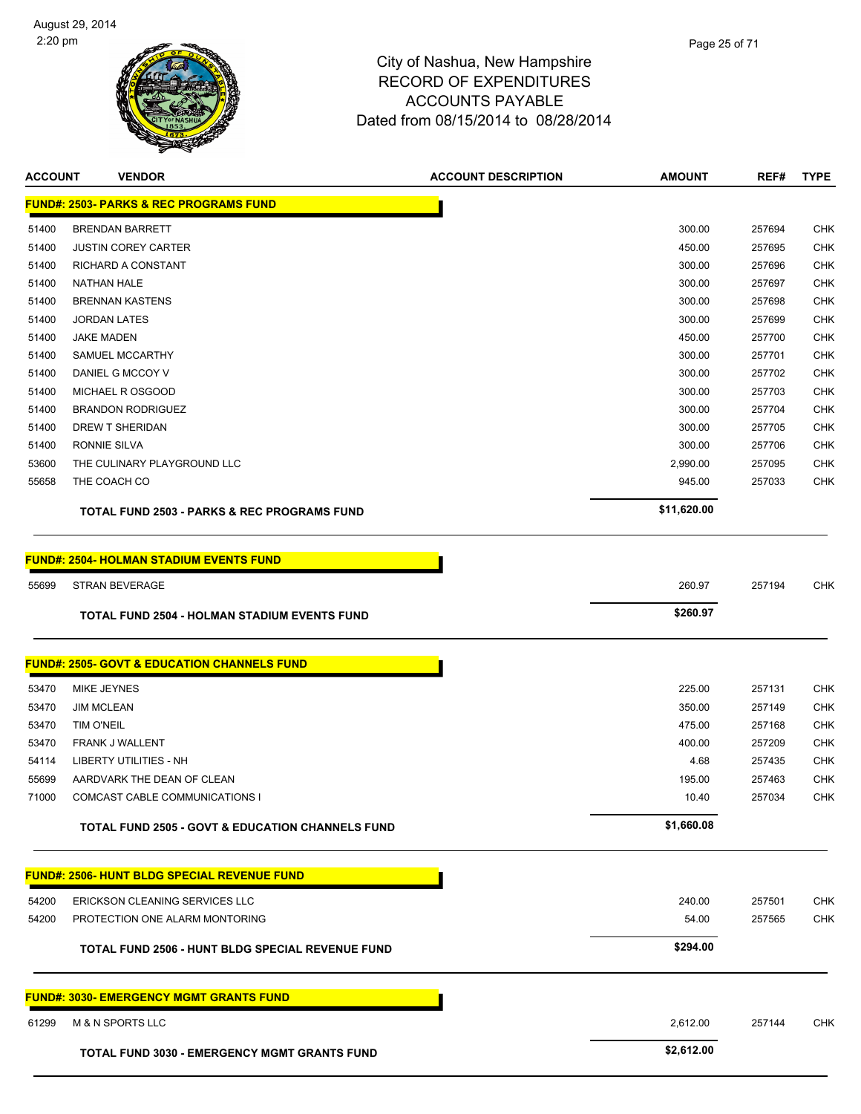

| <b>ACCOUNT</b> | <b>VENDOR</b>                                               | <b>ACCOUNT DESCRIPTION</b> | <b>AMOUNT</b>  | REF#             | <b>TYPE</b>       |
|----------------|-------------------------------------------------------------|----------------------------|----------------|------------------|-------------------|
|                | <b>FUND#: 2503- PARKS &amp; REC PROGRAMS FUND</b>           |                            |                |                  |                   |
| 51400          | <b>BRENDAN BARRETT</b>                                      |                            | 300.00         | 257694           | <b>CHK</b>        |
| 51400          | <b>JUSTIN COREY CARTER</b>                                  |                            | 450.00         | 257695           | <b>CHK</b>        |
| 51400          | <b>RICHARD A CONSTANT</b>                                   |                            | 300.00         | 257696           | CHK               |
| 51400          | <b>NATHAN HALE</b>                                          |                            | 300.00         | 257697           | <b>CHK</b>        |
| 51400          | <b>BRENNAN KASTENS</b>                                      |                            | 300.00         | 257698           | <b>CHK</b>        |
| 51400          | <b>JORDAN LATES</b>                                         |                            | 300.00         | 257699           | <b>CHK</b>        |
| 51400          | <b>JAKE MADEN</b>                                           |                            | 450.00         | 257700           | <b>CHK</b>        |
| 51400          | <b>SAMUEL MCCARTHY</b>                                      |                            | 300.00         | 257701           | <b>CHK</b>        |
| 51400          | DANIEL G MCCOY V                                            |                            | 300.00         | 257702           | <b>CHK</b>        |
| 51400          | MICHAEL R OSGOOD                                            |                            | 300.00         | 257703           | <b>CHK</b>        |
| 51400          | <b>BRANDON RODRIGUEZ</b>                                    |                            | 300.00         | 257704           | CHK               |
| 51400          | DREW T SHERIDAN                                             |                            | 300.00         | 257705           | <b>CHK</b>        |
| 51400          | <b>RONNIE SILVA</b>                                         |                            | 300.00         | 257706           | <b>CHK</b>        |
| 53600          | THE CULINARY PLAYGROUND LLC                                 |                            | 2,990.00       | 257095           | <b>CHK</b>        |
| 55658          | THE COACH CO                                                |                            | 945.00         | 257033           | CHK               |
|                | <b>TOTAL FUND 2503 - PARKS &amp; REC PROGRAMS FUND</b>      |                            | \$11,620.00    |                  |                   |
|                | <u> FUND#: 2504- HOLMAN STADIUM EVENTS FUND</u>             |                            |                |                  |                   |
| 55699          | <b>STRAN BEVERAGE</b>                                       |                            | 260.97         | 257194           | CHK               |
|                | <b>TOTAL FUND 2504 - HOLMAN STADIUM EVENTS FUND</b>         |                            | \$260.97       |                  |                   |
|                | <b>FUND#: 2505- GOVT &amp; EDUCATION CHANNELS FUND</b>      |                            |                |                  |                   |
|                |                                                             |                            |                |                  |                   |
| 53470          | MIKE JEYNES                                                 |                            | 225.00         | 257131           | CHK               |
| 53470          | <b>JIM MCLEAN</b>                                           |                            | 350.00         | 257149           | <b>CHK</b>        |
| 53470          | <b>TIM O'NEIL</b>                                           |                            | 475.00         | 257168           | <b>CHK</b>        |
| 53470<br>54114 | FRANK J WALLENT<br><b>LIBERTY UTILITIES - NH</b>            |                            | 400.00<br>4.68 | 257209<br>257435 | <b>CHK</b><br>CHK |
| 55699          | AARDVARK THE DEAN OF CLEAN                                  |                            | 195.00         | 257463           | CHK               |
| 71000          | COMCAST CABLE COMMUNICATIONS I                              |                            | 10.40          | 257034           | <b>CHK</b>        |
|                |                                                             |                            |                |                  |                   |
|                | <b>TOTAL FUND 2505 - GOVT &amp; EDUCATION CHANNELS FUND</b> |                            | \$1,660.08     |                  |                   |
|                | <u> FUND#: 2506- HUNT BLDG SPECIAL REVENUE FUND</u>         |                            |                |                  |                   |
| 54200          | ERICKSON CLEANING SERVICES LLC                              |                            | 240.00         | 257501           | CHK               |
| 54200          | PROTECTION ONE ALARM MONTORING                              |                            | 54.00          | 257565           | <b>CHK</b>        |
|                | TOTAL FUND 2506 - HUNT BLDG SPECIAL REVENUE FUND            |                            | \$294.00       |                  |                   |
|                | <u> FUND#: 3030- EMERGENCY MGMT GRANTS FUND</u>             |                            |                |                  |                   |
| 61299          | <b>M &amp; N SPORTS LLC</b>                                 |                            | 2,612.00       | 257144           | CHK               |
|                | <b>TOTAL FUND 3030 - EMERGENCY MGMT GRANTS FUND</b>         |                            | \$2,612.00     |                  |                   |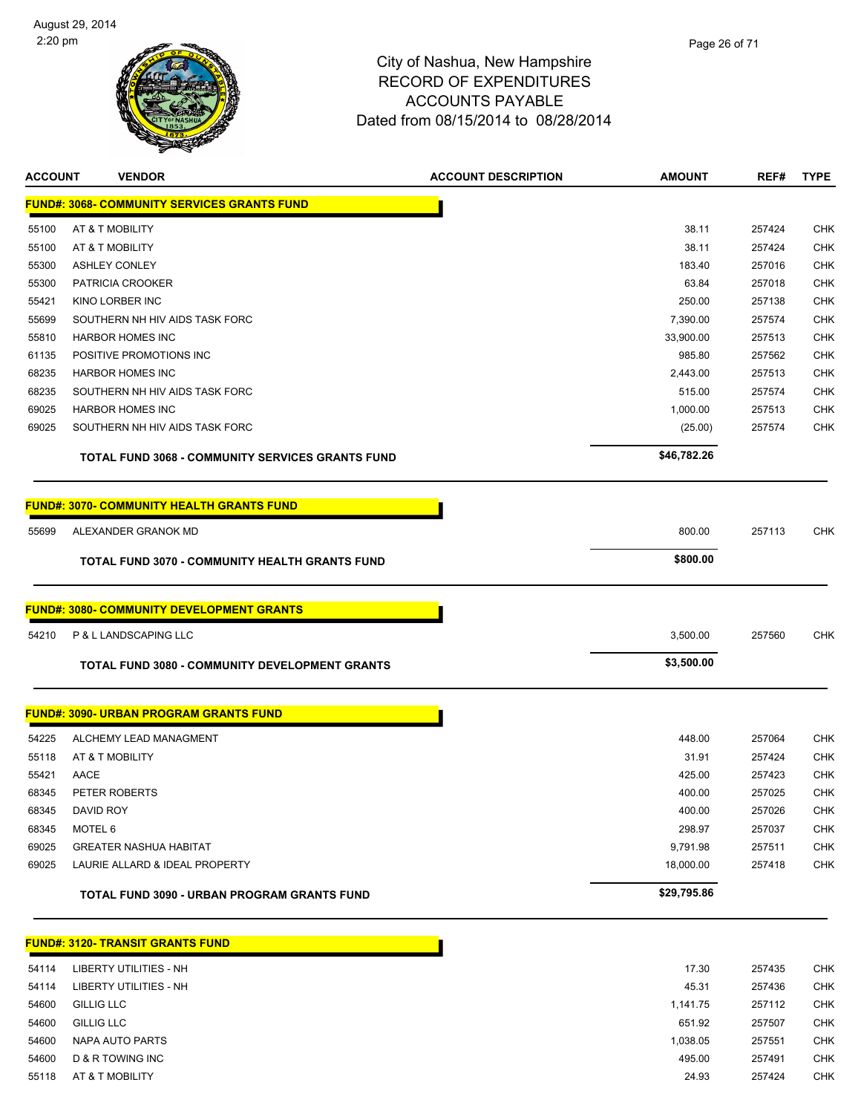

| <b>ACCOUNT</b> | <b>VENDOR</b>                                           | <b>ACCOUNT DESCRIPTION</b> | <b>AMOUNT</b> | REF#   | <b>TYPE</b> |
|----------------|---------------------------------------------------------|----------------------------|---------------|--------|-------------|
|                | <b>FUND#: 3068- COMMUNITY SERVICES GRANTS FUND</b>      |                            |               |        |             |
| 55100          | AT & T MOBILITY                                         |                            | 38.11         | 257424 | CHK         |
| 55100          | AT & T MOBILITY                                         |                            | 38.11         | 257424 | <b>CHK</b>  |
| 55300          | <b>ASHLEY CONLEY</b>                                    |                            | 183.40        | 257016 | <b>CHK</b>  |
| 55300          | PATRICIA CROOKER                                        |                            | 63.84         | 257018 | <b>CHK</b>  |
| 55421          | KINO LORBER INC                                         |                            | 250.00        | 257138 | <b>CHK</b>  |
| 55699          | SOUTHERN NH HIV AIDS TASK FORC                          |                            | 7,390.00      | 257574 | CHK         |
| 55810          | <b>HARBOR HOMES INC</b>                                 |                            | 33,900.00     | 257513 | <b>CHK</b>  |
| 61135          | POSITIVE PROMOTIONS INC                                 |                            | 985.80        | 257562 | CHK         |
| 68235          | <b>HARBOR HOMES INC</b>                                 |                            | 2,443.00      | 257513 | <b>CHK</b>  |
| 68235          | SOUTHERN NH HIV AIDS TASK FORC                          |                            | 515.00        | 257574 | <b>CHK</b>  |
| 69025          | <b>HARBOR HOMES INC</b>                                 |                            | 1,000.00      | 257513 | <b>CHK</b>  |
| 69025          | SOUTHERN NH HIV AIDS TASK FORC                          |                            | (25.00)       | 257574 | CHK         |
|                | <b>TOTAL FUND 3068 - COMMUNITY SERVICES GRANTS FUND</b> |                            | \$46,782.26   |        |             |
|                | <u> FUND#: 3070- COMMUNITY HEALTH GRANTS FUND</u>       |                            |               |        |             |
| 55699          | ALEXANDER GRANOK MD                                     |                            | 800.00        | 257113 | CHK         |
|                | TOTAL FUND 3070 - COMMUNITY HEALTH GRANTS FUND          |                            | \$800.00      |        |             |
|                | <b>FUND#: 3080- COMMUNITY DEVELOPMENT GRANTS</b>        |                            |               |        |             |
| 54210          | P & L LANDSCAPING LLC                                   |                            | 3,500.00      | 257560 | CHK         |
|                | <b>TOTAL FUND 3080 - COMMUNITY DEVELOPMENT GRANTS</b>   |                            | \$3,500.00    |        |             |
|                | <b>FUND#: 3090- URBAN PROGRAM GRANTS FUND</b>           |                            |               |        |             |
| 54225          | ALCHEMY LEAD MANAGMENT                                  |                            | 448.00        | 257064 | CHK         |
| 55118          | AT & T MOBILITY                                         |                            | 31.91         | 257424 | CHK         |
| 55421          | AACE                                                    |                            | 425.00        | 257423 | CHK         |
| 68345          | PETER ROBERTS                                           |                            | 400.00        | 257025 | <b>CHK</b>  |
| 68345          | DAVID ROY                                               |                            | 400.00        | 257026 | <b>CHK</b>  |
| 68345          | MOTEL 6                                                 |                            | 298.97        | 257037 | <b>CHK</b>  |
| 69025          | <b>GREATER NASHUA HABITAT</b>                           |                            | 9,791.98      | 257511 | <b>CHK</b>  |
| 69025          | LAURIE ALLARD & IDEAL PROPERTY                          |                            | 18,000.00     | 257418 | <b>CHK</b>  |
|                | TOTAL FUND 3090 - URBAN PROGRAM GRANTS FUND             |                            | \$29,795.86   |        |             |
|                | <u> FUND#: 3120- TRANSIT GRANTS FUND</u>                |                            |               |        |             |
| 54114          | LIBERTY UTILITIES - NH                                  |                            | 17.30         | 257435 | <b>CHK</b>  |
| 54114          | LIBERTY UTILITIES - NH                                  |                            | 45.31         | 257436 | CHK         |
| 54600          | <b>GILLIG LLC</b>                                       |                            | 1,141.75      | 257112 | <b>CHK</b>  |

 54600 GILLIG LLC 651.92 257507 CHK 54600 NAPA AUTO PARTS 1,038.05 257551 CHK 54600 D & R TOWING INC 495.00 257491 CHK 55118 AT & T MOBILITY 24.93 257424 CHK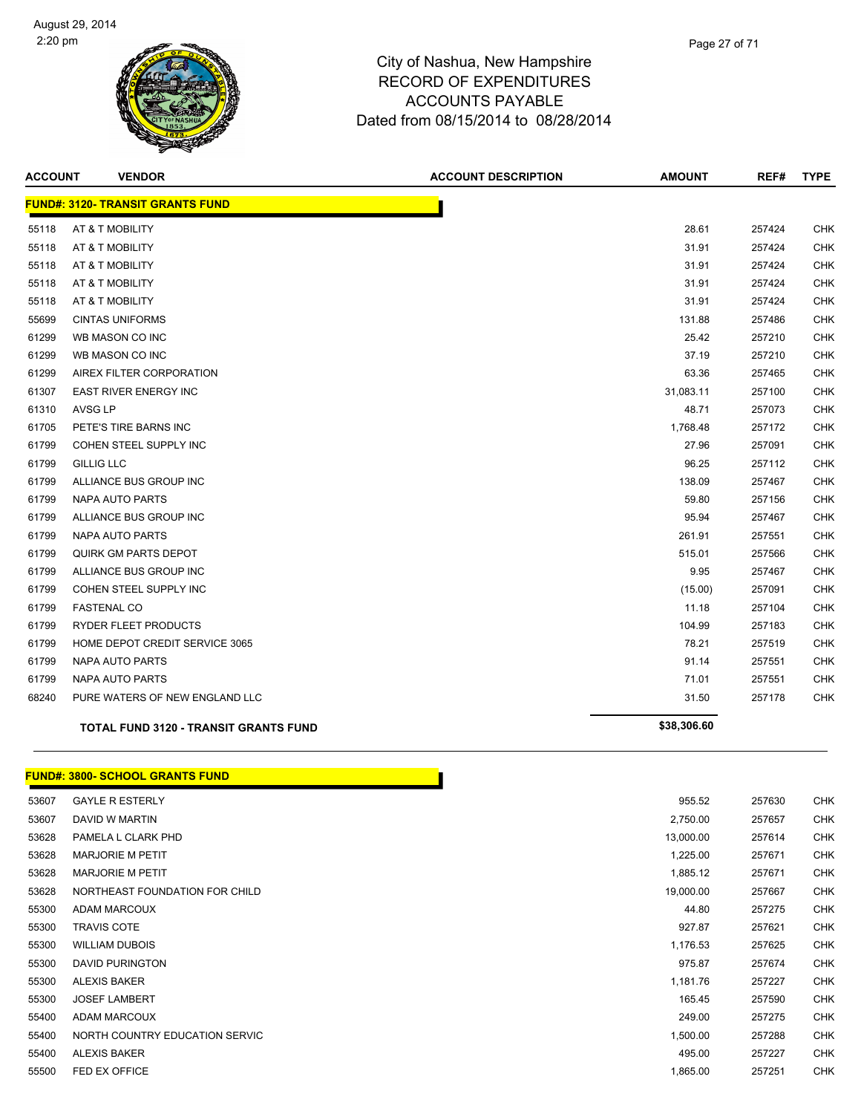

| <b>ACCOUNT</b> | <b>VENDOR</b>                           | <b>ACCOUNT DESCRIPTION</b> | <b>AMOUNT</b> | REF#   | <b>TYPE</b> |
|----------------|-----------------------------------------|----------------------------|---------------|--------|-------------|
|                | <b>FUND#: 3120- TRANSIT GRANTS FUND</b> |                            |               |        |             |
| 55118          | AT & T MOBILITY                         |                            | 28.61         | 257424 | CHK         |
| 55118          | AT & T MOBILITY                         |                            | 31.91         | 257424 | CHK         |
| 55118          | AT & T MOBILITY                         |                            | 31.91         | 257424 | CHK         |
| 55118          | AT & T MOBILITY                         |                            | 31.91         | 257424 | CHK         |
| 55118          | AT & T MOBILITY                         |                            | 31.91         | 257424 | CHK         |
| 55699          | <b>CINTAS UNIFORMS</b>                  |                            | 131.88        | 257486 | <b>CHK</b>  |
| 61299          | WB MASON CO INC                         |                            | 25.42         | 257210 | <b>CHK</b>  |
| 61299          | WB MASON CO INC                         |                            | 37.19         | 257210 | CHK         |
| 61299          | AIREX FILTER CORPORATION                |                            | 63.36         | 257465 | <b>CHK</b>  |
| 61307          | <b>EAST RIVER ENERGY INC</b>            |                            | 31,083.11     | 257100 | CHK         |
| 61310          | <b>AVSG LP</b>                          |                            | 48.71         | 257073 | CHK         |
| 61705          | PETE'S TIRE BARNS INC                   |                            | 1,768.48      | 257172 | CHK         |
| 61799          | COHEN STEEL SUPPLY INC                  |                            | 27.96         | 257091 | CHK         |
| 61799          | <b>GILLIG LLC</b>                       |                            | 96.25         | 257112 | CHK         |
| 61799          | ALLIANCE BUS GROUP INC                  |                            | 138.09        | 257467 | CHK         |
| 61799          | <b>NAPA AUTO PARTS</b>                  |                            | 59.80         | 257156 | <b>CHK</b>  |
| 61799          | ALLIANCE BUS GROUP INC                  |                            | 95.94         | 257467 | <b>CHK</b>  |
| 61799          | NAPA AUTO PARTS                         |                            | 261.91        | 257551 | CHK         |
| 61799          | QUIRK GM PARTS DEPOT                    |                            | 515.01        | 257566 | CHK         |
| 61799          | ALLIANCE BUS GROUP INC                  |                            | 9.95          | 257467 | CHK         |
| 61799          | COHEN STEEL SUPPLY INC                  |                            | (15.00)       | 257091 | CHK         |
| 61799          | <b>FASTENAL CO</b>                      |                            | 11.18         | 257104 | CHK         |
| 61799          | <b>RYDER FLEET PRODUCTS</b>             |                            | 104.99        | 257183 | CHK         |
| 61799          | HOME DEPOT CREDIT SERVICE 3065          |                            | 78.21         | 257519 | CHK         |
| 61799          | <b>NAPA AUTO PARTS</b>                  |                            | 91.14         | 257551 | <b>CHK</b>  |
| 61799          | NAPA AUTO PARTS                         |                            | 71.01         | 257551 | <b>CHK</b>  |
| 68240          | PURE WATERS OF NEW ENGLAND LLC          |                            | 31.50         | 257178 | <b>CHK</b>  |
|                | TOTAL FUND 3120 - TRANSIT GRANTS FUND   |                            | \$38,306.60   |        |             |

#### **FUND#: 3800- SCHOOL GRANTS FUND**

| 53607 | <b>GAYLE R ESTERLY</b>         | 955.52    | 257630 | <b>CHK</b> |
|-------|--------------------------------|-----------|--------|------------|
| 53607 | DAVID W MARTIN                 | 2,750.00  | 257657 | <b>CHK</b> |
| 53628 | PAMELA L CLARK PHD             | 13,000.00 | 257614 | <b>CHK</b> |
| 53628 | <b>MARJORIE M PETIT</b>        | 1,225.00  | 257671 | <b>CHK</b> |
| 53628 | <b>MARJORIE M PETIT</b>        | 1,885.12  | 257671 | <b>CHK</b> |
| 53628 | NORTHEAST FOUNDATION FOR CHILD | 19,000.00 | 257667 | <b>CHK</b> |
| 55300 | ADAM MARCOUX                   | 44.80     | 257275 | <b>CHK</b> |
| 55300 | <b>TRAVIS COTE</b>             | 927.87    | 257621 | <b>CHK</b> |
| 55300 | <b>WILLIAM DUBOIS</b>          | 1,176.53  | 257625 | <b>CHK</b> |
| 55300 | DAVID PURINGTON                | 975.87    | 257674 | <b>CHK</b> |
| 55300 | <b>ALEXIS BAKER</b>            | 1,181.76  | 257227 | <b>CHK</b> |
| 55300 | <b>JOSEF LAMBERT</b>           | 165.45    | 257590 | <b>CHK</b> |
| 55400 | ADAM MARCOUX                   | 249.00    | 257275 | <b>CHK</b> |
| 55400 | NORTH COUNTRY EDUCATION SERVIC | 1,500.00  | 257288 | <b>CHK</b> |
| 55400 | <b>ALEXIS BAKER</b>            | 495.00    | 257227 | <b>CHK</b> |
| 55500 | FED EX OFFICE                  | 1,865.00  | 257251 | <b>CHK</b> |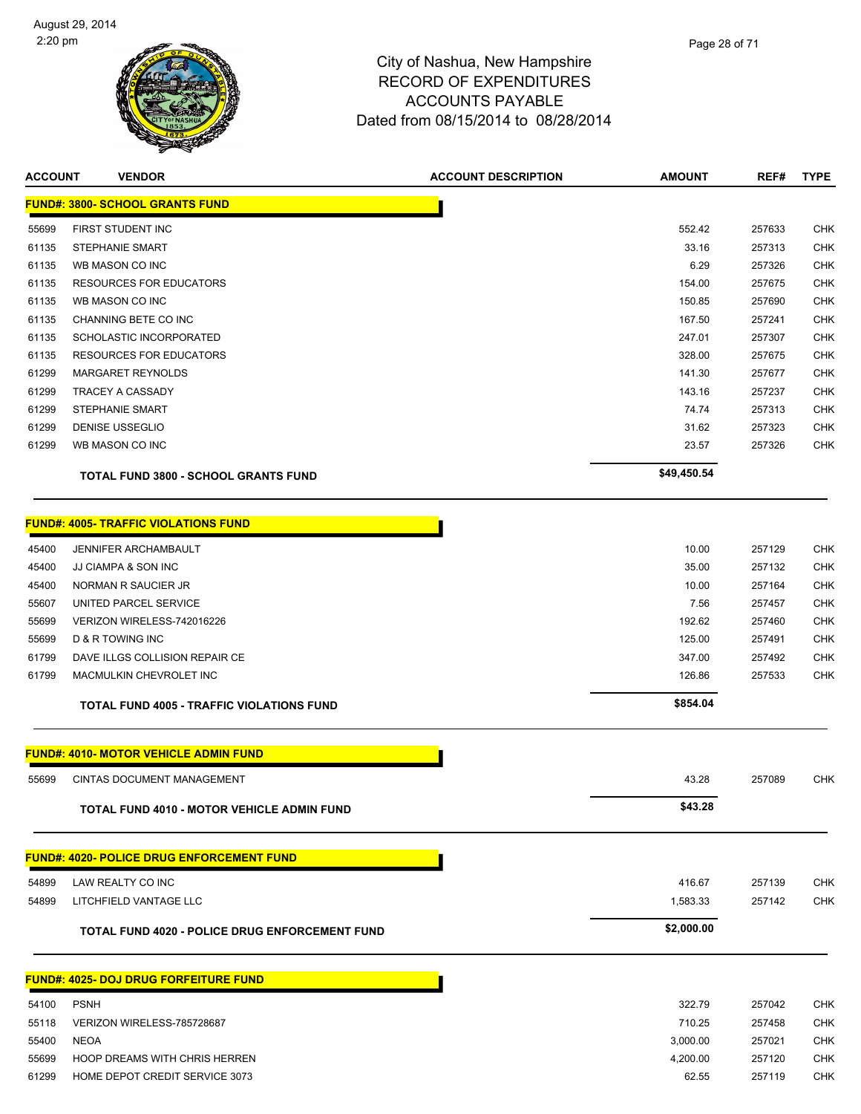

**ACCOUNT VENDOR ACCOUNT DESCRIPTION AMOUNT REF# TYPE**

|       | <b>FUND#: 3800- SCHOOL GRANTS FUND</b>                |             |        |            |
|-------|-------------------------------------------------------|-------------|--------|------------|
| 55699 | FIRST STUDENT INC                                     | 552.42      | 257633 | CHK        |
| 61135 | <b>STEPHANIE SMART</b>                                | 33.16       | 257313 | CHK        |
| 61135 | WB MASON CO INC                                       | 6.29        | 257326 | <b>CHK</b> |
| 61135 | <b>RESOURCES FOR EDUCATORS</b>                        | 154.00      | 257675 | CHK        |
| 61135 | WB MASON CO INC                                       | 150.85      | 257690 | <b>CHK</b> |
| 61135 | CHANNING BETE CO INC                                  | 167.50      | 257241 | <b>CHK</b> |
| 61135 | SCHOLASTIC INCORPORATED                               | 247.01      | 257307 | CHK        |
| 61135 | <b>RESOURCES FOR EDUCATORS</b>                        | 328.00      | 257675 | <b>CHK</b> |
| 61299 | <b>MARGARET REYNOLDS</b>                              | 141.30      | 257677 | CHK        |
| 61299 | <b>TRACEY A CASSADY</b>                               | 143.16      | 257237 | <b>CHK</b> |
| 61299 | <b>STEPHANIE SMART</b>                                | 74.74       | 257313 | CHK        |
| 61299 | DENISE USSEGLIO                                       | 31.62       | 257323 | CHK        |
| 61299 | WB MASON CO INC                                       | 23.57       | 257326 | CHK        |
|       | <b>TOTAL FUND 3800 - SCHOOL GRANTS FUND</b>           | \$49,450.54 |        |            |
|       | <b>FUND#: 4005- TRAFFIC VIOLATIONS FUND</b>           |             |        |            |
| 45400 | <b>JENNIFER ARCHAMBAULT</b>                           | 10.00       | 257129 | CHK        |
| 45400 | JJ CIAMPA & SON INC                                   | 35.00       | 257132 | CHK        |
| 45400 | NORMAN R SAUCIER JR                                   | 10.00       | 257164 | <b>CHK</b> |
| 55607 | UNITED PARCEL SERVICE                                 | 7.56        | 257457 | <b>CHK</b> |
| 55699 | VERIZON WIRELESS-742016226                            | 192.62      | 257460 | <b>CHK</b> |
| 55699 | D & R TOWING INC                                      | 125.00      | 257491 | CHK        |
| 61799 | DAVE ILLGS COLLISION REPAIR CE                        | 347.00      | 257492 | <b>CHK</b> |
| 61799 | MACMULKIN CHEVROLET INC                               | 126.86      | 257533 | CHK        |
|       | <b>TOTAL FUND 4005 - TRAFFIC VIOLATIONS FUND</b>      | \$854.04    |        |            |
|       | <b>FUND#: 4010- MOTOR VEHICLE ADMIN FUND</b>          |             |        |            |
| 55699 | CINTAS DOCUMENT MANAGEMENT                            | 43.28       | 257089 | CHK        |
|       | <b>TOTAL FUND 4010 - MOTOR VEHICLE ADMIN FUND</b>     | \$43.28     |        |            |
|       | <b>FUND#: 4020- POLICE DRUG ENFORCEMENT FUND</b>      |             |        |            |
| 54899 | LAW REALTY CO INC                                     | 416.67      | 257139 | <b>CHK</b> |
| 54899 | LITCHFIELD VANTAGE LLC                                | 1,583.33    | 257142 | CHK        |
|       | <b>TOTAL FUND 4020 - POLICE DRUG ENFORCEMENT FUND</b> | \$2,000.00  |        |            |
|       |                                                       |             |        |            |
|       | <b>FUND#: 4025- DOJ DRUG FORFEITURE FUND</b>          |             |        |            |
| 54100 | <b>PSNH</b>                                           | 322.79      | 257042 | CHK        |
| 55118 | VERIZON WIRELESS-785728687                            | 710.25      | 257458 | <b>CHK</b> |
| 55400 | <b>NEOA</b>                                           | 3,000.00    | 257021 | <b>CHK</b> |
| 55699 | HOOP DREAMS WITH CHRIS HERREN                         | 4,200.00    | 257120 | <b>CHK</b> |

61299 HOME DEPOT CREDIT SERVICE 3073 62.55 257119 CHK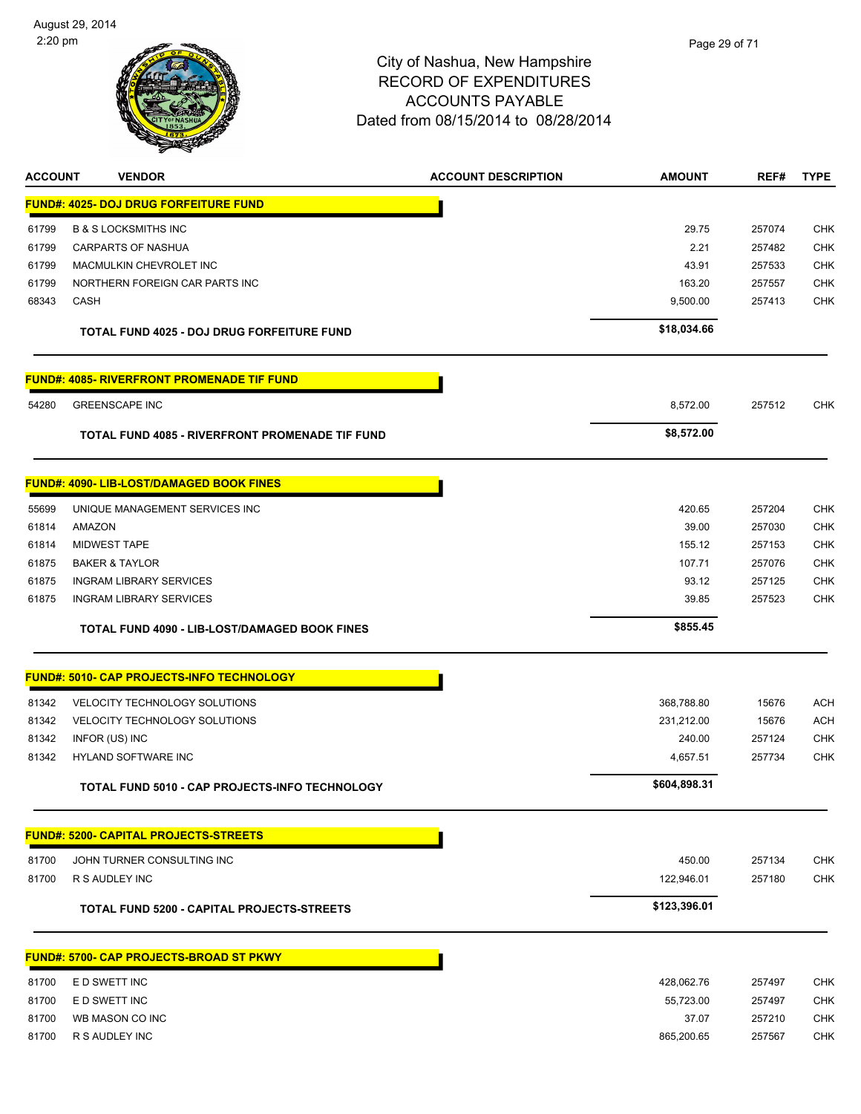

| <b>ACCOUNT</b> | <b>VENDOR</b>                                      | <b>ACCOUNT DESCRIPTION</b> | AMOUNT       | REF#   | <b>TYPE</b> |
|----------------|----------------------------------------------------|----------------------------|--------------|--------|-------------|
|                | <u> FUND#: 4025- DOJ DRUG FORFEITURE FUND</u>      |                            |              |        |             |
| 61799          | <b>B &amp; S LOCKSMITHS INC</b>                    |                            | 29.75        | 257074 | <b>CHK</b>  |
| 61799          | <b>CARPARTS OF NASHUA</b>                          |                            | 2.21         | 257482 | <b>CHK</b>  |
| 61799          | MACMULKIN CHEVROLET INC                            |                            | 43.91        | 257533 | <b>CHK</b>  |
| 61799          | NORTHERN FOREIGN CAR PARTS INC                     |                            | 163.20       | 257557 | <b>CHK</b>  |
| 68343          | <b>CASH</b>                                        |                            | 9,500.00     | 257413 | <b>CHK</b>  |
|                | TOTAL FUND 4025 - DOJ DRUG FORFEITURE FUND         |                            | \$18,034.66  |        |             |
|                | <u> FUND#: 4085- RIVERFRONT PROMENADE TIF FUND</u> |                            |              |        |             |
| 54280          | <b>GREENSCAPE INC</b>                              |                            | 8,572.00     | 257512 | CHK         |
|                | TOTAL FUND 4085 - RIVERFRONT PROMENADE TIF FUND    |                            | \$8,572.00   |        |             |
|                | FUND#: 4090- LIB-LOST/DAMAGED BOOK FINES           |                            |              |        |             |
| 55699          | UNIQUE MANAGEMENT SERVICES INC                     |                            | 420.65       | 257204 | <b>CHK</b>  |
| 61814          | AMAZON                                             |                            | 39.00        | 257030 | CHK         |
| 61814          | <b>MIDWEST TAPE</b>                                |                            | 155.12       | 257153 | <b>CHK</b>  |
| 61875          | <b>BAKER &amp; TAYLOR</b>                          |                            | 107.71       | 257076 | <b>CHK</b>  |
| 61875          | <b>INGRAM LIBRARY SERVICES</b>                     |                            | 93.12        | 257125 | <b>CHK</b>  |
| 61875          | <b>INGRAM LIBRARY SERVICES</b>                     |                            | 39.85        | 257523 | <b>CHK</b>  |
|                | TOTAL FUND 4090 - LIB-LOST/DAMAGED BOOK FINES      |                            | \$855.45     |        |             |
|                | <u> FUND#: 5010- CAP PROJECTS-INFO TECHNOLOGY</u>  |                            |              |        |             |
| 81342          | VELOCITY TECHNOLOGY SOLUTIONS                      |                            | 368,788.80   | 15676  | <b>ACH</b>  |
| 81342          | VELOCITY TECHNOLOGY SOLUTIONS                      |                            | 231,212.00   | 15676  | <b>ACH</b>  |
| 81342          | INFOR (US) INC                                     |                            | 240.00       | 257124 | <b>CHK</b>  |
| 81342          | HYLAND SOFTWARE INC                                |                            | 4,657.51     | 257734 | CHK         |
|                | TOTAL FUND 5010 - CAP PROJECTS-INFO TECHNOLOGY     |                            | \$604,898.31 |        |             |
|                | <u> FUND#: 5200- CAPITAL PROJECTS-STREETS</u>      |                            |              |        |             |
| 81700          | JOHN TURNER CONSULTING INC                         |                            | 450.00       | 257134 | <b>CHK</b>  |
| 81700          | R S AUDLEY INC                                     |                            | 122,946.01   | 257180 | CHK         |
|                | TOTAL FUND 5200 - CAPITAL PROJECTS-STREETS         |                            | \$123,396.01 |        |             |
|                | <b>FUND#: 5700- CAP PROJECTS-BROAD ST PKWY</b>     |                            |              |        |             |
| 81700          | E D SWETT INC                                      |                            | 428,062.76   | 257497 | <b>CHK</b>  |
| 81700          | E D SWETT INC                                      |                            | 55,723.00    | 257497 | <b>CHK</b>  |

81700 WB MASON CO INC 6. THE STATE OF THE STATE OF THE STATE OF THE STATE OF THE STATE OF THE STATE OF THE STATE OF THE STATE OF THE STATE OF THE STATE OF THE STATE OF THE STATE OF THE STATE OF THE STATE OF THE STATE OF TH 81700 R S AUDLEY INC 865,200.65 257567 CHK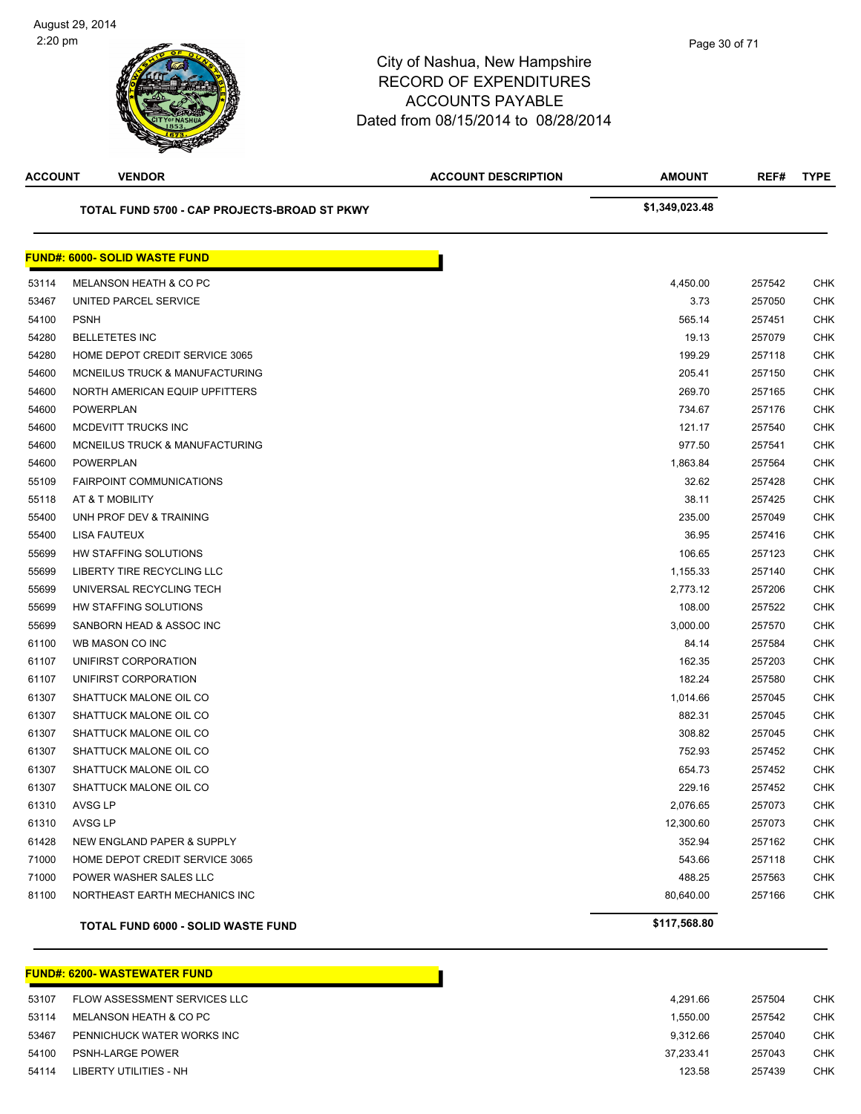| <b>ACCOUNT</b> | <b>VENDOR</b>                                | <b>ACCOUNT DESCRIPTION</b> | <b>AMOUNT</b>  | REF#   | <b>TYPE</b> |
|----------------|----------------------------------------------|----------------------------|----------------|--------|-------------|
|                | TOTAL FUND 5700 - CAP PROJECTS-BROAD ST PKWY |                            | \$1,349,023.48 |        |             |
|                | <b>FUND#: 6000- SOLID WASTE FUND</b>         |                            |                |        |             |
| 53114          | MELANSON HEATH & CO PC                       |                            | 4,450.00       | 257542 | CHK         |
| 53467          | UNITED PARCEL SERVICE                        |                            | 3.73           | 257050 | CHK         |
| 54100          | <b>PSNH</b>                                  |                            | 565.14         | 257451 | CHK         |
| 54280          | <b>BELLETETES INC</b>                        |                            | 19.13          | 257079 | CHK         |
| 54280          | HOME DEPOT CREDIT SERVICE 3065               |                            | 199.29         | 257118 | CHK         |
| 54600          | MCNEILUS TRUCK & MANUFACTURING               |                            | 205.41         | 257150 | <b>CHK</b>  |
| 54600          | NORTH AMERICAN EQUIP UPFITTERS               |                            | 269.70         | 257165 | <b>CHK</b>  |
| 54600          | <b>POWERPLAN</b>                             |                            | 734.67         | 257176 | <b>CHK</b>  |
| 54600          | MCDEVITT TRUCKS INC                          |                            | 121.17         | 257540 | CHK         |
| 54600          | MCNEILUS TRUCK & MANUFACTURING               |                            | 977.50         | 257541 | CHK         |
| 54600          | <b>POWERPLAN</b>                             |                            | 1,863.84       | 257564 | CHK         |
| 55109          | <b>FAIRPOINT COMMUNICATIONS</b>              |                            | 32.62          | 257428 | CHK         |
| 55118          | AT & T MOBILITY                              |                            | 38.11          | 257425 | <b>CHK</b>  |
| 55400          | UNH PROF DEV & TRAINING                      |                            | 235.00         | 257049 | CHK         |
| 55400          | LISA FAUTEUX                                 |                            | 36.95          | 257416 | <b>CHK</b>  |
| 55699          | HW STAFFING SOLUTIONS                        |                            | 106.65         | 257123 | CHK         |
| 55699          | LIBERTY TIRE RECYCLING LLC                   |                            | 1,155.33       | 257140 | CHK         |
| 55699          | UNIVERSAL RECYCLING TECH                     |                            | 2,773.12       | 257206 | <b>CHK</b>  |
| 55699          | HW STAFFING SOLUTIONS                        |                            | 108.00         | 257522 | CHK         |
| 55699          | SANBORN HEAD & ASSOC INC                     |                            | 3,000.00       | 257570 | <b>CHK</b>  |
| 61100          | WB MASON CO INC                              |                            | 84.14          | 257584 | CHK         |
| 61107          | UNIFIRST CORPORATION                         |                            | 162.35         | 257203 | <b>CHK</b>  |
| 61107          | UNIFIRST CORPORATION                         |                            | 182.24         | 257580 | CHK         |
| 61307          | SHATTUCK MALONE OIL CO                       |                            | 1,014.66       | 257045 | CHK         |
| 61307          | SHATTUCK MALONE OIL CO                       |                            | 882.31         | 257045 | CHK         |
| 61307          | SHATTUCK MALONE OIL CO                       |                            | 308.82         | 257045 | CHK         |
| 61307          | SHATTUCK MALONE OIL CO                       |                            | 752.93         | 257452 | CHK         |
| 61307          | SHATTUCK MALONE OIL CO                       |                            | 654.73         | 257452 | CHK         |
| 61307          | SHATTUCK MALONE OIL CO                       |                            | 229.16         | 257452 | <b>CHK</b>  |
| 61310          | AVSG LP                                      |                            | 2,076.65       | 257073 | <b>CHK</b>  |
| 61310          | AVSG LP                                      |                            | 12,300.60      | 257073 | <b>CHK</b>  |
| 61428          | NEW ENGLAND PAPER & SUPPLY                   |                            | 352.94         | 257162 | <b>CHK</b>  |
| 71000          | HOME DEPOT CREDIT SERVICE 3065               |                            | 543.66         | 257118 | <b>CHK</b>  |
| 71000          | POWER WASHER SALES LLC                       |                            | 488.25         | 257563 | <b>CHK</b>  |
| 81100          | NORTHEAST EARTH MECHANICS INC                |                            | 80,640.00      | 257166 | <b>CHK</b>  |
|                | TOTAL FUND 6000 - SOLID WASTE FUND           |                            | \$117,568.80   |        |             |

#### **FUND#: 6200- WASTEWATER FUND**

| 53107 | FLOW ASSESSMENT SERVICES LLC | 4.291.66  |
|-------|------------------------------|-----------|
| 53114 | MELANSON HEATH & CO PC       | 1.550.00  |
| 53467 | PENNICHUCK WATER WORKS INC   | 9.312.66  |
| 54100 | <b>PSNH-LARGE POWER</b>      | 37.233.41 |
| 54114 | LIBERTY UTILITIES - NH       | 123.58    |
|       |                              |           |

П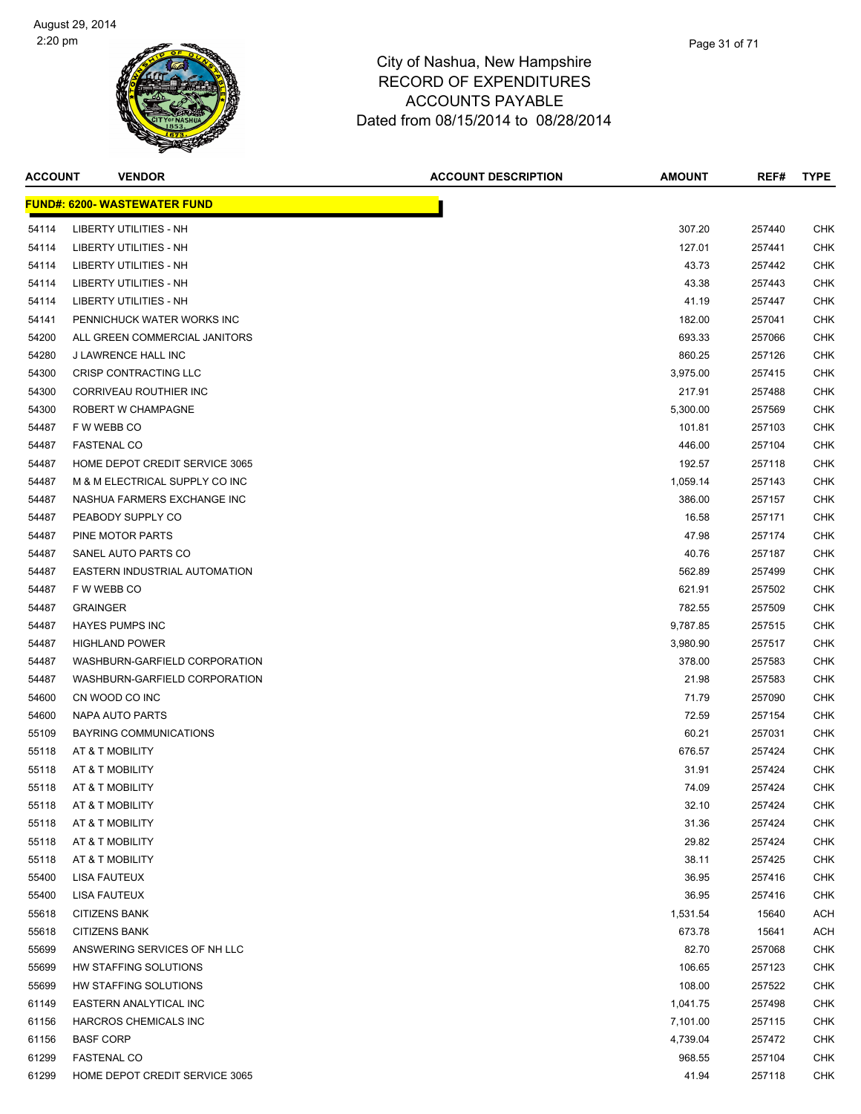

| <b>ACCOUNT</b> | <b>VENDOR</b>                       | <b>ACCOUNT DESCRIPTION</b> | <b>AMOUNT</b> | REF#   | <b>TYPE</b> |
|----------------|-------------------------------------|----------------------------|---------------|--------|-------------|
|                | <b>FUND#: 6200- WASTEWATER FUND</b> |                            |               |        |             |
| 54114          | LIBERTY UTILITIES - NH              |                            | 307.20        | 257440 | CHK         |
| 54114          | <b>LIBERTY UTILITIES - NH</b>       |                            | 127.01        | 257441 | CHK         |
| 54114          | LIBERTY UTILITIES - NH              |                            | 43.73         | 257442 | CHK         |
| 54114          | LIBERTY UTILITIES - NH              |                            | 43.38         | 257443 | CHK         |
| 54114          | LIBERTY UTILITIES - NH              |                            | 41.19         | 257447 | CHK         |
| 54141          | PENNICHUCK WATER WORKS INC          |                            | 182.00        | 257041 | CHK         |
| 54200          | ALL GREEN COMMERCIAL JANITORS       |                            | 693.33        | 257066 | CHK         |
| 54280          | J LAWRENCE HALL INC                 |                            | 860.25        | 257126 | CHK         |
| 54300          | CRISP CONTRACTING LLC               |                            | 3,975.00      | 257415 | CHK         |
| 54300          | CORRIVEAU ROUTHIER INC              |                            | 217.91        | 257488 | CHK         |
| 54300          | ROBERT W CHAMPAGNE                  |                            | 5,300.00      | 257569 | CHK         |
| 54487          | F W WEBB CO                         |                            | 101.81        | 257103 | CHK         |
| 54487          | <b>FASTENAL CO</b>                  |                            | 446.00        | 257104 | CHK         |
| 54487          | HOME DEPOT CREDIT SERVICE 3065      |                            | 192.57        | 257118 | CHK         |
| 54487          | M & M ELECTRICAL SUPPLY CO INC      |                            | 1,059.14      | 257143 | CHK         |
| 54487          | NASHUA FARMERS EXCHANGE INC         |                            | 386.00        | 257157 | CHK         |
| 54487          | PEABODY SUPPLY CO                   |                            | 16.58         | 257171 | CHK         |
| 54487          | PINE MOTOR PARTS                    |                            | 47.98         | 257174 | CHK         |
| 54487          | SANEL AUTO PARTS CO                 |                            | 40.76         | 257187 | CHK         |
| 54487          | EASTERN INDUSTRIAL AUTOMATION       |                            | 562.89        | 257499 | CHK         |
| 54487          | F W WEBB CO                         |                            | 621.91        | 257502 | CHK         |
| 54487          | <b>GRAINGER</b>                     |                            | 782.55        | 257509 | CHK         |
| 54487          | <b>HAYES PUMPS INC</b>              |                            | 9,787.85      | 257515 | CHK         |
| 54487          | <b>HIGHLAND POWER</b>               |                            | 3,980.90      | 257517 | CHK         |
| 54487          | WASHBURN-GARFIELD CORPORATION       |                            | 378.00        | 257583 | CHK         |
| 54487          | WASHBURN-GARFIELD CORPORATION       |                            | 21.98         | 257583 | CHK         |
| 54600          | CN WOOD CO INC                      |                            | 71.79         | 257090 | CHK         |
| 54600          | NAPA AUTO PARTS                     |                            | 72.59         | 257154 | CHK         |
| 55109          | <b>BAYRING COMMUNICATIONS</b>       |                            | 60.21         | 257031 | CHK         |
| 55118          | AT & T MOBILITY                     |                            | 676.57        | 257424 | CHK         |
| 55118          | AT & T MOBILITY                     |                            | 31.91         | 257424 | CHK         |
| 55118          | AT & T MOBILITY                     |                            | 74.09         | 257424 | CHK         |
| 55118          | AT & T MOBILITY                     |                            | 32.10         | 257424 | <b>CHK</b>  |
| 55118          | AT & T MOBILITY                     |                            | 31.36         | 257424 | CHK         |
| 55118          | AT & T MOBILITY                     |                            | 29.82         | 257424 | CHK         |
| 55118          | AT & T MOBILITY                     |                            | 38.11         | 257425 | CHK         |
| 55400          | LISA FAUTEUX                        |                            | 36.95         | 257416 | CHK         |
| 55400          | LISA FAUTEUX                        |                            | 36.95         | 257416 | CHK         |
| 55618          | <b>CITIZENS BANK</b>                |                            | 1,531.54      | 15640  | <b>ACH</b>  |
| 55618          | <b>CITIZENS BANK</b>                |                            | 673.78        | 15641  | <b>ACH</b>  |
| 55699          | ANSWERING SERVICES OF NH LLC        |                            | 82.70         | 257068 | CHK         |
| 55699          | HW STAFFING SOLUTIONS               |                            | 106.65        | 257123 | CHK         |
| 55699          | HW STAFFING SOLUTIONS               |                            | 108.00        | 257522 | CHK         |
| 61149          | EASTERN ANALYTICAL INC              |                            | 1,041.75      | 257498 | CHK         |
| 61156          | HARCROS CHEMICALS INC               |                            | 7,101.00      | 257115 | CHK         |
| 61156          | <b>BASF CORP</b>                    |                            | 4,739.04      | 257472 | CHK         |
| 61299          | <b>FASTENAL CO</b>                  |                            | 968.55        | 257104 | CHK         |
| 61299          | HOME DEPOT CREDIT SERVICE 3065      |                            | 41.94         | 257118 | CHK         |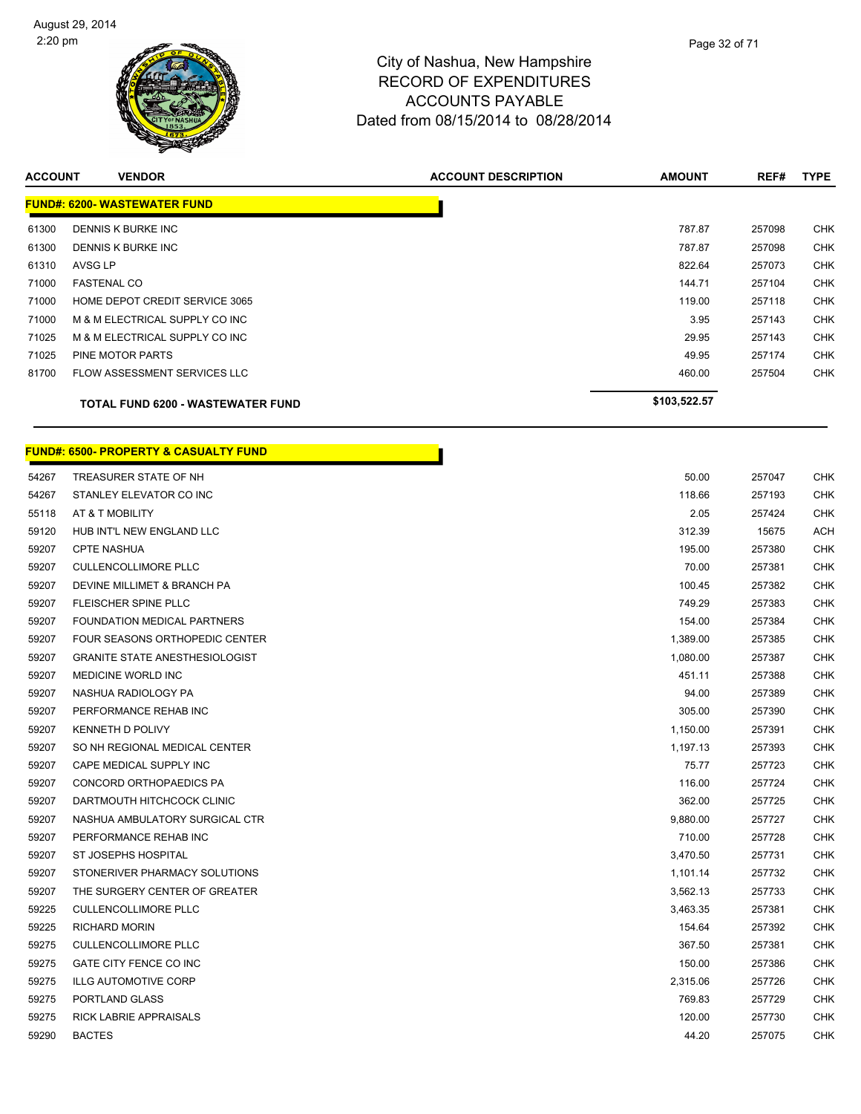

| <b>ACCOUNT</b> | <b>VENDOR</b>                       | <b>ACCOUNT DESCRIPTION</b> | <b>AMOUNT</b> | REF#   | <b>TYPE</b> |
|----------------|-------------------------------------|----------------------------|---------------|--------|-------------|
|                | <b>FUND#: 6200- WASTEWATER FUND</b> |                            |               |        |             |
| 61300          | DENNIS K BURKE INC                  |                            | 787.87        | 257098 | <b>CHK</b>  |
| 61300          | DENNIS K BURKE INC                  |                            | 787.87        | 257098 | <b>CHK</b>  |
| 61310          | AVSG LP                             |                            | 822.64        | 257073 | <b>CHK</b>  |
| 71000          | <b>FASTENAL CO</b>                  |                            | 144.71        | 257104 | <b>CHK</b>  |
| 71000          | HOME DEPOT CREDIT SERVICE 3065      |                            | 119.00        | 257118 | <b>CHK</b>  |
| 71000          | M & M ELECTRICAL SUPPLY CO INC      |                            | 3.95          | 257143 | <b>CHK</b>  |
| 71025          | M & M ELECTRICAL SUPPLY CO INC      |                            | 29.95         | 257143 | <b>CHK</b>  |
| 71025          | PINE MOTOR PARTS                    |                            | 49.95         | 257174 | <b>CHK</b>  |
| 81700          | <b>FLOW ASSESSMENT SERVICES LLC</b> |                            | 460.00        | 257504 | <b>CHK</b>  |
|                | TOTAL FUND 6200 - WASTEWATER FUND   |                            | \$103,522.57  |        |             |

П

#### **FUND#: 6500- PROPERTY & CASUALTY FUND**

| 54267 | TREASURER STATE OF NH                 | 50.00    | 257047 | <b>CHK</b> |
|-------|---------------------------------------|----------|--------|------------|
| 54267 | STANLEY ELEVATOR CO INC               | 118.66   | 257193 | <b>CHK</b> |
| 55118 | AT & T MOBILITY                       | 2.05     | 257424 | CHK        |
| 59120 | HUB INT'L NEW ENGLAND LLC             | 312.39   | 15675  | <b>ACH</b> |
| 59207 | <b>CPTE NASHUA</b>                    | 195.00   | 257380 | <b>CHK</b> |
| 59207 | <b>CULLENCOLLIMORE PLLC</b>           | 70.00    | 257381 | <b>CHK</b> |
| 59207 | DEVINE MILLIMET & BRANCH PA           | 100.45   | 257382 | CHK        |
| 59207 | FLEISCHER SPINE PLLC                  | 749.29   | 257383 | <b>CHK</b> |
| 59207 | FOUNDATION MEDICAL PARTNERS           | 154.00   | 257384 | <b>CHK</b> |
| 59207 | FOUR SEASONS ORTHOPEDIC CENTER        | 1,389.00 | 257385 | <b>CHK</b> |
| 59207 | <b>GRANITE STATE ANESTHESIOLOGIST</b> | 1,080.00 | 257387 | CHK        |
| 59207 | MEDICINE WORLD INC                    | 451.11   | 257388 | <b>CHK</b> |
| 59207 | NASHUA RADIOLOGY PA                   | 94.00    | 257389 | <b>CHK</b> |
| 59207 | PERFORMANCE REHAB INC                 | 305.00   | 257390 | <b>CHK</b> |
| 59207 | <b>KENNETH D POLIVY</b>               | 1,150.00 | 257391 | <b>CHK</b> |
| 59207 | SO NH REGIONAL MEDICAL CENTER         | 1,197.13 | 257393 | CHK        |
| 59207 | CAPE MEDICAL SUPPLY INC               | 75.77    | 257723 | <b>CHK</b> |
| 59207 | CONCORD ORTHOPAEDICS PA               | 116.00   | 257724 | <b>CHK</b> |
| 59207 | DARTMOUTH HITCHCOCK CLINIC            | 362.00   | 257725 | <b>CHK</b> |
| 59207 | NASHUA AMBULATORY SURGICAL CTR        | 9,880.00 | 257727 | CHK        |
| 59207 | PERFORMANCE REHAB INC                 | 710.00   | 257728 | <b>CHK</b> |
| 59207 | ST JOSEPHS HOSPITAL                   | 3,470.50 | 257731 | <b>CHK</b> |
| 59207 | STONERIVER PHARMACY SOLUTIONS         | 1,101.14 | 257732 | <b>CHK</b> |
| 59207 | THE SURGERY CENTER OF GREATER         | 3,562.13 | 257733 | CHK        |
| 59225 | <b>CULLENCOLLIMORE PLLC</b>           | 3,463.35 | 257381 | <b>CHK</b> |
| 59225 | <b>RICHARD MORIN</b>                  | 154.64   | 257392 | <b>CHK</b> |
| 59275 | <b>CULLENCOLLIMORE PLLC</b>           | 367.50   | 257381 | <b>CHK</b> |
| 59275 | GATE CITY FENCE CO INC                | 150.00   | 257386 | CHK        |
| 59275 | <b>ILLG AUTOMOTIVE CORP</b>           | 2,315.06 | 257726 | CHK        |
| 59275 | PORTLAND GLASS                        | 769.83   | 257729 | <b>CHK</b> |
| 59275 | RICK LABRIE APPRAISALS                | 120.00   | 257730 | CHK        |
| 59290 | <b>BACTES</b>                         | 44.20    | 257075 | <b>CHK</b> |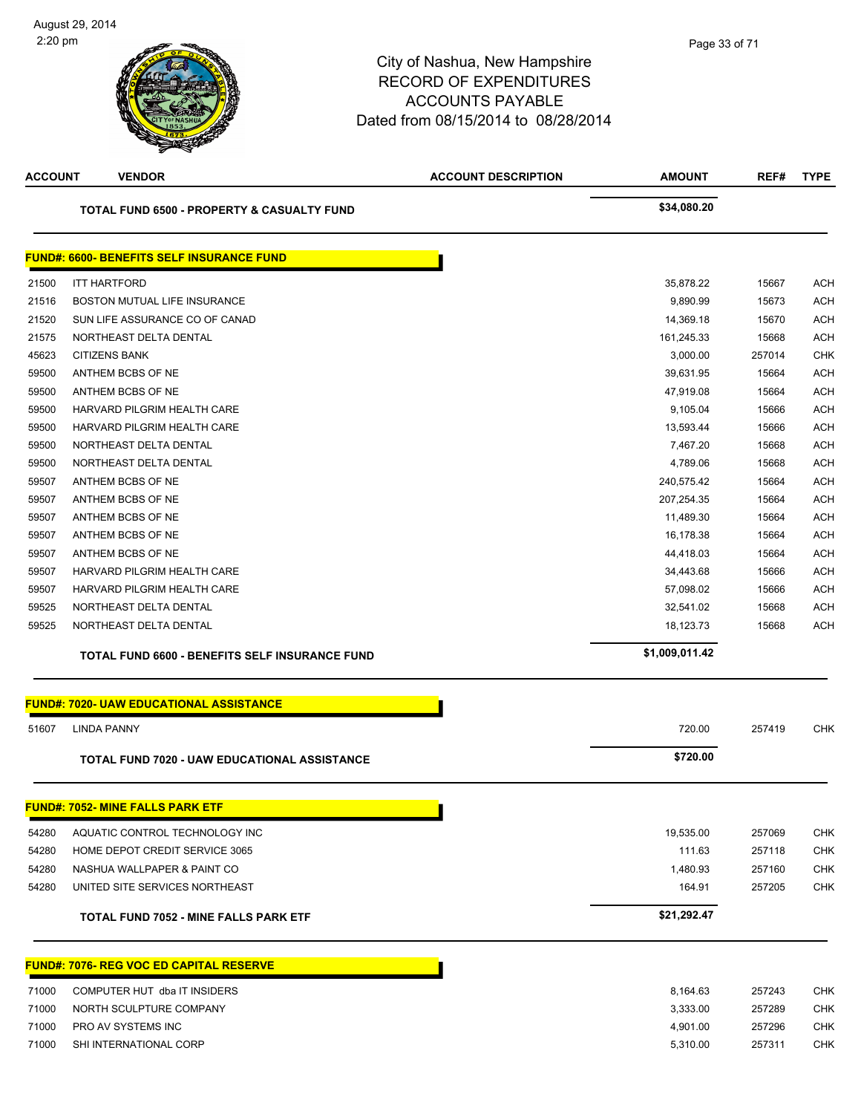

| <b>ACCOUNT</b> | <b>VENDOR</b>                                       | <b>ACCOUNT DESCRIPTION</b> | <b>AMOUNT</b>  | REF#   | <b>TYPE</b> |
|----------------|-----------------------------------------------------|----------------------------|----------------|--------|-------------|
|                | TOTAL FUND 6500 - PROPERTY & CASUALTY FUND          |                            | \$34,080.20    |        |             |
|                | <b>FUND#: 6600- BENEFITS SELF INSURANCE FUND</b>    |                            |                |        |             |
| 21500          | <b>ITT HARTFORD</b>                                 |                            | 35,878.22      | 15667  | <b>ACH</b>  |
| 21516          | BOSTON MUTUAL LIFE INSURANCE                        |                            | 9,890.99       | 15673  | <b>ACH</b>  |
| 21520          | SUN LIFE ASSURANCE CO OF CANAD                      |                            | 14,369.18      | 15670  | <b>ACH</b>  |
| 21575          | NORTHEAST DELTA DENTAL                              |                            | 161,245.33     | 15668  | <b>ACH</b>  |
| 45623          | <b>CITIZENS BANK</b>                                |                            | 3,000.00       | 257014 | <b>CHK</b>  |
| 59500          | ANTHEM BCBS OF NE                                   |                            | 39,631.95      | 15664  | <b>ACH</b>  |
| 59500          | ANTHEM BCBS OF NE                                   |                            | 47,919.08      | 15664  | <b>ACH</b>  |
| 59500          | HARVARD PILGRIM HEALTH CARE                         |                            | 9,105.04       | 15666  | <b>ACH</b>  |
| 59500          | HARVARD PILGRIM HEALTH CARE                         |                            | 13,593.44      | 15666  | <b>ACH</b>  |
| 59500          | NORTHEAST DELTA DENTAL                              |                            | 7,467.20       | 15668  | <b>ACH</b>  |
| 59500          | NORTHEAST DELTA DENTAL                              |                            | 4,789.06       | 15668  | <b>ACH</b>  |
| 59507          | ANTHEM BCBS OF NE                                   |                            | 240,575.42     | 15664  | <b>ACH</b>  |
| 59507          | ANTHEM BCBS OF NE                                   |                            | 207,254.35     | 15664  | <b>ACH</b>  |
| 59507          | ANTHEM BCBS OF NE                                   |                            | 11,489.30      | 15664  | <b>ACH</b>  |
| 59507          | ANTHEM BCBS OF NE                                   |                            | 16,178.38      | 15664  | <b>ACH</b>  |
| 59507          | ANTHEM BCBS OF NE                                   |                            | 44,418.03      | 15664  | <b>ACH</b>  |
| 59507          | HARVARD PILGRIM HEALTH CARE                         |                            | 34,443.68      | 15666  | <b>ACH</b>  |
| 59507          | HARVARD PILGRIM HEALTH CARE                         |                            | 57,098.02      | 15666  | <b>ACH</b>  |
| 59525          | NORTHEAST DELTA DENTAL                              |                            | 32,541.02      | 15668  | <b>ACH</b>  |
| 59525          | NORTHEAST DELTA DENTAL                              |                            | 18,123.73      | 15668  | <b>ACH</b>  |
|                | TOTAL FUND 6600 - BENEFITS SELF INSURANCE FUND      |                            | \$1,009,011.42 |        |             |
|                | <b>FUND#: 7020- UAW EDUCATIONAL ASSISTANCE</b>      |                            |                |        |             |
| 51607          | <b>LINDA PANNY</b>                                  |                            | 720.00         | 257419 | CHK         |
|                | <b>TOTAL FUND 7020 - UAW EDUCATIONAL ASSISTANCE</b> |                            | \$720.00       |        |             |
|                | <b>FUND#: 7052- MINE FALLS PARK ETF</b>             |                            |                |        |             |
| 54280          | AQUATIC CONTROL TECHNOLOGY INC                      |                            | 19,535.00      | 257069 | <b>CHK</b>  |
| 54280          | HOME DEPOT CREDIT SERVICE 3065                      |                            | 111.63         | 257118 | <b>CHK</b>  |
| 54280          | NASHUA WALLPAPER & PAINT CO                         |                            | 1,480.93       | 257160 | <b>CHK</b>  |
| 54280          | UNITED SITE SERVICES NORTHEAST                      |                            | 164.91         | 257205 | CHK         |
|                | <b>TOTAL FUND 7052 - MINE FALLS PARK ETF</b>        |                            | \$21,292.47    |        |             |
|                | <b>FUND#: 7076- REG VOC ED CAPITAL RESERVE</b>      |                            |                |        |             |
| 71000          | COMPUTER HUT dba IT INSIDERS                        |                            | 8,164.63       | 257243 | <b>CHK</b>  |
| 71000          | NORTH SCULPTURE COMPANY                             |                            | 3,333.00       | 257289 | <b>CHK</b>  |
| 71000          | PRO AV SYSTEMS INC                                  |                            | 4,901.00       | 257296 | <b>CHK</b>  |
| 71000          | SHI INTERNATIONAL CORP                              |                            | 5,310.00       | 257311 | <b>CHK</b>  |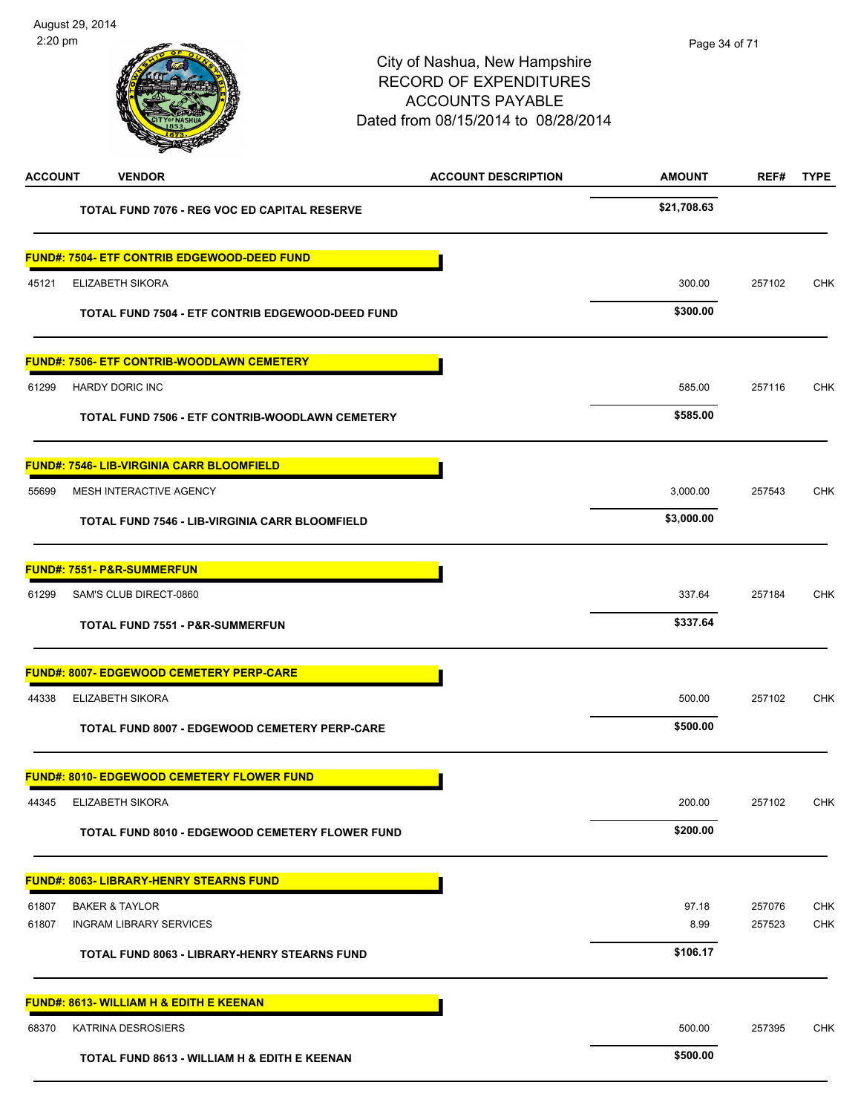| <b>ACCOUNT</b> | <b>VENDOR</b>                                          | <b>ACCOUNT DESCRIPTION</b> | <b>AMOUNT</b> | REF#   | <b>TYPE</b> |
|----------------|--------------------------------------------------------|----------------------------|---------------|--------|-------------|
|                | TOTAL FUND 7076 - REG VOC ED CAPITAL RESERVE           |                            | \$21,708.63   |        |             |
|                | <b>FUND#: 7504- ETF CONTRIB EDGEWOOD-DEED FUND</b>     |                            |               |        |             |
| 45121          | ELIZABETH SIKORA                                       |                            | 300.00        | 257102 | CHK         |
|                | TOTAL FUND 7504 - ETF CONTRIB EDGEWOOD-DEED FUND       |                            | \$300.00      |        |             |
|                | <u> FUND#: 7506- ETF CONTRIB-WOODLAWN CEMETERY</u>     |                            |               |        |             |
| 61299          | <b>HARDY DORIC INC</b>                                 |                            | 585.00        | 257116 | CHK         |
|                | TOTAL FUND 7506 - ETF CONTRIB-WOODLAWN CEMETERY        |                            | \$585.00      |        |             |
|                | <b>FUND#: 7546- LIB-VIRGINIA CARR BLOOMFIELD</b>       |                            |               |        |             |
| 55699          | MESH INTERACTIVE AGENCY                                |                            | 3,000.00      | 257543 | CHK         |
|                | <b>TOTAL FUND 7546 - LIB-VIRGINIA CARR BLOOMFIELD</b>  |                            | \$3,000.00    |        |             |
|                | <u> FUND#: 7551- P&amp;R-SUMMERFUN</u>                 |                            |               |        |             |
| 61299          | SAM'S CLUB DIRECT-0860                                 |                            | 337.64        | 257184 | <b>CHK</b>  |
|                | TOTAL FUND 7551 - P&R-SUMMERFUN                        |                            | \$337.64      |        |             |
|                | <b>FUND#: 8007- EDGEWOOD CEMETERY PERP-CARE</b>        |                            |               |        |             |
| 44338          | ELIZABETH SIKORA                                       |                            | 500.00        | 257102 | <b>CHK</b>  |
|                | TOTAL FUND 8007 - EDGEWOOD CEMETERY PERP-CARE          |                            | \$500.00      |        |             |
|                | <b>FUND#: 8010- EDGEWOOD CEMETERY FLOWER FUND</b>      |                            |               |        |             |
| 44345          | ELIZABETH SIKORA                                       |                            | 200.00        | 257102 | <b>CHK</b>  |
|                | <b>TOTAL FUND 8010 - EDGEWOOD CEMETERY FLOWER FUND</b> |                            | \$200.00      |        |             |
|                | <b>FUND#: 8063- LIBRARY-HENRY STEARNS FUND</b>         |                            |               |        |             |
| 61807          | <b>BAKER &amp; TAYLOR</b>                              |                            | 97.18         | 257076 | <b>CHK</b>  |
| 61807          | <b>INGRAM LIBRARY SERVICES</b>                         |                            | 8.99          | 257523 | <b>CHK</b>  |
|                | TOTAL FUND 8063 - LIBRARY-HENRY STEARNS FUND           |                            | \$106.17      |        |             |
|                | <b>FUND#: 8613- WILLIAM H &amp; EDITH E KEENAN</b>     |                            |               |        |             |
| 68370          | <b>KATRINA DESROSIERS</b>                              |                            | 500.00        | 257395 | <b>CHK</b>  |
|                | TOTAL FUND 8613 - WILLIAM H & EDITH E KEENAN           |                            | \$500.00      |        |             |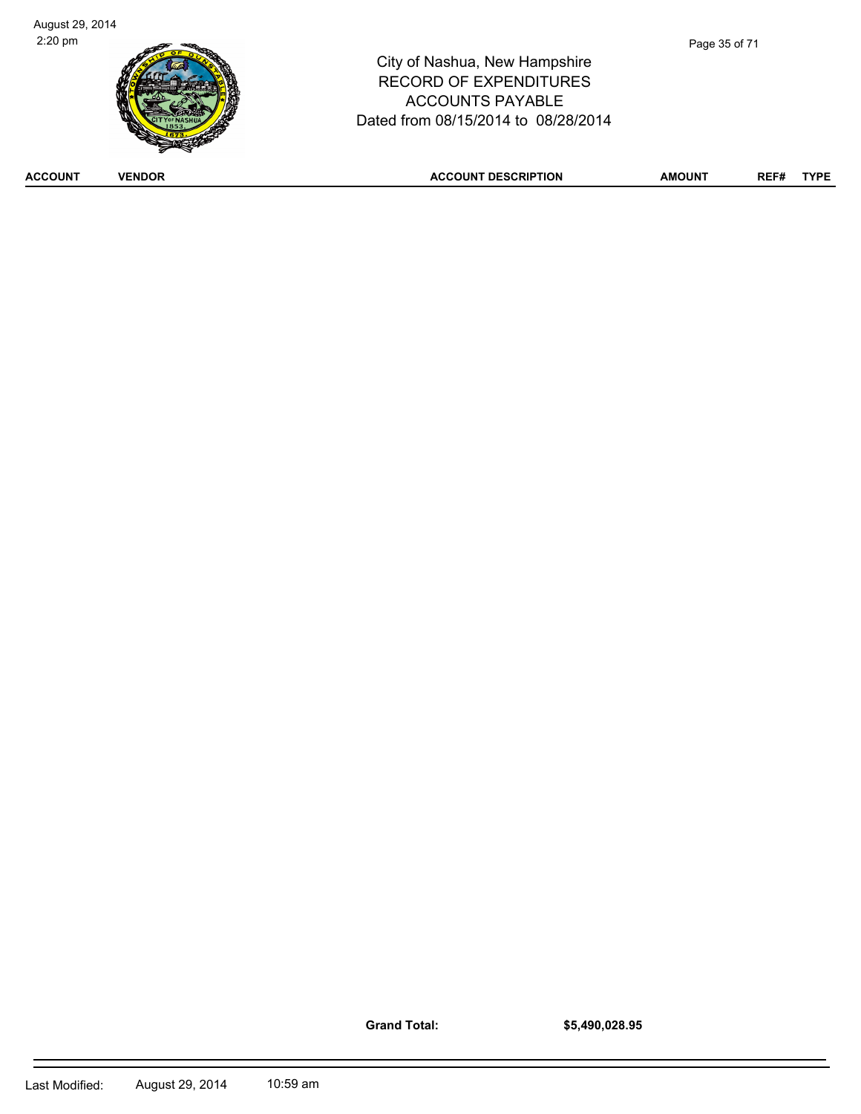**Grand Total:**

**\$5,490,028.95**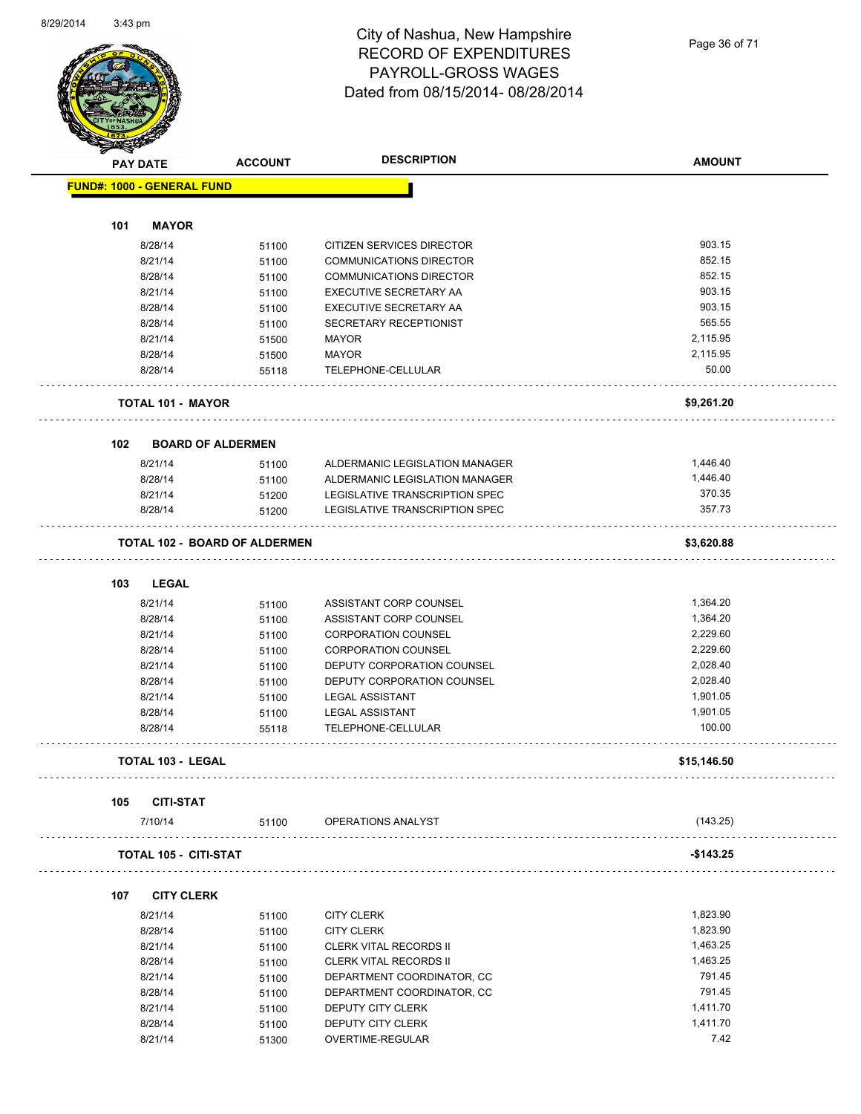Page 36 of 71

| <b>START COLLEGE</b> |                                   |                               |                                |               |  |
|----------------------|-----------------------------------|-------------------------------|--------------------------------|---------------|--|
|                      | <b>PAY DATE</b>                   | <b>ACCOUNT</b>                | <b>DESCRIPTION</b>             | <b>AMOUNT</b> |  |
|                      | <b>FUND#: 1000 - GENERAL FUND</b> |                               |                                |               |  |
|                      |                                   |                               |                                |               |  |
| 101                  | <b>MAYOR</b>                      |                               |                                |               |  |
|                      |                                   |                               |                                | 903.15        |  |
|                      | 8/28/14                           | 51100                         | CITIZEN SERVICES DIRECTOR      |               |  |
|                      | 8/21/14                           | 51100                         | <b>COMMUNICATIONS DIRECTOR</b> | 852.15        |  |
|                      | 8/28/14                           | 51100                         | <b>COMMUNICATIONS DIRECTOR</b> | 852.15        |  |
|                      | 8/21/14                           | 51100                         | <b>EXECUTIVE SECRETARY AA</b>  | 903.15        |  |
|                      | 8/28/14                           | 51100                         | <b>EXECUTIVE SECRETARY AA</b>  | 903.15        |  |
|                      | 8/28/14                           | 51100                         | SECRETARY RECEPTIONIST         | 565.55        |  |
|                      | 8/21/14                           | 51500                         | <b>MAYOR</b>                   | 2,115.95      |  |
|                      | 8/28/14                           | 51500                         | MAYOR                          | 2,115.95      |  |
|                      | 8/28/14                           | 55118                         | TELEPHONE-CELLULAR             | 50.00         |  |
|                      | <b>TOTAL 101 - MAYOR</b>          |                               |                                | \$9,261.20    |  |
|                      |                                   |                               |                                |               |  |
| 102                  | <b>BOARD OF ALDERMEN</b>          |                               |                                |               |  |
|                      | 8/21/14                           | 51100                         | ALDERMANIC LEGISLATION MANAGER | 1,446.40      |  |
|                      | 8/28/14                           | 51100                         | ALDERMANIC LEGISLATION MANAGER | 1,446.40      |  |
|                      | 8/21/14                           | 51200                         | LEGISLATIVE TRANSCRIPTION SPEC | 370.35        |  |
|                      | 8/28/14                           | 51200                         | LEGISLATIVE TRANSCRIPTION SPEC | 357.73        |  |
|                      |                                   | TOTAL 102 - BOARD OF ALDERMEN |                                | \$3,620.88    |  |
|                      |                                   |                               |                                |               |  |
| 103                  | <b>LEGAL</b>                      |                               |                                | 1,364.20      |  |
|                      | 8/21/14                           | 51100                         | ASSISTANT CORP COUNSEL         |               |  |
|                      | 8/28/14                           | 51100                         | ASSISTANT CORP COUNSEL         | 1,364.20      |  |
|                      | 8/21/14                           | 51100                         | <b>CORPORATION COUNSEL</b>     | 2,229.60      |  |
|                      | 8/28/14                           | 51100                         | <b>CORPORATION COUNSEL</b>     | 2,229.60      |  |
|                      | 8/21/14                           | 51100                         | DEPUTY CORPORATION COUNSEL     | 2,028.40      |  |
|                      | 8/28/14                           | 51100                         | DEPUTY CORPORATION COUNSEL     | 2,028.40      |  |
|                      | 8/21/14                           | 51100                         | <b>LEGAL ASSISTANT</b>         | 1,901.05      |  |
|                      | 8/28/14                           | 51100                         | <b>LEGAL ASSISTANT</b>         | 1,901.05      |  |
|                      | 8/28/14                           | 55118                         | TELEPHONE-CELLULAR             | 100.00        |  |
|                      | <b>TOTAL 103 - LEGAL</b>          |                               |                                | \$15,146.50   |  |
| 105                  | <b>CITI-STAT</b>                  |                               |                                |               |  |
|                      | 7/10/14                           | 51100                         | OPERATIONS ANALYST             | (143.25)      |  |
|                      | <b>TOTAL 105 - CITI-STAT</b>      |                               |                                | $-$ \$143.25  |  |
| 107                  | <b>CITY CLERK</b>                 |                               |                                |               |  |
|                      | 8/21/14                           | 51100                         | <b>CITY CLERK</b>              | 1,823.90      |  |
|                      | 8/28/14                           | 51100                         | <b>CITY CLERK</b>              | 1,823.90      |  |
|                      | 8/21/14                           |                               | <b>CLERK VITAL RECORDS II</b>  | 1,463.25      |  |
|                      | 8/28/14                           | 51100                         | <b>CLERK VITAL RECORDS II</b>  | 1,463.25      |  |
|                      |                                   | 51100                         |                                |               |  |
|                      | 8/21/14                           | 51100                         | DEPARTMENT COORDINATOR, CC     | 791.45        |  |
|                      | 8/28/14                           | 51100                         | DEPARTMENT COORDINATOR, CC     | 791.45        |  |
|                      | 8/21/14                           | 51100                         | DEPUTY CITY CLERK              | 1,411.70      |  |
|                      | 8/28/14                           | 51100                         | DEPUTY CITY CLERK              | 1,411.70      |  |
|                      | 8/21/14                           | 51300                         | OVERTIME-REGULAR               | 7.42          |  |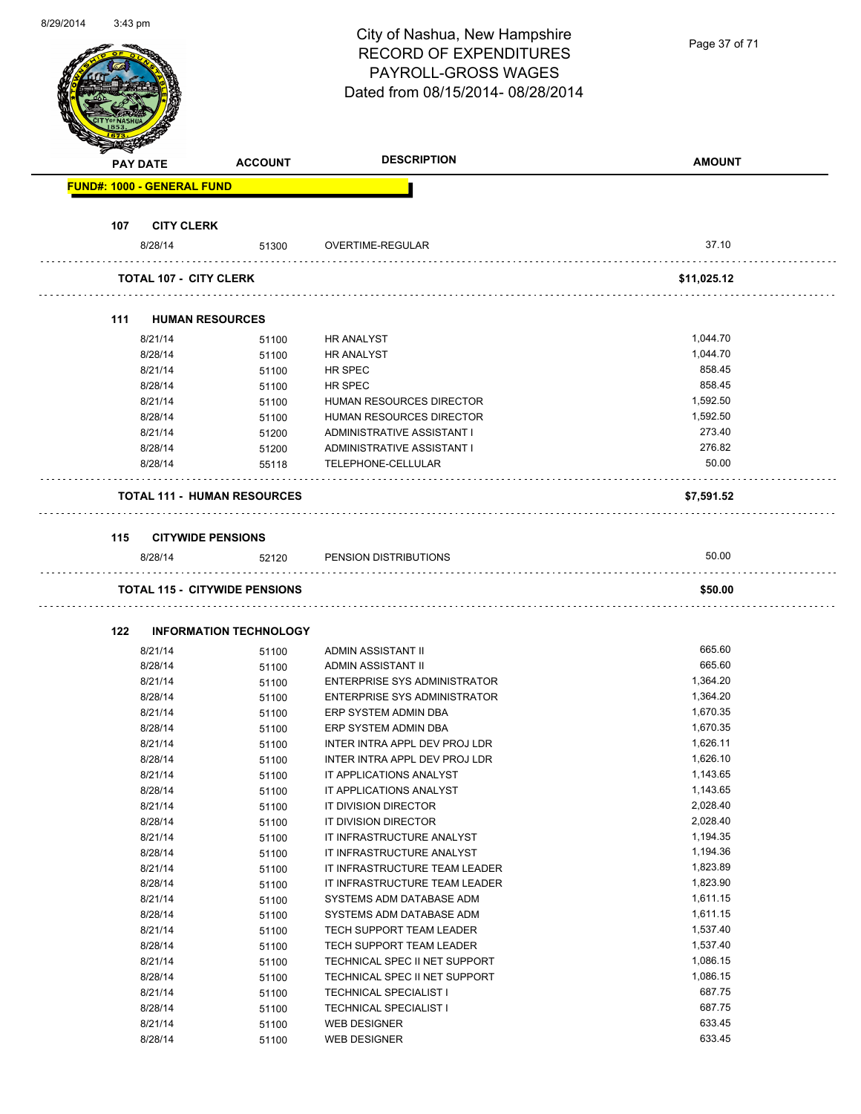| 8/29/2014 | 3:43 pm |                                   |                                      | City of Nashua, New Hampshire<br><b>RECORD OF EXPENDITURES</b><br><b>PAYROLL-GROSS WAGES</b><br>Dated from 08/15/2014-08/28/2014 | Page 37 of 71        |
|-----------|---------|-----------------------------------|--------------------------------------|----------------------------------------------------------------------------------------------------------------------------------|----------------------|
|           |         | <b>PAY DATE</b>                   | <b>ACCOUNT</b>                       | <b>DESCRIPTION</b>                                                                                                               | <b>AMOUNT</b>        |
|           |         | <b>FUND#: 1000 - GENERAL FUND</b> |                                      |                                                                                                                                  |                      |
|           |         |                                   |                                      |                                                                                                                                  |                      |
|           | 107     | <b>CITY CLERK</b>                 |                                      |                                                                                                                                  | 37.10                |
|           |         | 8/28/14                           | 51300                                | OVERTIME-REGULAR                                                                                                                 |                      |
|           |         | <b>TOTAL 107 - CITY CLERK</b>     |                                      |                                                                                                                                  | \$11,025.12          |
|           |         |                                   |                                      |                                                                                                                                  |                      |
|           | 111     |                                   | <b>HUMAN RESOURCES</b>               |                                                                                                                                  |                      |
|           |         | 8/21/14<br>8/28/14                | 51100                                | <b>HR ANALYST</b>                                                                                                                | 1,044.70<br>1,044.70 |
|           |         | 8/21/14                           | 51100                                | <b>HR ANALYST</b><br>HR SPEC                                                                                                     | 858.45               |
|           |         | 8/28/14                           | 51100                                | HR SPEC                                                                                                                          | 858.45               |
|           |         | 8/21/14                           | 51100<br>51100                       | HUMAN RESOURCES DIRECTOR                                                                                                         | 1,592.50             |
|           |         | 8/28/14                           | 51100                                | HUMAN RESOURCES DIRECTOR                                                                                                         | 1,592.50             |
|           |         | 8/21/14                           |                                      | ADMINISTRATIVE ASSISTANT I                                                                                                       | 273.40               |
|           |         | 8/28/14                           | 51200<br>51200                       | ADMINISTRATIVE ASSISTANT I                                                                                                       | 276.82               |
|           |         | 8/28/14                           | 55118                                | TELEPHONE-CELLULAR                                                                                                               | 50.00                |
|           |         |                                   |                                      |                                                                                                                                  |                      |
|           |         |                                   | <b>TOTAL 111 - HUMAN RESOURCES</b>   |                                                                                                                                  | \$7,591.52           |
|           |         |                                   |                                      |                                                                                                                                  |                      |
|           |         |                                   |                                      |                                                                                                                                  |                      |
|           | 115     |                                   | <b>CITYWIDE PENSIONS</b>             |                                                                                                                                  |                      |
|           |         | 8/28/14                           | 52120                                | PENSION DISTRIBUTIONS                                                                                                            | 50.00                |
|           |         |                                   | <b>TOTAL 115 - CITYWIDE PENSIONS</b> |                                                                                                                                  | \$50.00              |
|           |         |                                   |                                      |                                                                                                                                  |                      |
|           | 122     |                                   | <b>INFORMATION TECHNOLOGY</b>        |                                                                                                                                  |                      |
|           |         | 8/21/14                           | 51100                                | ADMIN ASSISTANT II                                                                                                               | 665.60               |
|           |         | 8/28/14                           | 51100                                | ADMIN ASSISTANT II                                                                                                               | 665.60               |
|           |         | 8/21/14                           | 51100                                | <b>ENTERPRISE SYS ADMINISTRATOR</b>                                                                                              | 1,364.20             |
|           |         | 8/28/14                           | 51100                                | <b>ENTERPRISE SYS ADMINISTRATOR</b>                                                                                              | 1,364.20             |
|           |         | 8/21/14                           | 51100                                | ERP SYSTEM ADMIN DBA                                                                                                             | 1,670.35             |
|           |         | 8/28/14                           | 51100                                | ERP SYSTEM ADMIN DBA                                                                                                             | 1,670.35             |
|           |         | 8/21/14                           | 51100                                | INTER INTRA APPL DEV PROJ LDR                                                                                                    | 1,626.11             |
|           |         | 8/28/14                           | 51100                                | INTER INTRA APPL DEV PROJ LDR                                                                                                    | 1,626.10             |
|           |         | 8/21/14                           | 51100                                | IT APPLICATIONS ANALYST                                                                                                          | 1,143.65             |
|           |         | 8/28/14                           | 51100                                | IT APPLICATIONS ANALYST                                                                                                          | 1,143.65             |
|           |         | 8/21/14                           | 51100                                | IT DIVISION DIRECTOR                                                                                                             | 2,028.40             |
|           |         | 8/28/14                           | 51100                                | IT DIVISION DIRECTOR                                                                                                             | 2,028.40             |
|           |         | 8/21/14                           | 51100                                | IT INFRASTRUCTURE ANALYST                                                                                                        | 1,194.35             |
|           |         | 8/28/14                           | 51100                                | IT INFRASTRUCTURE ANALYST                                                                                                        | 1,194.36             |
|           |         | 8/21/14                           | 51100                                | IT INFRASTRUCTURE TEAM LEADER                                                                                                    | 1,823.89             |
|           |         | 8/28/14                           | 51100                                | IT INFRASTRUCTURE TEAM LEADER                                                                                                    | 1,823.90             |
|           |         | 8/21/14                           | 51100                                | SYSTEMS ADM DATABASE ADM                                                                                                         | 1,611.15             |
|           |         | 8/28/14                           | 51100                                | SYSTEMS ADM DATABASE ADM                                                                                                         | 1,611.15             |
|           |         | 8/21/14                           | 51100                                | TECH SUPPORT TEAM LEADER                                                                                                         | 1,537.40             |
|           |         | 8/28/14                           | 51100                                | TECH SUPPORT TEAM LEADER                                                                                                         | 1,537.40             |
|           |         | 8/21/14                           | 51100                                | TECHNICAL SPEC II NET SUPPORT                                                                                                    | 1,086.15             |
|           |         | 8/28/14                           | 51100                                | TECHNICAL SPEC II NET SUPPORT                                                                                                    | 1,086.15             |
|           |         | 8/21/14                           | 51100                                | <b>TECHNICAL SPECIALIST I</b>                                                                                                    | 687.75               |
|           |         | 8/28/14                           | 51100                                | <b>TECHNICAL SPECIALIST I</b>                                                                                                    | 687.75               |
|           |         | 8/21/14                           | 51100                                | <b>WEB DESIGNER</b>                                                                                                              | 633.45               |
|           |         | 8/28/14                           | 51100                                | <b>WEB DESIGNER</b>                                                                                                              | 633.45               |

8/29/2014 3:43 pm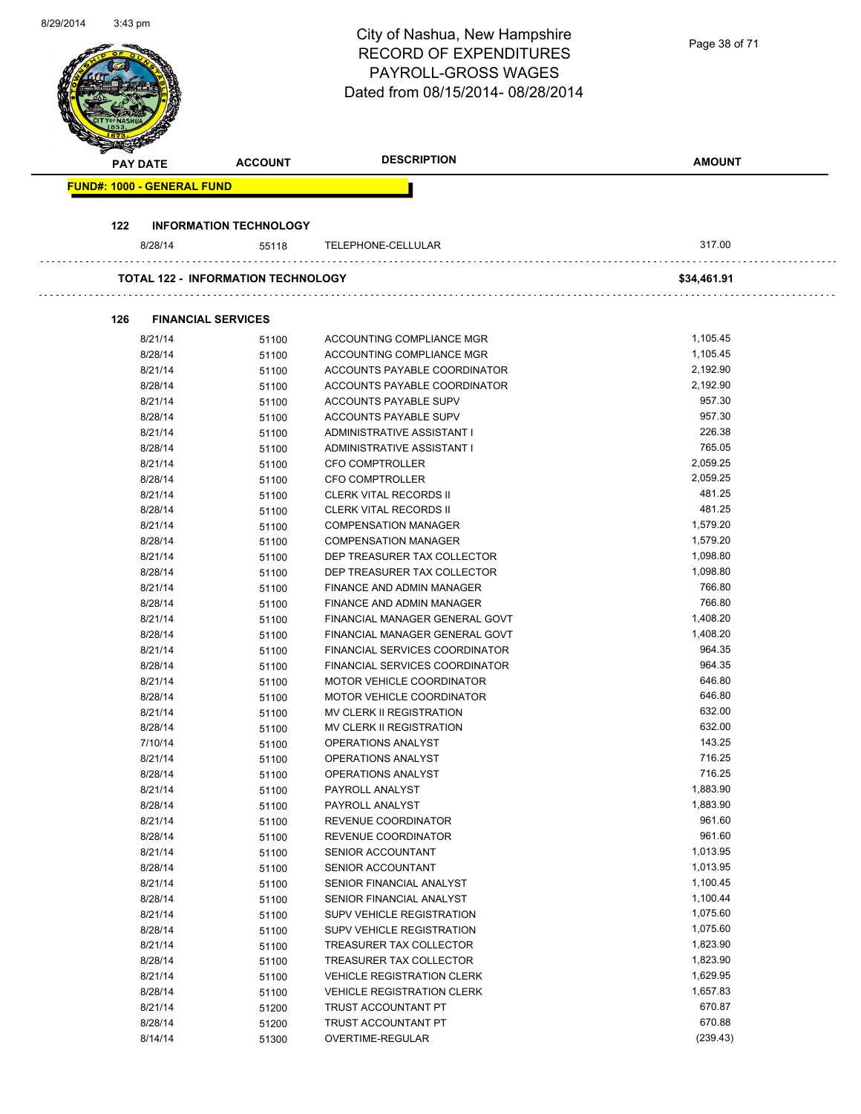| 8/29/2014 | 3:43 pm                           |                                           |                                                |                  |
|-----------|-----------------------------------|-------------------------------------------|------------------------------------------------|------------------|
|           |                                   |                                           | City of Nashua, New Hampshire                  | Page 38 of 71    |
|           |                                   |                                           | <b>RECORD OF EXPENDITURES</b>                  |                  |
|           |                                   |                                           | <b>PAYROLL-GROSS WAGES</b>                     |                  |
|           |                                   |                                           | Dated from 08/15/2014-08/28/2014               |                  |
|           |                                   |                                           |                                                |                  |
|           |                                   |                                           |                                                |                  |
|           |                                   |                                           |                                                |                  |
|           |                                   |                                           |                                                |                  |
|           | <b>PAY DATE</b>                   | <b>ACCOUNT</b>                            | <b>DESCRIPTION</b>                             | <b>AMOUNT</b>    |
|           | <b>FUND#: 1000 - GENERAL FUND</b> |                                           |                                                |                  |
|           |                                   |                                           |                                                |                  |
|           |                                   |                                           |                                                |                  |
|           | 122                               | <b>INFORMATION TECHNOLOGY</b>             |                                                |                  |
|           | 8/28/14                           | 55118                                     | TELEPHONE-CELLULAR                             | 317.00           |
|           |                                   |                                           |                                                |                  |
|           |                                   | <b>TOTAL 122 - INFORMATION TECHNOLOGY</b> |                                                | \$34,461.91      |
|           |                                   |                                           |                                                |                  |
|           |                                   |                                           |                                                |                  |
|           | 126                               | <b>FINANCIAL SERVICES</b>                 |                                                |                  |
|           | 8/21/14                           | 51100                                     | ACCOUNTING COMPLIANCE MGR                      | 1,105.45         |
|           | 8/28/14                           | 51100                                     | ACCOUNTING COMPLIANCE MGR                      | 1,105.45         |
|           | 8/21/14                           | 51100                                     | ACCOUNTS PAYABLE COORDINATOR                   | 2,192.90         |
|           | 8/28/14                           | 51100                                     | ACCOUNTS PAYABLE COORDINATOR                   | 2,192.90         |
|           | 8/21/14                           | 51100                                     | ACCOUNTS PAYABLE SUPV                          | 957.30           |
|           | 8/28/14                           | 51100                                     | ACCOUNTS PAYABLE SUPV                          | 957.30           |
|           | 8/21/14                           | 51100                                     | ADMINISTRATIVE ASSISTANT I                     | 226.38           |
|           | 8/28/14                           | 51100                                     | ADMINISTRATIVE ASSISTANT I                     | 765.05           |
|           | 8/21/14                           | 51100                                     | CFO COMPTROLLER                                | 2,059.25         |
|           | 8/28/14                           | 51100                                     | CFO COMPTROLLER                                | 2,059.25         |
|           | 8/21/14                           | 51100                                     | <b>CLERK VITAL RECORDS II</b>                  | 481.25           |
|           | 8/28/14                           | 51100                                     | <b>CLERK VITAL RECORDS II</b>                  | 481.25           |
|           | 8/21/14                           | 51100                                     | <b>COMPENSATION MANAGER</b>                    | 1,579.20         |
|           | 8/28/14                           | 51100                                     | <b>COMPENSATION MANAGER</b>                    | 1,579.20         |
|           | 8/21/14                           | 51100                                     | DEP TREASURER TAX COLLECTOR                    | 1,098.80         |
|           | 8/28/14                           | 51100                                     | DEP TREASURER TAX COLLECTOR                    | 1,098.80         |
|           | 8/21/14                           | 51100                                     | <b>FINANCE AND ADMIN MANAGER</b>               | 766.80           |
|           | 8/28/14                           | 51100                                     | FINANCE AND ADMIN MANAGER                      | 766.80           |
|           | 8/21/14                           | 51100                                     | FINANCIAL MANAGER GENERAL GOVT                 | 1,408.20         |
|           | 8/28/14                           | 51100                                     | FINANCIAL MANAGER GENERAL GOVT                 | 1,408.20         |
|           | 8/21/14                           | 51100                                     | FINANCIAL SERVICES COORDINATOR                 | 964.35           |
|           | 8/28/14                           | 51100                                     | FINANCIAL SERVICES COORDINATOR                 | 964.35           |
|           | 8/21/14                           | 51100                                     | MOTOR VEHICLE COORDINATOR                      | 646.80           |
|           | 8/28/14                           | 51100                                     | MOTOR VEHICLE COORDINATOR                      | 646.80           |
|           | 8/21/14                           | 51100                                     | MV CLERK II REGISTRATION                       | 632.00<br>632.00 |
|           | 8/28/14<br>7/10/14                | 51100                                     | MV CLERK II REGISTRATION<br>OPERATIONS ANALYST | 143.25           |
|           | 8/21/14                           | 51100                                     | OPERATIONS ANALYST                             | 716.25           |
|           | 8/28/14                           | 51100<br>51100                            | OPERATIONS ANALYST                             | 716.25           |
|           | 8/21/14                           | 51100                                     | PAYROLL ANALYST                                | 1,883.90         |
|           | 8/28/14                           | 51100                                     | PAYROLL ANALYST                                | 1,883.90         |
|           | 8/21/14                           | 51100                                     | REVENUE COORDINATOR                            | 961.60           |
|           | 8/28/14                           | 51100                                     | REVENUE COORDINATOR                            | 961.60           |
|           | 8/21/14                           | 51100                                     | SENIOR ACCOUNTANT                              | 1,013.95         |
|           | 8/28/14                           | 51100                                     | SENIOR ACCOUNTANT                              | 1,013.95         |
|           | 8/21/14                           | 51100                                     | SENIOR FINANCIAL ANALYST                       | 1,100.45         |
|           | 8/28/14                           | 51100                                     | SENIOR FINANCIAL ANALYST                       | 1,100.44         |
|           | 8/21/14                           | 51100                                     | SUPV VEHICLE REGISTRATION                      | 1,075.60         |
|           | 8/28/14                           | 51100                                     | SUPV VEHICLE REGISTRATION                      | 1,075.60         |
|           | 8/21/14                           | 51100                                     | TREASURER TAX COLLECTOR                        | 1,823.90         |
|           | 8/28/14                           | 51100                                     | TREASURER TAX COLLECTOR                        | 1,823.90         |
|           | 8/21/14                           | 51100                                     | <b>VEHICLE REGISTRATION CLERK</b>              | 1,629.95         |
|           | 8/28/14                           | 51100                                     | <b>VEHICLE REGISTRATION CLERK</b>              | 1,657.83         |
|           | 8/21/14                           | 51200                                     | TRUST ACCOUNTANT PT                            | 670.87           |
|           | 8/28/14                           | 51200                                     | TRUST ACCOUNTANT PT                            | 670.88           |
|           | 8/14/14                           | 51300                                     | OVERTIME-REGULAR                               | (239.43)         |
|           |                                   |                                           |                                                |                  |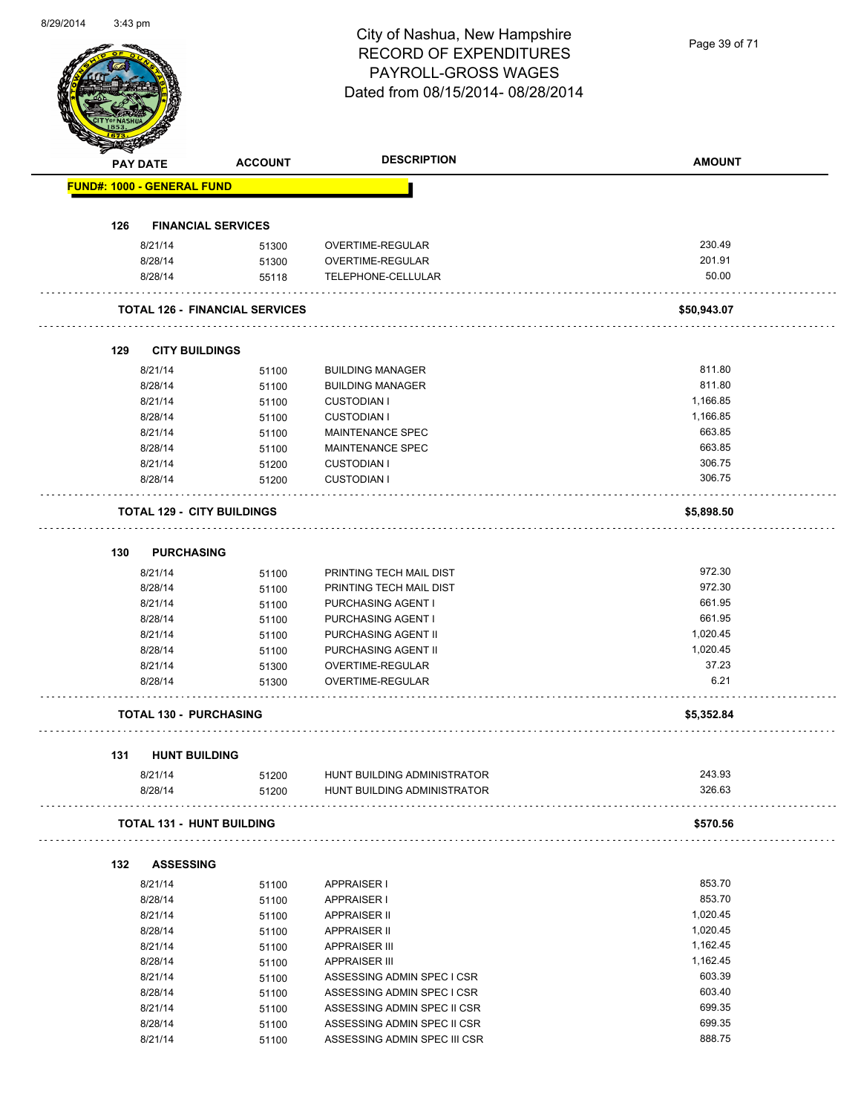| 8/29/2014 | 3:43 pm                           |                                       |                                         |                   |
|-----------|-----------------------------------|---------------------------------------|-----------------------------------------|-------------------|
|           |                                   |                                       | City of Nashua, New Hampshire           |                   |
|           |                                   |                                       | <b>RECORD OF EXPENDITURES</b>           | Page 39 of 71     |
|           |                                   |                                       | PAYROLL-GROSS WAGES                     |                   |
|           |                                   |                                       |                                         |                   |
|           |                                   |                                       | Dated from 08/15/2014-08/28/2014        |                   |
|           |                                   |                                       |                                         |                   |
|           |                                   |                                       |                                         |                   |
|           |                                   |                                       |                                         |                   |
|           | <b>PAY DATE</b>                   | <b>ACCOUNT</b>                        | <b>DESCRIPTION</b>                      | <b>AMOUNT</b>     |
|           |                                   |                                       |                                         |                   |
|           | <b>FUND#: 1000 - GENERAL FUND</b> |                                       |                                         |                   |
|           |                                   |                                       |                                         |                   |
|           | 126                               | <b>FINANCIAL SERVICES</b>             |                                         |                   |
|           | 8/21/14                           | 51300                                 | OVERTIME-REGULAR                        | 230.49            |
|           | 8/28/14                           |                                       | OVERTIME-REGULAR                        | 201.91            |
|           | 8/28/14                           | 51300                                 | TELEPHONE-CELLULAR                      | 50.00             |
|           |                                   | 55118                                 |                                         |                   |
|           |                                   | <b>TOTAL 126 - FINANCIAL SERVICES</b> |                                         |                   |
|           |                                   |                                       |                                         | \$50,943.07       |
|           |                                   |                                       |                                         |                   |
|           | 129                               | <b>CITY BUILDINGS</b>                 |                                         |                   |
|           | 8/21/14                           |                                       | <b>BUILDING MANAGER</b>                 | 811.80            |
|           | 8/28/14                           | 51100                                 | <b>BUILDING MANAGER</b>                 | 811.80            |
|           | 8/21/14                           | 51100                                 | <b>CUSTODIAN I</b>                      | 1,166.85          |
|           | 8/28/14                           | 51100                                 | <b>CUSTODIAN I</b>                      | 1,166.85          |
|           |                                   | 51100                                 |                                         | 663.85            |
|           | 8/21/14                           | 51100                                 | MAINTENANCE SPEC                        |                   |
|           | 8/28/14                           | 51100                                 | MAINTENANCE SPEC                        | 663.85            |
|           | 8/21/14                           | 51200                                 | <b>CUSTODIAN I</b>                      | 306.75            |
|           | 8/28/14                           | 51200                                 | <b>CUSTODIAN I</b>                      | 306.75            |
|           |                                   |                                       |                                         |                   |
|           |                                   | <b>TOTAL 129 - CITY BUILDINGS</b>     |                                         | \$5,898.50        |
|           |                                   |                                       |                                         |                   |
|           | 130                               | <b>PURCHASING</b>                     |                                         |                   |
|           | 8/21/14                           | 51100                                 | PRINTING TECH MAIL DIST                 | 972.30            |
|           | 8/28/14                           |                                       | PRINTING TECH MAIL DIST                 | 972.30            |
|           | 8/21/14                           | 51100<br>51100                        | PURCHASING AGENT I                      | 661.95            |
|           | 8/28/14                           | 51100                                 | PURCHASING AGENT I                      | 661.95            |
|           | 8/21/14                           |                                       | PURCHASING AGENT II                     | 1,020.45          |
|           |                                   | 51100                                 |                                         |                   |
|           | 8/28/14<br>8/21/14                | 51100                                 | PURCHASING AGENT II<br>OVERTIME-REGULAR | 1,020.45<br>37.23 |
|           |                                   | 51300                                 |                                         | 6.21              |
|           | 8/28/14                           | 51300                                 | OVERTIME-REGULAR                        |                   |
|           |                                   |                                       |                                         |                   |
|           |                                   | <b>TOTAL 130 - PURCHASING</b>         |                                         | \$5,352.84        |
|           |                                   |                                       |                                         |                   |
|           | 131                               | <b>HUNT BUILDING</b>                  |                                         |                   |
|           | 8/21/14                           | 51200                                 | HUNT BUILDING ADMINISTRATOR             | 243.93            |
|           | 8/28/14                           | 51200                                 | HUNT BUILDING ADMINISTRATOR             | 326.63            |
|           |                                   |                                       |                                         |                   |
|           |                                   | <b>TOTAL 131 - HUNT BUILDING</b>      |                                         | \$570.56          |
|           |                                   |                                       |                                         |                   |
|           |                                   |                                       |                                         |                   |
|           | 132                               | <b>ASSESSING</b>                      |                                         |                   |
|           | 8/21/14                           | 51100                                 | APPRAISER I                             | 853.70            |
|           | 8/28/14                           | 51100                                 | <b>APPRAISER I</b>                      | 853.70            |
|           | 8/21/14                           | 51100                                 | <b>APPRAISER II</b>                     | 1,020.45          |
|           | 8/28/14                           | 51100                                 | <b>APPRAISER II</b>                     | 1,020.45          |
|           | 8/21/14                           | 51100                                 | <b>APPRAISER III</b>                    | 1,162.45          |
|           | 8/28/14                           | 51100                                 | <b>APPRAISER III</b>                    | 1,162.45          |
|           | 8/21/14                           | 51100                                 | ASSESSING ADMIN SPEC I CSR              | 603.39            |
|           | 8/28/14                           | 51100                                 | ASSESSING ADMIN SPEC I CSR              | 603.40            |
|           | 8/21/14                           | 51100                                 | ASSESSING ADMIN SPEC II CSR             | 699.35            |
|           | 8/28/14                           | 51100                                 | ASSESSING ADMIN SPEC II CSR             | 699.35            |

8/21/14 51100 ASSESSING ADMIN SPEC III CSR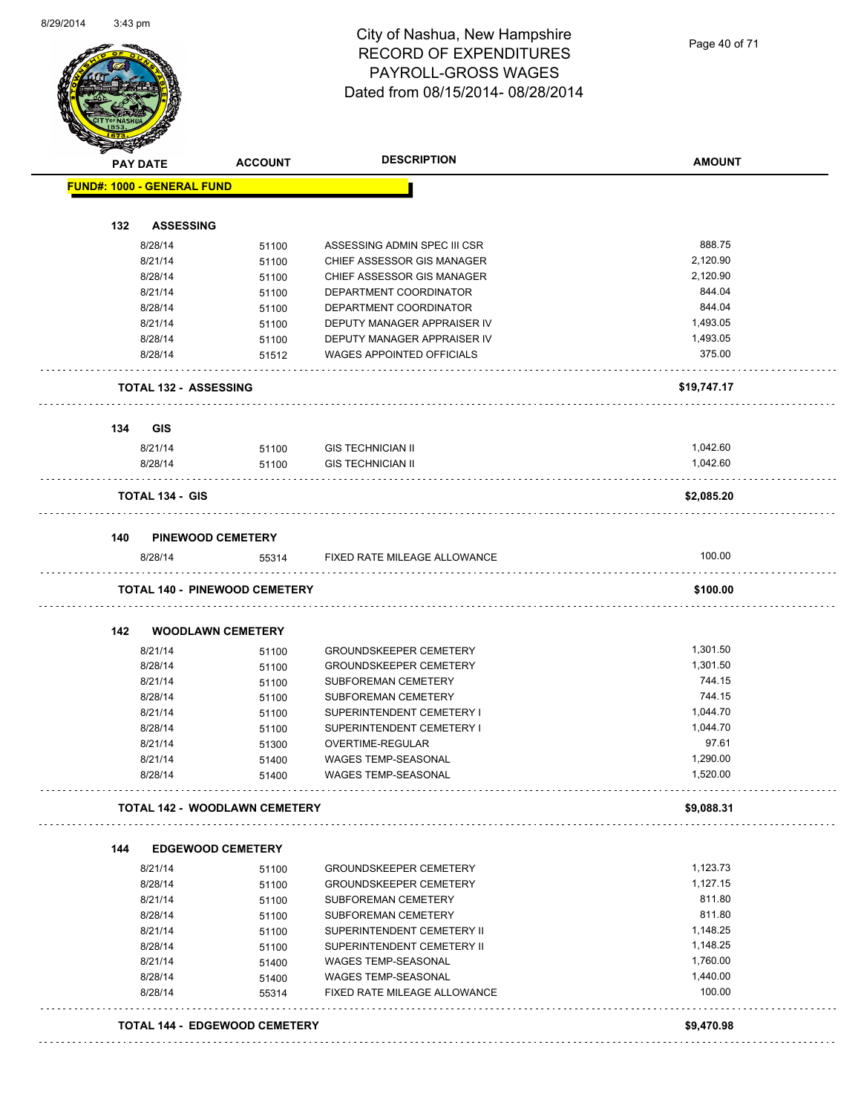Page 40 of 71

|     | <b>PAY DATE</b>                   | <b>ACCOUNT</b>                       | <b>DESCRIPTION</b>               | <b>AMOUNT</b> |
|-----|-----------------------------------|--------------------------------------|----------------------------------|---------------|
|     | <b>FUND#: 1000 - GENERAL FUND</b> |                                      |                                  |               |
| 132 | <b>ASSESSING</b>                  |                                      |                                  |               |
|     | 8/28/14                           |                                      | ASSESSING ADMIN SPEC III CSR     | 888.75        |
|     | 8/21/14                           | 51100                                | CHIEF ASSESSOR GIS MANAGER       | 2,120.90      |
|     |                                   | 51100                                | CHIEF ASSESSOR GIS MANAGER       | 2,120.90      |
|     | 8/28/14                           | 51100                                | DEPARTMENT COORDINATOR           | 844.04        |
|     | 8/21/14                           | 51100                                | DEPARTMENT COORDINATOR           | 844.04        |
|     | 8/28/14<br>8/21/14                | 51100                                | DEPUTY MANAGER APPRAISER IV      | 1,493.05      |
|     |                                   | 51100                                | DEPUTY MANAGER APPRAISER IV      | 1,493.05      |
|     | 8/28/14<br>8/28/14                | 51100<br>51512                       | <b>WAGES APPOINTED OFFICIALS</b> | 375.00        |
|     | <b>TOTAL 132 - ASSESSING</b>      |                                      |                                  | \$19,747.17   |
| 134 | <b>GIS</b>                        |                                      |                                  |               |
|     | 8/21/14                           | 51100                                | GIS TECHNICIAN II                | 1,042.60      |
|     | 8/28/14                           | 51100                                | <b>GIS TECHNICIAN II</b>         | 1.042.60      |
|     | <b>TOTAL 134 - GIS</b>            |                                      |                                  | \$2,085.20    |
| 140 |                                   | <b>PINEWOOD CEMETERY</b>             |                                  |               |
|     | 8/28/14                           | 55314                                | FIXED RATE MILEAGE ALLOWANCE     | 100.00        |
|     |                                   | <b>TOTAL 140 - PINEWOOD CEMETERY</b> |                                  | \$100.00      |
| 142 |                                   | <b>WOODLAWN CEMETERY</b>             |                                  |               |
|     | 8/21/14                           | 51100                                | <b>GROUNDSKEEPER CEMETERY</b>    | 1,301.50      |
|     | 8/28/14                           | 51100                                | <b>GROUNDSKEEPER CEMETERY</b>    | 1,301.50      |
|     | 8/21/14                           | 51100                                | <b>SUBFOREMAN CEMETERY</b>       | 744.15        |
|     | 8/28/14                           | 51100                                | SUBFOREMAN CEMETERY              | 744.15        |
|     | 8/21/14                           | 51100                                | SUPERINTENDENT CEMETERY I        | 1,044.70      |
|     | 8/28/14                           | 51100                                | SUPERINTENDENT CEMETERY I        | 1,044.70      |
|     | 8/21/14                           | 51300                                | OVERTIME-REGULAR                 | 97.61         |
|     | 8/21/14                           | 51400                                | <b>WAGES TEMP-SEASONAL</b>       | 1,290.00      |
|     | 8/28/14                           | 51400                                | WAGES TEMP-SEASONAL              | 1,520.00      |
|     |                                   | <b>TOTAL 142 - WOODLAWN CEMETERY</b> |                                  | \$9,088.31    |
| 144 |                                   | <b>EDGEWOOD CEMETERY</b>             |                                  |               |
|     | 8/21/14                           | 51100                                | <b>GROUNDSKEEPER CEMETERY</b>    | 1,123.73      |
|     | 8/28/14                           | 51100                                | <b>GROUNDSKEEPER CEMETERY</b>    | 1,127.15      |
|     | 8/21/14                           | 51100                                | SUBFOREMAN CEMETERY              | 811.80        |
|     | 8/28/14                           | 51100                                | SUBFOREMAN CEMETERY              | 811.80        |
|     | 8/21/14                           | 51100                                | SUPERINTENDENT CEMETERY II       | 1,148.25      |
|     | 8/28/14                           | 51100                                | SUPERINTENDENT CEMETERY II       | 1,148.25      |
|     | 8/21/14                           | 51400                                | WAGES TEMP-SEASONAL              | 1,760.00      |
|     | 8/28/14                           | 51400                                | <b>WAGES TEMP-SEASONAL</b>       | 1,440.00      |
|     | 8/28/14                           | 55314                                | FIXED RATE MILEAGE ALLOWANCE     | 100.00        |
|     |                                   |                                      |                                  |               |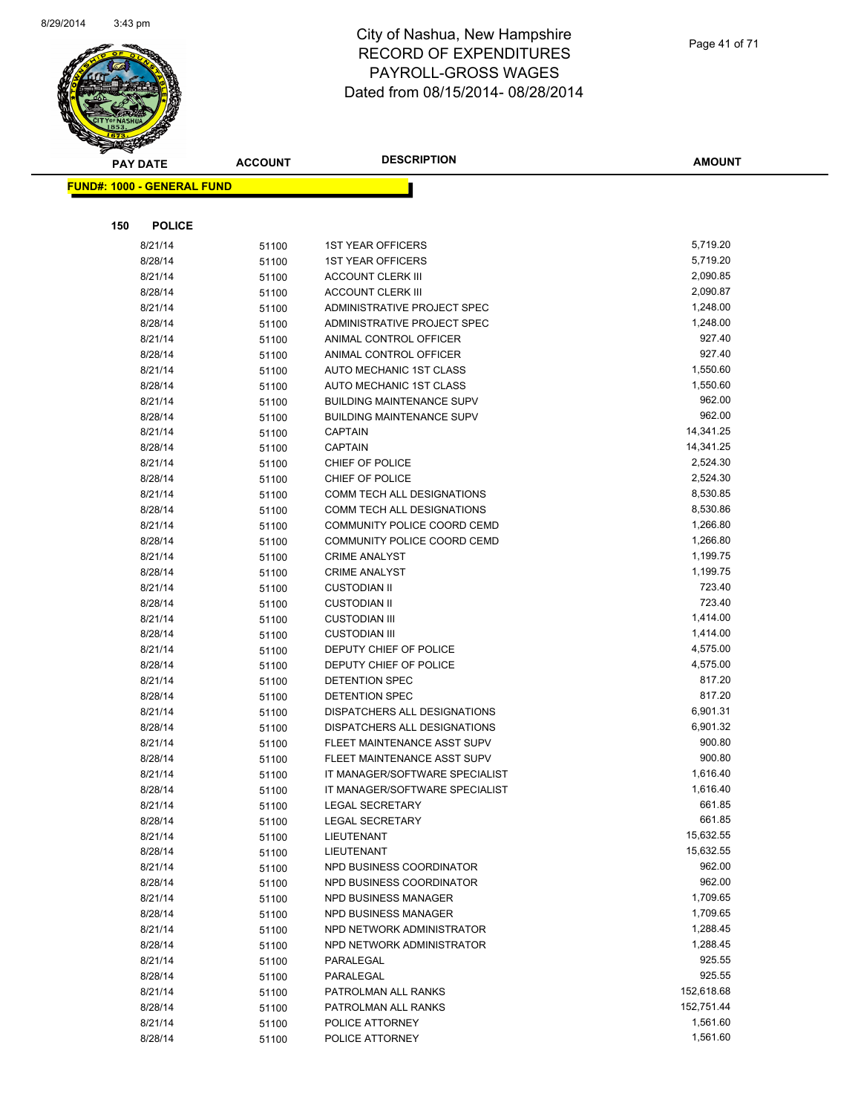

Page 41 of 71

**AMOUNT**

| <b>FUND#: 1000 - GENERAL FUND</b> |               |                |                                  |                      |
|-----------------------------------|---------------|----------------|----------------------------------|----------------------|
|                                   |               |                |                                  |                      |
| 150                               | <b>POLICE</b> |                |                                  |                      |
| 8/21/14                           |               | 51100          | <b>1ST YEAR OFFICERS</b>         | 5,719.20             |
| 8/28/14                           |               | 51100          | <b>1ST YEAR OFFICERS</b>         | 5,719.20             |
| 8/21/14                           |               | 51100          | <b>ACCOUNT CLERK III</b>         | 2,090.85             |
| 8/28/14                           |               | 51100          | <b>ACCOUNT CLERK III</b>         | 2,090.87             |
| 8/21/14                           |               | 51100          | ADMINISTRATIVE PROJECT SPEC      | 1,248.00             |
| 8/28/14                           |               | 51100          | ADMINISTRATIVE PROJECT SPEC      | 1,248.00             |
| 8/21/14                           |               | 51100          | ANIMAL CONTROL OFFICER           | 927.40               |
| 8/28/14                           |               | 51100          | ANIMAL CONTROL OFFICER           | 927.40               |
| 8/21/14                           |               | 51100          | AUTO MECHANIC 1ST CLASS          | 1,550.60             |
| 8/28/14                           |               | 51100          | AUTO MECHANIC 1ST CLASS          | 1,550.60             |
| 8/21/14                           |               | 51100          | <b>BUILDING MAINTENANCE SUPV</b> | 962.00               |
| 8/28/14                           |               | 51100          | <b>BUILDING MAINTENANCE SUPV</b> | 962.00               |
| 8/21/14                           |               | 51100          | <b>CAPTAIN</b>                   | 14,341.25            |
| 8/28/14                           |               | 51100          | <b>CAPTAIN</b>                   | 14,341.25            |
| 8/21/14                           |               | 51100          | CHIEF OF POLICE                  | 2,524.30             |
| 8/28/14                           |               | 51100          | CHIEF OF POLICE                  | 2,524.30             |
| 8/21/14                           |               | 51100          | COMM TECH ALL DESIGNATIONS       | 8,530.85             |
| 8/28/14                           |               | 51100          | COMM TECH ALL DESIGNATIONS       | 8,530.86             |
| 8/21/14                           |               | 51100          | COMMUNITY POLICE COORD CEMD      | 1,266.80             |
| 8/28/14                           |               | 51100          | COMMUNITY POLICE COORD CEMD      | 1,266.80             |
| 8/21/14                           |               | 51100          | <b>CRIME ANALYST</b>             | 1,199.75             |
| 8/28/14                           |               | 51100          | <b>CRIME ANALYST</b>             | 1,199.75             |
| 8/21/14                           |               | 51100          | <b>CUSTODIAN II</b>              | 723.40               |
| 8/28/14                           |               | 51100          | <b>CUSTODIAN II</b>              | 723.40               |
| 8/21/14                           |               | 51100          | <b>CUSTODIAN III</b>             | 1,414.00             |
| 8/28/14                           |               | 51100          | <b>CUSTODIAN III</b>             | 1,414.00             |
| 8/21/14                           |               | 51100          | DEPUTY CHIEF OF POLICE           | 4,575.00             |
| 8/28/14                           |               | 51100          | DEPUTY CHIEF OF POLICE           | 4,575.00             |
| 8/21/14                           |               | 51100          | DETENTION SPEC                   | 817.20               |
| 8/28/14                           |               | 51100          | DETENTION SPEC                   | 817.20               |
| 8/21/14                           |               | 51100          | DISPATCHERS ALL DESIGNATIONS     | 6,901.31             |
| 8/28/14                           |               | 51100          | DISPATCHERS ALL DESIGNATIONS     | 6,901.32             |
| 8/21/14                           |               | 51100          | FLEET MAINTENANCE ASST SUPV      | 900.80               |
| 8/28/14                           |               | 51100          | FLEET MAINTENANCE ASST SUPV      | 900.80               |
| 8/21/14                           |               | 51100          | IT MANAGER/SOFTWARE SPECIALIST   | 1,616.40             |
| 8/28/14                           |               | 51100          | IT MANAGER/SOFTWARE SPECIALIST   | 1,616.40             |
| 8/21/14                           |               | 51100          | <b>LEGAL SECRETARY</b>           | 661.85               |
| 8/28/14                           |               | 51100          | <b>LEGAL SECRETARY</b>           | 661.85               |
| 8/21/14                           |               | 51100          | LIEUTENANT                       | 15,632.55            |
| 8/28/14                           |               | 51100          | LIEUTENANT                       | 15,632.55            |
| 8/21/14                           |               | 51100          | NPD BUSINESS COORDINATOR         | 962.00               |
| 8/28/14                           |               | 51100          | NPD BUSINESS COORDINATOR         | 962.00               |
| 8/21/14                           |               | 51100          | NPD BUSINESS MANAGER             | 1,709.65             |
| 8/28/14                           |               | 51100          | NPD BUSINESS MANAGER             | 1,709.65             |
| 8/21/14                           |               | 51100          | NPD NETWORK ADMINISTRATOR        | 1,288.45<br>1,288.45 |
| 8/28/14                           |               | 51100          | NPD NETWORK ADMINISTRATOR        |                      |
| 8/21/14                           |               | 51100          | PARALEGAL                        | 925.55<br>925.55     |
| 8/28/14<br>8/21/14                |               | 51100          | PARALEGAL<br>PATROLMAN ALL RANKS | 152,618.68           |
| 8/28/14                           |               | 51100          | PATROLMAN ALL RANKS              | 152,751.44           |
| 8/21/14                           |               | 51100          | POLICE ATTORNEY                  | 1,561.60             |
| 8/28/14                           |               | 51100<br>51100 | POLICE ATTORNEY                  | 1,561.60             |
|                                   |               |                |                                  |                      |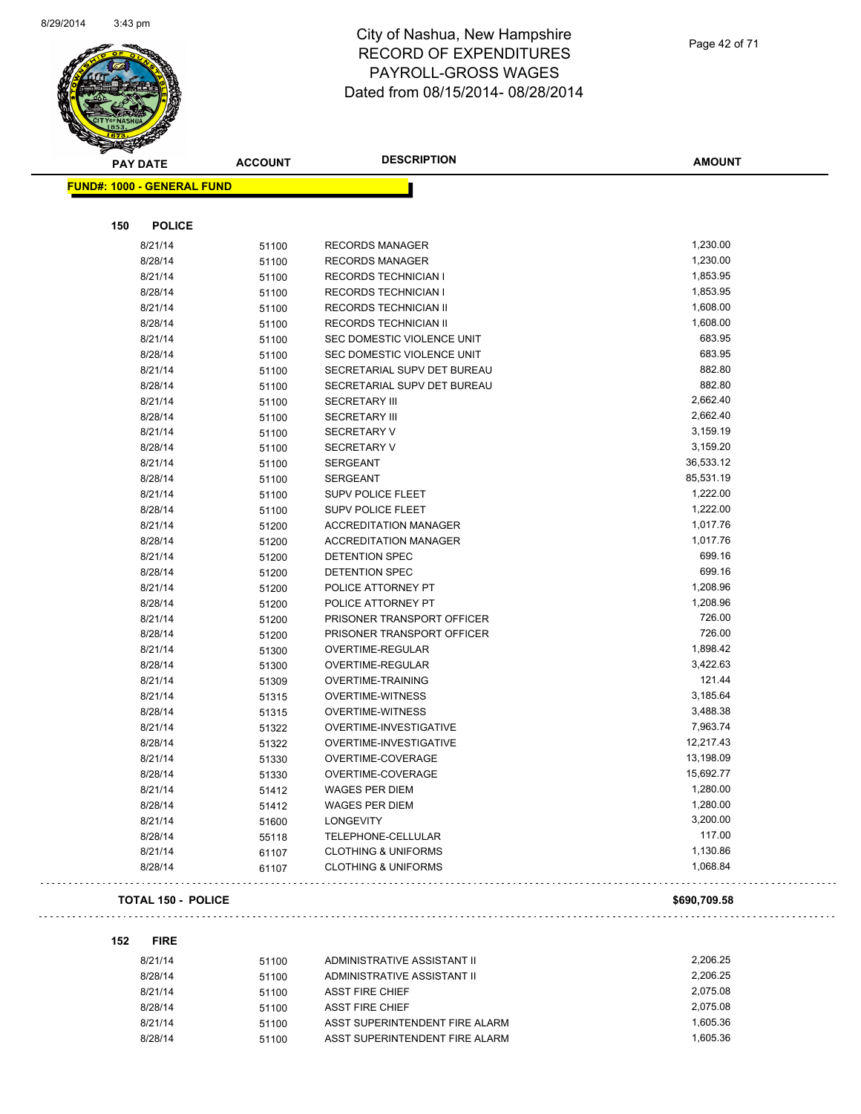

| <b>PAY DATE</b>                   | <b>ACCOUNT</b> | <b>DESCRIPTION</b>             | <b>AMOUNT</b> |
|-----------------------------------|----------------|--------------------------------|---------------|
| <b>FUND#: 1000 - GENERAL FUND</b> |                |                                |               |
|                                   |                |                                |               |
| 150<br><b>POLICE</b>              |                |                                |               |
| 8/21/14                           | 51100          | <b>RECORDS MANAGER</b>         | 1,230.00      |
| 8/28/14                           | 51100          | <b>RECORDS MANAGER</b>         | 1,230.00      |
| 8/21/14                           | 51100          | <b>RECORDS TECHNICIAN I</b>    | 1,853.95      |
| 8/28/14                           | 51100          | <b>RECORDS TECHNICIAN I</b>    | 1,853.95      |
| 8/21/14                           | 51100          | RECORDS TECHNICIAN II          | 1,608.00      |
| 8/28/14                           | 51100          | <b>RECORDS TECHNICIAN II</b>   | 1,608.00      |
| 8/21/14                           | 51100          | SEC DOMESTIC VIOLENCE UNIT     | 683.95        |
| 8/28/14                           | 51100          | SEC DOMESTIC VIOLENCE UNIT     | 683.95        |
| 8/21/14                           | 51100          | SECRETARIAL SUPV DET BUREAU    | 882.80        |
| 8/28/14                           | 51100          | SECRETARIAL SUPV DET BUREAU    | 882.80        |
| 8/21/14                           | 51100          | <b>SECRETARY III</b>           | 2,662.40      |
| 8/28/14                           | 51100          | <b>SECRETARY III</b>           | 2,662.40      |
| 8/21/14                           | 51100          | <b>SECRETARY V</b>             | 3,159.19      |
| 8/28/14                           | 51100          | <b>SECRETARY V</b>             | 3,159.20      |
| 8/21/14                           | 51100          | <b>SERGEANT</b>                | 36,533.12     |
| 8/28/14                           | 51100          | <b>SERGEANT</b>                | 85,531.19     |
| 8/21/14                           | 51100          | <b>SUPV POLICE FLEET</b>       | 1,222.00      |
| 8/28/14                           | 51100          | <b>SUPV POLICE FLEET</b>       | 1,222.00      |
| 8/21/14                           | 51200          | <b>ACCREDITATION MANAGER</b>   | 1,017.76      |
| 8/28/14                           | 51200          | <b>ACCREDITATION MANAGER</b>   | 1,017.76      |
| 8/21/14                           | 51200          | DETENTION SPEC                 | 699.16        |
| 8/28/14                           | 51200          | DETENTION SPEC                 | 699.16        |
| 8/21/14                           | 51200          | POLICE ATTORNEY PT             | 1,208.96      |
| 8/28/14                           | 51200          | POLICE ATTORNEY PT             | 1,208.96      |
| 8/21/14                           | 51200          | PRISONER TRANSPORT OFFICER     | 726.00        |
| 8/28/14                           | 51200          | PRISONER TRANSPORT OFFICER     | 726.00        |
| 8/21/14                           | 51300          | OVERTIME-REGULAR               | 1,898.42      |
| 8/28/14                           | 51300          | OVERTIME-REGULAR               | 3,422.63      |
| 8/21/14                           | 51309          | <b>OVERTIME-TRAINING</b>       | 121.44        |
| 8/21/14                           | 51315          | <b>OVERTIME-WITNESS</b>        | 3,185.64      |
| 8/28/14                           | 51315          | <b>OVERTIME-WITNESS</b>        | 3,488.38      |
| 8/21/14                           | 51322          | OVERTIME-INVESTIGATIVE         | 7,963.74      |
| 8/28/14                           | 51322          | OVERTIME-INVESTIGATIVE         | 12,217.43     |
| 8/21/14                           | 51330          | OVERTIME-COVERAGE              | 13,198.09     |
| 8/28/14                           | 51330          | OVERTIME-COVERAGE              | 15,692.77     |
| 8/21/14                           | 51412          | <b>WAGES PER DIEM</b>          | 1,280.00      |
| 8/28/14                           | 51412          | <b>WAGES PER DIEM</b>          | 1,280.00      |
| 8/21/14                           | 51600          | LONGEVITY                      | 3,200.00      |
| 8/28/14                           | 55118          | TELEPHONE-CELLULAR             | 117.00        |
| 8/21/14                           | 61107          | <b>CLOTHING &amp; UNIFORMS</b> | 1,130.86      |
| 8/28/14                           | 61107          | <b>CLOTHING &amp; UNIFORMS</b> | 1,068.84      |
| <b>TOTAL 150 - POLICE</b>         |                |                                | \$690,709.58  |

#### **152 FIRE**

 $\mathbb{Z}^2$  .  $\mathbb{Z}^2$ 

| 8/21/14 | 51100 | ADMINISTRATIVE ASSISTANT II    | 2.206.25 |
|---------|-------|--------------------------------|----------|
| 8/28/14 | 51100 | ADMINISTRATIVE ASSISTANT II    | 2.206.25 |
| 8/21/14 | 51100 | ASST FIRE CHIEF                | 2.075.08 |
| 8/28/14 | 51100 | ASST FIRE CHIFF                | 2.075.08 |
| 8/21/14 | 51100 | ASST SUPERINTENDENT FIRE ALARM | 1.605.36 |
| 8/28/14 | 51100 | ASST SUPERINTENDENT FIRE ALARM | 1.605.36 |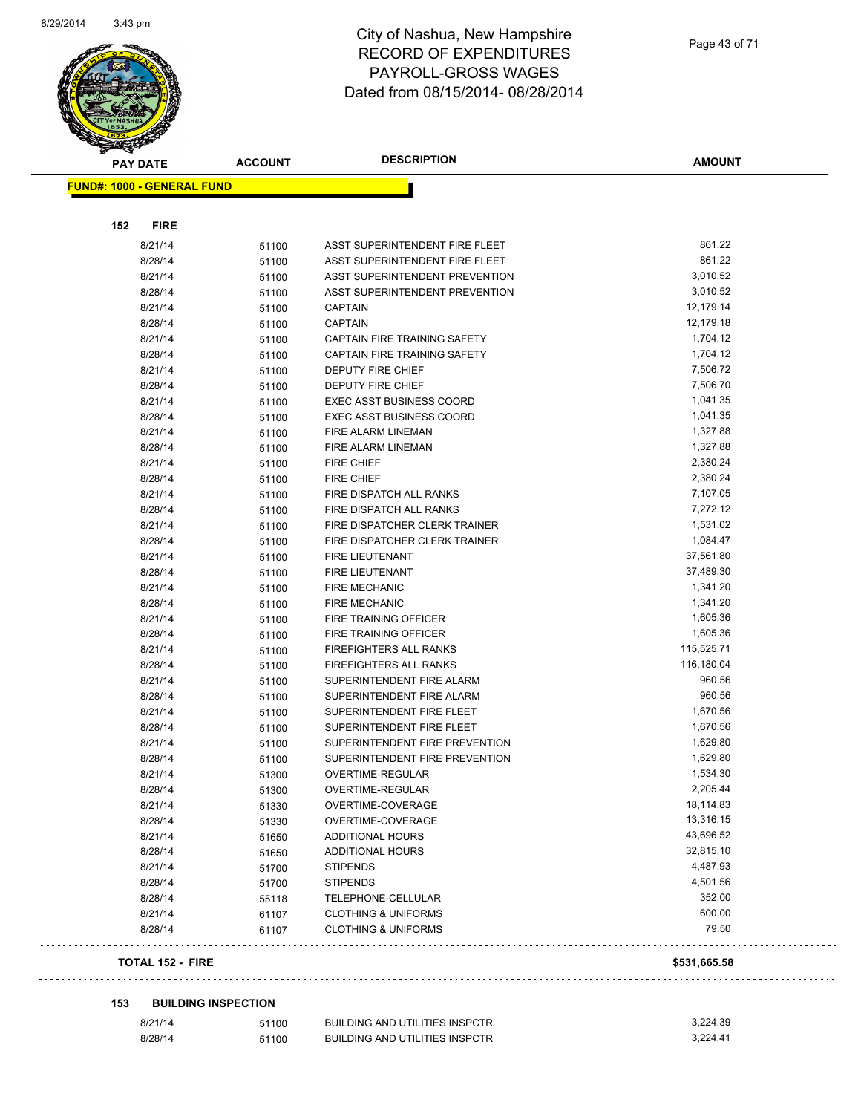

**FUND#: 1000 - GENERAL FUND**

#### City of Nashua, New Hampshire RECORD OF EXPENDITURES PAYROLL-GROSS WAGES Dated from 08/15/2014- 08/28/2014

| 152<br><b>FIRE</b> |                            |                                       |              |
|--------------------|----------------------------|---------------------------------------|--------------|
| 8/21/14            | 51100                      | ASST SUPERINTENDENT FIRE FLEET        | 861.22       |
| 8/28/14            | 51100                      | ASST SUPERINTENDENT FIRE FLEET        | 861.22       |
| 8/21/14            | 51100                      | ASST SUPERINTENDENT PREVENTION        | 3,010.52     |
| 8/28/14            | 51100                      | ASST SUPERINTENDENT PREVENTION        | 3,010.52     |
| 8/21/14            | 51100                      | <b>CAPTAIN</b>                        | 12,179.14    |
| 8/28/14            | 51100                      | <b>CAPTAIN</b>                        | 12,179.18    |
| 8/21/14            | 51100                      | CAPTAIN FIRE TRAINING SAFETY          | 1,704.12     |
| 8/28/14            | 51100                      | CAPTAIN FIRE TRAINING SAFETY          | 1,704.12     |
| 8/21/14            | 51100                      | DEPUTY FIRE CHIEF                     | 7,506.72     |
| 8/28/14            | 51100                      | DEPUTY FIRE CHIEF                     | 7,506.70     |
| 8/21/14            | 51100                      | <b>EXEC ASST BUSINESS COORD</b>       | 1,041.35     |
| 8/28/14            | 51100                      | <b>EXEC ASST BUSINESS COORD</b>       | 1,041.35     |
| 8/21/14            | 51100                      | FIRE ALARM LINEMAN                    | 1,327.88     |
| 8/28/14            | 51100                      | FIRE ALARM LINEMAN                    | 1,327.88     |
| 8/21/14            | 51100                      | <b>FIRE CHIEF</b>                     | 2,380.24     |
| 8/28/14            | 51100                      | <b>FIRE CHIEF</b>                     | 2,380.24     |
| 8/21/14            | 51100                      | FIRE DISPATCH ALL RANKS               | 7,107.05     |
| 8/28/14            | 51100                      | FIRE DISPATCH ALL RANKS               | 7,272.12     |
| 8/21/14            | 51100                      | FIRE DISPATCHER CLERK TRAINER         | 1,531.02     |
| 8/28/14            | 51100                      | FIRE DISPATCHER CLERK TRAINER         | 1,084.47     |
| 8/21/14            | 51100                      | <b>FIRE LIEUTENANT</b>                | 37,561.80    |
| 8/28/14            | 51100                      | <b>FIRE LIEUTENANT</b>                | 37,489.30    |
| 8/21/14            | 51100                      | <b>FIRE MECHANIC</b>                  | 1,341.20     |
| 8/28/14            | 51100                      | <b>FIRE MECHANIC</b>                  | 1,341.20     |
| 8/21/14            | 51100                      | FIRE TRAINING OFFICER                 | 1,605.36     |
| 8/28/14            | 51100                      | FIRE TRAINING OFFICER                 | 1,605.36     |
| 8/21/14            | 51100                      | <b>FIREFIGHTERS ALL RANKS</b>         | 115,525.71   |
| 8/28/14            | 51100                      | FIREFIGHTERS ALL RANKS                | 116,180.04   |
| 8/21/14            | 51100                      | SUPERINTENDENT FIRE ALARM             | 960.56       |
| 8/28/14            | 51100                      | SUPERINTENDENT FIRE ALARM             | 960.56       |
| 8/21/14            | 51100                      | SUPERINTENDENT FIRE FLEET             | 1,670.56     |
| 8/28/14            | 51100                      | SUPERINTENDENT FIRE FLEET             | 1,670.56     |
| 8/21/14            | 51100                      | SUPERINTENDENT FIRE PREVENTION        | 1,629.80     |
| 8/28/14            | 51100                      | SUPERINTENDENT FIRE PREVENTION        | 1,629.80     |
| 8/21/14            | 51300                      | OVERTIME-REGULAR                      | 1,534.30     |
| 8/28/14            | 51300                      | OVERTIME-REGULAR                      | 2,205.44     |
| 8/21/14            | 51330                      | OVERTIME-COVERAGE                     | 18,114.83    |
| 8/28/14            | 51330                      | OVERTIME-COVERAGE                     | 13,316.15    |
| 8/21/14            | 51650                      | <b>ADDITIONAL HOURS</b>               | 43,696.52    |
| 8/28/14            | 51650                      | <b>ADDITIONAL HOURS</b>               | 32,815.10    |
| 8/21/14            | 51700                      | <b>STIPENDS</b>                       | 4,487.93     |
| 8/28/14            | 51700                      | <b>STIPENDS</b>                       | 4,501.56     |
| 8/28/14            | 55118                      | TELEPHONE-CELLULAR                    | 352.00       |
| 8/21/14            | 61107                      | <b>CLOTHING &amp; UNIFORMS</b>        | 600.00       |
| 8/28/14            | 61107                      | <b>CLOTHING &amp; UNIFORMS</b>        | 79.50        |
| TOTAL 152 - FIRE   |                            |                                       | \$531,665.58 |
| 153                | <b>BUILDING INSPECTION</b> |                                       |              |
| 8/21/14            | 51100                      | <b>BUILDING AND UTILITIES INSPCTR</b> | 3,224.39     |
| 8/28/14            | 51100                      | <b>BUILDING AND UTILITIES INSPCTR</b> | 3,224.41     |

Page 43 of 71

**AMOUNT**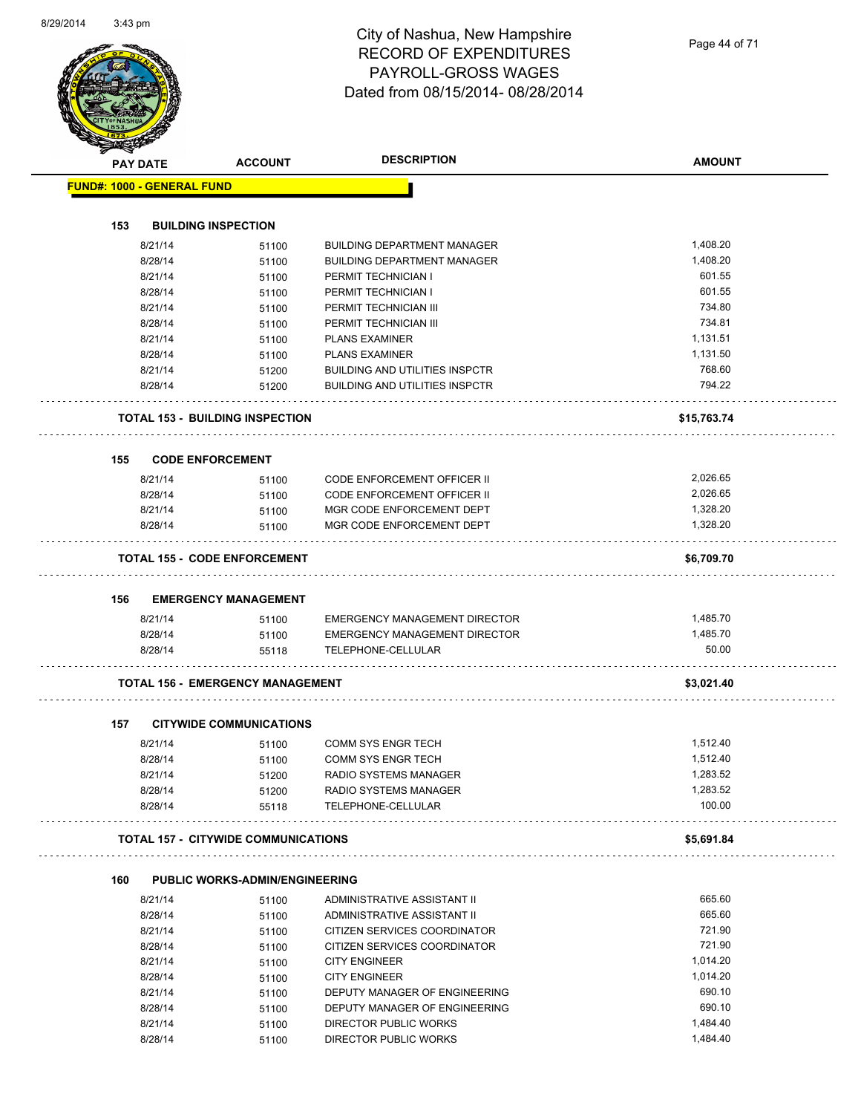Page 44 of 71

|     | <b>PAY DATE</b>                   | <b>ACCOUNT</b>                             | <b>DESCRIPTION</b>                                     | <b>AMOUNT</b>      |
|-----|-----------------------------------|--------------------------------------------|--------------------------------------------------------|--------------------|
|     | <b>FUND#: 1000 - GENERAL FUND</b> |                                            |                                                        |                    |
|     |                                   |                                            |                                                        |                    |
| 153 |                                   | <b>BUILDING INSPECTION</b>                 |                                                        |                    |
|     | 8/21/14                           | 51100                                      | <b>BUILDING DEPARTMENT MANAGER</b>                     | 1,408.20           |
|     | 8/28/14                           | 51100                                      | <b>BUILDING DEPARTMENT MANAGER</b>                     | 1,408.20           |
|     | 8/21/14                           | 51100                                      | PERMIT TECHNICIAN I                                    | 601.55             |
|     | 8/28/14                           | 51100                                      | PERMIT TECHNICIAN I                                    | 601.55             |
|     | 8/21/14                           | 51100                                      | PERMIT TECHNICIAN III                                  | 734.80             |
|     | 8/28/14                           | 51100                                      | PERMIT TECHNICIAN III                                  | 734.81             |
|     | 8/21/14                           | 51100                                      | <b>PLANS EXAMINER</b>                                  | 1,131.51           |
|     | 8/28/14                           | 51100                                      | <b>PLANS EXAMINER</b>                                  | 1,131.50           |
|     | 8/21/14                           | 51200                                      | <b>BUILDING AND UTILITIES INSPCTR</b>                  | 768.60             |
|     | 8/28/14                           | 51200                                      | <b>BUILDING AND UTILITIES INSPCTR</b>                  | 794.22             |
|     |                                   | <b>TOTAL 153 - BUILDING INSPECTION</b>     |                                                        | \$15,763.74        |
| 155 |                                   | <b>CODE ENFORCEMENT</b>                    |                                                        |                    |
|     | 8/21/14                           | 51100                                      | <b>CODE ENFORCEMENT OFFICER II</b>                     | 2,026.65           |
|     | 8/28/14                           | 51100                                      | <b>CODE ENFORCEMENT OFFICER II</b>                     | 2,026.65           |
|     | 8/21/14                           | 51100                                      | MGR CODE ENFORCEMENT DEPT                              | 1,328.20           |
|     | 8/28/14                           | 51100                                      | MGR CODE ENFORCEMENT DEPT                              | 1,328.20           |
|     |                                   |                                            |                                                        |                    |
|     |                                   | <b>TOTAL 155 - CODE ENFORCEMENT</b>        |                                                        | \$6,709.70         |
| 156 |                                   | <b>EMERGENCY MANAGEMENT</b>                |                                                        |                    |
|     | 8/21/14                           | 51100                                      | <b>EMERGENCY MANAGEMENT DIRECTOR</b>                   | 1,485.70           |
|     | 8/28/14                           | 51100                                      | <b>EMERGENCY MANAGEMENT DIRECTOR</b>                   | 1,485.70           |
|     | 8/28/14                           | 55118                                      | TELEPHONE-CELLULAR                                     | 50.00              |
|     |                                   |                                            |                                                        |                    |
|     |                                   | <b>TOTAL 156 - EMERGENCY MANAGEMENT</b>    |                                                        | \$3,021.40         |
|     |                                   |                                            |                                                        |                    |
| 157 |                                   | <b>CITYWIDE COMMUNICATIONS</b>             |                                                        |                    |
|     | 8/21/14                           | 51100                                      | <b>COMM SYS ENGR TECH</b>                              | 1,512.40           |
|     | 8/28/14                           | 51100                                      | <b>COMM SYS ENGR TECH</b>                              | 1,512.40           |
|     | 8/21/14                           | 51200                                      | RADIO SYSTEMS MANAGER                                  | 1,283.52           |
|     | 8/28/14<br>8/28/14                | 51200<br>55118                             | RADIO SYSTEMS MANAGER<br>TELEPHONE-CELLULAR            | 1,283.52<br>100.00 |
|     |                                   | <b>TOTAL 157 - CITYWIDE COMMUNICATIONS</b> |                                                        | \$5,691.84         |
|     |                                   |                                            |                                                        |                    |
| 160 |                                   | <b>PUBLIC WORKS-ADMIN/ENGINEERING</b>      |                                                        |                    |
|     | 8/21/14                           | 51100                                      | ADMINISTRATIVE ASSISTANT II                            | 665.60             |
|     | 8/28/14                           | 51100                                      | ADMINISTRATIVE ASSISTANT II                            | 665.60             |
|     | 8/21/14                           | 51100                                      | CITIZEN SERVICES COORDINATOR                           | 721.90             |
|     | 8/28/14                           | 51100                                      | CITIZEN SERVICES COORDINATOR                           | 721.90             |
|     | 8/21/14                           | 51100                                      | <b>CITY ENGINEER</b>                                   | 1,014.20           |
|     | 8/28/14                           | 51100                                      | <b>CITY ENGINEER</b>                                   | 1,014.20           |
|     | 8/21/14                           | 51100                                      | DEPUTY MANAGER OF ENGINEERING                          | 690.10             |
|     | 8/28/14<br>8/21/14                | 51100<br>51100                             | DEPUTY MANAGER OF ENGINEERING<br>DIRECTOR PUBLIC WORKS | 690.10<br>1,484.40 |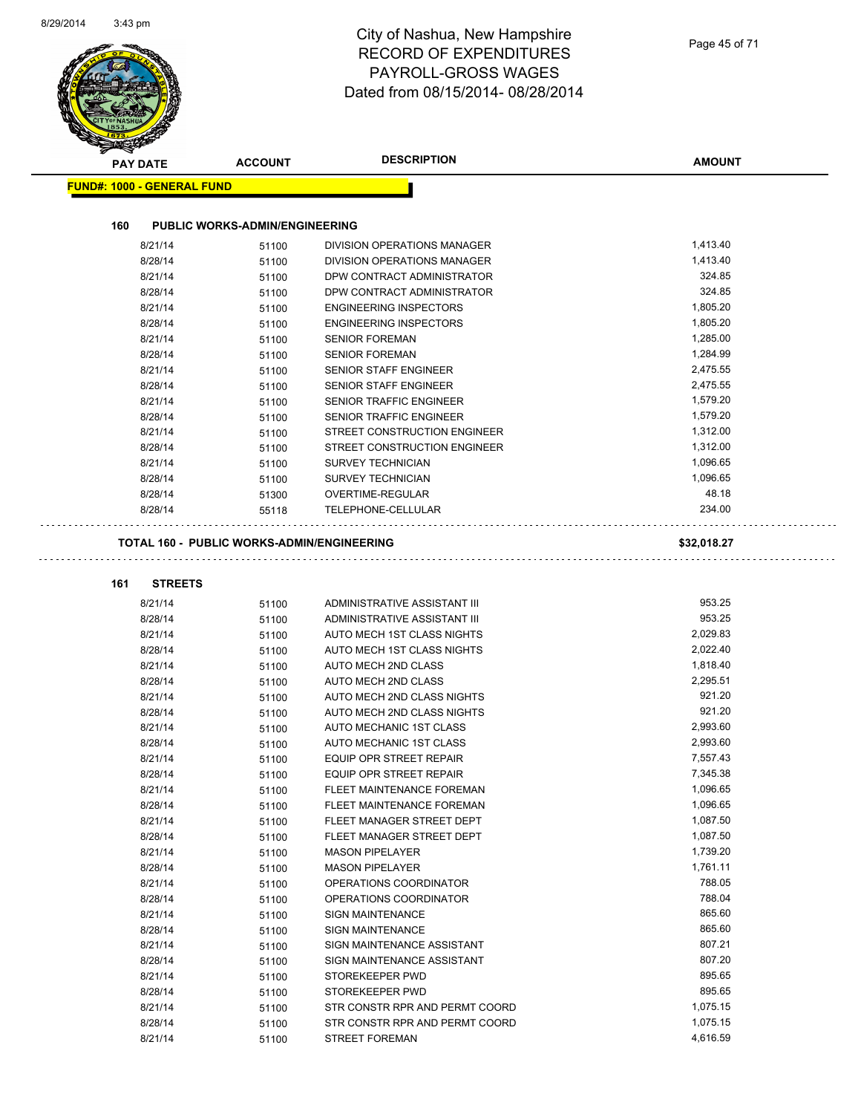| <b>PAY DATE</b>                   | <b>ACCOUNT</b>                             | <b>DESCRIPTION</b>                     | <b>AMOUNT</b>   |
|-----------------------------------|--------------------------------------------|----------------------------------------|-----------------|
| <b>FUND#: 1000 - GENERAL FUND</b> |                                            |                                        |                 |
|                                   |                                            |                                        |                 |
| 160                               | <b>PUBLIC WORKS-ADMIN/ENGINEERING</b>      |                                        |                 |
| 8/21/14                           | 51100                                      | <b>DIVISION OPERATIONS MANAGER</b>     | 1,413.40        |
| 8/28/14                           | 51100                                      | DIVISION OPERATIONS MANAGER            | 1,413.40        |
| 8/21/14                           | 51100                                      | DPW CONTRACT ADMINISTRATOR             | 324.85          |
| 8/28/14                           | 51100                                      | DPW CONTRACT ADMINISTRATOR             | 324.85          |
| 8/21/14                           | 51100                                      | <b>ENGINEERING INSPECTORS</b>          | 1,805.20        |
| 8/28/14                           | 51100                                      | <b>ENGINEERING INSPECTORS</b>          | 1,805.20        |
| 8/21/14                           | 51100                                      | <b>SENIOR FOREMAN</b>                  | 1,285.00        |
| 8/28/14                           | 51100                                      | <b>SENIOR FOREMAN</b>                  | 1,284.99        |
| 8/21/14                           | 51100                                      | SENIOR STAFF ENGINEER                  | 2,475.55        |
| 8/28/14                           | 51100                                      | SENIOR STAFF ENGINEER                  | 2,475.55        |
| 8/21/14                           | 51100                                      | SENIOR TRAFFIC ENGINEER                | 1,579.20        |
| 8/28/14                           | 51100                                      | SENIOR TRAFFIC ENGINEER                | 1,579.20        |
| 8/21/14                           | 51100                                      | STREET CONSTRUCTION ENGINEER           | 1,312.00        |
| 8/28/14                           | 51100                                      | STREET CONSTRUCTION ENGINEER           | 1,312.00        |
| 8/21/14                           | 51100                                      | <b>SURVEY TECHNICIAN</b>               | 1,096.65        |
| 8/28/14                           | 51100                                      | <b>SURVEY TECHNICIAN</b>               | 1,096.65        |
| 8/28/14<br>8/28/14                | 51300<br>55118                             | OVERTIME-REGULAR<br>TELEPHONE-CELLULAR | 48.18<br>234.00 |
|                                   | TOTAL 160 - PUBLIC WORKS-ADMIN/ENGINEERING |                                        | \$32,018.27     |
| <b>STREETS</b><br>161             |                                            |                                        |                 |
| 8/21/14                           | 51100                                      | ADMINISTRATIVE ASSISTANT III           | 953.25          |
| 8/28/14                           | 51100                                      | ADMINISTRATIVE ASSISTANT III           | 953.25          |
| 8/21/14                           | 51100                                      | AUTO MECH 1ST CLASS NIGHTS             |                 |
|                                   |                                            |                                        | 2,029.83        |
| 8/28/14                           |                                            | AUTO MECH 1ST CLASS NIGHTS             | 2,022.40        |
| 8/21/14                           | 51100                                      | AUTO MECH 2ND CLASS                    | 1,818.40        |
| 8/28/14                           | 51100<br>51100                             | AUTO MECH 2ND CLASS                    | 2,295.51        |
| 8/21/14                           | 51100                                      | AUTO MECH 2ND CLASS NIGHTS             | 921.20          |
| 8/28/14                           | 51100                                      | AUTO MECH 2ND CLASS NIGHTS             | 921.20          |
| 8/21/14                           | 51100                                      | AUTO MECHANIC 1ST CLASS                | 2,993.60        |
| 8/28/14                           | 51100                                      | AUTO MECHANIC 1ST CLASS                | 2,993.60        |
| 8/21/14                           | 51100                                      | EQUIP OPR STREET REPAIR                | 7,557.43        |
| 8/28/14                           | 51100                                      | EQUIP OPR STREET REPAIR                | 7,345.38        |
| 8/21/14                           | 51100                                      | FLEET MAINTENANCE FOREMAN              | 1,096.65        |
| 8/28/14                           | 51100                                      | FLEET MAINTENANCE FOREMAN              | 1,096.65        |
| 8/21/14                           | 51100                                      | FLEET MANAGER STREET DEPT              | 1,087.50        |
| 8/28/14                           | 51100                                      | FLEET MANAGER STREET DEPT              | 1,087.50        |
| 8/21/14                           | 51100                                      | <b>MASON PIPELAYER</b>                 | 1,739.20        |
| 8/28/14                           | 51100                                      | <b>MASON PIPELAYER</b>                 | 1,761.11        |
| 8/21/14                           | 51100                                      | OPERATIONS COORDINATOR                 | 788.05          |
| 8/28/14                           | 51100                                      | OPERATIONS COORDINATOR                 | 788.04          |
| 8/21/14                           | 51100                                      | <b>SIGN MAINTENANCE</b>                | 865.60          |
| 8/28/14                           | 51100                                      | <b>SIGN MAINTENANCE</b>                | 865.60          |
| 8/21/14                           | 51100                                      | SIGN MAINTENANCE ASSISTANT             | 807.21          |
| 8/28/14                           | 51100                                      | SIGN MAINTENANCE ASSISTANT             | 807.20          |
| 8/21/14                           | 51100                                      | STOREKEEPER PWD                        | 895.65          |
| 8/28/14                           | 51100                                      | STOREKEEPER PWD                        | 895.65          |
| 8/21/14                           | 51100                                      | STR CONSTR RPR AND PERMT COORD         | 1,075.15        |
| 8/28/14                           | 51100                                      | STR CONSTR RPR AND PERMT COORD         | 1,075.15        |
| 8/21/14                           | 51100                                      | STREET FOREMAN                         | 4,616.59        |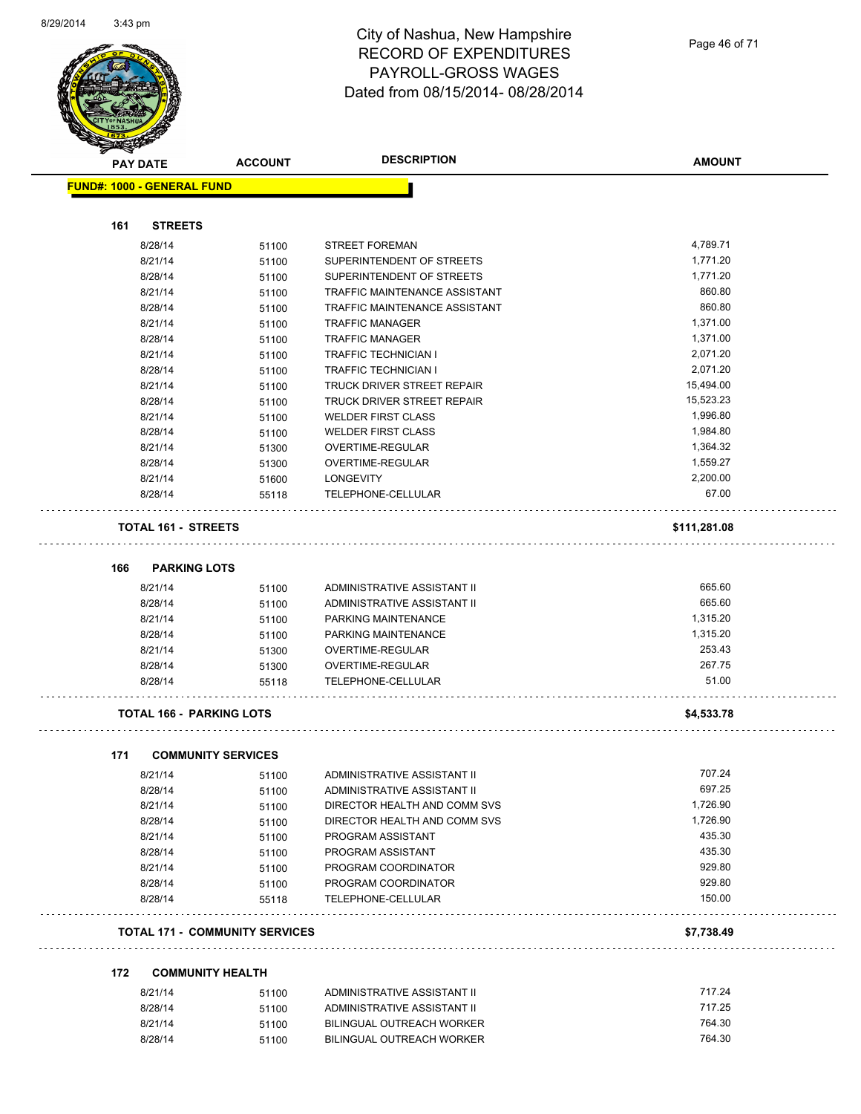

Page 46 of 71

|     | <b>PAY DATE</b>    | <b>ACCOUNT</b>                        | <b>DESCRIPTION</b>                     | <b>AMOUNT</b>   |
|-----|--------------------|---------------------------------------|----------------------------------------|-----------------|
|     |                    | <b>FUND#: 1000 - GENERAL FUND</b>     |                                        |                 |
|     |                    |                                       |                                        |                 |
| 161 | <b>STREETS</b>     |                                       |                                        |                 |
|     | 8/28/14            | 51100                                 | <b>STREET FOREMAN</b>                  | 4,789.71        |
|     | 8/21/14            | 51100                                 | SUPERINTENDENT OF STREETS              | 1,771.20        |
|     | 8/28/14            | 51100                                 | SUPERINTENDENT OF STREETS              | 1,771.20        |
|     | 8/21/14            | 51100                                 | TRAFFIC MAINTENANCE ASSISTANT          | 860.80          |
|     | 8/28/14            | 51100                                 | TRAFFIC MAINTENANCE ASSISTANT          | 860.80          |
|     | 8/21/14            | 51100                                 | <b>TRAFFIC MANAGER</b>                 | 1,371.00        |
|     | 8/28/14            | 51100                                 | <b>TRAFFIC MANAGER</b>                 | 1,371.00        |
|     | 8/21/14            | 51100                                 | <b>TRAFFIC TECHNICIAN I</b>            | 2,071.20        |
|     | 8/28/14            | 51100                                 | <b>TRAFFIC TECHNICIAN I</b>            | 2,071.20        |
|     | 8/21/14            | 51100                                 | TRUCK DRIVER STREET REPAIR             | 15,494.00       |
|     | 8/28/14            | 51100                                 | TRUCK DRIVER STREET REPAIR             | 15,523.23       |
|     | 8/21/14            | 51100                                 | <b>WELDER FIRST CLASS</b>              | 1,996.80        |
|     | 8/28/14            | 51100                                 | <b>WELDER FIRST CLASS</b>              | 1,984.80        |
|     | 8/21/14            | 51300                                 | OVERTIME-REGULAR                       | 1,364.32        |
|     | 8/28/14            | 51300                                 | OVERTIME-REGULAR                       | 1,559.27        |
|     | 8/21/14            | 51600                                 | LONGEVITY                              | 2,200.00        |
|     | 8/28/14            | 55118                                 | TELEPHONE-CELLULAR                     | 67.00           |
|     |                    | <b>TOTAL 161 - STREETS</b>            |                                        | \$111,281.08    |
|     |                    |                                       |                                        |                 |
| 166 |                    | <b>PARKING LOTS</b>                   |                                        |                 |
|     | 8/21/14            | 51100                                 | ADMINISTRATIVE ASSISTANT II            | 665.60          |
|     | 8/28/14            | 51100                                 | ADMINISTRATIVE ASSISTANT II            | 665.60          |
|     | 8/21/14            | 51100                                 | PARKING MAINTENANCE                    | 1,315.20        |
|     | 8/28/14            | 51100                                 | PARKING MAINTENANCE                    | 1,315.20        |
|     | 8/21/14            | 51300                                 | OVERTIME-REGULAR                       | 253.43          |
|     | 8/28/14<br>8/28/14 | 51300<br>55118                        | OVERTIME-REGULAR<br>TELEPHONE-CELLULAR | 267.75<br>51.00 |
|     |                    |                                       |                                        |                 |
|     |                    | <b>TOTAL 166 - PARKING LOTS</b>       |                                        | \$4,533.78      |
| 171 |                    | <b>COMMUNITY SERVICES</b>             |                                        |                 |
|     | 8/21/14            | 51100                                 | ADMINISTRATIVE ASSISTANT II            | 707.24          |
|     | 8/28/14            | 51100                                 | ADMINISTRATIVE ASSISTANT II            | 697.25          |
|     | 8/21/14            | 51100                                 | DIRECTOR HEALTH AND COMM SVS           | 1,726.90        |
|     | 8/28/14            | 51100                                 | DIRECTOR HEALTH AND COMM SVS           | 1,726.90        |
|     | 8/21/14            | 51100                                 | PROGRAM ASSISTANT                      | 435.30          |
|     | 8/28/14            | 51100                                 | PROGRAM ASSISTANT                      | 435.30          |
|     | 8/21/14            | 51100                                 | PROGRAM COORDINATOR                    | 929.80          |
|     | 8/28/14            | 51100                                 | PROGRAM COORDINATOR                    | 929.80          |
|     | 8/28/14            | 55118                                 | TELEPHONE-CELLULAR                     | 150.00          |
|     |                    | <b>TOTAL 171 - COMMUNITY SERVICES</b> |                                        | \$7,738.49      |
| 172 |                    | <b>COMMUNITY HEALTH</b>               |                                        |                 |
|     | 8/21/14            | 51100                                 | ADMINISTRATIVE ASSISTANT II            | 717.24          |
|     | 8/28/14            | 51100                                 | ADMINISTRATIVE ASSISTANT II            | 717.25          |
|     | 8/21/14            | 51100                                 | <b>BILINGUAL OUTREACH WORKER</b>       | 764.30          |
|     | 8/28/14            | 51100                                 | BILINGUAL OUTREACH WORKER              | 764.30          |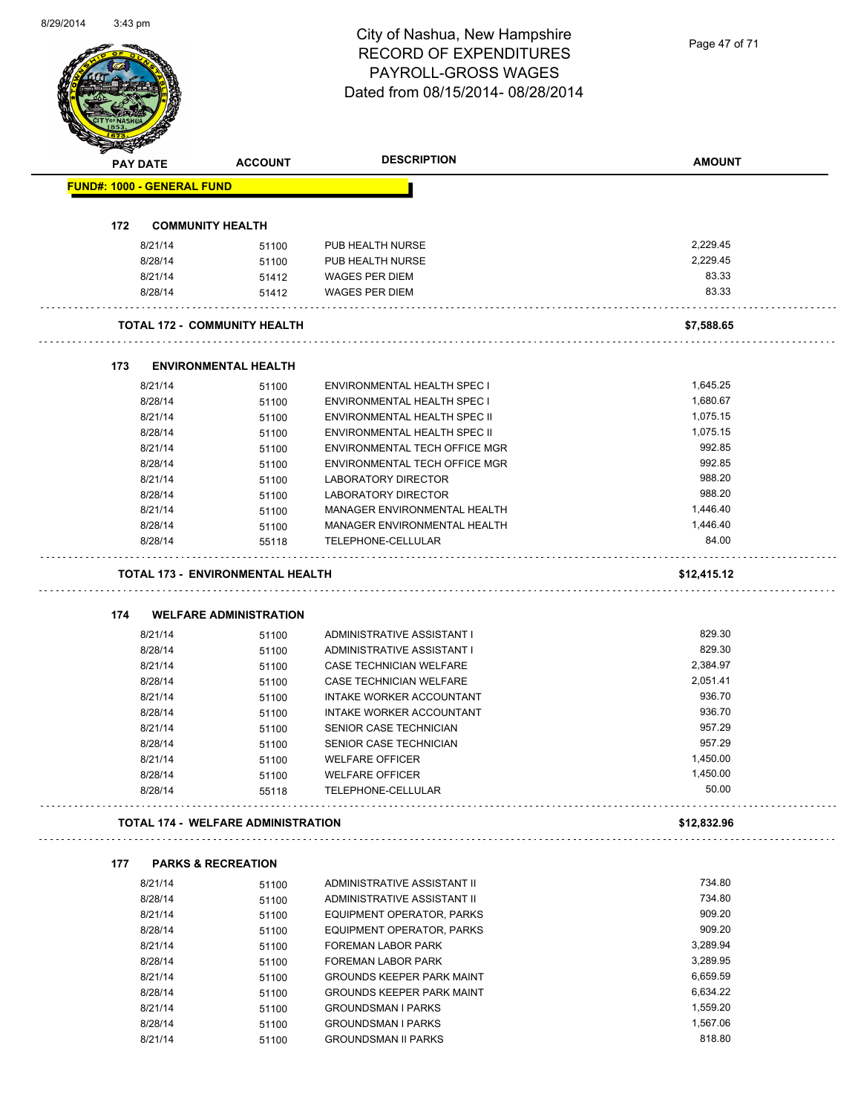Page 47 of 71

| <b>PAY DATE</b>                   | <b>ACCOUNT</b>                            | <b>DESCRIPTION</b>                                            | <b>AMOUNT</b>     |
|-----------------------------------|-------------------------------------------|---------------------------------------------------------------|-------------------|
| <b>FUND#: 1000 - GENERAL FUND</b> |                                           |                                                               |                   |
|                                   |                                           |                                                               |                   |
| 172                               | <b>COMMUNITY HEALTH</b>                   |                                                               |                   |
| 8/21/14                           | 51100                                     | PUB HEALTH NURSE                                              | 2,229.45          |
| 8/28/14                           | 51100                                     | PUB HEALTH NURSE                                              | 2,229.45          |
| 8/21/14                           | 51412                                     | <b>WAGES PER DIEM</b>                                         | 83.33             |
| 8/28/14                           | 51412                                     | <b>WAGES PER DIEM</b>                                         | 83.33             |
|                                   | <b>TOTAL 172 - COMMUNITY HEALTH</b>       |                                                               | \$7,588.65        |
|                                   |                                           |                                                               |                   |
| 173                               | <b>ENVIRONMENTAL HEALTH</b>               |                                                               | 1,645.25          |
| 8/21/14<br>8/28/14                | 51100                                     | <b>ENVIRONMENTAL HEALTH SPEC I</b>                            | 1,680.67          |
| 8/21/14                           | 51100                                     | ENVIRONMENTAL HEALTH SPEC I<br>ENVIRONMENTAL HEALTH SPEC II   | 1,075.15          |
| 8/28/14                           | 51100                                     | <b>ENVIRONMENTAL HEALTH SPEC II</b>                           | 1,075.15          |
| 8/21/14                           | 51100                                     | ENVIRONMENTAL TECH OFFICE MGR                                 | 992.85            |
| 8/28/14                           | 51100                                     | ENVIRONMENTAL TECH OFFICE MGR                                 | 992.85            |
|                                   | 51100                                     |                                                               |                   |
| 8/21/14                           | 51100                                     | LABORATORY DIRECTOR                                           | 988.20            |
| 8/28/14                           | 51100                                     | <b>LABORATORY DIRECTOR</b>                                    | 988.20            |
| 8/21/14                           | 51100                                     | MANAGER ENVIRONMENTAL HEALTH                                  | 1,446.40          |
| 8/28/14                           | 51100                                     | MANAGER ENVIRONMENTAL HEALTH                                  | 1,446.40          |
| 8/28/14                           | 55118                                     | TELEPHONE-CELLULAR<br>.                                       | 84.00             |
|                                   | <b>TOTAL 173 - ENVIRONMENTAL HEALTH</b>   |                                                               | \$12,415.12       |
| 174                               | <b>WELFARE ADMINISTRATION</b>             |                                                               |                   |
| 8/21/14                           | 51100                                     | ADMINISTRATIVE ASSISTANT I                                    | 829.30            |
| 8/28/14                           | 51100                                     | ADMINISTRATIVE ASSISTANT I                                    | 829.30            |
| 8/21/14                           | 51100                                     | CASE TECHNICIAN WELFARE                                       | 2,384.97          |
| 8/28/14                           | 51100                                     | CASE TECHNICIAN WELFARE                                       | 2,051.41          |
|                                   |                                           | INTAKE WORKER ACCOUNTANT                                      |                   |
|                                   |                                           |                                                               |                   |
| 8/21/14                           | 51100                                     |                                                               | 936.70            |
| 8/28/14                           | 51100                                     | INTAKE WORKER ACCOUNTANT                                      | 936.70            |
| 8/21/14                           | 51100                                     | SENIOR CASE TECHNICIAN                                        | 957.29            |
| 8/28/14                           | 51100                                     | SENIOR CASE TECHNICIAN                                        | 957.29            |
| 8/21/14                           | 51100                                     | <b>WELFARE OFFICER</b>                                        | 1,450.00          |
| 8/28/14                           | 51100                                     | <b>WELFARE OFFICER</b>                                        | 1,450.00<br>50.00 |
| 8/28/14                           | 55118                                     | TELEPHONE-CELLULAR                                            |                   |
|                                   | <b>TOTAL 174 - WELFARE ADMINISTRATION</b> |                                                               | \$12,832.96       |
| 177                               | <b>PARKS &amp; RECREATION</b>             |                                                               |                   |
| 8/21/14                           | 51100                                     | ADMINISTRATIVE ASSISTANT II                                   | 734.80            |
| 8/28/14                           | 51100                                     | ADMINISTRATIVE ASSISTANT II                                   | 734.80            |
| 8/21/14                           | 51100                                     | <b>EQUIPMENT OPERATOR, PARKS</b>                              | 909.20            |
| 8/28/14                           | 51100                                     | EQUIPMENT OPERATOR, PARKS                                     | 909.20            |
| 8/21/14                           | 51100                                     | FOREMAN LABOR PARK                                            | 3,289.94          |
| 8/28/14                           | 51100                                     | <b>FOREMAN LABOR PARK</b>                                     | 3,289.95          |
| 8/21/14                           |                                           |                                                               | 6,659.59          |
| 8/28/14                           | 51100                                     | GROUNDS KEEPER PARK MAINT<br><b>GROUNDS KEEPER PARK MAINT</b> | 6,634.22          |
|                                   | 51100                                     |                                                               | 1,559.20          |
| 8/21/14<br>8/28/14                | 51100<br>51100                            | <b>GROUNDSMAN I PARKS</b><br><b>GROUNDSMAN I PARKS</b>        | 1,567.06          |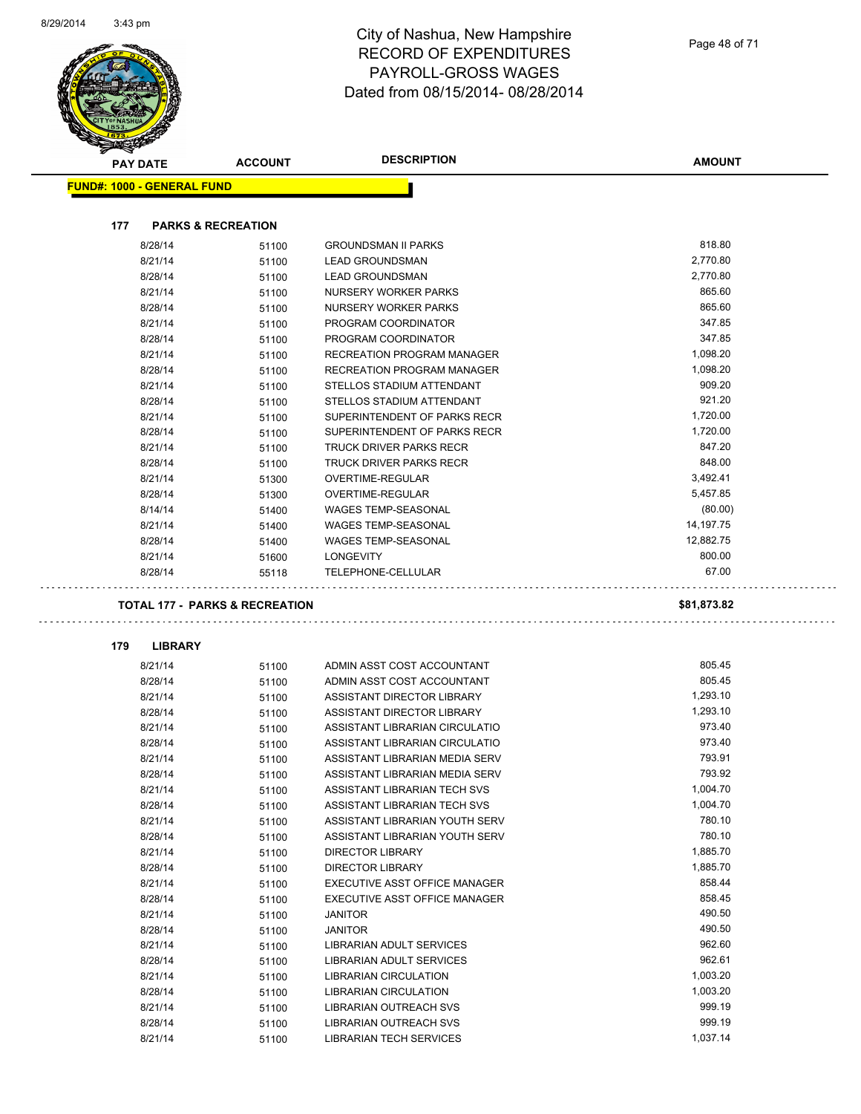Page 48 of 71

|     | PAY DATE                          | <b>ACCOUNT</b>                            | <b>DESCRIPTION</b>             | <b>AMOUNT</b> |
|-----|-----------------------------------|-------------------------------------------|--------------------------------|---------------|
|     | <b>FUND#: 1000 - GENERAL FUND</b> |                                           |                                |               |
|     |                                   |                                           |                                |               |
| 177 |                                   | <b>PARKS &amp; RECREATION</b>             |                                |               |
|     | 8/28/14                           | 51100                                     | <b>GROUNDSMAN II PARKS</b>     | 818.80        |
|     | 8/21/14                           | 51100                                     | <b>LEAD GROUNDSMAN</b>         | 2,770.80      |
|     | 8/28/14                           | 51100                                     | <b>LEAD GROUNDSMAN</b>         | 2,770.80      |
|     | 8/21/14                           | 51100                                     | NURSERY WORKER PARKS           | 865.60        |
|     | 8/28/14                           | 51100                                     | NURSERY WORKER PARKS           | 865.60        |
|     | 8/21/14                           | 51100                                     | PROGRAM COORDINATOR            | 347.85        |
|     | 8/28/14                           | 51100                                     | PROGRAM COORDINATOR            | 347.85        |
|     | 8/21/14                           | 51100                                     | RECREATION PROGRAM MANAGER     | 1,098.20      |
|     | 8/28/14                           | 51100                                     | RECREATION PROGRAM MANAGER     | 1,098.20      |
|     | 8/21/14                           | 51100                                     | STELLOS STADIUM ATTENDANT      | 909.20        |
|     | 8/28/14                           | 51100                                     | STELLOS STADIUM ATTENDANT      | 921.20        |
|     | 8/21/14                           | 51100                                     | SUPERINTENDENT OF PARKS RECR   | 1,720.00      |
|     | 8/28/14                           | 51100                                     | SUPERINTENDENT OF PARKS RECR   | 1,720.00      |
|     | 8/21/14                           | 51100                                     | TRUCK DRIVER PARKS RECR        | 847.20        |
|     | 8/28/14                           | 51100                                     | <b>TRUCK DRIVER PARKS RECR</b> | 848.00        |
|     | 8/21/14                           | 51300                                     | OVERTIME-REGULAR               | 3,492.41      |
|     | 8/28/14                           | 51300                                     | OVERTIME-REGULAR               | 5,457.85      |
|     | 8/14/14                           | 51400                                     | <b>WAGES TEMP-SEASONAL</b>     | (80.00)       |
|     | 8/21/14                           | 51400                                     | <b>WAGES TEMP-SEASONAL</b>     | 14,197.75     |
|     | 8/28/14                           | 51400                                     | <b>WAGES TEMP-SEASONAL</b>     | 12,882.75     |
|     | 8/21/14                           | 51600                                     | <b>LONGEVITY</b>               | 800.00        |
|     | 8/28/14                           | 55118                                     | TELEPHONE-CELLULAR             | 67.00         |
|     |                                   |                                           |                                |               |
|     |                                   | <b>TOTAL 177 - PARKS &amp; RECREATION</b> |                                | \$81,873.82   |
| 179 | <b>LIBRARY</b>                    |                                           |                                |               |
|     | 8/21/14                           | 51100                                     | ADMIN ASST COST ACCOUNTANT     | 805.45        |
|     | 8/28/14                           | 51100                                     | ADMIN ASST COST ACCOUNTANT     | 805.45        |
|     | 8/21/14                           | 51100                                     | ASSISTANT DIRECTOR LIBRARY     | 1,293.10      |
|     | 8/28/14                           | 51100                                     | ASSISTANT DIRECTOR LIBRARY     | 1,293.10      |
|     | 8/21/14                           | 51100                                     | ASSISTANT LIBRARIAN CIRCULATIO | 973.40        |
|     | 8/28/14                           |                                           | ASSISTANT LIBRARIAN CIRCULATIO | 973.40        |
|     | 8/21/14                           | 51100<br>51100                            | ASSISTANT LIBRARIAN MEDIA SERV | 793.91        |
|     | 8/28/14                           | 51100                                     | ASSISTANT LIBRARIAN MEDIA SERV | 793.92        |
|     | 8/21/14                           | 51100                                     | ASSISTANT LIBRARIAN TECH SVS   | 1,004.70      |
|     | 8/28/14                           |                                           | ASSISTANT LIBRARIAN TECH SVS   | 1,004.70      |
|     | 8/21/14                           | 51100<br>51100                            | ASSISTANT LIBRARIAN YOUTH SERV | 780.10        |
|     | 8/28/14                           |                                           | ASSISTANT LIBRARIAN YOUTH SERV | 780.10        |
|     |                                   | 51100                                     | DIRECTOR LIBRARY               | 1,885.70      |
|     | 8/21/14<br>8/28/14                | 51100                                     | <b>DIRECTOR LIBRARY</b>        | 1,885.70      |
|     | 8/21/14                           | 51100                                     | EXECUTIVE ASST OFFICE MANAGER  | 858.44        |
|     | 8/28/14                           | 51100<br>51100                            | EXECUTIVE ASST OFFICE MANAGER  | 858.45        |
|     | 8/21/14                           | 51100                                     | <b>JANITOR</b>                 | 490.50        |
|     | 8/28/14                           | 51100                                     | <b>JANITOR</b>                 | 490.50        |
|     | 8/21/14                           | 51100                                     | LIBRARIAN ADULT SERVICES       | 962.60        |
|     | 8/28/14                           | 51100                                     | LIBRARIAN ADULT SERVICES       | 962.61        |
|     | 8/21/14                           | 51100                                     | LIBRARIAN CIRCULATION          | 1,003.20      |
|     | 8/28/14                           | 51100                                     | LIBRARIAN CIRCULATION          | 1,003.20      |
|     | 8/21/14                           |                                           | LIBRARIAN OUTREACH SVS         | 999.19        |
|     | 8/28/14                           | 51100<br>51100                            | LIBRARIAN OUTREACH SVS         | 999.19        |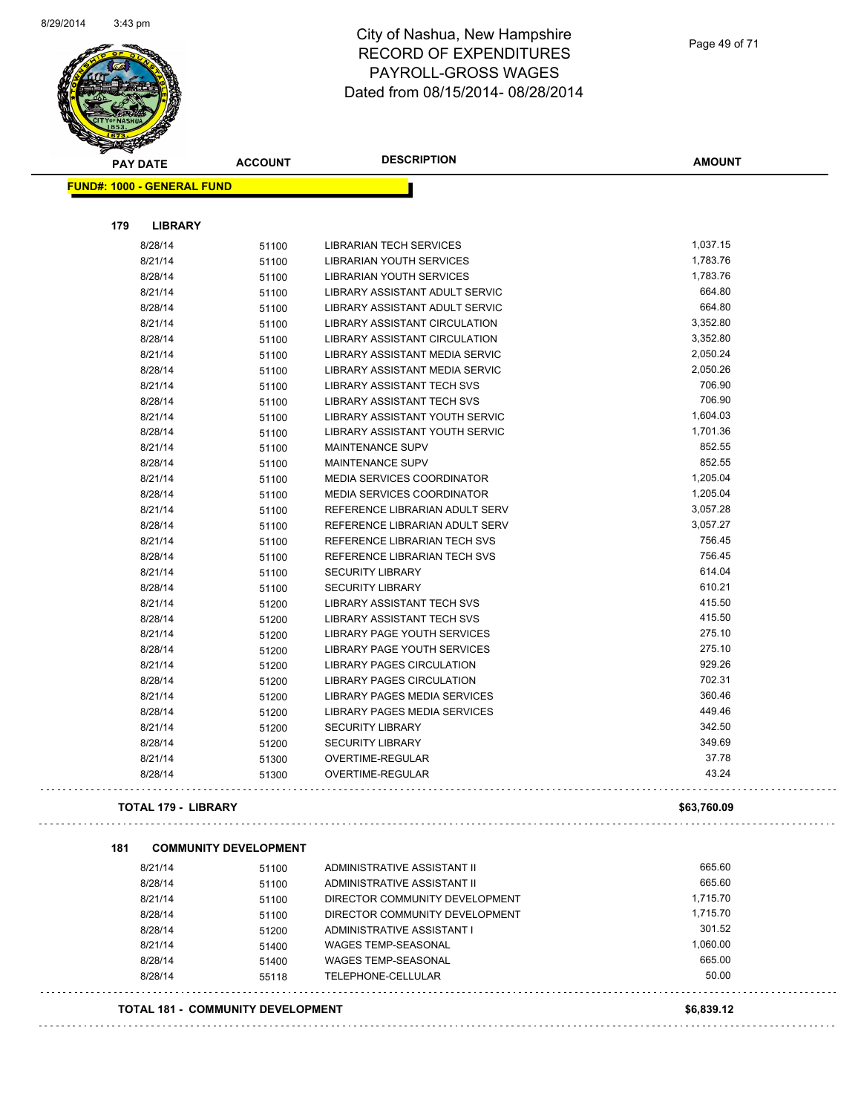

#### City of Nashua, New Hampshire RECORD OF EXPENDITURES PAYROLL-GROSS WAGES Dated from 08/15/2014- 08/28/2014

| <b>FUND#: 1000 - GENERAL FUND</b><br>179<br><b>LIBRARY</b><br>1,037.15<br>8/28/14<br><b>LIBRARIAN TECH SERVICES</b><br>51100<br>1,783.76<br>8/21/14<br>LIBRARIAN YOUTH SERVICES<br>51100<br>1,783.76<br>8/28/14<br>LIBRARIAN YOUTH SERVICES<br>51100<br>664.80<br>8/21/14<br>LIBRARY ASSISTANT ADULT SERVIC<br>51100<br>664.80<br>8/28/14<br>LIBRARY ASSISTANT ADULT SERVIC<br>51100<br>3,352.80<br>8/21/14<br>LIBRARY ASSISTANT CIRCULATION<br>51100<br>3,352.80<br><b>LIBRARY ASSISTANT CIRCULATION</b><br>8/28/14<br>51100<br>2,050.24<br>8/21/14<br>LIBRARY ASSISTANT MEDIA SERVIC<br>51100<br>2,050.26<br>8/28/14<br>LIBRARY ASSISTANT MEDIA SERVIC<br>51100<br>706.90<br>8/21/14<br>LIBRARY ASSISTANT TECH SVS<br>51100<br>706.90<br>8/28/14<br>LIBRARY ASSISTANT TECH SVS<br>51100<br>1,604.03<br>8/21/14<br>LIBRARY ASSISTANT YOUTH SERVIC<br>51100<br>1,701.36<br>8/28/14<br>LIBRARY ASSISTANT YOUTH SERVIC<br>51100<br>852.55<br>8/21/14<br><b>MAINTENANCE SUPV</b><br>51100<br>852.55<br>8/28/14<br><b>MAINTENANCE SUPV</b><br>51100<br>1,205.04<br>8/21/14<br><b>MEDIA SERVICES COORDINATOR</b><br>51100<br>1,205.04<br>8/28/14<br><b>MEDIA SERVICES COORDINATOR</b><br>51100<br>3,057.28<br>8/21/14<br>REFERENCE LIBRARIAN ADULT SERV<br>51100<br>8/28/14<br>REFERENCE LIBRARIAN ADULT SERV<br>3,057.27<br>51100<br>756.45<br>8/21/14<br>REFERENCE LIBRARIAN TECH SVS<br>51100<br>756.45<br>8/28/14<br>REFERENCE LIBRARIAN TECH SVS<br>51100<br>614.04<br>8/21/14<br><b>SECURITY LIBRARY</b><br>51100<br>610.21<br>8/28/14<br><b>SECURITY LIBRARY</b><br>51100<br>415.50<br>8/21/14<br>LIBRARY ASSISTANT TECH SVS<br>51200<br>415.50<br>8/28/14<br>LIBRARY ASSISTANT TECH SVS<br>51200<br>275.10<br>8/21/14<br>LIBRARY PAGE YOUTH SERVICES<br>51200<br>275.10<br>8/28/14<br>LIBRARY PAGE YOUTH SERVICES<br>51200<br>929.26<br>8/21/14<br><b>LIBRARY PAGES CIRCULATION</b><br>51200<br>702.31<br>8/28/14<br>LIBRARY PAGES CIRCULATION<br>51200<br>360.46<br>8/21/14<br>LIBRARY PAGES MEDIA SERVICES<br>51200<br>449.46<br>8/28/14<br>LIBRARY PAGES MEDIA SERVICES<br>51200<br>342.50<br>8/21/14<br><b>SECURITY LIBRARY</b><br>51200<br>349.69<br>8/28/14<br><b>SECURITY LIBRARY</b><br>51200<br>37.78<br>8/21/14<br>OVERTIME-REGULAR<br>51300<br>43.24<br>8/28/14<br><b>OVERTIME-REGULAR</b><br>51300<br><b>TOTAL 179 - LIBRARY</b><br>\$63,760.09<br><b>COMMUNITY DEVELOPMENT</b><br>665.60<br>8/21/14<br>ADMINISTRATIVE ASSISTANT II<br>51100<br>665.60<br>8/28/14<br>ADMINISTRATIVE ASSISTANT II<br>51100<br>1,715.70<br>8/21/14<br>DIRECTOR COMMUNITY DEVELOPMENT<br>51100<br>8/28/14<br>DIRECTOR COMMUNITY DEVELOPMENT<br>1,715.70<br>51100<br>301.52<br>8/28/14<br><b>ADMINISTRATIVE ASSISTANT I</b><br>51200<br>1,060.00<br>8/21/14<br><b>WAGES TEMP-SEASONAL</b><br>51400<br>665.00<br><b>WAGES TEMP-SEASONAL</b><br>8/28/14<br>51400<br>50.00<br>8/28/14<br>TELEPHONE-CELLULAR<br>55118<br><b>TOTAL 181 - COMMUNITY DEVELOPMENT</b><br>\$6,839.12 | <b>PAY DATE</b> | <b>ACCOUNT</b> | <b>DESCRIPTION</b> | <b>AMOUNT</b> |
|------------------------------------------------------------------------------------------------------------------------------------------------------------------------------------------------------------------------------------------------------------------------------------------------------------------------------------------------------------------------------------------------------------------------------------------------------------------------------------------------------------------------------------------------------------------------------------------------------------------------------------------------------------------------------------------------------------------------------------------------------------------------------------------------------------------------------------------------------------------------------------------------------------------------------------------------------------------------------------------------------------------------------------------------------------------------------------------------------------------------------------------------------------------------------------------------------------------------------------------------------------------------------------------------------------------------------------------------------------------------------------------------------------------------------------------------------------------------------------------------------------------------------------------------------------------------------------------------------------------------------------------------------------------------------------------------------------------------------------------------------------------------------------------------------------------------------------------------------------------------------------------------------------------------------------------------------------------------------------------------------------------------------------------------------------------------------------------------------------------------------------------------------------------------------------------------------------------------------------------------------------------------------------------------------------------------------------------------------------------------------------------------------------------------------------------------------------------------------------------------------------------------------------------------------------------------------------------------------------------------------------------------------------------------------------------------------------------------------------------------------------------------------------------------------------------------------------------------------------------------------------------------------------------------------------------------------------------------|-----------------|----------------|--------------------|---------------|
|                                                                                                                                                                                                                                                                                                                                                                                                                                                                                                                                                                                                                                                                                                                                                                                                                                                                                                                                                                                                                                                                                                                                                                                                                                                                                                                                                                                                                                                                                                                                                                                                                                                                                                                                                                                                                                                                                                                                                                                                                                                                                                                                                                                                                                                                                                                                                                                                                                                                                                                                                                                                                                                                                                                                                                                                                                                                                                                                                                        |                 |                |                    |               |
|                                                                                                                                                                                                                                                                                                                                                                                                                                                                                                                                                                                                                                                                                                                                                                                                                                                                                                                                                                                                                                                                                                                                                                                                                                                                                                                                                                                                                                                                                                                                                                                                                                                                                                                                                                                                                                                                                                                                                                                                                                                                                                                                                                                                                                                                                                                                                                                                                                                                                                                                                                                                                                                                                                                                                                                                                                                                                                                                                                        |                 |                |                    |               |
|                                                                                                                                                                                                                                                                                                                                                                                                                                                                                                                                                                                                                                                                                                                                                                                                                                                                                                                                                                                                                                                                                                                                                                                                                                                                                                                                                                                                                                                                                                                                                                                                                                                                                                                                                                                                                                                                                                                                                                                                                                                                                                                                                                                                                                                                                                                                                                                                                                                                                                                                                                                                                                                                                                                                                                                                                                                                                                                                                                        |                 |                |                    |               |
|                                                                                                                                                                                                                                                                                                                                                                                                                                                                                                                                                                                                                                                                                                                                                                                                                                                                                                                                                                                                                                                                                                                                                                                                                                                                                                                                                                                                                                                                                                                                                                                                                                                                                                                                                                                                                                                                                                                                                                                                                                                                                                                                                                                                                                                                                                                                                                                                                                                                                                                                                                                                                                                                                                                                                                                                                                                                                                                                                                        |                 |                |                    |               |
|                                                                                                                                                                                                                                                                                                                                                                                                                                                                                                                                                                                                                                                                                                                                                                                                                                                                                                                                                                                                                                                                                                                                                                                                                                                                                                                                                                                                                                                                                                                                                                                                                                                                                                                                                                                                                                                                                                                                                                                                                                                                                                                                                                                                                                                                                                                                                                                                                                                                                                                                                                                                                                                                                                                                                                                                                                                                                                                                                                        |                 |                |                    |               |
|                                                                                                                                                                                                                                                                                                                                                                                                                                                                                                                                                                                                                                                                                                                                                                                                                                                                                                                                                                                                                                                                                                                                                                                                                                                                                                                                                                                                                                                                                                                                                                                                                                                                                                                                                                                                                                                                                                                                                                                                                                                                                                                                                                                                                                                                                                                                                                                                                                                                                                                                                                                                                                                                                                                                                                                                                                                                                                                                                                        |                 |                |                    |               |
|                                                                                                                                                                                                                                                                                                                                                                                                                                                                                                                                                                                                                                                                                                                                                                                                                                                                                                                                                                                                                                                                                                                                                                                                                                                                                                                                                                                                                                                                                                                                                                                                                                                                                                                                                                                                                                                                                                                                                                                                                                                                                                                                                                                                                                                                                                                                                                                                                                                                                                                                                                                                                                                                                                                                                                                                                                                                                                                                                                        |                 |                |                    |               |
|                                                                                                                                                                                                                                                                                                                                                                                                                                                                                                                                                                                                                                                                                                                                                                                                                                                                                                                                                                                                                                                                                                                                                                                                                                                                                                                                                                                                                                                                                                                                                                                                                                                                                                                                                                                                                                                                                                                                                                                                                                                                                                                                                                                                                                                                                                                                                                                                                                                                                                                                                                                                                                                                                                                                                                                                                                                                                                                                                                        |                 |                |                    |               |
|                                                                                                                                                                                                                                                                                                                                                                                                                                                                                                                                                                                                                                                                                                                                                                                                                                                                                                                                                                                                                                                                                                                                                                                                                                                                                                                                                                                                                                                                                                                                                                                                                                                                                                                                                                                                                                                                                                                                                                                                                                                                                                                                                                                                                                                                                                                                                                                                                                                                                                                                                                                                                                                                                                                                                                                                                                                                                                                                                                        |                 |                |                    |               |
|                                                                                                                                                                                                                                                                                                                                                                                                                                                                                                                                                                                                                                                                                                                                                                                                                                                                                                                                                                                                                                                                                                                                                                                                                                                                                                                                                                                                                                                                                                                                                                                                                                                                                                                                                                                                                                                                                                                                                                                                                                                                                                                                                                                                                                                                                                                                                                                                                                                                                                                                                                                                                                                                                                                                                                                                                                                                                                                                                                        |                 |                |                    |               |
|                                                                                                                                                                                                                                                                                                                                                                                                                                                                                                                                                                                                                                                                                                                                                                                                                                                                                                                                                                                                                                                                                                                                                                                                                                                                                                                                                                                                                                                                                                                                                                                                                                                                                                                                                                                                                                                                                                                                                                                                                                                                                                                                                                                                                                                                                                                                                                                                                                                                                                                                                                                                                                                                                                                                                                                                                                                                                                                                                                        |                 |                |                    |               |
|                                                                                                                                                                                                                                                                                                                                                                                                                                                                                                                                                                                                                                                                                                                                                                                                                                                                                                                                                                                                                                                                                                                                                                                                                                                                                                                                                                                                                                                                                                                                                                                                                                                                                                                                                                                                                                                                                                                                                                                                                                                                                                                                                                                                                                                                                                                                                                                                                                                                                                                                                                                                                                                                                                                                                                                                                                                                                                                                                                        |                 |                |                    |               |
|                                                                                                                                                                                                                                                                                                                                                                                                                                                                                                                                                                                                                                                                                                                                                                                                                                                                                                                                                                                                                                                                                                                                                                                                                                                                                                                                                                                                                                                                                                                                                                                                                                                                                                                                                                                                                                                                                                                                                                                                                                                                                                                                                                                                                                                                                                                                                                                                                                                                                                                                                                                                                                                                                                                                                                                                                                                                                                                                                                        |                 |                |                    |               |
|                                                                                                                                                                                                                                                                                                                                                                                                                                                                                                                                                                                                                                                                                                                                                                                                                                                                                                                                                                                                                                                                                                                                                                                                                                                                                                                                                                                                                                                                                                                                                                                                                                                                                                                                                                                                                                                                                                                                                                                                                                                                                                                                                                                                                                                                                                                                                                                                                                                                                                                                                                                                                                                                                                                                                                                                                                                                                                                                                                        |                 |                |                    |               |
|                                                                                                                                                                                                                                                                                                                                                                                                                                                                                                                                                                                                                                                                                                                                                                                                                                                                                                                                                                                                                                                                                                                                                                                                                                                                                                                                                                                                                                                                                                                                                                                                                                                                                                                                                                                                                                                                                                                                                                                                                                                                                                                                                                                                                                                                                                                                                                                                                                                                                                                                                                                                                                                                                                                                                                                                                                                                                                                                                                        |                 |                |                    |               |
|                                                                                                                                                                                                                                                                                                                                                                                                                                                                                                                                                                                                                                                                                                                                                                                                                                                                                                                                                                                                                                                                                                                                                                                                                                                                                                                                                                                                                                                                                                                                                                                                                                                                                                                                                                                                                                                                                                                                                                                                                                                                                                                                                                                                                                                                                                                                                                                                                                                                                                                                                                                                                                                                                                                                                                                                                                                                                                                                                                        |                 |                |                    |               |
|                                                                                                                                                                                                                                                                                                                                                                                                                                                                                                                                                                                                                                                                                                                                                                                                                                                                                                                                                                                                                                                                                                                                                                                                                                                                                                                                                                                                                                                                                                                                                                                                                                                                                                                                                                                                                                                                                                                                                                                                                                                                                                                                                                                                                                                                                                                                                                                                                                                                                                                                                                                                                                                                                                                                                                                                                                                                                                                                                                        |                 |                |                    |               |
|                                                                                                                                                                                                                                                                                                                                                                                                                                                                                                                                                                                                                                                                                                                                                                                                                                                                                                                                                                                                                                                                                                                                                                                                                                                                                                                                                                                                                                                                                                                                                                                                                                                                                                                                                                                                                                                                                                                                                                                                                                                                                                                                                                                                                                                                                                                                                                                                                                                                                                                                                                                                                                                                                                                                                                                                                                                                                                                                                                        |                 |                |                    |               |
|                                                                                                                                                                                                                                                                                                                                                                                                                                                                                                                                                                                                                                                                                                                                                                                                                                                                                                                                                                                                                                                                                                                                                                                                                                                                                                                                                                                                                                                                                                                                                                                                                                                                                                                                                                                                                                                                                                                                                                                                                                                                                                                                                                                                                                                                                                                                                                                                                                                                                                                                                                                                                                                                                                                                                                                                                                                                                                                                                                        |                 |                |                    |               |
|                                                                                                                                                                                                                                                                                                                                                                                                                                                                                                                                                                                                                                                                                                                                                                                                                                                                                                                                                                                                                                                                                                                                                                                                                                                                                                                                                                                                                                                                                                                                                                                                                                                                                                                                                                                                                                                                                                                                                                                                                                                                                                                                                                                                                                                                                                                                                                                                                                                                                                                                                                                                                                                                                                                                                                                                                                                                                                                                                                        |                 |                |                    |               |
|                                                                                                                                                                                                                                                                                                                                                                                                                                                                                                                                                                                                                                                                                                                                                                                                                                                                                                                                                                                                                                                                                                                                                                                                                                                                                                                                                                                                                                                                                                                                                                                                                                                                                                                                                                                                                                                                                                                                                                                                                                                                                                                                                                                                                                                                                                                                                                                                                                                                                                                                                                                                                                                                                                                                                                                                                                                                                                                                                                        |                 |                |                    |               |
|                                                                                                                                                                                                                                                                                                                                                                                                                                                                                                                                                                                                                                                                                                                                                                                                                                                                                                                                                                                                                                                                                                                                                                                                                                                                                                                                                                                                                                                                                                                                                                                                                                                                                                                                                                                                                                                                                                                                                                                                                                                                                                                                                                                                                                                                                                                                                                                                                                                                                                                                                                                                                                                                                                                                                                                                                                                                                                                                                                        |                 |                |                    |               |
|                                                                                                                                                                                                                                                                                                                                                                                                                                                                                                                                                                                                                                                                                                                                                                                                                                                                                                                                                                                                                                                                                                                                                                                                                                                                                                                                                                                                                                                                                                                                                                                                                                                                                                                                                                                                                                                                                                                                                                                                                                                                                                                                                                                                                                                                                                                                                                                                                                                                                                                                                                                                                                                                                                                                                                                                                                                                                                                                                                        |                 |                |                    |               |
|                                                                                                                                                                                                                                                                                                                                                                                                                                                                                                                                                                                                                                                                                                                                                                                                                                                                                                                                                                                                                                                                                                                                                                                                                                                                                                                                                                                                                                                                                                                                                                                                                                                                                                                                                                                                                                                                                                                                                                                                                                                                                                                                                                                                                                                                                                                                                                                                                                                                                                                                                                                                                                                                                                                                                                                                                                                                                                                                                                        |                 |                |                    |               |
|                                                                                                                                                                                                                                                                                                                                                                                                                                                                                                                                                                                                                                                                                                                                                                                                                                                                                                                                                                                                                                                                                                                                                                                                                                                                                                                                                                                                                                                                                                                                                                                                                                                                                                                                                                                                                                                                                                                                                                                                                                                                                                                                                                                                                                                                                                                                                                                                                                                                                                                                                                                                                                                                                                                                                                                                                                                                                                                                                                        |                 |                |                    |               |
|                                                                                                                                                                                                                                                                                                                                                                                                                                                                                                                                                                                                                                                                                                                                                                                                                                                                                                                                                                                                                                                                                                                                                                                                                                                                                                                                                                                                                                                                                                                                                                                                                                                                                                                                                                                                                                                                                                                                                                                                                                                                                                                                                                                                                                                                                                                                                                                                                                                                                                                                                                                                                                                                                                                                                                                                                                                                                                                                                                        |                 |                |                    |               |
|                                                                                                                                                                                                                                                                                                                                                                                                                                                                                                                                                                                                                                                                                                                                                                                                                                                                                                                                                                                                                                                                                                                                                                                                                                                                                                                                                                                                                                                                                                                                                                                                                                                                                                                                                                                                                                                                                                                                                                                                                                                                                                                                                                                                                                                                                                                                                                                                                                                                                                                                                                                                                                                                                                                                                                                                                                                                                                                                                                        |                 |                |                    |               |
|                                                                                                                                                                                                                                                                                                                                                                                                                                                                                                                                                                                                                                                                                                                                                                                                                                                                                                                                                                                                                                                                                                                                                                                                                                                                                                                                                                                                                                                                                                                                                                                                                                                                                                                                                                                                                                                                                                                                                                                                                                                                                                                                                                                                                                                                                                                                                                                                                                                                                                                                                                                                                                                                                                                                                                                                                                                                                                                                                                        |                 |                |                    |               |
|                                                                                                                                                                                                                                                                                                                                                                                                                                                                                                                                                                                                                                                                                                                                                                                                                                                                                                                                                                                                                                                                                                                                                                                                                                                                                                                                                                                                                                                                                                                                                                                                                                                                                                                                                                                                                                                                                                                                                                                                                                                                                                                                                                                                                                                                                                                                                                                                                                                                                                                                                                                                                                                                                                                                                                                                                                                                                                                                                                        |                 |                |                    |               |
|                                                                                                                                                                                                                                                                                                                                                                                                                                                                                                                                                                                                                                                                                                                                                                                                                                                                                                                                                                                                                                                                                                                                                                                                                                                                                                                                                                                                                                                                                                                                                                                                                                                                                                                                                                                                                                                                                                                                                                                                                                                                                                                                                                                                                                                                                                                                                                                                                                                                                                                                                                                                                                                                                                                                                                                                                                                                                                                                                                        |                 |                |                    |               |
|                                                                                                                                                                                                                                                                                                                                                                                                                                                                                                                                                                                                                                                                                                                                                                                                                                                                                                                                                                                                                                                                                                                                                                                                                                                                                                                                                                                                                                                                                                                                                                                                                                                                                                                                                                                                                                                                                                                                                                                                                                                                                                                                                                                                                                                                                                                                                                                                                                                                                                                                                                                                                                                                                                                                                                                                                                                                                                                                                                        |                 |                |                    |               |
|                                                                                                                                                                                                                                                                                                                                                                                                                                                                                                                                                                                                                                                                                                                                                                                                                                                                                                                                                                                                                                                                                                                                                                                                                                                                                                                                                                                                                                                                                                                                                                                                                                                                                                                                                                                                                                                                                                                                                                                                                                                                                                                                                                                                                                                                                                                                                                                                                                                                                                                                                                                                                                                                                                                                                                                                                                                                                                                                                                        |                 |                |                    |               |
|                                                                                                                                                                                                                                                                                                                                                                                                                                                                                                                                                                                                                                                                                                                                                                                                                                                                                                                                                                                                                                                                                                                                                                                                                                                                                                                                                                                                                                                                                                                                                                                                                                                                                                                                                                                                                                                                                                                                                                                                                                                                                                                                                                                                                                                                                                                                                                                                                                                                                                                                                                                                                                                                                                                                                                                                                                                                                                                                                                        |                 |                |                    |               |
|                                                                                                                                                                                                                                                                                                                                                                                                                                                                                                                                                                                                                                                                                                                                                                                                                                                                                                                                                                                                                                                                                                                                                                                                                                                                                                                                                                                                                                                                                                                                                                                                                                                                                                                                                                                                                                                                                                                                                                                                                                                                                                                                                                                                                                                                                                                                                                                                                                                                                                                                                                                                                                                                                                                                                                                                                                                                                                                                                                        |                 |                |                    |               |
|                                                                                                                                                                                                                                                                                                                                                                                                                                                                                                                                                                                                                                                                                                                                                                                                                                                                                                                                                                                                                                                                                                                                                                                                                                                                                                                                                                                                                                                                                                                                                                                                                                                                                                                                                                                                                                                                                                                                                                                                                                                                                                                                                                                                                                                                                                                                                                                                                                                                                                                                                                                                                                                                                                                                                                                                                                                                                                                                                                        |                 |                |                    |               |
|                                                                                                                                                                                                                                                                                                                                                                                                                                                                                                                                                                                                                                                                                                                                                                                                                                                                                                                                                                                                                                                                                                                                                                                                                                                                                                                                                                                                                                                                                                                                                                                                                                                                                                                                                                                                                                                                                                                                                                                                                                                                                                                                                                                                                                                                                                                                                                                                                                                                                                                                                                                                                                                                                                                                                                                                                                                                                                                                                                        |                 |                |                    |               |
|                                                                                                                                                                                                                                                                                                                                                                                                                                                                                                                                                                                                                                                                                                                                                                                                                                                                                                                                                                                                                                                                                                                                                                                                                                                                                                                                                                                                                                                                                                                                                                                                                                                                                                                                                                                                                                                                                                                                                                                                                                                                                                                                                                                                                                                                                                                                                                                                                                                                                                                                                                                                                                                                                                                                                                                                                                                                                                                                                                        |                 |                |                    |               |
|                                                                                                                                                                                                                                                                                                                                                                                                                                                                                                                                                                                                                                                                                                                                                                                                                                                                                                                                                                                                                                                                                                                                                                                                                                                                                                                                                                                                                                                                                                                                                                                                                                                                                                                                                                                                                                                                                                                                                                                                                                                                                                                                                                                                                                                                                                                                                                                                                                                                                                                                                                                                                                                                                                                                                                                                                                                                                                                                                                        |                 |                |                    |               |
|                                                                                                                                                                                                                                                                                                                                                                                                                                                                                                                                                                                                                                                                                                                                                                                                                                                                                                                                                                                                                                                                                                                                                                                                                                                                                                                                                                                                                                                                                                                                                                                                                                                                                                                                                                                                                                                                                                                                                                                                                                                                                                                                                                                                                                                                                                                                                                                                                                                                                                                                                                                                                                                                                                                                                                                                                                                                                                                                                                        |                 |                |                    |               |
|                                                                                                                                                                                                                                                                                                                                                                                                                                                                                                                                                                                                                                                                                                                                                                                                                                                                                                                                                                                                                                                                                                                                                                                                                                                                                                                                                                                                                                                                                                                                                                                                                                                                                                                                                                                                                                                                                                                                                                                                                                                                                                                                                                                                                                                                                                                                                                                                                                                                                                                                                                                                                                                                                                                                                                                                                                                                                                                                                                        | 181             |                |                    |               |
|                                                                                                                                                                                                                                                                                                                                                                                                                                                                                                                                                                                                                                                                                                                                                                                                                                                                                                                                                                                                                                                                                                                                                                                                                                                                                                                                                                                                                                                                                                                                                                                                                                                                                                                                                                                                                                                                                                                                                                                                                                                                                                                                                                                                                                                                                                                                                                                                                                                                                                                                                                                                                                                                                                                                                                                                                                                                                                                                                                        |                 |                |                    |               |
|                                                                                                                                                                                                                                                                                                                                                                                                                                                                                                                                                                                                                                                                                                                                                                                                                                                                                                                                                                                                                                                                                                                                                                                                                                                                                                                                                                                                                                                                                                                                                                                                                                                                                                                                                                                                                                                                                                                                                                                                                                                                                                                                                                                                                                                                                                                                                                                                                                                                                                                                                                                                                                                                                                                                                                                                                                                                                                                                                                        |                 |                |                    |               |
|                                                                                                                                                                                                                                                                                                                                                                                                                                                                                                                                                                                                                                                                                                                                                                                                                                                                                                                                                                                                                                                                                                                                                                                                                                                                                                                                                                                                                                                                                                                                                                                                                                                                                                                                                                                                                                                                                                                                                                                                                                                                                                                                                                                                                                                                                                                                                                                                                                                                                                                                                                                                                                                                                                                                                                                                                                                                                                                                                                        |                 |                |                    |               |
|                                                                                                                                                                                                                                                                                                                                                                                                                                                                                                                                                                                                                                                                                                                                                                                                                                                                                                                                                                                                                                                                                                                                                                                                                                                                                                                                                                                                                                                                                                                                                                                                                                                                                                                                                                                                                                                                                                                                                                                                                                                                                                                                                                                                                                                                                                                                                                                                                                                                                                                                                                                                                                                                                                                                                                                                                                                                                                                                                                        |                 |                |                    |               |
|                                                                                                                                                                                                                                                                                                                                                                                                                                                                                                                                                                                                                                                                                                                                                                                                                                                                                                                                                                                                                                                                                                                                                                                                                                                                                                                                                                                                                                                                                                                                                                                                                                                                                                                                                                                                                                                                                                                                                                                                                                                                                                                                                                                                                                                                                                                                                                                                                                                                                                                                                                                                                                                                                                                                                                                                                                                                                                                                                                        |                 |                |                    |               |
|                                                                                                                                                                                                                                                                                                                                                                                                                                                                                                                                                                                                                                                                                                                                                                                                                                                                                                                                                                                                                                                                                                                                                                                                                                                                                                                                                                                                                                                                                                                                                                                                                                                                                                                                                                                                                                                                                                                                                                                                                                                                                                                                                                                                                                                                                                                                                                                                                                                                                                                                                                                                                                                                                                                                                                                                                                                                                                                                                                        |                 |                |                    |               |
|                                                                                                                                                                                                                                                                                                                                                                                                                                                                                                                                                                                                                                                                                                                                                                                                                                                                                                                                                                                                                                                                                                                                                                                                                                                                                                                                                                                                                                                                                                                                                                                                                                                                                                                                                                                                                                                                                                                                                                                                                                                                                                                                                                                                                                                                                                                                                                                                                                                                                                                                                                                                                                                                                                                                                                                                                                                                                                                                                                        |                 |                |                    |               |
|                                                                                                                                                                                                                                                                                                                                                                                                                                                                                                                                                                                                                                                                                                                                                                                                                                                                                                                                                                                                                                                                                                                                                                                                                                                                                                                                                                                                                                                                                                                                                                                                                                                                                                                                                                                                                                                                                                                                                                                                                                                                                                                                                                                                                                                                                                                                                                                                                                                                                                                                                                                                                                                                                                                                                                                                                                                                                                                                                                        |                 |                |                    |               |
|                                                                                                                                                                                                                                                                                                                                                                                                                                                                                                                                                                                                                                                                                                                                                                                                                                                                                                                                                                                                                                                                                                                                                                                                                                                                                                                                                                                                                                                                                                                                                                                                                                                                                                                                                                                                                                                                                                                                                                                                                                                                                                                                                                                                                                                                                                                                                                                                                                                                                                                                                                                                                                                                                                                                                                                                                                                                                                                                                                        |                 |                |                    |               |
|                                                                                                                                                                                                                                                                                                                                                                                                                                                                                                                                                                                                                                                                                                                                                                                                                                                                                                                                                                                                                                                                                                                                                                                                                                                                                                                                                                                                                                                                                                                                                                                                                                                                                                                                                                                                                                                                                                                                                                                                                                                                                                                                                                                                                                                                                                                                                                                                                                                                                                                                                                                                                                                                                                                                                                                                                                                                                                                                                                        |                 |                |                    |               |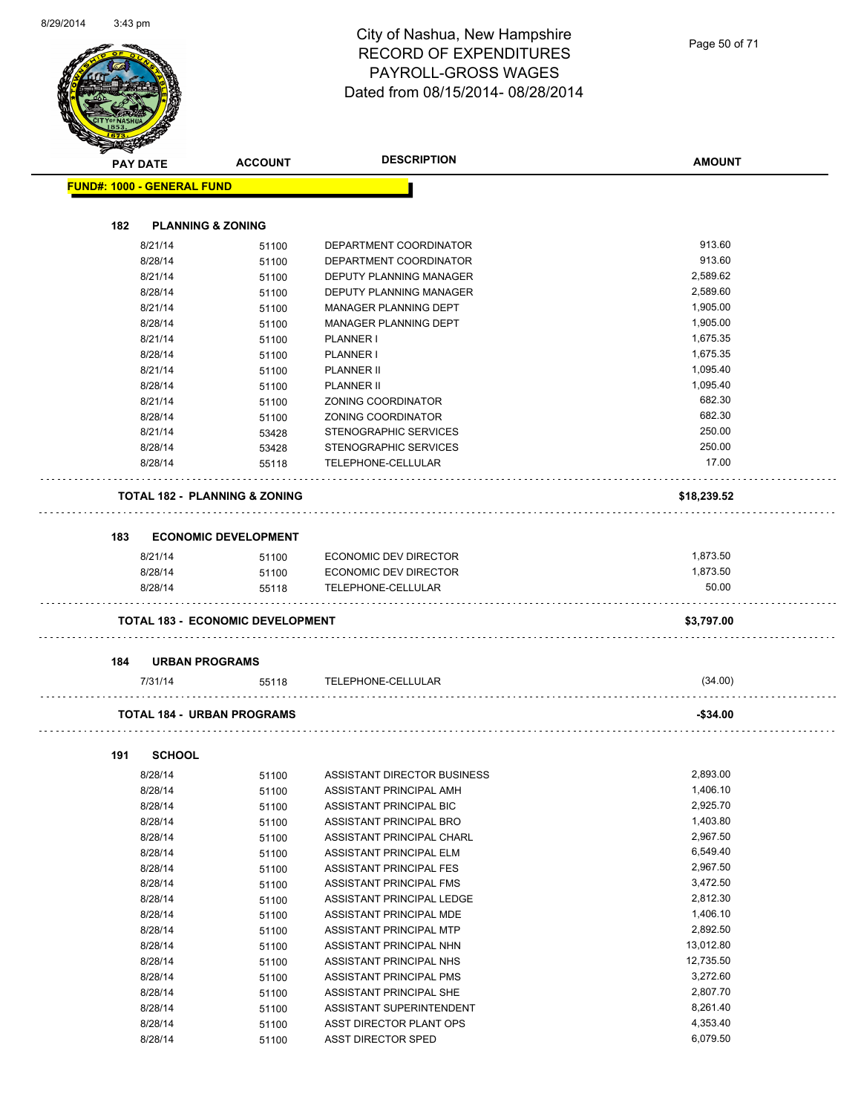| <b>PAY DATE</b>                   | <b>ACCOUNT</b>                           | <b>DESCRIPTION</b>                                 | <b>AMOUNT</b> |
|-----------------------------------|------------------------------------------|----------------------------------------------------|---------------|
| <b>FUND#: 1000 - GENERAL FUND</b> |                                          |                                                    |               |
| 182                               | <b>PLANNING &amp; ZONING</b>             |                                                    |               |
| 8/21/14                           | 51100                                    | DEPARTMENT COORDINATOR                             | 913.60        |
| 8/28/14                           | 51100                                    | DEPARTMENT COORDINATOR                             | 913.60        |
| 8/21/14                           | 51100                                    | DEPUTY PLANNING MANAGER                            | 2,589.62      |
| 8/28/14                           | 51100                                    | DEPUTY PLANNING MANAGER                            | 2,589.60      |
| 8/21/14                           | 51100                                    | MANAGER PLANNING DEPT                              | 1,905.00      |
| 8/28/14                           | 51100                                    | MANAGER PLANNING DEPT                              | 1,905.00      |
| 8/21/14                           | 51100                                    | <b>PLANNER I</b>                                   | 1,675.35      |
| 8/28/14                           | 51100                                    | <b>PLANNER I</b>                                   | 1,675.35      |
| 8/21/14                           | 51100                                    | <b>PLANNER II</b>                                  | 1,095.40      |
| 8/28/14                           | 51100                                    | <b>PLANNER II</b>                                  | 1,095.40      |
| 8/21/14                           | 51100                                    | ZONING COORDINATOR                                 | 682.30        |
| 8/28/14                           | 51100                                    | ZONING COORDINATOR                                 | 682.30        |
| 8/21/14                           | 53428                                    | STENOGRAPHIC SERVICES                              | 250.00        |
| 8/28/14                           | 53428                                    | STENOGRAPHIC SERVICES                              | 250.00        |
| 8/28/14                           | 55118                                    | TELEPHONE-CELLULAR                                 | 17.00         |
|                                   | <b>TOTAL 182 - PLANNING &amp; ZONING</b> |                                                    | \$18,239.52   |
| 183                               | <b>ECONOMIC DEVELOPMENT</b>              |                                                    |               |
| 8/21/14                           | 51100                                    | ECONOMIC DEV DIRECTOR                              | 1,873.50      |
| 8/28/14                           | 51100                                    | ECONOMIC DEV DIRECTOR                              | 1,873.50      |
| 8/28/14                           | 55118                                    | TELEPHONE-CELLULAR                                 | 50.00         |
|                                   | <b>TOTAL 183 - ECONOMIC DEVELOPMENT</b>  |                                                    | \$3,797.00    |
| 184                               | <b>URBAN PROGRAMS</b>                    |                                                    |               |
| 7/31/14                           | 55118                                    | TELEPHONE-CELLULAR                                 | (34.00)       |
|                                   | <b>TOTAL 184 - URBAN PROGRAMS</b>        |                                                    | -\$34.00      |
|                                   |                                          |                                                    |               |
| <b>SCHOOL</b><br>191<br>8/28/14   |                                          | ASSISTANT DIRECTOR BUSINESS                        | 2,893.00      |
| 8/28/14                           | 51100<br>51100                           | ASSISTANT PRINCIPAL AMH                            | 1,406.10      |
| 8/28/14                           |                                          | ASSISTANT PRINCIPAL BIC                            | 2,925.70      |
| 8/28/14                           | 51100                                    | ASSISTANT PRINCIPAL BRO                            | 1,403.80      |
| 8/28/14                           | 51100                                    | ASSISTANT PRINCIPAL CHARL                          | 2,967.50      |
| 8/28/14                           | 51100                                    | ASSISTANT PRINCIPAL ELM                            | 6,549.40      |
| 8/28/14                           | 51100                                    |                                                    | 2,967.50      |
| 8/28/14                           | 51100                                    | ASSISTANT PRINCIPAL FES<br>ASSISTANT PRINCIPAL FMS | 3,472.50      |
| 8/28/14                           | 51100                                    | ASSISTANT PRINCIPAL LEDGE                          | 2,812.30      |
| 8/28/14                           | 51100                                    | ASSISTANT PRINCIPAL MDE                            | 1,406.10      |
| 8/28/14                           | 51100                                    | ASSISTANT PRINCIPAL MTP                            | 2,892.50      |
| 8/28/14                           | 51100                                    | ASSISTANT PRINCIPAL NHN                            | 13,012.80     |
| 8/28/14                           | 51100                                    | ASSISTANT PRINCIPAL NHS                            | 12,735.50     |
| 8/28/14                           | 51100                                    | ASSISTANT PRINCIPAL PMS                            | 3,272.60      |
| 8/28/14                           | 51100                                    | ASSISTANT PRINCIPAL SHE                            | 2,807.70      |
| 8/28/14                           | 51100                                    | ASSISTANT SUPERINTENDENT                           | 8,261.40      |
|                                   | 51100                                    |                                                    | 4,353.40      |
| 8/28/14                           | 51100                                    | ASST DIRECTOR PLANT OPS                            |               |

8/28/14 51100 ASST DIRECTOR SPED 6,079.50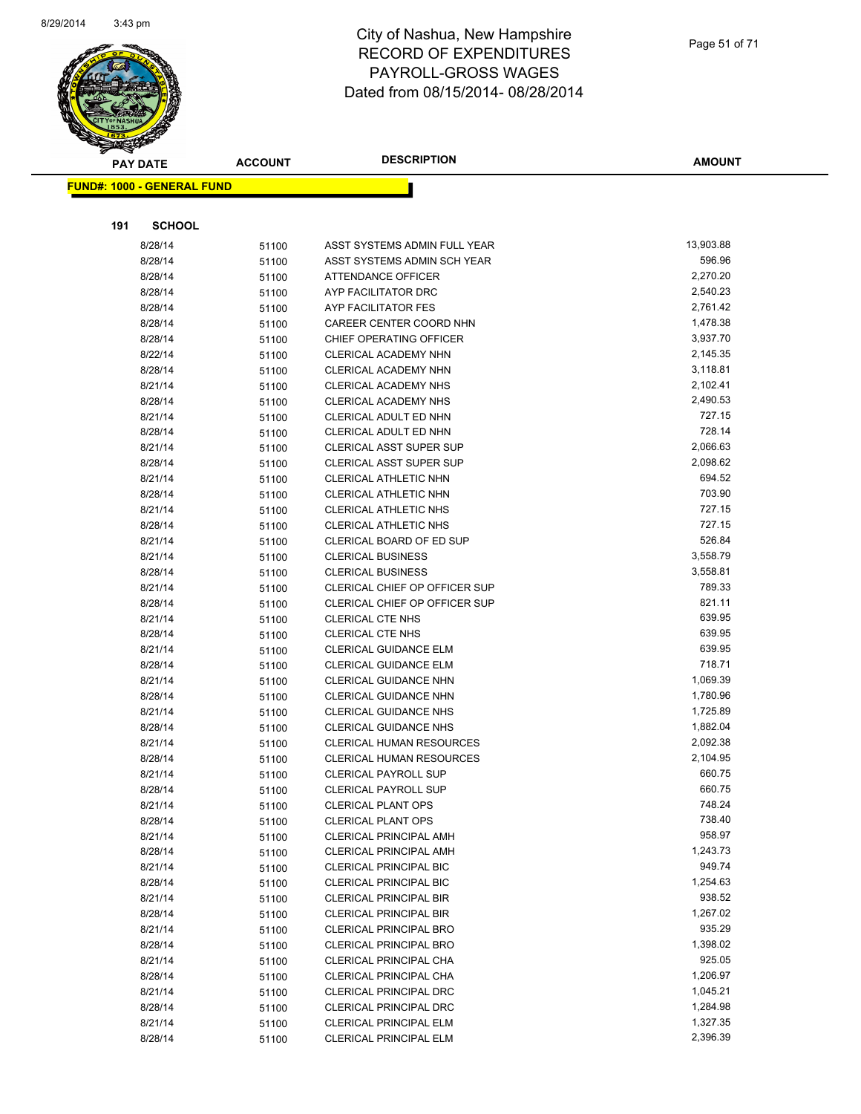

Page 51 of 71

| <b>PAY DATE</b>                   | <b>ACCOUNT</b> | <b>DESCRIPTION</b>                                        | <b>AMOUNT</b>    |
|-----------------------------------|----------------|-----------------------------------------------------------|------------------|
| <b>FUND#: 1000 - GENERAL FUND</b> |                |                                                           |                  |
|                                   |                |                                                           |                  |
|                                   |                |                                                           |                  |
| <b>SCHOOL</b><br>191              |                |                                                           |                  |
| 8/28/14                           | 51100          | ASST SYSTEMS ADMIN FULL YEAR                              | 13,903.88        |
| 8/28/14                           | 51100          | ASST SYSTEMS ADMIN SCH YEAR                               | 596.96           |
| 8/28/14                           | 51100          | ATTENDANCE OFFICER                                        | 2,270.20         |
| 8/28/14                           | 51100          | AYP FACILITATOR DRC                                       | 2,540.23         |
| 8/28/14                           | 51100          | AYP FACILITATOR FES                                       | 2,761.42         |
| 8/28/14                           | 51100          | CAREER CENTER COORD NHN                                   | 1,478.38         |
| 8/28/14                           | 51100          | CHIEF OPERATING OFFICER                                   | 3,937.70         |
| 8/22/14                           | 51100          | CLERICAL ACADEMY NHN                                      | 2,145.35         |
| 8/28/14                           | 51100          | CLERICAL ACADEMY NHN                                      | 3,118.81         |
| 8/21/14                           | 51100          | CLERICAL ACADEMY NHS                                      | 2,102.41         |
| 8/28/14                           | 51100          | CLERICAL ACADEMY NHS                                      | 2,490.53         |
| 8/21/14                           | 51100          | CLERICAL ADULT ED NHN                                     | 727.15           |
| 8/28/14                           | 51100          | CLERICAL ADULT ED NHN                                     | 728.14           |
| 8/21/14                           | 51100          | <b>CLERICAL ASST SUPER SUP</b>                            | 2,066.63         |
| 8/28/14                           | 51100          | <b>CLERICAL ASST SUPER SUP</b>                            | 2,098.62         |
| 8/21/14                           | 51100          | CLERICAL ATHLETIC NHN                                     | 694.52           |
| 8/28/14                           | 51100          | CLERICAL ATHLETIC NHN                                     | 703.90           |
| 8/21/14                           | 51100          | CLERICAL ATHLETIC NHS                                     | 727.15           |
| 8/28/14                           | 51100          | CLERICAL ATHLETIC NHS                                     | 727.15<br>526.84 |
| 8/21/14                           | 51100          | CLERICAL BOARD OF ED SUP                                  | 3,558.79         |
| 8/21/14                           | 51100          | <b>CLERICAL BUSINESS</b>                                  | 3,558.81         |
| 8/28/14                           | 51100          | <b>CLERICAL BUSINESS</b><br>CLERICAL CHIEF OP OFFICER SUP | 789.33           |
| 8/21/14                           | 51100          | CLERICAL CHIEF OP OFFICER SUP                             | 821.11           |
| 8/28/14<br>8/21/14                | 51100          | <b>CLERICAL CTE NHS</b>                                   | 639.95           |
| 8/28/14                           | 51100          | <b>CLERICAL CTE NHS</b>                                   | 639.95           |
| 8/21/14                           | 51100<br>51100 | <b>CLERICAL GUIDANCE ELM</b>                              | 639.95           |
| 8/28/14                           | 51100          | CLERICAL GUIDANCE ELM                                     | 718.71           |
| 8/21/14                           | 51100          | <b>CLERICAL GUIDANCE NHN</b>                              | 1,069.39         |
| 8/28/14                           | 51100          | <b>CLERICAL GUIDANCE NHN</b>                              | 1,780.96         |
| 8/21/14                           | 51100          | CLERICAL GUIDANCE NHS                                     | 1,725.89         |
| 8/28/14                           | 51100          | <b>CLERICAL GUIDANCE NHS</b>                              | 1,882.04         |
| 8/21/14                           | 51100          | CLERICAL HUMAN RESOURCES                                  | 2,092.38         |
| 8/28/14                           | 51100          | <b>CLERICAL HUMAN RESOURCES</b>                           | 2,104.95         |
| 8/21/14                           | 51100          | <b>CLERICAL PAYROLL SUP</b>                               | 660.75           |
| 8/28/14                           | 51100          | <b>CLERICAL PAYROLL SUP</b>                               | 660.75           |
| 8/21/14                           | 51100          | <b>CLERICAL PLANT OPS</b>                                 | 748.24           |
| 8/28/14                           | 51100          | <b>CLERICAL PLANT OPS</b>                                 | 738.40           |
| 8/21/14                           | 51100          | <b>CLERICAL PRINCIPAL AMH</b>                             | 958.97           |
| 8/28/14                           | 51100          | <b>CLERICAL PRINCIPAL AMH</b>                             | 1,243.73         |
| 8/21/14                           | 51100          | <b>CLERICAL PRINCIPAL BIC</b>                             | 949.74           |
| 8/28/14                           | 51100          | <b>CLERICAL PRINCIPAL BIC</b>                             | 1,254.63         |
| 8/21/14                           | 51100          | <b>CLERICAL PRINCIPAL BIR</b>                             | 938.52           |
| 8/28/14                           | 51100          | <b>CLERICAL PRINCIPAL BIR</b>                             | 1,267.02         |
| 8/21/14                           | 51100          | <b>CLERICAL PRINCIPAL BRO</b>                             | 935.29           |
| 8/28/14                           | 51100          | <b>CLERICAL PRINCIPAL BRO</b>                             | 1,398.02         |
| 8/21/14                           | 51100          | CLERICAL PRINCIPAL CHA                                    | 925.05           |
| 8/28/14                           | 51100          | CLERICAL PRINCIPAL CHA                                    | 1,206.97         |
| 8/21/14                           | 51100          | <b>CLERICAL PRINCIPAL DRC</b>                             | 1,045.21         |
| 8/28/14                           | 51100          | <b>CLERICAL PRINCIPAL DRC</b>                             | 1,284.98         |
| 8/21/14                           | 51100          | CLERICAL PRINCIPAL ELM                                    | 1,327.35         |
| 8/28/14                           | 51100          | CLERICAL PRINCIPAL ELM                                    | 2,396.39         |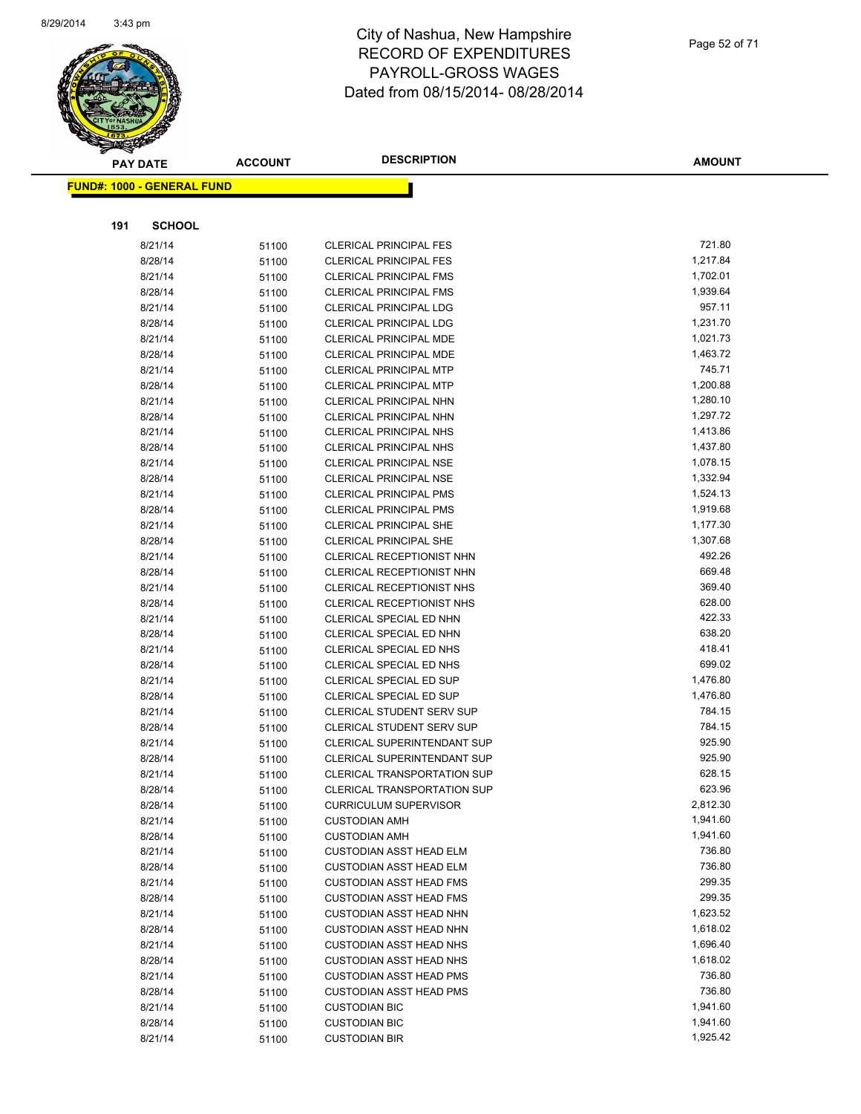

|     | <b>PAY DATE</b>                   | <b>ACCOUNT</b> | <b>DESCRIPTION</b>                                         | <b>AMOUNT</b>        |
|-----|-----------------------------------|----------------|------------------------------------------------------------|----------------------|
|     | <b>FUND#: 1000 - GENERAL FUND</b> |                |                                                            |                      |
|     |                                   |                |                                                            |                      |
|     |                                   |                |                                                            |                      |
| 191 | <b>SCHOOL</b>                     |                |                                                            |                      |
|     | 8/21/14                           | 51100          | <b>CLERICAL PRINCIPAL FES</b>                              | 721.80               |
|     | 8/28/14                           | 51100          | <b>CLERICAL PRINCIPAL FES</b>                              | 1,217.84             |
|     | 8/21/14                           | 51100          | <b>CLERICAL PRINCIPAL FMS</b>                              | 1,702.01             |
|     | 8/28/14                           | 51100          | <b>CLERICAL PRINCIPAL FMS</b>                              | 1,939.64             |
|     | 8/21/14                           | 51100          | <b>CLERICAL PRINCIPAL LDG</b>                              | 957.11               |
|     | 8/28/14                           | 51100          | <b>CLERICAL PRINCIPAL LDG</b>                              | 1,231.70             |
|     | 8/21/14                           | 51100          | CLERICAL PRINCIPAL MDE                                     | 1,021.73             |
|     | 8/28/14                           | 51100          | CLERICAL PRINCIPAL MDE                                     | 1,463.72             |
|     | 8/21/14                           | 51100          | <b>CLERICAL PRINCIPAL MTP</b>                              | 745.71               |
|     | 8/28/14                           | 51100          | <b>CLERICAL PRINCIPAL MTP</b>                              | 1,200.88             |
|     | 8/21/14                           | 51100          | CLERICAL PRINCIPAL NHN                                     | 1,280.10             |
|     | 8/28/14                           | 51100          | CLERICAL PRINCIPAL NHN                                     | 1,297.72             |
|     | 8/21/14                           | 51100          | <b>CLERICAL PRINCIPAL NHS</b>                              | 1,413.86             |
|     | 8/28/14                           | 51100          | CLERICAL PRINCIPAL NHS                                     | 1,437.80             |
|     | 8/21/14                           | 51100          | <b>CLERICAL PRINCIPAL NSE</b>                              | 1,078.15             |
|     | 8/28/14                           | 51100          | <b>CLERICAL PRINCIPAL NSE</b>                              | 1,332.94             |
|     | 8/21/14                           | 51100          | <b>CLERICAL PRINCIPAL PMS</b>                              | 1,524.13             |
|     | 8/28/14                           | 51100          | <b>CLERICAL PRINCIPAL PMS</b>                              | 1,919.68<br>1,177.30 |
|     | 8/21/14                           | 51100          | <b>CLERICAL PRINCIPAL SHE</b>                              | 1,307.68             |
|     | 8/28/14<br>8/21/14                | 51100          | <b>CLERICAL PRINCIPAL SHE</b><br>CLERICAL RECEPTIONIST NHN | 492.26               |
|     | 8/28/14                           | 51100          | CLERICAL RECEPTIONIST NHN                                  | 669.48               |
|     | 8/21/14                           | 51100          | CLERICAL RECEPTIONIST NHS                                  | 369.40               |
|     | 8/28/14                           | 51100          | CLERICAL RECEPTIONIST NHS                                  | 628.00               |
|     | 8/21/14                           | 51100          | CLERICAL SPECIAL ED NHN                                    | 422.33               |
|     | 8/28/14                           | 51100<br>51100 | CLERICAL SPECIAL ED NHN                                    | 638.20               |
|     | 8/21/14                           | 51100          | CLERICAL SPECIAL ED NHS                                    | 418.41               |
|     | 8/28/14                           | 51100          | CLERICAL SPECIAL ED NHS                                    | 699.02               |
|     | 8/21/14                           | 51100          | CLERICAL SPECIAL ED SUP                                    | 1,476.80             |
|     | 8/28/14                           | 51100          | CLERICAL SPECIAL ED SUP                                    | 1,476.80             |
|     | 8/21/14                           | 51100          | CLERICAL STUDENT SERV SUP                                  | 784.15               |
|     | 8/28/14                           | 51100          | <b>CLERICAL STUDENT SERV SUP</b>                           | 784.15               |
|     | 8/21/14                           | 51100          | <b>CLERICAL SUPERINTENDANT SUP</b>                         | 925.90               |
|     | 8/28/14                           | 51100          | <b>CLERICAL SUPERINTENDANT SUP</b>                         | 925.90               |
|     | 8/21/14                           | 51100          | <b>CLERICAL TRANSPORTATION SUP</b>                         | 628.15               |
|     | 8/28/14                           | 51100          | <b>CLERICAL TRANSPORTATION SUP</b>                         | 623.96               |
|     | 8/28/14                           | 51100          | <b>CURRICULUM SUPERVISOR</b>                               | 2,812.30             |
|     | 8/21/14                           | 51100          | <b>CUSTODIAN AMH</b>                                       | 1,941.60             |
|     | 8/28/14                           | 51100          | <b>CUSTODIAN AMH</b>                                       | 1,941.60             |
|     | 8/21/14                           | 51100          | <b>CUSTODIAN ASST HEAD ELM</b>                             | 736.80               |
|     | 8/28/14                           | 51100          | <b>CUSTODIAN ASST HEAD ELM</b>                             | 736.80               |
|     | 8/21/14                           | 51100          | <b>CUSTODIAN ASST HEAD FMS</b>                             | 299.35               |
|     | 8/28/14                           | 51100          | <b>CUSTODIAN ASST HEAD FMS</b>                             | 299.35               |
|     | 8/21/14                           | 51100          | <b>CUSTODIAN ASST HEAD NHN</b>                             | 1,623.52             |
|     | 8/28/14                           | 51100          | <b>CUSTODIAN ASST HEAD NHN</b>                             | 1,618.02             |
|     | 8/21/14                           | 51100          | <b>CUSTODIAN ASST HEAD NHS</b>                             | 1,696.40             |
|     | 8/28/14                           | 51100          | <b>CUSTODIAN ASST HEAD NHS</b>                             | 1,618.02             |
|     | 8/21/14                           | 51100          | <b>CUSTODIAN ASST HEAD PMS</b>                             | 736.80               |
|     | 8/28/14                           | 51100          | <b>CUSTODIAN ASST HEAD PMS</b>                             | 736.80               |
|     | 8/21/14                           | 51100          | <b>CUSTODIAN BIC</b>                                       | 1,941.60             |
|     | 8/28/14                           | 51100          | <b>CUSTODIAN BIC</b>                                       | 1,941.60             |
|     | 8/21/14                           | 51100          | <b>CUSTODIAN BIR</b>                                       | 1,925.42             |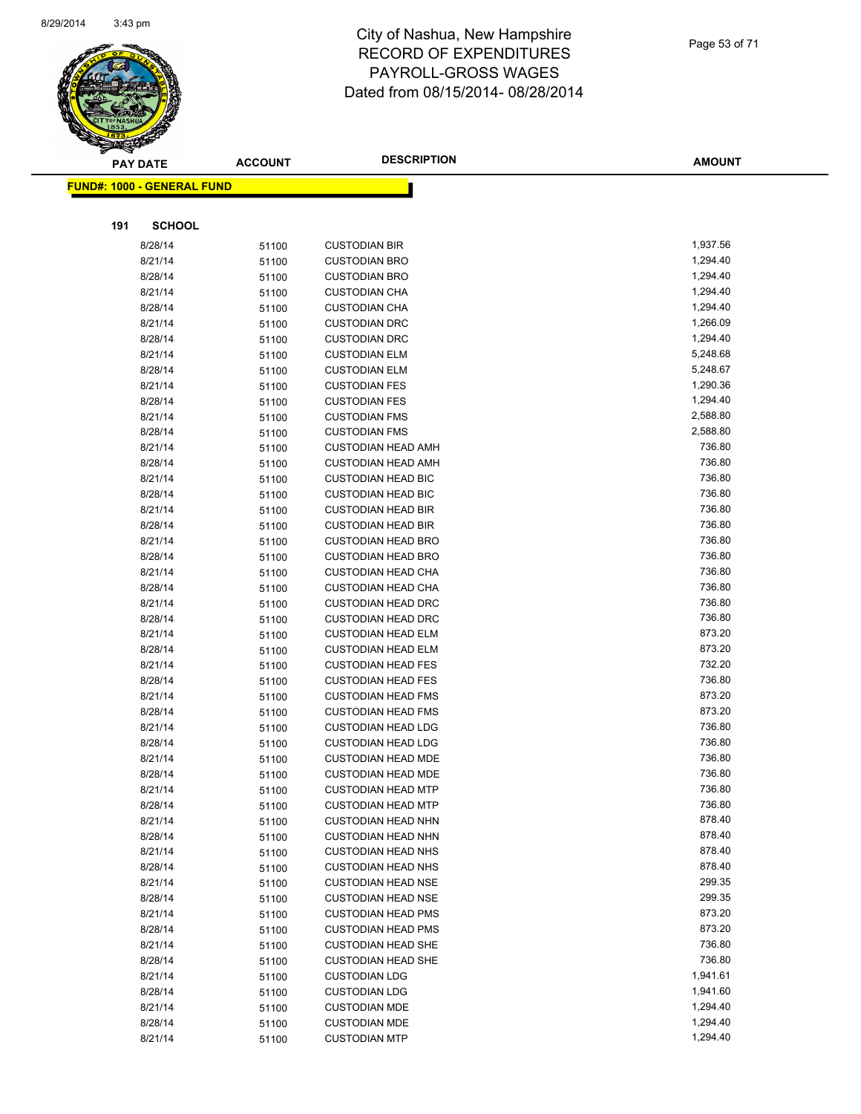

**FUND#: 1000 - GENERAL FUND**

**191 SCHOOL**

8/28/14 51100 CUSTODIAN BIR 8/21/14 51100 CUSTODIAN BRO 8/28/14 51100 CUSTODIAN BRO 8/21/14 51100 CUSTODIAN CHA

#### City of Nashua, New Hampshire RECORD OF EXPENDITURES PAYROLL-GROSS WAGES Dated from 08/15/2014- 08/28/2014

| – י ט⊾יש <i>יי</i> |               |
|--------------------|---------------|
|                    |               |
|                    | <b>AMOUNT</b> |
|                    |               |
|                    |               |
|                    | 1,937.56      |
|                    | 1,294.40      |
|                    | 1,294.40      |
|                    | 1,294.40      |
|                    | 1,294.40      |
|                    | 1,266.09      |
|                    | 1,294.40      |
|                    | 5.10.02       |

| 8/28/14 | 51100 | <b>CUSTODIAN CHA</b>      | 1,294.40 |
|---------|-------|---------------------------|----------|
| 8/21/14 | 51100 | <b>CUSTODIAN DRC</b>      | 1,266.09 |
| 8/28/14 | 51100 | <b>CUSTODIAN DRC</b>      | 1,294.40 |
| 8/21/14 | 51100 | <b>CUSTODIAN ELM</b>      | 5,248.68 |
| 8/28/14 | 51100 | <b>CUSTODIAN ELM</b>      | 5,248.67 |
| 8/21/14 | 51100 | <b>CUSTODIAN FES</b>      | 1,290.36 |
| 8/28/14 | 51100 | <b>CUSTODIAN FES</b>      | 1,294.40 |
| 8/21/14 | 51100 | <b>CUSTODIAN FMS</b>      | 2,588.80 |
| 8/28/14 | 51100 | <b>CUSTODIAN FMS</b>      | 2,588.80 |
| 8/21/14 | 51100 | <b>CUSTODIAN HEAD AMH</b> | 736.80   |
| 8/28/14 | 51100 | <b>CUSTODIAN HEAD AMH</b> | 736.80   |
| 8/21/14 | 51100 | <b>CUSTODIAN HEAD BIC</b> | 736.80   |
| 8/28/14 | 51100 | <b>CUSTODIAN HEAD BIC</b> | 736.80   |
| 8/21/14 | 51100 | <b>CUSTODIAN HEAD BIR</b> | 736.80   |
| 8/28/14 | 51100 | <b>CUSTODIAN HEAD BIR</b> | 736.80   |
| 8/21/14 | 51100 | <b>CUSTODIAN HEAD BRO</b> | 736.80   |
| 8/28/14 | 51100 | <b>CUSTODIAN HEAD BRO</b> | 736.80   |
| 8/21/14 | 51100 | <b>CUSTODIAN HEAD CHA</b> | 736.80   |
| 8/28/14 | 51100 | <b>CUSTODIAN HEAD CHA</b> | 736.80   |
| 8/21/14 | 51100 | <b>CUSTODIAN HEAD DRC</b> | 736.80   |
| 8/28/14 | 51100 | <b>CUSTODIAN HEAD DRC</b> | 736.80   |
| 8/21/14 | 51100 | <b>CUSTODIAN HEAD ELM</b> | 873.20   |
| 8/28/14 | 51100 | <b>CUSTODIAN HEAD ELM</b> | 873.20   |
| 8/21/14 | 51100 | <b>CUSTODIAN HEAD FES</b> | 732.20   |
| 8/28/14 | 51100 | <b>CUSTODIAN HEAD FES</b> | 736.80   |
| 8/21/14 | 51100 | <b>CUSTODIAN HEAD FMS</b> | 873.20   |
| 8/28/14 | 51100 | <b>CUSTODIAN HEAD FMS</b> | 873.20   |
| 8/21/14 | 51100 | <b>CUSTODIAN HEAD LDG</b> | 736.80   |
| 8/28/14 | 51100 | <b>CUSTODIAN HEAD LDG</b> | 736.80   |
| 8/21/14 | 51100 | <b>CUSTODIAN HEAD MDE</b> | 736.80   |
| 8/28/14 | 51100 | <b>CUSTODIAN HEAD MDE</b> | 736.80   |
| 8/21/14 | 51100 | <b>CUSTODIAN HEAD MTP</b> | 736.80   |
| 8/28/14 | 51100 | <b>CUSTODIAN HEAD MTP</b> | 736.80   |
| 8/21/14 | 51100 | <b>CUSTODIAN HEAD NHN</b> | 878.40   |
| 8/28/14 | 51100 | <b>CUSTODIAN HEAD NHN</b> | 878.40   |
| 8/21/14 | 51100 | <b>CUSTODIAN HEAD NHS</b> | 878.40   |
| 8/28/14 | 51100 | <b>CUSTODIAN HEAD NHS</b> | 878.40   |
| 8/21/14 | 51100 | <b>CUSTODIAN HEAD NSE</b> | 299.35   |
| 8/28/14 | 51100 | <b>CUSTODIAN HEAD NSE</b> | 299.35   |
| 8/21/14 | 51100 | <b>CUSTODIAN HEAD PMS</b> | 873.20   |
| 8/28/14 | 51100 | <b>CUSTODIAN HEAD PMS</b> | 873.20   |
| 8/21/14 | 51100 | <b>CUSTODIAN HEAD SHE</b> | 736.80   |
| 8/28/14 | 51100 | <b>CUSTODIAN HEAD SHE</b> | 736.80   |
| 8/21/14 | 51100 | <b>CUSTODIAN LDG</b>      | 1,941.61 |
| 8/28/14 | 51100 | <b>CUSTODIAN LDG</b>      | 1,941.60 |
| 8/21/14 | 51100 | <b>CUSTODIAN MDE</b>      | 1,294.40 |
| 8/28/14 | 51100 | <b>CUSTODIAN MDE</b>      | 1,294.40 |
| 8/21/14 | 51100 | <b>CUSTODIAN MTP</b>      | 1,294.40 |

Page 53 of 71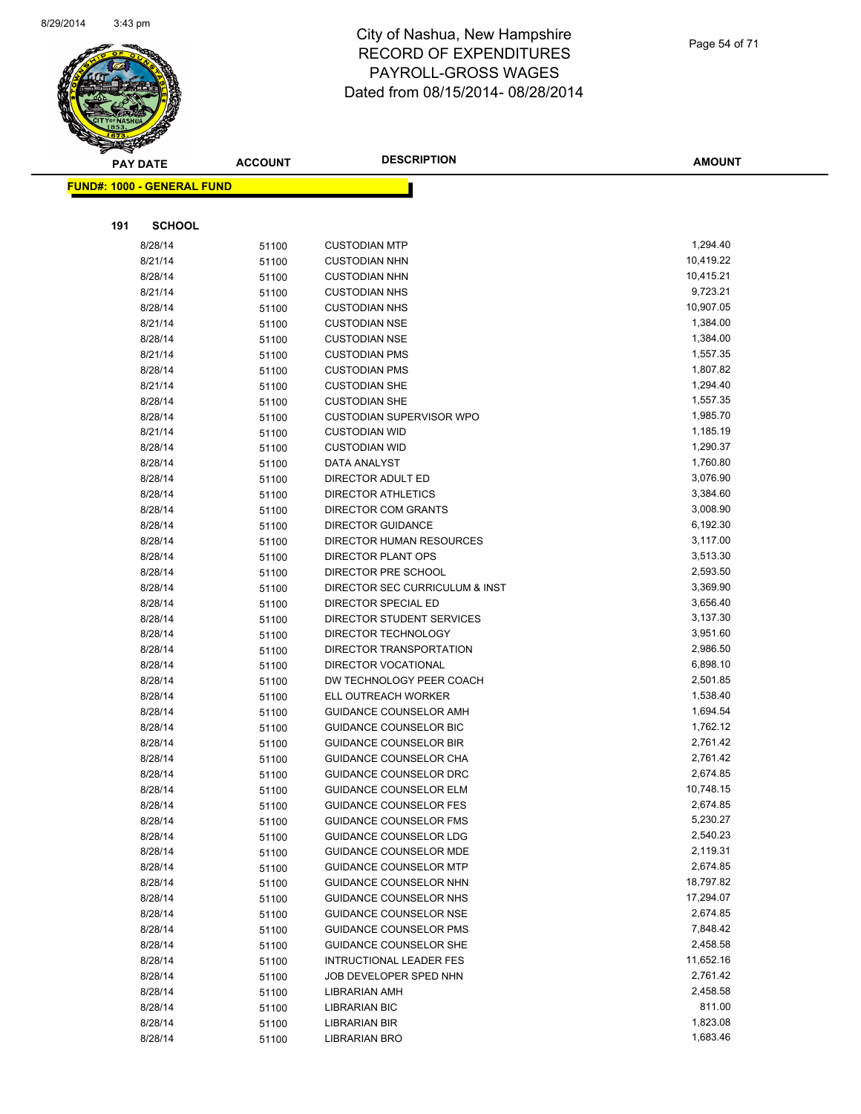

| <b>PAY DATE</b>                   | <b>ACCOUNT</b> | <b>DESCRIPTION</b>                                    | <b>AMOUNT</b>        |
|-----------------------------------|----------------|-------------------------------------------------------|----------------------|
| <b>FUND#: 1000 - GENERAL FUND</b> |                |                                                       |                      |
|                                   |                |                                                       |                      |
|                                   |                |                                                       |                      |
| 191<br><b>SCHOOL</b>              |                |                                                       |                      |
| 8/28/14                           | 51100          | <b>CUSTODIAN MTP</b>                                  | 1,294.40             |
| 8/21/14                           | 51100          | <b>CUSTODIAN NHN</b>                                  | 10,419.22            |
| 8/28/14                           | 51100          | <b>CUSTODIAN NHN</b>                                  | 10,415.21            |
| 8/21/14                           | 51100          | <b>CUSTODIAN NHS</b>                                  | 9,723.21             |
| 8/28/14                           | 51100          | <b>CUSTODIAN NHS</b>                                  | 10,907.05            |
| 8/21/14                           | 51100          | <b>CUSTODIAN NSE</b>                                  | 1,384.00             |
| 8/28/14                           | 51100          | <b>CUSTODIAN NSE</b>                                  | 1,384.00             |
| 8/21/14                           | 51100          | <b>CUSTODIAN PMS</b>                                  | 1,557.35             |
| 8/28/14                           | 51100          | <b>CUSTODIAN PMS</b>                                  | 1,807.82             |
| 8/21/14                           | 51100          | <b>CUSTODIAN SHE</b>                                  | 1,294.40             |
| 8/28/14                           | 51100          | <b>CUSTODIAN SHE</b>                                  | 1,557.35             |
| 8/28/14                           | 51100          | <b>CUSTODIAN SUPERVISOR WPO</b>                       | 1,985.70             |
| 8/21/14                           | 51100          | <b>CUSTODIAN WID</b>                                  | 1,185.19             |
| 8/28/14                           | 51100          | <b>CUSTODIAN WID</b>                                  | 1,290.37             |
| 8/28/14                           | 51100          | DATA ANALYST                                          | 1,760.80             |
| 8/28/14                           | 51100          | DIRECTOR ADULT ED                                     | 3,076.90             |
| 8/28/14                           | 51100          | <b>DIRECTOR ATHLETICS</b>                             | 3,384.60             |
| 8/28/14                           | 51100          | <b>DIRECTOR COM GRANTS</b>                            | 3,008.90             |
| 8/28/14                           | 51100          | <b>DIRECTOR GUIDANCE</b>                              | 6,192.30             |
| 8/28/14                           | 51100          | DIRECTOR HUMAN RESOURCES                              | 3,117.00             |
| 8/28/14                           | 51100          | DIRECTOR PLANT OPS                                    | 3,513.30             |
| 8/28/14                           | 51100          | DIRECTOR PRE SCHOOL                                   | 2,593.50<br>3,369.90 |
| 8/28/14<br>8/28/14                | 51100          | DIRECTOR SEC CURRICULUM & INST<br>DIRECTOR SPECIAL ED | 3,656.40             |
| 8/28/14                           | 51100          | DIRECTOR STUDENT SERVICES                             | 3,137.30             |
| 8/28/14                           | 51100          | DIRECTOR TECHNOLOGY                                   | 3,951.60             |
| 8/28/14                           | 51100          | DIRECTOR TRANSPORTATION                               | 2,986.50             |
| 8/28/14                           | 51100<br>51100 | DIRECTOR VOCATIONAL                                   | 6,898.10             |
| 8/28/14                           | 51100          | DW TECHNOLOGY PEER COACH                              | 2,501.85             |
| 8/28/14                           | 51100          | ELL OUTREACH WORKER                                   | 1,538.40             |
| 8/28/14                           | 51100          | <b>GUIDANCE COUNSELOR AMH</b>                         | 1,694.54             |
| 8/28/14                           | 51100          | GUIDANCE COUNSELOR BIC                                | 1,762.12             |
| 8/28/14                           | 51100          | <b>GUIDANCE COUNSELOR BIR</b>                         | 2,761.42             |
| 8/28/14                           | 51100          | GUIDANCE COUNSELOR CHA                                | 2,761.42             |
| 8/28/14                           | 51100          | <b>GUIDANCE COUNSELOR DRC</b>                         | 2,674.85             |
| 8/28/14                           | 51100          | <b>GUIDANCE COUNSELOR ELM</b>                         | 10,748.15            |
| 8/28/14                           | 51100          | <b>GUIDANCE COUNSELOR FES</b>                         | 2,674.85             |
| 8/28/14                           | 51100          | <b>GUIDANCE COUNSELOR FMS</b>                         | 5,230.27             |
| 8/28/14                           | 51100          | <b>GUIDANCE COUNSELOR LDG</b>                         | 2,540.23             |
| 8/28/14                           | 51100          | <b>GUIDANCE COUNSELOR MDE</b>                         | 2,119.31             |
| 8/28/14                           | 51100          | <b>GUIDANCE COUNSELOR MTP</b>                         | 2,674.85             |
| 8/28/14                           | 51100          | <b>GUIDANCE COUNSELOR NHN</b>                         | 18,797.82            |
| 8/28/14                           | 51100          | <b>GUIDANCE COUNSELOR NHS</b>                         | 17,294.07            |
| 8/28/14                           | 51100          | GUIDANCE COUNSELOR NSE                                | 2,674.85             |
| 8/28/14                           | 51100          | <b>GUIDANCE COUNSELOR PMS</b>                         | 7,848.42             |
| 8/28/14                           | 51100          | GUIDANCE COUNSELOR SHE                                | 2,458.58             |
| 8/28/14                           | 51100          | <b>INTRUCTIONAL LEADER FES</b>                        | 11,652.16            |
| 8/28/14                           | 51100          | JOB DEVELOPER SPED NHN                                | 2,761.42             |
| 8/28/14                           | 51100          | LIBRARIAN AMH                                         | 2,458.58             |
| 8/28/14                           | 51100          | <b>LIBRARIAN BIC</b>                                  | 811.00               |
| 8/28/14                           | 51100          | LIBRARIAN BIR                                         | 1,823.08             |
| 8/28/14                           | 51100          | LIBRARIAN BRO                                         | 1,683.46             |
|                                   |                |                                                       |                      |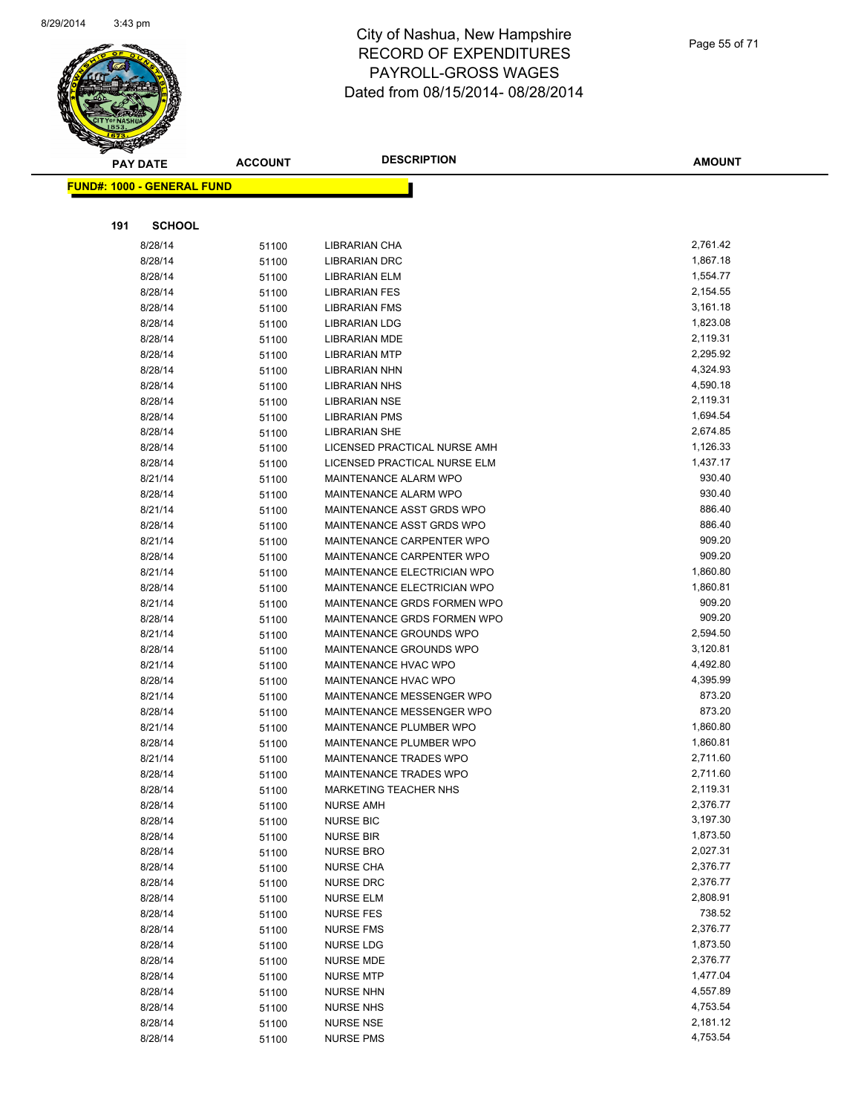

**FUND#: 1000 - GENERAL FUND**

**191 SCHOOL**

#### City of Nashua, New Hampshire RECORD OF EXPENDITURES PAYROLL-GROSS WAGES Dated from 08/15/2014- 08/28/2014

| $\mathscr{V}$       |                |                              |               |
|---------------------|----------------|------------------------------|---------------|
| DATE                | <b>ACCOUNT</b> | <b>DESCRIPTION</b>           | <b>AMOUNT</b> |
| <b>GENERAL FUND</b> |                |                              |               |
| <b>SCHOOL</b>       |                |                              |               |
| 8/28/14             | 51100          | <b>LIBRARIAN CHA</b>         | 2,761.42      |
| 8/28/14             | 51100          | <b>LIBRARIAN DRC</b>         | 1,867.18      |
| 8/28/14             | 51100          | <b>LIBRARIAN ELM</b>         | 1,554.77      |
| 8/28/14             | 51100          | <b>LIBRARIAN FES</b>         | 2,154.55      |
| 8/28/14             | 51100          | <b>LIBRARIAN FMS</b>         | 3,161.18      |
| 8/28/14             | 51100          | <b>LIBRARIAN LDG</b>         | 1,823.08      |
| 8/28/14             | 51100          | <b>LIBRARIAN MDE</b>         | 2,119.31      |
| 8/28/14             | 51100          | <b>LIBRARIAN MTP</b>         | 2,295.92      |
| 8/28/14             | 51100          | <b>LIBRARIAN NHN</b>         | 4,324.93      |
| 8/28/14             | 51100          | <b>LIBRARIAN NHS</b>         | 4,590.18      |
| 8/28/14             | 51100          | <b>LIBRARIAN NSE</b>         | 2,119.31      |
| 8/28/14             | 51100          | <b>LIBRARIAN PMS</b>         | 1,694.54      |
| 8/28/14             | 51100          | <b>LIBRARIAN SHE</b>         | 2,674.85      |
| 8/28/14             | 51100          | LICENSED PRACTICAL NURSE AMH | 1,126.33      |
| 8/28/14             | 51100          | LICENSED PRACTICAL NURSE ELM | 1,437.17      |
| 8/21/14             | 51100          | <b>MAINTENANCE ALARM WPO</b> | 930.40        |
| 8/28/14             | 51100          | <b>MAINTENANCE ALARM WPO</b> | 930.40        |
| 8/21/14             | 51100          | MAINTENANCE ASST GRDS WPO    | 886.40        |
| 8/28/14             | 51100          | MAINTENANCE ASST GRDS WPO    | 886.40        |
| 8/21/14             | 51100          | MAINTENANCE CARPENTER WPO    | 909.20        |
| 8/28/14             | 51100          | MAINTENANCE CARPENTER WPO    | 909.20        |
| 8/21/14             | 51100          | MAINTENANCE ELECTRICIAN WPO  | 1,860.80      |
| 8/28/14             | 51100          | MAINTENANCE ELECTRICIAN WPO  | 1,860.81      |
| 8/21/14             | 51100          | MAINTENANCE GRDS FORMEN WPO  | 909.20        |
| 8/28/14             | 51100          | MAINTENANCE GRDS FORMEN WPO  | 909.20        |
|                     |                |                              | 0.701.70      |

Page 55 of 71

| 8/21/14 | 51100 | MAINTENANCE ASST GRDS WPO      | 886.40   |
|---------|-------|--------------------------------|----------|
| 8/28/14 | 51100 | MAINTENANCE ASST GRDS WPO      | 886.40   |
| 8/21/14 | 51100 | MAINTENANCE CARPENTER WPO      | 909.20   |
| 8/28/14 | 51100 | MAINTENANCE CARPENTER WPO      | 909.20   |
| 8/21/14 | 51100 | MAINTENANCE ELECTRICIAN WPO    | 1,860.80 |
| 8/28/14 | 51100 | MAINTENANCE ELECTRICIAN WPO    | 1,860.81 |
| 8/21/14 | 51100 | MAINTENANCE GRDS FORMEN WPO    | 909.20   |
| 8/28/14 | 51100 | MAINTENANCE GRDS FORMEN WPO    | 909.20   |
| 8/21/14 | 51100 | MAINTENANCE GROUNDS WPO        | 2,594.50 |
| 8/28/14 | 51100 | MAINTENANCE GROUNDS WPO        | 3,120.81 |
| 8/21/14 | 51100 | MAINTENANCE HVAC WPO           | 4,492.80 |
| 8/28/14 | 51100 | MAINTENANCE HVAC WPO           | 4,395.99 |
| 8/21/14 | 51100 | MAINTENANCE MESSENGER WPO      | 873.20   |
| 8/28/14 | 51100 | MAINTENANCE MESSENGER WPO      | 873.20   |
| 8/21/14 | 51100 | <b>MAINTENANCE PLUMBER WPO</b> | 1,860.80 |
| 8/28/14 | 51100 | MAINTENANCE PLUMBER WPO        | 1,860.81 |
| 8/21/14 | 51100 | MAINTENANCE TRADES WPO         | 2,711.60 |
| 8/28/14 | 51100 | <b>MAINTENANCE TRADES WPO</b>  | 2,711.60 |
| 8/28/14 | 51100 | MARKETING TEACHER NHS          | 2,119.31 |
| 8/28/14 | 51100 | <b>NURSE AMH</b>               | 2,376.77 |
| 8/28/14 | 51100 | <b>NURSE BIC</b>               | 3,197.30 |
| 8/28/14 | 51100 | <b>NURSE BIR</b>               | 1,873.50 |
| 8/28/14 | 51100 | <b>NURSE BRO</b>               | 2,027.31 |
| 8/28/14 | 51100 | <b>NURSE CHA</b>               | 2,376.77 |
| 8/28/14 | 51100 | <b>NURSE DRC</b>               | 2,376.77 |
| 8/28/14 | 51100 | <b>NURSE ELM</b>               | 2,808.91 |
| 8/28/14 | 51100 | <b>NURSE FES</b>               | 738.52   |
| 8/28/14 | 51100 | <b>NURSE FMS</b>               | 2,376.77 |
| 8/28/14 | 51100 | <b>NURSE LDG</b>               | 1,873.50 |
| 8/28/14 | 51100 | <b>NURSE MDE</b>               | 2,376.77 |
| 8/28/14 | 51100 | <b>NURSE MTP</b>               | 1,477.04 |
| 8/28/14 | 51100 | <b>NURSE NHN</b>               | 4,557.89 |
| 8/28/14 | 51100 | <b>NURSE NHS</b>               | 4,753.54 |
| 8/28/14 | 51100 | <b>NURSE NSE</b>               | 2,181.12 |
| 8/28/14 | 51100 | <b>NURSE PMS</b>               | 4,753.54 |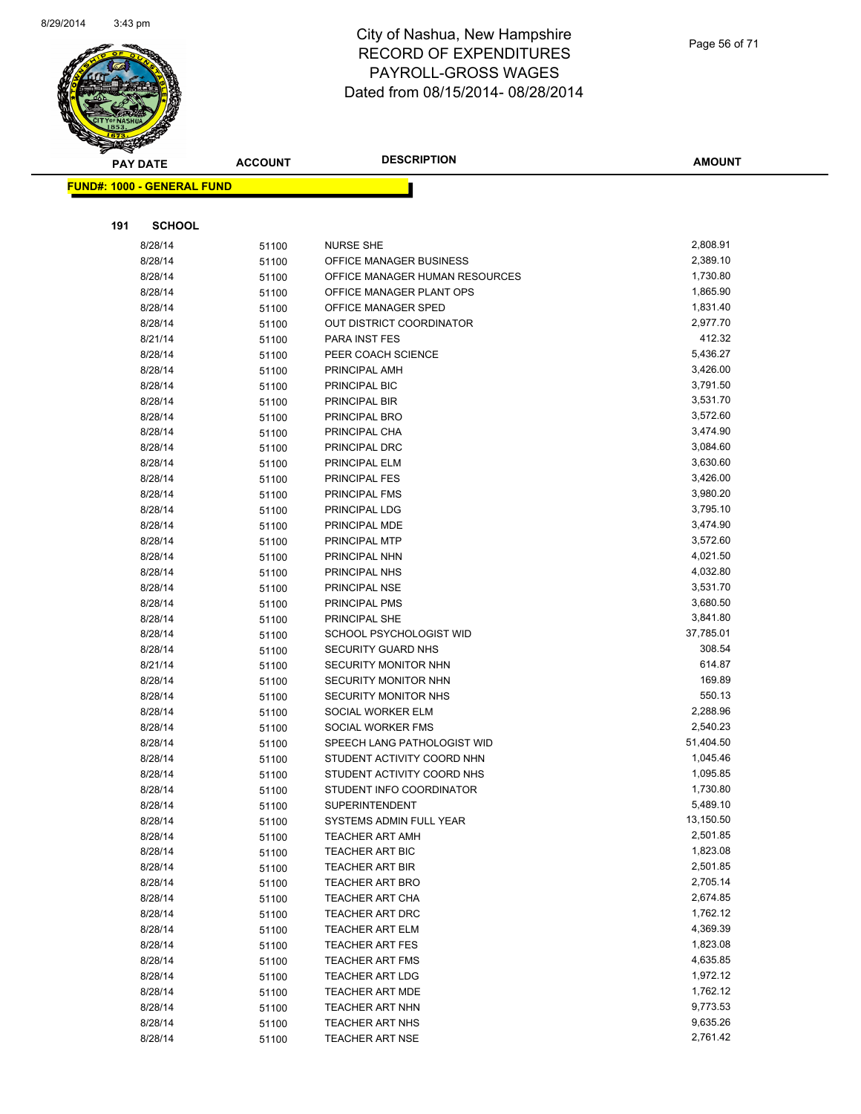

| ;    |  |  |  |
|------|--|--|--|
| 2014 |  |  |  |
|      |  |  |  |
|      |  |  |  |
|      |  |  |  |

| <b>PAY DATE</b>                   | <b>ACCOUNT</b> | <b>DESCRIPTION</b>                                       | <b>AMOUNT</b>      |
|-----------------------------------|----------------|----------------------------------------------------------|--------------------|
| <b>FUND#: 1000 - GENERAL FUND</b> |                |                                                          |                    |
|                                   |                |                                                          |                    |
|                                   |                |                                                          |                    |
| 191<br><b>SCHOOL</b>              |                |                                                          |                    |
| 8/28/14                           | 51100          | <b>NURSE SHE</b>                                         | 2,808.91           |
| 8/28/14                           | 51100          | OFFICE MANAGER BUSINESS                                  | 2,389.10           |
| 8/28/14                           | 51100          | OFFICE MANAGER HUMAN RESOURCES                           | 1,730.80           |
| 8/28/14                           | 51100          | OFFICE MANAGER PLANT OPS                                 | 1,865.90           |
| 8/28/14                           | 51100          | OFFICE MANAGER SPED                                      | 1,831.40           |
| 8/28/14                           | 51100          | OUT DISTRICT COORDINATOR                                 | 2,977.70           |
| 8/21/14                           | 51100          | <b>PARA INST FES</b>                                     | 412.32             |
| 8/28/14                           | 51100          | PEER COACH SCIENCE                                       | 5,436.27           |
| 8/28/14                           | 51100          | PRINCIPAL AMH                                            | 3,426.00           |
| 8/28/14                           | 51100          | PRINCIPAL BIC                                            | 3,791.50           |
| 8/28/14                           | 51100          | PRINCIPAL BIR                                            | 3,531.70           |
| 8/28/14                           | 51100          | PRINCIPAL BRO                                            | 3,572.60           |
| 8/28/14                           | 51100          | PRINCIPAL CHA                                            | 3,474.90           |
| 8/28/14                           | 51100          | PRINCIPAL DRC                                            | 3,084.60           |
| 8/28/14                           | 51100          | PRINCIPAL ELM                                            | 3,630.60           |
| 8/28/14                           | 51100          | <b>PRINCIPAL FES</b>                                     | 3,426.00           |
| 8/28/14                           | 51100          | PRINCIPAL FMS                                            | 3,980.20           |
| 8/28/14                           | 51100          | PRINCIPAL LDG                                            | 3,795.10           |
| 8/28/14                           | 51100          | PRINCIPAL MDE                                            | 3,474.90           |
| 8/28/14                           | 51100          | PRINCIPAL MTP                                            | 3,572.60           |
| 8/28/14                           | 51100          | PRINCIPAL NHN                                            | 4,021.50           |
| 8/28/14                           | 51100          | PRINCIPAL NHS                                            | 4,032.80           |
| 8/28/14                           | 51100          | PRINCIPAL NSE                                            | 3,531.70           |
| 8/28/14                           | 51100          | PRINCIPAL PMS                                            | 3,680.50           |
| 8/28/14                           | 51100          | PRINCIPAL SHE                                            | 3,841.80           |
| 8/28/14                           | 51100          | SCHOOL PSYCHOLOGIST WID                                  | 37,785.01          |
| 8/28/14                           | 51100          | <b>SECURITY GUARD NHS</b>                                | 308.54             |
| 8/21/14                           | 51100          | SECURITY MONITOR NHN                                     | 614.87<br>169.89   |
| 8/28/14                           | 51100          | SECURITY MONITOR NHN                                     |                    |
| 8/28/14                           | 51100          | SECURITY MONITOR NHS                                     | 550.13<br>2,288.96 |
| 8/28/14                           | 51100          | SOCIAL WORKER ELM                                        | 2,540.23           |
| 8/28/14                           | 51100          | SOCIAL WORKER FMS                                        | 51,404.50          |
| 8/28/14                           | 51100          | SPEECH LANG PATHOLOGIST WID                              | 1,045.46           |
| 8/28/14<br>8/28/14                | 51100          | STUDENT ACTIVITY COORD NHN<br>STUDENT ACTIVITY COORD NHS | 1,095.85           |
| 8/28/14                           | 51100          | STUDENT INFO COORDINATOR                                 | 1,730.80           |
| 8/28/14                           | 51100<br>51100 | <b>SUPERINTENDENT</b>                                    | 5,489.10           |
| 8/28/14                           |                | SYSTEMS ADMIN FULL YEAR                                  | 13,150.50          |
| 8/28/14                           | 51100<br>51100 | <b>TEACHER ART AMH</b>                                   | 2,501.85           |
| 8/28/14                           | 51100          | <b>TEACHER ART BIC</b>                                   | 1,823.08           |
| 8/28/14                           | 51100          | TEACHER ART BIR                                          | 2,501.85           |
| 8/28/14                           | 51100          | <b>TEACHER ART BRO</b>                                   | 2,705.14           |
| 8/28/14                           | 51100          | <b>TEACHER ART CHA</b>                                   | 2,674.85           |
| 8/28/14                           | 51100          | <b>TEACHER ART DRC</b>                                   | 1,762.12           |
| 8/28/14                           | 51100          | <b>TEACHER ART ELM</b>                                   | 4,369.39           |
| 8/28/14                           | 51100          | <b>TEACHER ART FES</b>                                   | 1,823.08           |
| 8/28/14                           | 51100          | TEACHER ART FMS                                          | 4,635.85           |
| 8/28/14                           | 51100          | <b>TEACHER ART LDG</b>                                   | 1,972.12           |
| 8/28/14                           | 51100          | <b>TEACHER ART MDE</b>                                   | 1,762.12           |
| 8/28/14                           | 51100          | <b>TEACHER ART NHN</b>                                   | 9,773.53           |
| 8/28/14                           | 51100          | <b>TEACHER ART NHS</b>                                   | 9,635.26           |
| 8/28/14                           | 51100          | <b>TEACHER ART NSE</b>                                   | 2,761.42           |
|                                   |                |                                                          |                    |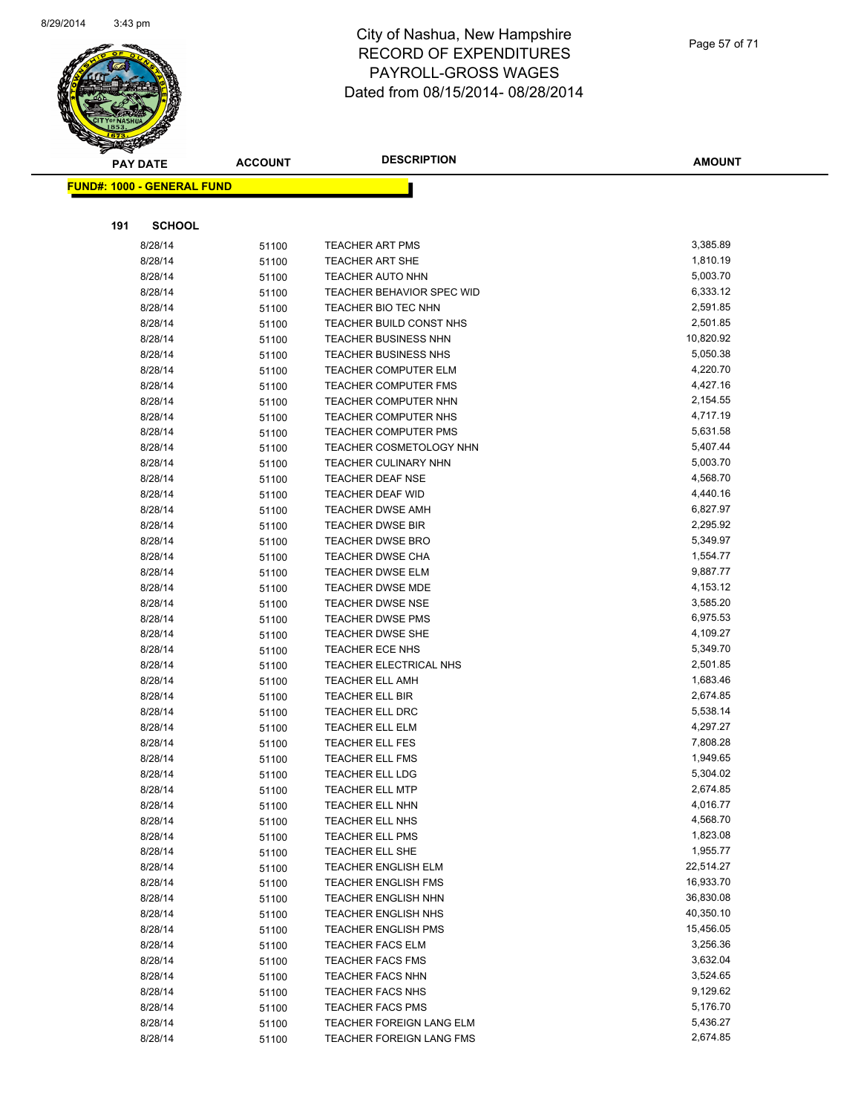

Page 57 of 71

**AMOUNT**

| <u> FUND#: 1000 - GENERAL FUND</u> |       |                                  |           |
|------------------------------------|-------|----------------------------------|-----------|
|                                    |       |                                  |           |
| 191<br><b>SCHOOL</b>               |       |                                  |           |
| 8/28/14                            | 51100 | <b>TEACHER ART PMS</b>           | 3,385.89  |
| 8/28/14                            | 51100 | <b>TEACHER ART SHE</b>           | 1,810.19  |
| 8/28/14                            | 51100 | <b>TEACHER AUTO NHN</b>          | 5,003.70  |
| 8/28/14                            | 51100 | <b>TEACHER BEHAVIOR SPEC WID</b> | 6,333.12  |
| 8/28/14                            | 51100 | TEACHER BIO TEC NHN              | 2,591.85  |
| 8/28/14                            | 51100 | TEACHER BUILD CONST NHS          | 2,501.85  |
| 8/28/14                            | 51100 | <b>TEACHER BUSINESS NHN</b>      | 10,820.92 |
| 8/28/14                            | 51100 | <b>TEACHER BUSINESS NHS</b>      | 5,050.38  |
| 8/28/14                            | 51100 | <b>TEACHER COMPUTER ELM</b>      | 4,220.70  |
| 8/28/14                            | 51100 | <b>TEACHER COMPUTER FMS</b>      | 4,427.16  |
| 8/28/14                            | 51100 | TEACHER COMPUTER NHN             | 2,154.55  |
| 8/28/14                            | 51100 | <b>TEACHER COMPUTER NHS</b>      | 4,717.19  |
| 8/28/14                            | 51100 | <b>TEACHER COMPUTER PMS</b>      | 5,631.58  |
| 8/28/14                            | 51100 | TEACHER COSMETOLOGY NHN          | 5,407.44  |
| 8/28/14                            | 51100 | <b>TEACHER CULINARY NHN</b>      | 5,003.70  |
| 8/28/14                            | 51100 | <b>TEACHER DEAF NSE</b>          | 4,568.70  |
| 8/28/14                            | 51100 | <b>TEACHER DEAF WID</b>          | 4,440.16  |
| 8/28/14                            | 51100 | <b>TEACHER DWSE AMH</b>          | 6,827.97  |
| 8/28/14                            | 51100 | <b>TEACHER DWSE BIR</b>          | 2,295.92  |
| 8/28/14                            | 51100 | <b>TEACHER DWSE BRO</b>          | 5,349.97  |
| 8/28/14                            | 51100 | <b>TEACHER DWSE CHA</b>          | 1,554.77  |
| 8/28/14                            | 51100 | <b>TEACHER DWSE ELM</b>          | 9,887.77  |
| 8/28/14                            | 51100 | <b>TEACHER DWSE MDE</b>          | 4,153.12  |
| 8/28/14                            | 51100 | <b>TEACHER DWSE NSE</b>          | 3,585.20  |
| 8/28/14                            | 51100 | <b>TEACHER DWSE PMS</b>          | 6,975.53  |
| 8/28/14                            | 51100 | <b>TEACHER DWSE SHE</b>          | 4,109.27  |
| 8/28/14                            | 51100 | <b>TEACHER ECE NHS</b>           | 5,349.70  |
| 8/28/14                            | 51100 | TEACHER ELECTRICAL NHS           | 2,501.85  |
| 8/28/14                            | 51100 | <b>TEACHER ELL AMH</b>           | 1,683.46  |
| 8/28/14                            | 51100 | <b>TEACHER ELL BIR</b>           | 2,674.85  |
| 8/28/14                            | 51100 | TEACHER ELL DRC                  | 5,538.14  |
| 8/28/14                            | 51100 | <b>TEACHER ELL ELM</b>           | 4,297.27  |
| 8/28/14                            | 51100 | <b>TEACHER ELL FES</b>           | 7,808.28  |
| 8/28/14                            | 51100 | <b>TEACHER ELL FMS</b>           | 1,949.65  |
| 8/28/14                            | 51100 | <b>TEACHER ELL LDG</b>           | 5,304.02  |
| 8/28/14                            | 51100 | <b>TEACHER ELL MTP</b>           | 2,674.85  |
| 8/28/14                            | 51100 | TEACHER ELL NHN                  | 4,016.77  |
| 8/28/14                            | 51100 | TEACHER ELL NHS                  | 4,568.70  |
| 8/28/14                            | 51100 | <b>TEACHER ELL PMS</b>           | 1,823.08  |
| 8/28/14                            | 51100 | TEACHER ELL SHE                  | 1,955.77  |
| 8/28/14                            | 51100 | TEACHER ENGLISH ELM              | 22,514.27 |
| 8/28/14                            | 51100 | <b>TEACHER ENGLISH FMS</b>       | 16,933.70 |
| 8/28/14                            | 51100 | <b>TEACHER ENGLISH NHN</b>       | 36,830.08 |
| 8/28/14                            | 51100 | TEACHER ENGLISH NHS              | 40,350.10 |
| 8/28/14                            | 51100 | <b>TEACHER ENGLISH PMS</b>       | 15,456.05 |
| 8/28/14                            | 51100 | <b>TEACHER FACS ELM</b>          | 3,256.36  |
| 8/28/14                            | 51100 | <b>TEACHER FACS FMS</b>          | 3,632.04  |
| 8/28/14                            | 51100 | <b>TEACHER FACS NHN</b>          | 3,524.65  |
| 8/28/14                            | 51100 | <b>TEACHER FACS NHS</b>          | 9,129.62  |
| 8/28/14                            | 51100 | <b>TEACHER FACS PMS</b>          | 5,176.70  |
| 8/28/14                            | 51100 | TEACHER FOREIGN LANG ELM         | 5,436.27  |
| 8/28/14                            | 51100 | TEACHER FOREIGN LANG FMS         | 2,674.85  |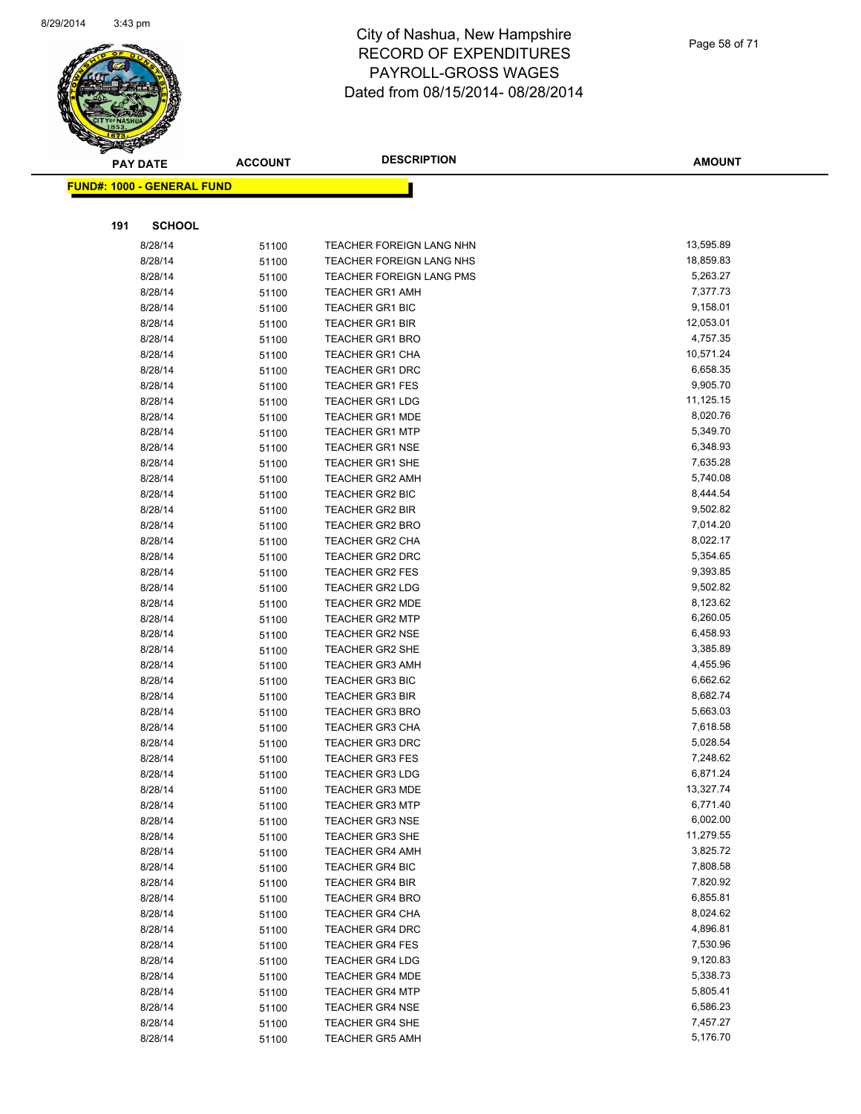

Page 58 of 71

| <b>PAY DATE</b>                   | <b>ACCOUNT</b> | <b>DESCRIPTION</b>       | <b>AMOUNT</b> |
|-----------------------------------|----------------|--------------------------|---------------|
| <b>FUND#: 1000 - GENERAL FUND</b> |                |                          |               |
|                                   |                |                          |               |
|                                   |                |                          |               |
| 191<br><b>SCHOOL</b>              |                |                          |               |
| 8/28/14                           | 51100          | TEACHER FOREIGN LANG NHN | 13,595.89     |
| 8/28/14                           | 51100          | TEACHER FOREIGN LANG NHS | 18,859.83     |
| 8/28/14                           | 51100          | TEACHER FOREIGN LANG PMS | 5,263.27      |
| 8/28/14                           | 51100          | <b>TEACHER GR1 AMH</b>   | 7,377.73      |
| 8/28/14                           | 51100          | TEACHER GR1 BIC          | 9,158.01      |
| 8/28/14                           | 51100          | <b>TEACHER GR1 BIR</b>   | 12,053.01     |
| 8/28/14                           | 51100          | <b>TEACHER GR1 BRO</b>   | 4,757.35      |
| 8/28/14                           | 51100          | <b>TEACHER GR1 CHA</b>   | 10,571.24     |
| 8/28/14                           | 51100          | TEACHER GR1 DRC          | 6,658.35      |
| 8/28/14                           | 51100          | <b>TEACHER GR1 FES</b>   | 9,905.70      |
| 8/28/14                           | 51100          | <b>TEACHER GR1 LDG</b>   | 11,125.15     |
| 8/28/14                           | 51100          | <b>TEACHER GR1 MDE</b>   | 8,020.76      |
| 8/28/14                           | 51100          | <b>TEACHER GR1 MTP</b>   | 5,349.70      |
| 8/28/14                           | 51100          | <b>TEACHER GR1 NSE</b>   | 6,348.93      |
| 8/28/14                           | 51100          | <b>TEACHER GR1 SHE</b>   | 7,635.28      |
| 8/28/14                           | 51100          | TEACHER GR2 AMH          | 5,740.08      |
| 8/28/14                           | 51100          | <b>TEACHER GR2 BIC</b>   | 8,444.54      |
| 8/28/14                           | 51100          | <b>TEACHER GR2 BIR</b>   | 9,502.82      |
| 8/28/14                           | 51100          | <b>TEACHER GR2 BRO</b>   | 7,014.20      |
| 8/28/14                           | 51100          | <b>TEACHER GR2 CHA</b>   | 8,022.17      |
| 8/28/14                           | 51100          | <b>TEACHER GR2 DRC</b>   | 5,354.65      |
| 8/28/14                           | 51100          | TEACHER GR2 FES          | 9,393.85      |
| 8/28/14                           | 51100          | <b>TEACHER GR2 LDG</b>   | 9,502.82      |
| 8/28/14                           | 51100          | <b>TEACHER GR2 MDE</b>   | 8,123.62      |
| 8/28/14                           | 51100          | <b>TEACHER GR2 MTP</b>   | 6,260.05      |
| 8/28/14                           | 51100          | <b>TEACHER GR2 NSE</b>   | 6,458.93      |
| 8/28/14                           | 51100          | TEACHER GR2 SHE          | 3,385.89      |
| 8/28/14                           | 51100          | <b>TEACHER GR3 AMH</b>   | 4,455.96      |
| 8/28/14                           | 51100          | <b>TEACHER GR3 BIC</b>   | 6,662.62      |
| 8/28/14                           | 51100          | <b>TEACHER GR3 BIR</b>   | 8,682.74      |
| 8/28/14                           | 51100          | <b>TEACHER GR3 BRO</b>   | 5,663.03      |
| 8/28/14                           | 51100          | <b>TEACHER GR3 CHA</b>   | 7,618.58      |
| 8/28/14                           | 51100          | <b>TEACHER GR3 DRC</b>   | 5,028.54      |
| 8/28/14                           | 51100          | <b>TEACHER GR3 FES</b>   | 7,248.62      |
| 8/28/14                           | 51100          | <b>TEACHER GR3 LDG</b>   | 6,871.24      |
| 8/28/14                           | 51100          | TEACHER GR3 MDE          | 13,327.74     |
| 8/28/14                           | 51100          | <b>TEACHER GR3 MTP</b>   | 6,771.40      |
| 8/28/14                           | 51100          | <b>TEACHER GR3 NSE</b>   | 6,002.00      |
| 8/28/14                           | 51100          | <b>TEACHER GR3 SHE</b>   | 11,279.55     |
| 8/28/14                           | 51100          | <b>TEACHER GR4 AMH</b>   | 3,825.72      |
| 8/28/14                           | 51100          | <b>TEACHER GR4 BIC</b>   | 7,808.58      |
| 8/28/14                           | 51100          | <b>TEACHER GR4 BIR</b>   | 7,820.92      |
| 8/28/14                           | 51100          | <b>TEACHER GR4 BRO</b>   | 6,855.81      |
| 8/28/14                           | 51100          | <b>TEACHER GR4 CHA</b>   | 8,024.62      |
| 8/28/14                           | 51100          | <b>TEACHER GR4 DRC</b>   | 4,896.81      |
| 8/28/14                           | 51100          | <b>TEACHER GR4 FES</b>   | 7,530.96      |
| 8/28/14                           | 51100          | <b>TEACHER GR4 LDG</b>   | 9,120.83      |
| 8/28/14                           | 51100          | <b>TEACHER GR4 MDE</b>   | 5,338.73      |
| 8/28/14                           | 51100          | <b>TEACHER GR4 MTP</b>   | 5,805.41      |
| 8/28/14                           | 51100          | <b>TEACHER GR4 NSE</b>   | 6,586.23      |
| 8/28/14                           | 51100          | <b>TEACHER GR4 SHE</b>   | 7,457.27      |
| 8/28/14                           | 51100          | <b>TEACHER GR5 AMH</b>   | 5,176.70      |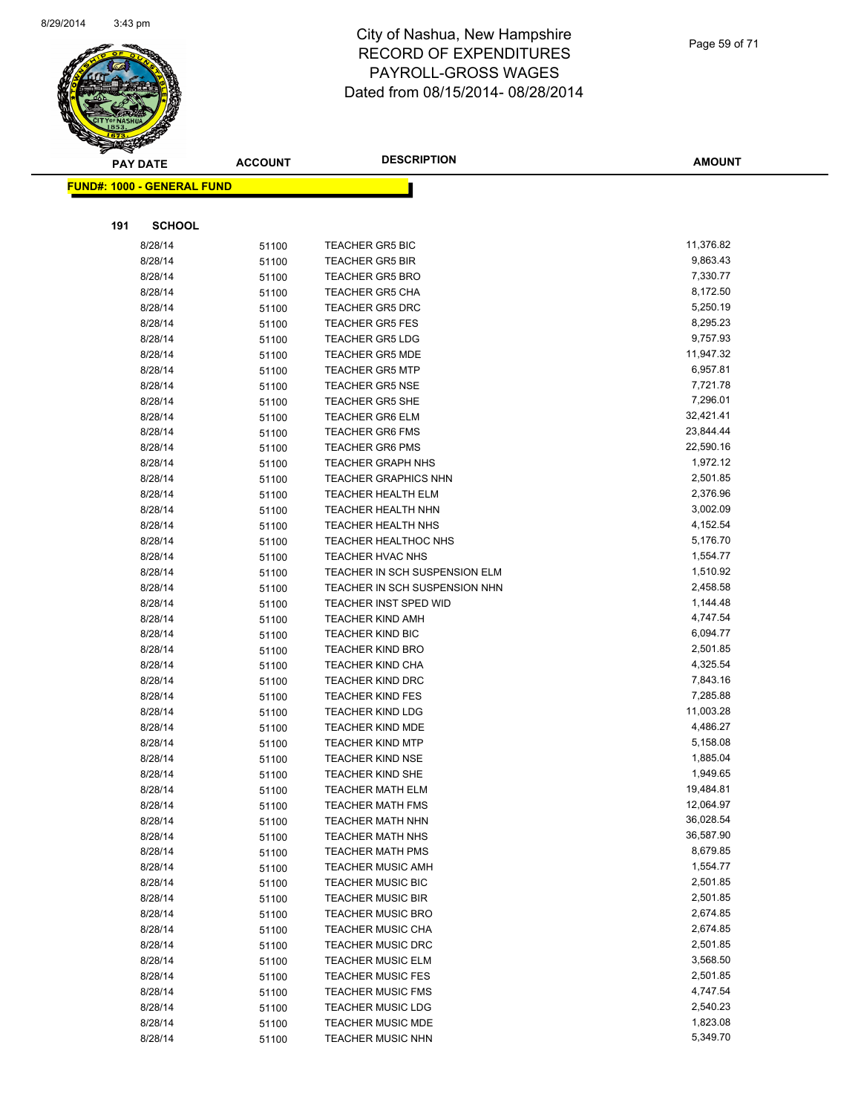

| <b>AMOUNT</b> |
|---------------|
|               |
|               |
|               |

**191 SCHOOL**

**FUND#: 1000 - GENERAL FUND**

| 8/28/14 | 51100 | <b>TEACHER GR5 BIC</b>        | 11,376.82 |
|---------|-------|-------------------------------|-----------|
| 8/28/14 | 51100 | <b>TEACHER GR5 BIR</b>        | 9,863.43  |
| 8/28/14 | 51100 | <b>TEACHER GR5 BRO</b>        | 7,330.77  |
| 8/28/14 | 51100 | <b>TEACHER GR5 CHA</b>        | 8,172.50  |
| 8/28/14 | 51100 | TEACHER GR5 DRC               | 5,250.19  |
| 8/28/14 | 51100 | <b>TEACHER GR5 FES</b>        | 8,295.23  |
| 8/28/14 | 51100 | <b>TEACHER GR5 LDG</b>        | 9,757.93  |
| 8/28/14 | 51100 | <b>TEACHER GR5 MDE</b>        | 11,947.32 |
| 8/28/14 | 51100 | <b>TEACHER GR5 MTP</b>        | 6,957.81  |
| 8/28/14 | 51100 | <b>TEACHER GR5 NSE</b>        | 7,721.78  |
| 8/28/14 | 51100 | TEACHER GR5 SHE               | 7,296.01  |
| 8/28/14 | 51100 | <b>TEACHER GR6 ELM</b>        | 32,421.41 |
| 8/28/14 | 51100 | <b>TEACHER GR6 FMS</b>        | 23,844.44 |
| 8/28/14 | 51100 | <b>TEACHER GR6 PMS</b>        | 22,590.16 |
| 8/28/14 | 51100 | <b>TEACHER GRAPH NHS</b>      | 1,972.12  |
| 8/28/14 | 51100 | <b>TEACHER GRAPHICS NHN</b>   | 2,501.85  |
| 8/28/14 | 51100 | TEACHER HEALTH ELM            | 2,376.96  |
| 8/28/14 | 51100 | <b>TEACHER HEALTH NHN</b>     | 3,002.09  |
| 8/28/14 | 51100 | TEACHER HEALTH NHS            | 4,152.54  |
| 8/28/14 | 51100 | <b>TEACHER HEALTHOC NHS</b>   | 5,176.70  |
| 8/28/14 | 51100 | TEACHER HVAC NHS              | 1,554.77  |
| 8/28/14 | 51100 | TEACHER IN SCH SUSPENSION ELM | 1,510.92  |
| 8/28/14 | 51100 | TEACHER IN SCH SUSPENSION NHN | 2,458.58  |
| 8/28/14 | 51100 | <b>TEACHER INST SPED WID</b>  | 1,144.48  |
| 8/28/14 | 51100 | <b>TEACHER KIND AMH</b>       | 4,747.54  |
| 8/28/14 | 51100 | <b>TEACHER KIND BIC</b>       | 6,094.77  |
| 8/28/14 | 51100 | <b>TEACHER KIND BRO</b>       | 2,501.85  |
| 8/28/14 | 51100 | TEACHER KIND CHA              | 4,325.54  |
| 8/28/14 | 51100 | <b>TEACHER KIND DRC</b>       | 7,843.16  |
| 8/28/14 | 51100 | TEACHER KIND FES              | 7,285.88  |
| 8/28/14 | 51100 | <b>TEACHER KIND LDG</b>       | 11,003.28 |
| 8/28/14 | 51100 | <b>TEACHER KIND MDE</b>       | 4,486.27  |
| 8/28/14 | 51100 | <b>TEACHER KIND MTP</b>       | 5,158.08  |
| 8/28/14 | 51100 | <b>TEACHER KIND NSE</b>       | 1,885.04  |
| 8/28/14 | 51100 | <b>TEACHER KIND SHE</b>       | 1,949.65  |
| 8/28/14 | 51100 | <b>TEACHER MATH ELM</b>       | 19,484.81 |
| 8/28/14 | 51100 | <b>TEACHER MATH FMS</b>       | 12,064.97 |
| 8/28/14 | 51100 | <b>TEACHER MATH NHN</b>       | 36,028.54 |
| 8/28/14 | 51100 | <b>TEACHER MATH NHS</b>       | 36,587.90 |
| 8/28/14 | 51100 | <b>TEACHER MATH PMS</b>       | 8,679.85  |
| 8/28/14 | 51100 | <b>TEACHER MUSIC AMH</b>      | 1,554.77  |
| 8/28/14 | 51100 | <b>TEACHER MUSIC BIC</b>      | 2,501.85  |
| 8/28/14 | 51100 | <b>TEACHER MUSIC BIR</b>      | 2,501.85  |
| 8/28/14 | 51100 | <b>TEACHER MUSIC BRO</b>      | 2,674.85  |
| 8/28/14 | 51100 | <b>TEACHER MUSIC CHA</b>      | 2,674.85  |
| 8/28/14 | 51100 | <b>TEACHER MUSIC DRC</b>      | 2,501.85  |
| 8/28/14 | 51100 | <b>TEACHER MUSIC ELM</b>      | 3,568.50  |
| 8/28/14 | 51100 | <b>TEACHER MUSIC FES</b>      | 2,501.85  |
| 8/28/14 | 51100 | <b>TEACHER MUSIC FMS</b>      | 4,747.54  |
| 8/28/14 | 51100 | <b>TEACHER MUSIC LDG</b>      | 2,540.23  |
| 8/28/14 | 51100 | <b>TEACHER MUSIC MDE</b>      | 1,823.08  |
| 8/28/14 | 51100 | <b>TEACHER MUSIC NHN</b>      | 5,349.70  |
|         |       |                               |           |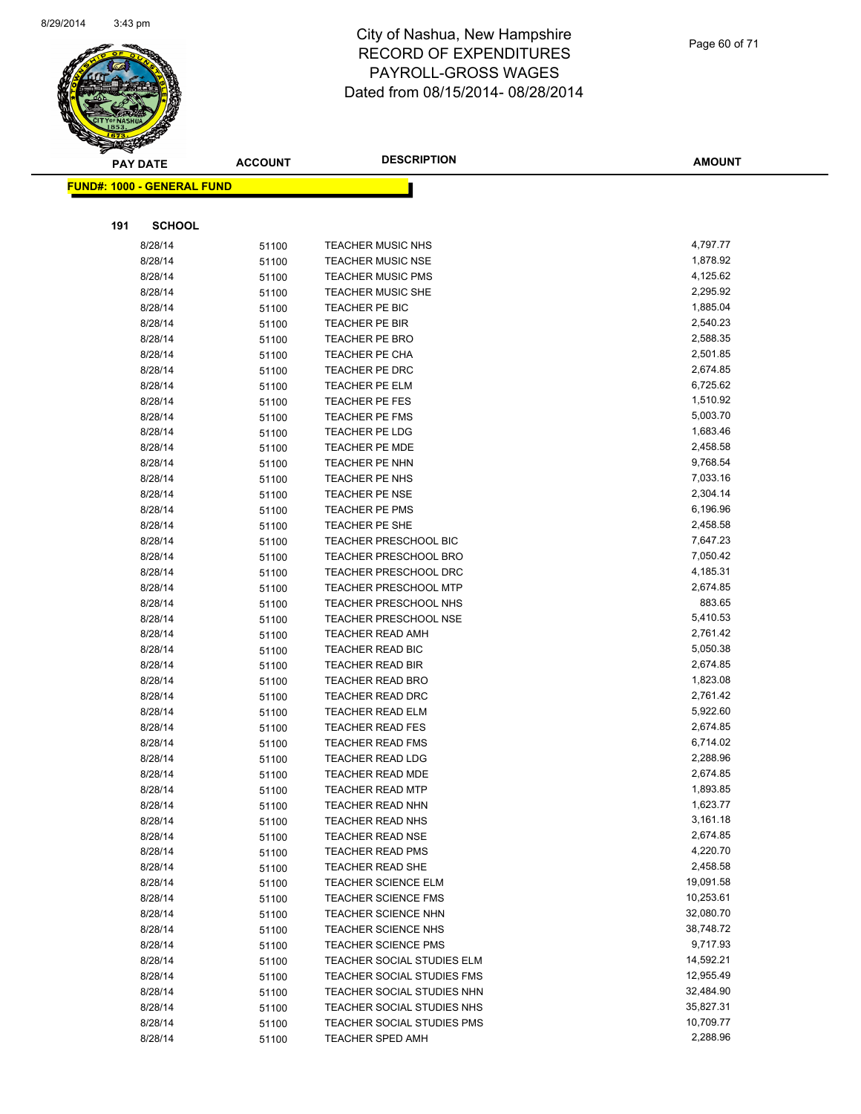

Page 60 of 71

|     | <b>PAY DATE</b>                   | <b>ACCOUNT</b> | <b>DESCRIPTION</b>                             | <b>AMOUNT</b>        |
|-----|-----------------------------------|----------------|------------------------------------------------|----------------------|
|     | <b>FUND#: 1000 - GENERAL FUND</b> |                |                                                |                      |
|     |                                   |                |                                                |                      |
|     |                                   |                |                                                |                      |
| 191 | <b>SCHOOL</b>                     |                |                                                |                      |
|     | 8/28/14                           | 51100          | <b>TEACHER MUSIC NHS</b>                       | 4,797.77             |
|     | 8/28/14                           | 51100          | <b>TEACHER MUSIC NSE</b>                       | 1,878.92             |
|     | 8/28/14                           | 51100          | <b>TEACHER MUSIC PMS</b>                       | 4,125.62             |
|     | 8/28/14                           | 51100          | <b>TEACHER MUSIC SHE</b>                       | 2,295.92             |
|     | 8/28/14                           | 51100          | TEACHER PE BIC                                 | 1,885.04             |
|     | 8/28/14                           | 51100          | TEACHER PE BIR                                 | 2,540.23             |
|     | 8/28/14                           | 51100          | <b>TEACHER PE BRO</b>                          | 2,588.35             |
|     | 8/28/14                           | 51100          | TEACHER PE CHA                                 | 2,501.85             |
|     | 8/28/14                           | 51100          | TEACHER PE DRC                                 | 2,674.85             |
|     | 8/28/14                           | 51100          | <b>TEACHER PE ELM</b>                          | 6,725.62             |
|     | 8/28/14                           | 51100          | TEACHER PE FES                                 | 1,510.92             |
|     | 8/28/14                           | 51100          | <b>TEACHER PE FMS</b>                          | 5,003.70             |
|     | 8/28/14                           | 51100          | <b>TEACHER PE LDG</b>                          | 1,683.46<br>2,458.58 |
|     | 8/28/14                           | 51100          | <b>TEACHER PE MDE</b>                          | 9,768.54             |
|     | 8/28/14                           | 51100          | TEACHER PE NHN                                 | 7,033.16             |
|     | 8/28/14                           | 51100          | TEACHER PE NHS                                 | 2,304.14             |
|     | 8/28/14                           | 51100          | <b>TEACHER PE NSE</b>                          | 6,196.96             |
|     | 8/28/14                           | 51100          | TEACHER PE PMS                                 | 2,458.58             |
|     | 8/28/14                           | 51100          | TEACHER PE SHE<br><b>TEACHER PRESCHOOL BIC</b> | 7,647.23             |
|     | 8/28/14<br>8/28/14                | 51100          | TEACHER PRESCHOOL BRO                          | 7,050.42             |
|     | 8/28/14                           | 51100          | <b>TEACHER PRESCHOOL DRC</b>                   | 4,185.31             |
|     | 8/28/14                           | 51100          | <b>TEACHER PRESCHOOL MTP</b>                   | 2,674.85             |
|     | 8/28/14                           | 51100          | TEACHER PRESCHOOL NHS                          | 883.65               |
|     | 8/28/14                           | 51100<br>51100 | TEACHER PRESCHOOL NSE                          | 5,410.53             |
|     | 8/28/14                           |                | <b>TEACHER READ AMH</b>                        | 2,761.42             |
|     | 8/28/14                           | 51100<br>51100 | TEACHER READ BIC                               | 5,050.38             |
|     | 8/28/14                           | 51100          | <b>TEACHER READ BIR</b>                        | 2,674.85             |
|     | 8/28/14                           | 51100          | TEACHER READ BRO                               | 1,823.08             |
|     | 8/28/14                           | 51100          | <b>TEACHER READ DRC</b>                        | 2,761.42             |
|     | 8/28/14                           | 51100          | TEACHER READ ELM                               | 5,922.60             |
|     | 8/28/14                           | 51100          | <b>TEACHER READ FES</b>                        | 2,674.85             |
|     | 8/28/14                           | 51100          | <b>TEACHER READ FMS</b>                        | 6,714.02             |
|     | 8/28/14                           | 51100          | <b>TEACHER READ LDG</b>                        | 2,288.96             |
|     | 8/28/14                           | 51100          | <b>TEACHER READ MDE</b>                        | 2,674.85             |
|     | 8/28/14                           | 51100          | <b>TEACHER READ MTP</b>                        | 1,893.85             |
|     | 8/28/14                           | 51100          | TEACHER READ NHN                               | 1,623.77             |
|     | 8/28/14                           | 51100          | <b>TEACHER READ NHS</b>                        | 3,161.18             |
|     | 8/28/14                           | 51100          | <b>TEACHER READ NSE</b>                        | 2,674.85             |
|     | 8/28/14                           | 51100          | <b>TEACHER READ PMS</b>                        | 4,220.70             |
|     | 8/28/14                           | 51100          | TEACHER READ SHE                               | 2,458.58             |
|     | 8/28/14                           | 51100          | <b>TEACHER SCIENCE ELM</b>                     | 19,091.58            |
|     | 8/28/14                           | 51100          | <b>TEACHER SCIENCE FMS</b>                     | 10,253.61            |
|     | 8/28/14                           | 51100          | <b>TEACHER SCIENCE NHN</b>                     | 32,080.70            |
|     | 8/28/14                           | 51100          | <b>TEACHER SCIENCE NHS</b>                     | 38,748.72            |
|     | 8/28/14                           | 51100          | <b>TEACHER SCIENCE PMS</b>                     | 9,717.93             |
|     | 8/28/14                           | 51100          | TEACHER SOCIAL STUDIES ELM                     | 14,592.21            |
|     | 8/28/14                           | 51100          | TEACHER SOCIAL STUDIES FMS                     | 12,955.49            |
|     | 8/28/14                           | 51100          | TEACHER SOCIAL STUDIES NHN                     | 32,484.90            |
|     | 8/28/14                           | 51100          | TEACHER SOCIAL STUDIES NHS                     | 35,827.31            |
|     | 8/28/14                           | 51100          | TEACHER SOCIAL STUDIES PMS                     | 10,709.77            |
|     | 8/28/14                           | 51100          | <b>TEACHER SPED AMH</b>                        | 2,288.96             |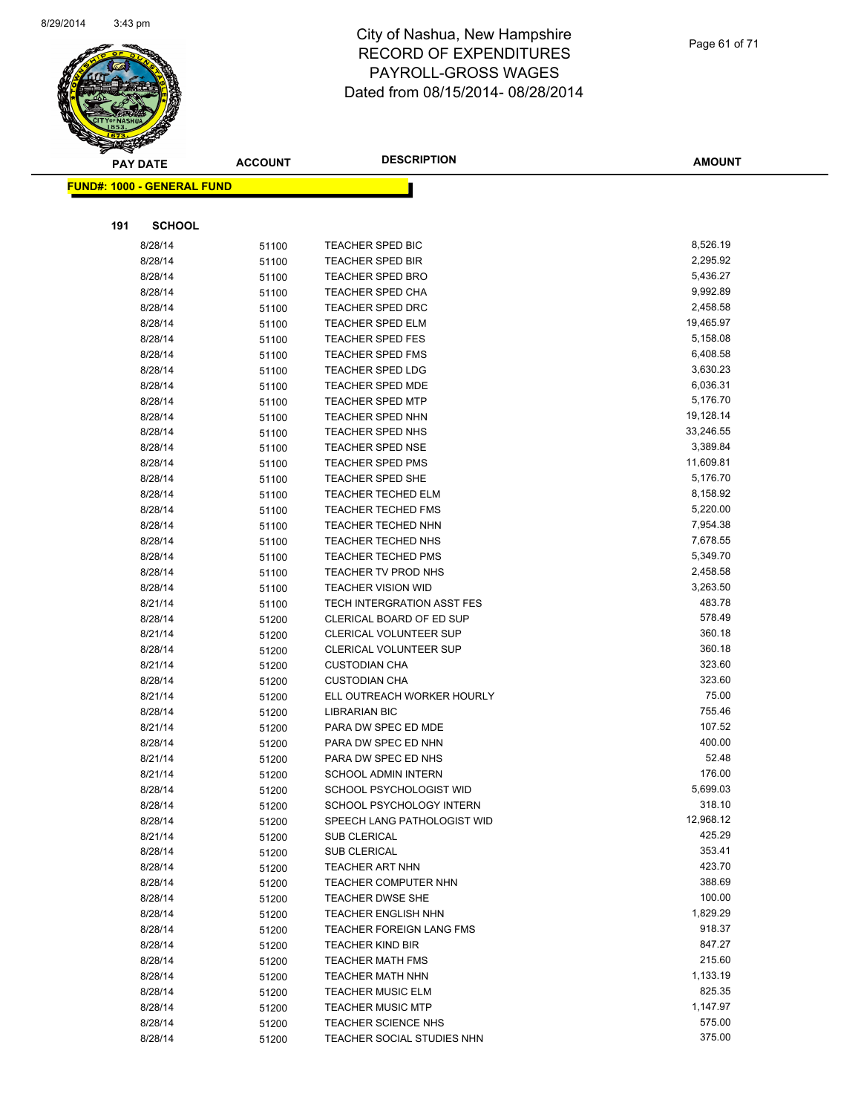

Page 61 of 71

|     | <b>PAY DATE</b>                    | <b>ACCOUNT</b> | <b>DESCRIPTION</b>                               | <b>AMOUNT</b>        |
|-----|------------------------------------|----------------|--------------------------------------------------|----------------------|
|     | <u> FUND#: 1000 - GENERAL FUND</u> |                |                                                  |                      |
|     |                                    |                |                                                  |                      |
|     |                                    |                |                                                  |                      |
| 191 | <b>SCHOOL</b>                      |                |                                                  |                      |
|     | 8/28/14                            | 51100          | TEACHER SPED BIC                                 | 8,526.19             |
|     | 8/28/14                            | 51100          | <b>TEACHER SPED BIR</b>                          | 2,295.92             |
|     | 8/28/14                            | 51100          | <b>TEACHER SPED BRO</b>                          | 5,436.27             |
|     | 8/28/14                            | 51100          | TEACHER SPED CHA                                 | 9,992.89             |
|     | 8/28/14                            | 51100          | <b>TEACHER SPED DRC</b>                          | 2,458.58             |
|     | 8/28/14                            | 51100          | <b>TEACHER SPED ELM</b>                          | 19,465.97            |
|     | 8/28/14                            | 51100          | <b>TEACHER SPED FES</b>                          | 5,158.08             |
|     | 8/28/14                            | 51100          | <b>TEACHER SPED FMS</b>                          | 6,408.58             |
|     | 8/28/14                            | 51100          | <b>TEACHER SPED LDG</b>                          | 3,630.23             |
|     | 8/28/14                            | 51100          | <b>TEACHER SPED MDE</b>                          | 6,036.31             |
|     | 8/28/14                            | 51100          | <b>TEACHER SPED MTP</b>                          | 5,176.70             |
|     | 8/28/14                            | 51100          | <b>TEACHER SPED NHN</b>                          | 19,128.14            |
|     | 8/28/14                            | 51100          | TEACHER SPED NHS                                 | 33,246.55            |
|     | 8/28/14                            | 51100          | <b>TEACHER SPED NSE</b>                          | 3,389.84             |
|     | 8/28/14                            | 51100          | <b>TEACHER SPED PMS</b>                          | 11,609.81            |
|     | 8/28/14                            | 51100          | TEACHER SPED SHE                                 | 5,176.70             |
|     | 8/28/14                            | 51100          | <b>TEACHER TECHED ELM</b>                        | 8,158.92             |
|     | 8/28/14                            | 51100          | <b>TEACHER TECHED FMS</b>                        | 5,220.00             |
|     | 8/28/14                            | 51100          | <b>TEACHER TECHED NHN</b>                        | 7,954.38             |
|     | 8/28/14                            | 51100          | <b>TEACHER TECHED NHS</b>                        | 7,678.55             |
|     | 8/28/14                            | 51100          | <b>TEACHER TECHED PMS</b>                        | 5,349.70<br>2,458.58 |
|     | 8/28/14<br>8/28/14                 | 51100          | TEACHER TV PROD NHS<br><b>TEACHER VISION WID</b> | 3,263.50             |
|     | 8/21/14                            | 51100          | <b>TECH INTERGRATION ASST FES</b>                | 483.78               |
|     | 8/28/14                            | 51100          | CLERICAL BOARD OF ED SUP                         | 578.49               |
|     | 8/21/14                            | 51200          | CLERICAL VOLUNTEER SUP                           | 360.18               |
|     | 8/28/14                            | 51200          | <b>CLERICAL VOLUNTEER SUP</b>                    | 360.18               |
|     | 8/21/14                            | 51200<br>51200 | <b>CUSTODIAN CHA</b>                             | 323.60               |
|     | 8/28/14                            | 51200          | <b>CUSTODIAN CHA</b>                             | 323.60               |
|     | 8/21/14                            | 51200          | ELL OUTREACH WORKER HOURLY                       | 75.00                |
|     | 8/28/14                            | 51200          | <b>LIBRARIAN BIC</b>                             | 755.46               |
|     | 8/21/14                            | 51200          | PARA DW SPEC ED MDE                              | 107.52               |
|     | 8/28/14                            | 51200          | PARA DW SPEC ED NHN                              | 400.00               |
|     | 8/21/14                            | 51200          | PARA DW SPEC ED NHS                              | 52.48                |
|     | 8/21/14                            | 51200          | <b>SCHOOL ADMIN INTERN</b>                       | 176.00               |
|     | 8/28/14                            | 51200          | SCHOOL PSYCHOLOGIST WID                          | 5,699.03             |
|     | 8/28/14                            | 51200          | SCHOOL PSYCHOLOGY INTERN                         | 318.10               |
|     | 8/28/14                            | 51200          | SPEECH LANG PATHOLOGIST WID                      | 12,968.12            |
|     | 8/21/14                            | 51200          | SUB CLERICAL                                     | 425.29               |
|     | 8/28/14                            | 51200          | SUB CLERICAL                                     | 353.41               |
|     | 8/28/14                            | 51200          | <b>TEACHER ART NHN</b>                           | 423.70               |
|     | 8/28/14                            | 51200          | <b>TEACHER COMPUTER NHN</b>                      | 388.69               |
|     | 8/28/14                            | 51200          | <b>TEACHER DWSE SHE</b>                          | 100.00               |
|     | 8/28/14                            | 51200          | <b>TEACHER ENGLISH NHN</b>                       | 1,829.29             |
|     | 8/28/14                            | 51200          | <b>TEACHER FOREIGN LANG FMS</b>                  | 918.37               |
|     | 8/28/14                            | 51200          | <b>TEACHER KIND BIR</b>                          | 847.27               |
|     | 8/28/14                            | 51200          | <b>TEACHER MATH FMS</b>                          | 215.60               |
|     | 8/28/14                            | 51200          | <b>TEACHER MATH NHN</b>                          | 1,133.19             |
|     | 8/28/14                            | 51200          | <b>TEACHER MUSIC ELM</b>                         | 825.35               |
|     | 8/28/14                            | 51200          | <b>TEACHER MUSIC MTP</b>                         | 1,147.97             |
|     | 8/28/14                            | 51200          | <b>TEACHER SCIENCE NHS</b>                       | 575.00               |
|     | 8/28/14                            | 51200          | TEACHER SOCIAL STUDIES NHN                       | 375.00               |
|     |                                    |                |                                                  |                      |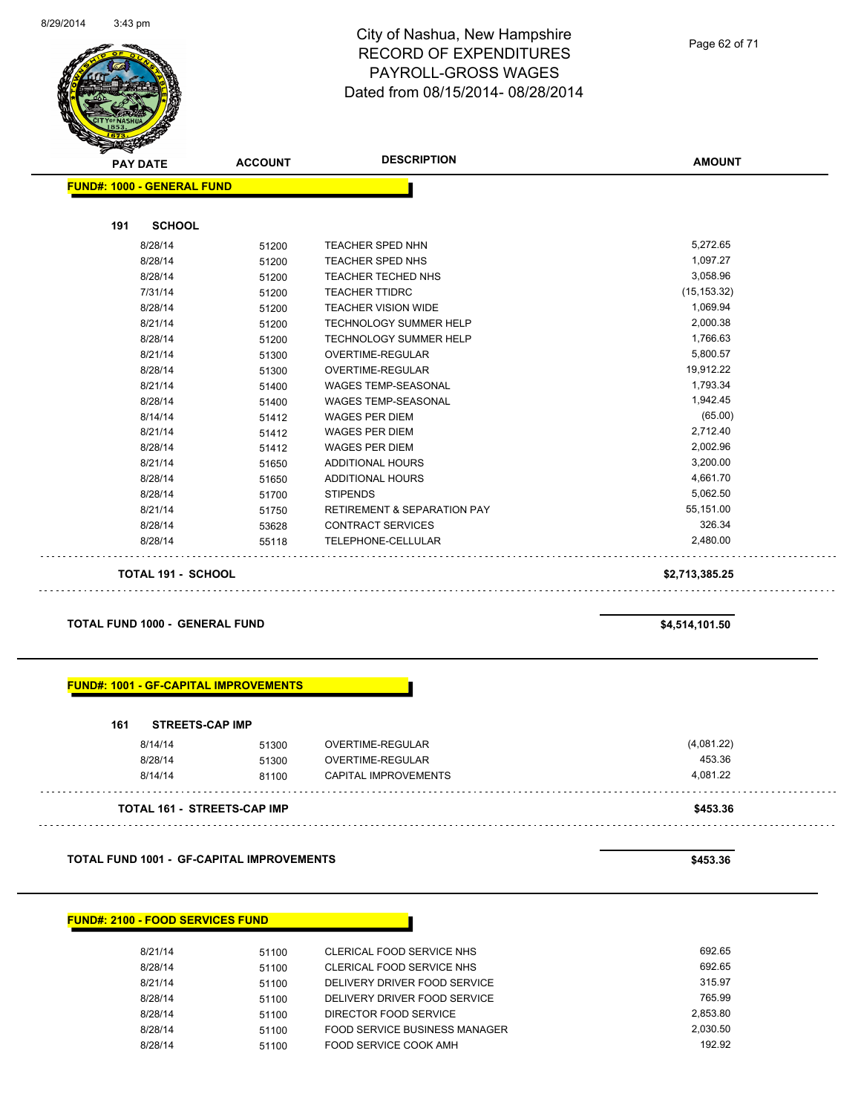

| <b>FUND#: 1000 - GENERAL FUND</b> |                                        |                |
|-----------------------------------|----------------------------------------|----------------|
|                                   |                                        |                |
|                                   |                                        |                |
| 51200                             | <b>TEACHER SPED NHN</b>                | 5,272.65       |
| 51200                             | <b>TEACHER SPED NHS</b>                | 1,097.27       |
| 51200                             | <b>TEACHER TECHED NHS</b>              | 3,058.96       |
| 51200                             | <b>TEACHER TTIDRC</b>                  | (15, 153.32)   |
| 51200                             | <b>TEACHER VISION WIDE</b>             | 1,069.94       |
| 51200                             | <b>TECHNOLOGY SUMMER HELP</b>          | 2,000.38       |
| 51200                             | <b>TECHNOLOGY SUMMER HELP</b>          | 1,766.63       |
| 51300                             | <b>OVERTIME-REGULAR</b>                | 5,800.57       |
| 51300                             | <b>OVERTIME-REGULAR</b>                | 19,912.22      |
| 51400                             | <b>WAGES TEMP-SEASONAL</b>             | 1,793.34       |
| 51400                             | <b>WAGES TEMP-SEASONAL</b>             | 1,942.45       |
| 51412                             | <b>WAGES PER DIEM</b>                  | (65.00)        |
| 51412                             | <b>WAGES PER DIEM</b>                  | 2,712.40       |
| 51412                             | <b>WAGES PER DIEM</b>                  | 2,002.96       |
| 51650                             | <b>ADDITIONAL HOURS</b>                | 3,200.00       |
| 51650                             | <b>ADDITIONAL HOURS</b>                | 4,661.70       |
| 51700                             | <b>STIPENDS</b>                        | 5,062.50       |
| 51750                             | <b>RETIREMENT &amp; SEPARATION PAY</b> | 55,151.00      |
| 53628                             | <b>CONTRACT SERVICES</b>               | 326.34         |
| 55118                             | TELEPHONE-CELLULAR                     | 2,480.00       |
| <b>TOTAL 191 - SCHOOL</b>         |                                        | \$2,713,385.25 |
|                                   |                                        |                |

**TOTAL FUND 1000 - GENERAL FUND \$4,514,101.50** 

#### **FUND#: 1001 - GF-CAPITAL IMPROVEMENTS**

| 161 | <b>STREETS-CAP IMP</b>             |       |                      |            |
|-----|------------------------------------|-------|----------------------|------------|
|     | 8/14/14                            | 51300 | OVERTIME-REGULAR     | (4,081.22) |
|     | 8/28/14                            | 51300 | OVERTIME-REGULAR     | 453.36     |
|     | 8/14/14                            | 81100 | CAPITAL IMPROVEMENTS | 4.081.22   |
|     | <b>TOTAL 161 - STREETS-CAP IMP</b> |       |                      | \$453.36   |

**TOTAL FUND 1001 - GF-CAPITAL IMPROVEMENTS \$453.36** 

#### **FUND#: 2100 - FOOD SERVICES FUND**

| 8/21/14 | 51100 | CLERICAL FOOD SERVICE NHS     | 692.65   |
|---------|-------|-------------------------------|----------|
| 8/28/14 | 51100 | CLERICAL FOOD SERVICE NHS     | 692.65   |
| 8/21/14 | 51100 | DELIVERY DRIVER FOOD SERVICE  | 315.97   |
| 8/28/14 | 51100 | DELIVERY DRIVER FOOD SERVICE  | 765.99   |
| 8/28/14 | 51100 | DIRECTOR FOOD SERVICE         | 2.853.80 |
| 8/28/14 | 51100 | FOOD SERVICE BUSINESS MANAGER | 2.030.50 |
| 8/28/14 | 51100 | FOOD SERVICE COOK AMH         | 192.92   |

 $\mathbf{1}$ 

. . . .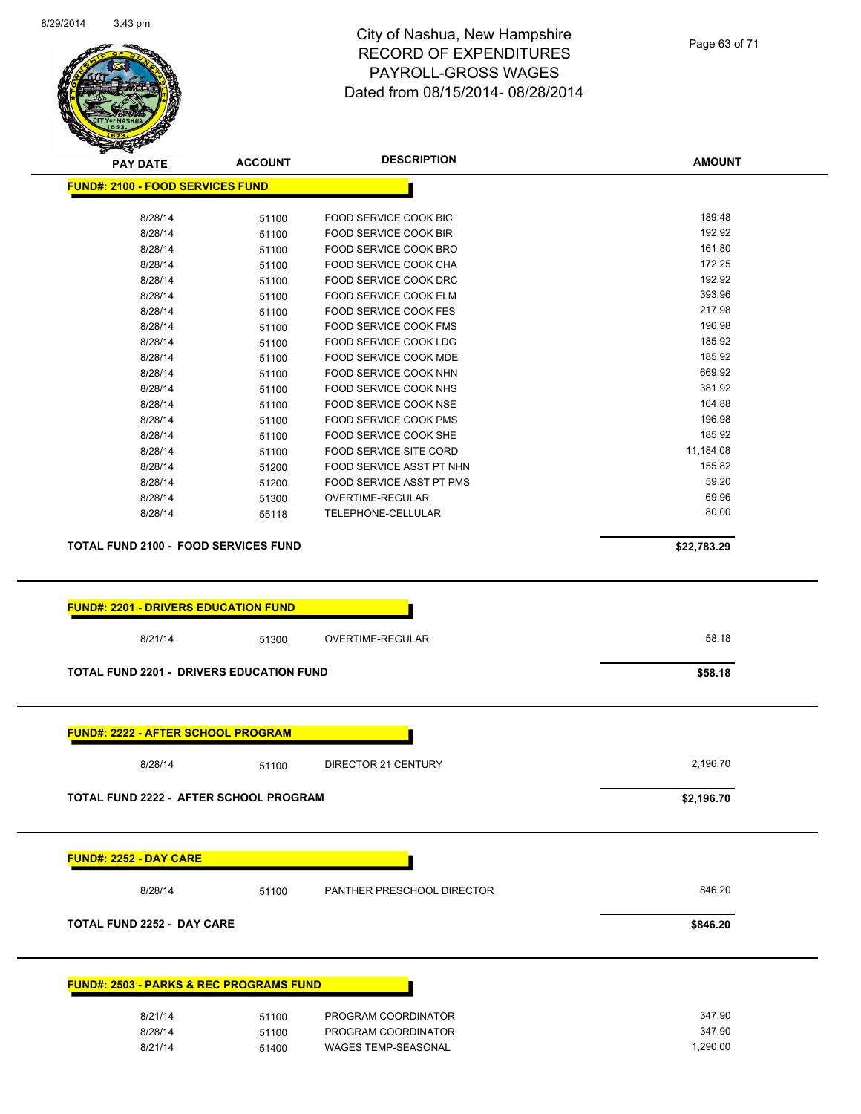

| ॼ<br><b>PAY DATE</b>                               | <b>ACCOUNT</b> | <b>DESCRIPTION</b>                     | <b>AMOUNT</b> |
|----------------------------------------------------|----------------|----------------------------------------|---------------|
| <b>FUND#: 2100 - FOOD SERVICES FUND</b>            |                |                                        |               |
| 8/28/14                                            | 51100          | FOOD SERVICE COOK BIC                  | 189.48        |
| 8/28/14                                            | 51100          | <b>FOOD SERVICE COOK BIR</b>           | 192.92        |
| 8/28/14                                            | 51100          | FOOD SERVICE COOK BRO                  | 161.80        |
| 8/28/14                                            | 51100          | FOOD SERVICE COOK CHA                  | 172.25        |
| 8/28/14                                            | 51100          | FOOD SERVICE COOK DRC                  | 192.92        |
| 8/28/14                                            | 51100          | FOOD SERVICE COOK ELM                  | 393.96        |
| 8/28/14                                            | 51100          | FOOD SERVICE COOK FES                  | 217.98        |
| 8/28/14                                            | 51100          | FOOD SERVICE COOK FMS                  | 196.98        |
| 8/28/14                                            | 51100          | FOOD SERVICE COOK LDG                  | 185.92        |
| 8/28/14                                            | 51100          | FOOD SERVICE COOK MDE                  | 185.92        |
| 8/28/14                                            | 51100          | FOOD SERVICE COOK NHN                  | 669.92        |
| 8/28/14                                            | 51100          | FOOD SERVICE COOK NHS                  | 381.92        |
| 8/28/14                                            | 51100          | FOOD SERVICE COOK NSE                  | 164.88        |
| 8/28/14                                            | 51100          | FOOD SERVICE COOK PMS                  | 196.98        |
| 8/28/14                                            | 51100          | FOOD SERVICE COOK SHE                  | 185.92        |
| 8/28/14                                            | 51100          | <b>FOOD SERVICE SITE CORD</b>          | 11,184.08     |
| 8/28/14                                            | 51200          | FOOD SERVICE ASST PT NHN               | 155.82        |
| 8/28/14                                            |                | FOOD SERVICE ASST PT PMS               | 59.20         |
|                                                    | 51200          |                                        | 69.96         |
| 8/28/14<br>8/28/14                                 | 51300<br>55118 | OVERTIME-REGULAR<br>TELEPHONE-CELLULAR | 80.00         |
|                                                    |                |                                        |               |
| <b>TOTAL FUND 2100 - FOOD SERVICES FUND</b>        |                |                                        | \$22,783.29   |
| 8/21/14                                            | 51300          | OVERTIME-REGULAR                       | 58.18         |
| <b>TOTAL FUND 2201 - DRIVERS EDUCATION FUND</b>    |                |                                        | \$58.18       |
| <b>FUND#: 2222 - AFTER SCHOOL PROGRAM</b>          |                |                                        |               |
| 8/28/14                                            | 51100          | DIRECTOR 21 CENTURY                    | 2,196.70      |
| TOTAL FUND 2222 - AFTER SCHOOL PROGRAM             |                |                                        | \$2,196.70    |
| <b>FUND#: 2252 - DAY CARE</b>                      |                |                                        |               |
| 8/28/14                                            | 51100          | PANTHER PRESCHOOL DIRECTOR             | 846.20        |
| <b>TOTAL FUND 2252 - DAY CARE</b>                  |                |                                        | \$846.20      |
| <b>FUND#: 2503 - PARKS &amp; REC PROGRAMS FUND</b> |                |                                        |               |
| 8/21/14                                            | 51100          | PROGRAM COORDINATOR                    | 347.90        |
| 8/28/14                                            | 51100          | PROGRAM COORDINATOR                    | 347.90        |
| 8/21/14                                            | 51400          | WAGES TEMP-SEASONAL                    | 1,290.00      |
|                                                    |                |                                        |               |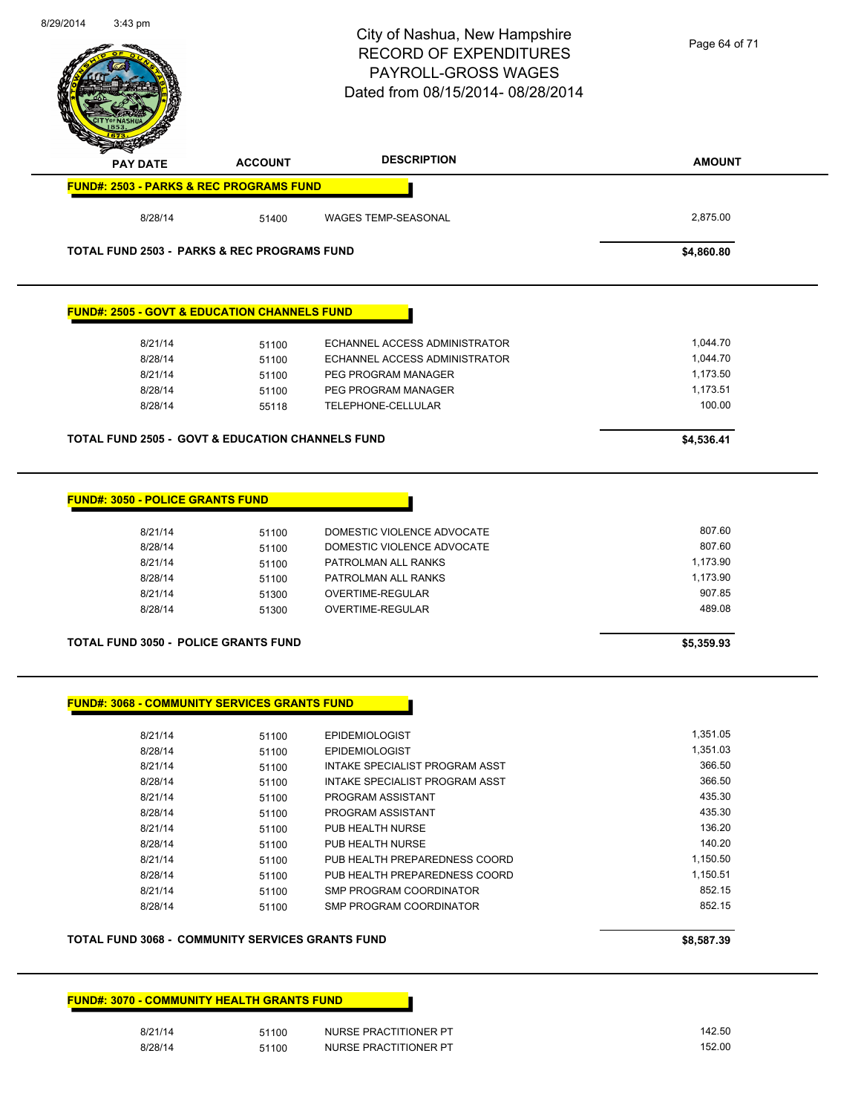|                                                                                                                                                                     |                | City of Nashua, New Hampshire<br><b>RECORD OF EXPENDITURES</b> | Page 64 of 71        |
|---------------------------------------------------------------------------------------------------------------------------------------------------------------------|----------------|----------------------------------------------------------------|----------------------|
|                                                                                                                                                                     |                | PAYROLL-GROSS WAGES                                            |                      |
|                                                                                                                                                                     |                | Dated from 08/15/2014-08/28/2014                               |                      |
|                                                                                                                                                                     |                |                                                                |                      |
|                                                                                                                                                                     |                |                                                                |                      |
|                                                                                                                                                                     |                |                                                                |                      |
| <b>PAY DATE</b>                                                                                                                                                     | <b>ACCOUNT</b> | <b>DESCRIPTION</b>                                             | <b>AMOUNT</b>        |
| <b>FUND#: 2503 - PARKS &amp; REC PROGRAMS FUND</b>                                                                                                                  |                |                                                                |                      |
| 8/28/14                                                                                                                                                             | 51400          | WAGES TEMP-SEASONAL                                            | 2,875.00             |
| <b>TOTAL FUND 2503 - PARKS &amp; REC PROGRAMS FUND</b>                                                                                                              |                |                                                                | \$4,860.80           |
| <b>FUND#: 2505 - GOVT &amp; EDUCATION CHANNELS FUND</b>                                                                                                             |                |                                                                |                      |
|                                                                                                                                                                     |                |                                                                |                      |
| 8/21/14                                                                                                                                                             | 51100          | ECHANNEL ACCESS ADMINISTRATOR                                  | 1,044.70             |
| 8/28/14                                                                                                                                                             | 51100          | ECHANNEL ACCESS ADMINISTRATOR                                  | 1,044.70             |
| 8/21/14                                                                                                                                                             | 51100          | PEG PROGRAM MANAGER                                            | 1,173.50<br>1,173.51 |
| 8/28/14<br>8/28/14                                                                                                                                                  | 51100<br>55118 | PEG PROGRAM MANAGER<br>TELEPHONE-CELLULAR                      | 100.00               |
|                                                                                                                                                                     |                |                                                                |                      |
| <b>TOTAL FUND 2505 - GOVT &amp; EDUCATION CHANNELS FUND</b>                                                                                                         |                |                                                                | \$4,536.41           |
|                                                                                                                                                                     |                |                                                                |                      |
|                                                                                                                                                                     |                |                                                                |                      |
|                                                                                                                                                                     |                |                                                                |                      |
|                                                                                                                                                                     |                |                                                                |                      |
| 8/21/14                                                                                                                                                             | 51100          | DOMESTIC VIOLENCE ADVOCATE                                     | 807.60               |
| 8/28/14<br>8/21/14                                                                                                                                                  | 51100          | DOMESTIC VIOLENCE ADVOCATE<br>PATROLMAN ALL RANKS              | 807.60<br>1,173.90   |
| 8/28/14                                                                                                                                                             | 51100          | PATROLMAN ALL RANKS                                            | 1,173.90             |
|                                                                                                                                                                     | 51100          |                                                                | 907.85               |
| 8/21/14<br>8/28/14                                                                                                                                                  | 51300<br>51300 | OVERTIME-REGULAR<br><b>OVERTIME-REGULAR</b>                    | 489.08               |
|                                                                                                                                                                     |                |                                                                |                      |
|                                                                                                                                                                     |                |                                                                | \$5,359.93           |
|                                                                                                                                                                     |                |                                                                |                      |
|                                                                                                                                                                     |                |                                                                |                      |
| 8/21/14                                                                                                                                                             | 51100          | <b>EPIDEMIOLOGIST</b>                                          | 1,351.05             |
| 8/28/14                                                                                                                                                             | 51100          | <b>EPIDEMIOLOGIST</b>                                          | 1,351.03             |
| 8/21/14                                                                                                                                                             | 51100          | INTAKE SPECIALIST PROGRAM ASST                                 | 366.50               |
| 8/28/14                                                                                                                                                             | 51100          | INTAKE SPECIALIST PROGRAM ASST                                 | 366.50               |
| 8/21/14                                                                                                                                                             | 51100          | PROGRAM ASSISTANT                                              | 435.30               |
| 8/28/14                                                                                                                                                             | 51100          | PROGRAM ASSISTANT                                              | 435.30               |
| 8/21/14                                                                                                                                                             | 51100          | PUB HEALTH NURSE                                               | 136.20               |
| 8/28/14                                                                                                                                                             | 51100          | PUB HEALTH NURSE                                               | 140.20               |
| 8/21/14                                                                                                                                                             | 51100          | PUB HEALTH PREPAREDNESS COORD                                  | 1,150.50             |
| 8/28/14                                                                                                                                                             | 51100          | PUB HEALTH PREPAREDNESS COORD                                  | 1,150.51             |
| <b>FUND#: 3050 - POLICE GRANTS FUND</b><br><b>TOTAL FUND 3050 - POLICE GRANTS FUND</b><br><b>FUND#: 3068 - COMMUNITY SERVICES GRANTS FUND</b><br>8/21/14<br>8/28/14 | 51100          | SMP PROGRAM COORDINATOR<br>SMP PROGRAM COORDINATOR             | 852.15<br>852.15     |
|                                                                                                                                                                     | 51100          |                                                                |                      |
| <b>TOTAL FUND 3068 - COMMUNITY SERVICES GRANTS FUND</b>                                                                                                             |                |                                                                | \$8,587.39           |

8/29/2014 3:43 pm

| 8/21/14 | 51100 | NURSE PRACTITIONER PT | 142.50 |
|---------|-------|-----------------------|--------|
| 8/28/14 | 51100 | NURSE PRACTITIONER PT | 152.00 |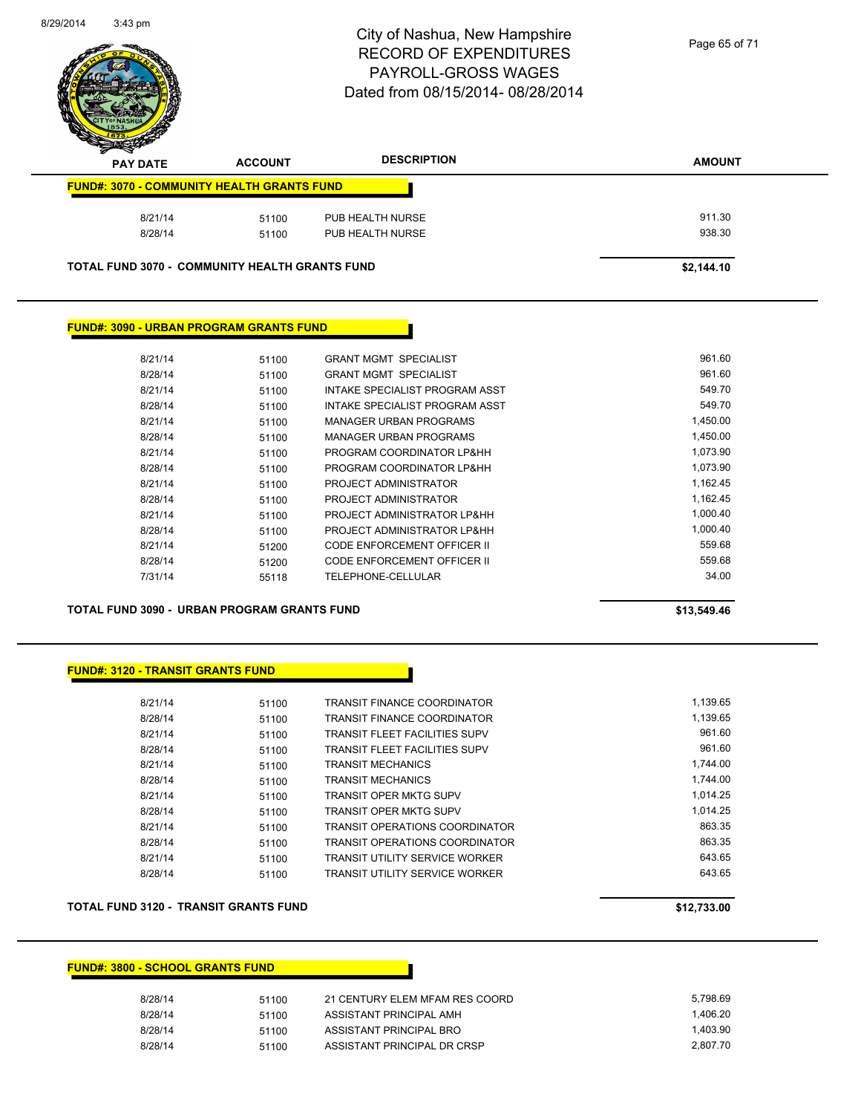

Page 65 of 71

| <b>PAY DATE</b>                                       | <b>ACCOUNT</b> | <b>DESCRIPTION</b> | <b>AMOUNT</b> |
|-------------------------------------------------------|----------------|--------------------|---------------|
| <b>FUND#: 3070 - COMMUNITY HEALTH GRANTS FUND</b>     |                |                    |               |
| 8/21/14                                               | 51100          | PUB HEALTH NURSE   | 911.30        |
| 8/28/14                                               | 51100          | PUB HEALTH NURSE   | 938.30        |
| <b>TOTAL FUND 3070 - COMMUNITY HEALTH GRANTS FUND</b> |                |                    | \$2.144.10    |

#### **FUND#: 3090 - URBAN PROGRAM GRANTS FUND**

| 8/21/14 | 51100 | <b>GRANT MGMT SPECIALIST</b>   | 961.60   |
|---------|-------|--------------------------------|----------|
| 8/28/14 | 51100 | <b>GRANT MGMT SPECIALIST</b>   | 961.60   |
| 8/21/14 | 51100 | INTAKE SPECIALIST PROGRAM ASST | 549.70   |
| 8/28/14 | 51100 | INTAKE SPECIALIST PROGRAM ASST | 549.70   |
| 8/21/14 | 51100 | <b>MANAGER URBAN PROGRAMS</b>  | 1.450.00 |
| 8/28/14 | 51100 | <b>MANAGER URBAN PROGRAMS</b>  | 1.450.00 |
| 8/21/14 | 51100 | PROGRAM COORDINATOR LP&HH      | 1,073.90 |
| 8/28/14 | 51100 | PROGRAM COORDINATOR LP&HH      | 1.073.90 |
| 8/21/14 | 51100 | PROJECT ADMINISTRATOR          | 1,162.45 |
| 8/28/14 | 51100 | PROJECT ADMINISTRATOR          | 1.162.45 |
| 8/21/14 | 51100 | PROJECT ADMINISTRATOR LP&HH    | 1,000.40 |
| 8/28/14 | 51100 | PROJECT ADMINISTRATOR LP&HH    | 1.000.40 |
| 8/21/14 | 51200 | CODE ENFORCEMENT OFFICER II    | 559.68   |
| 8/28/14 | 51200 | CODE ENFORCEMENT OFFICER II    | 559.68   |
| 7/31/14 | 55118 | TELEPHONE-CELLULAR             | 34.00    |
|         |       |                                |          |

**TOTAL FUND 3090 - URBAN PROGRAM GRANTS FUND \$13,549.46** 

#### **FUND#: 3120 - TRANSIT GRANTS FUND**

| 8/21/14 | 51100 | <b>TRANSIT FINANCE COORDINATOR</b>    | 1.139.65 |
|---------|-------|---------------------------------------|----------|
| 8/28/14 | 51100 | <b>TRANSIT FINANCE COORDINATOR</b>    | 1.139.65 |
| 8/21/14 | 51100 | <b>TRANSIT FLEET FACILITIES SUPV</b>  | 961.60   |
| 8/28/14 | 51100 | <b>TRANSIT FLEET FACILITIES SUPV</b>  | 961.60   |
| 8/21/14 | 51100 | <b>TRANSIT MECHANICS</b>              | 1.744.00 |
| 8/28/14 | 51100 | <b>TRANSIT MECHANICS</b>              | 1.744.00 |
| 8/21/14 | 51100 | <b>TRANSIT OPER MKTG SUPV</b>         | 1.014.25 |
| 8/28/14 | 51100 | TRANSIT OPER MKTG SUPV                | 1.014.25 |
| 8/21/14 | 51100 | <b>TRANSIT OPERATIONS COORDINATOR</b> | 863.35   |
| 8/28/14 | 51100 | <b>TRANSIT OPERATIONS COORDINATOR</b> | 863.35   |
| 8/21/14 | 51100 | <b>TRANSIT UTILITY SERVICE WORKER</b> | 643.65   |
| 8/28/14 | 51100 | <b>TRANSIT UTILITY SERVICE WORKER</b> | 643.65   |
|         |       |                                       |          |

#### **TOTAL FUND 3120 - TRANSIT GRANTS FUND \$12,733.00**

#### **FUND#: 3800 - SCHOOL GRANTS FUND**

| 8/28/14 | 51100 | 21 CENTURY ELEM MFAM RES COORD | 5.798.69 |
|---------|-------|--------------------------------|----------|
| 8/28/14 | 51100 | ASSISTANT PRINCIPAL AMH        | 1.406.20 |
| 8/28/14 | 51100 | ASSISTANT PRINCIPAL BRO        | 1.403.90 |
| 8/28/14 | 51100 | ASSISTANT PRINCIPAL DR CRSP    | 2.807.70 |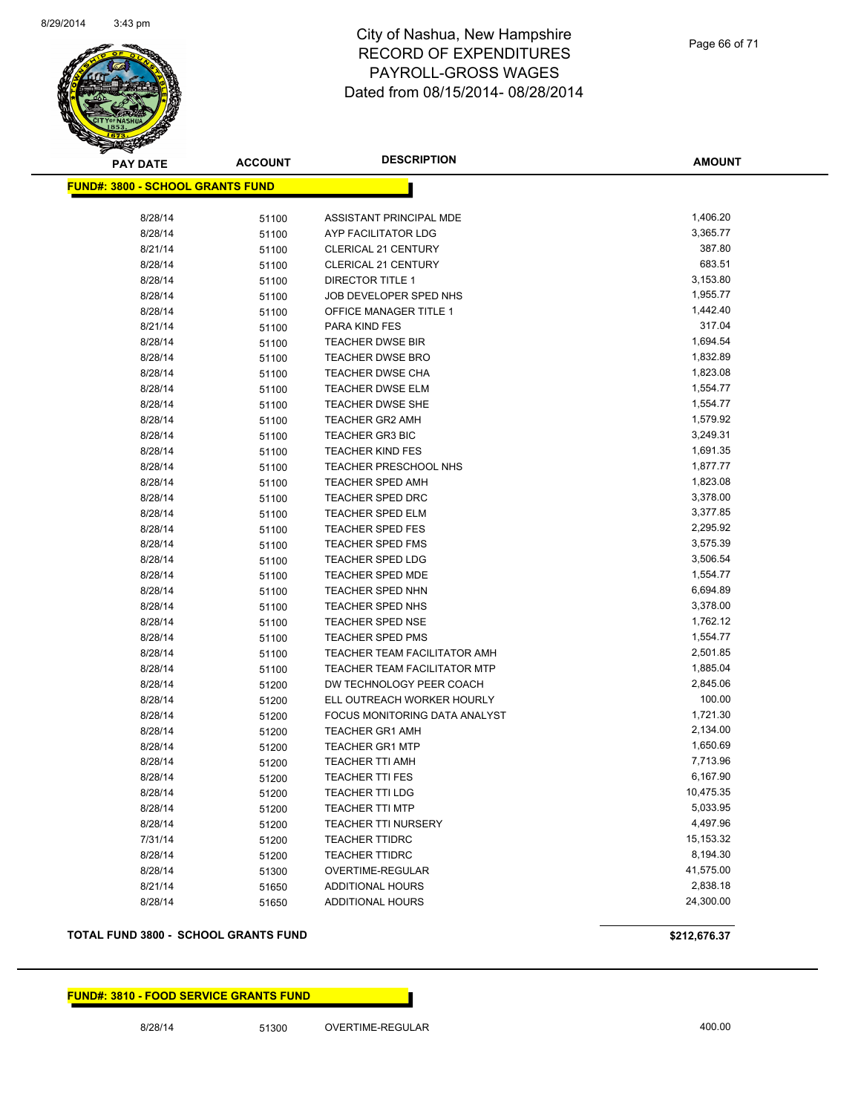

| <b>PAY DATE</b>                         | <b>ACCOUNT</b> | <b>DESCRIPTION</b>                  | <b>AMOUNT</b> |
|-----------------------------------------|----------------|-------------------------------------|---------------|
| <b>FUND#: 3800 - SCHOOL GRANTS FUND</b> |                |                                     |               |
|                                         |                |                                     |               |
| 8/28/14                                 | 51100          | ASSISTANT PRINCIPAL MDE             | 1,406.20      |
| 8/28/14                                 | 51100          | AYP FACILITATOR LDG                 | 3,365.77      |
| 8/21/14                                 | 51100          | CLERICAL 21 CENTURY                 | 387.80        |
| 8/28/14                                 | 51100          | CLERICAL 21 CENTURY                 | 683.51        |
| 8/28/14                                 | 51100          | <b>DIRECTOR TITLE 1</b>             | 3,153.80      |
| 8/28/14                                 | 51100          | JOB DEVELOPER SPED NHS              | 1,955.77      |
| 8/28/14                                 | 51100          | OFFICE MANAGER TITLE 1              | 1,442.40      |
| 8/21/14                                 | 51100          | PARA KIND FES                       | 317.04        |
| 8/28/14                                 | 51100          | <b>TEACHER DWSE BIR</b>             | 1,694.54      |
| 8/28/14                                 | 51100          | <b>TEACHER DWSE BRO</b>             | 1,832.89      |
| 8/28/14                                 | 51100          | <b>TEACHER DWSE CHA</b>             | 1,823.08      |
| 8/28/14                                 | 51100          | <b>TEACHER DWSE ELM</b>             | 1,554.77      |
| 8/28/14                                 | 51100          | <b>TEACHER DWSE SHE</b>             | 1,554.77      |
| 8/28/14                                 | 51100          | <b>TEACHER GR2 AMH</b>              | 1,579.92      |
| 8/28/14                                 | 51100          | <b>TEACHER GR3 BIC</b>              | 3,249.31      |
| 8/28/14                                 | 51100          | <b>TEACHER KIND FES</b>             | 1,691.35      |
| 8/28/14                                 | 51100          | <b>TEACHER PRESCHOOL NHS</b>        | 1,877.77      |
| 8/28/14                                 | 51100          | <b>TEACHER SPED AMH</b>             | 1,823.08      |
| 8/28/14                                 | 51100          | <b>TEACHER SPED DRC</b>             | 3,378.00      |
| 8/28/14                                 | 51100          | <b>TEACHER SPED ELM</b>             | 3,377.85      |
| 8/28/14                                 | 51100          | <b>TEACHER SPED FES</b>             | 2,295.92      |
| 8/28/14                                 | 51100          | <b>TEACHER SPED FMS</b>             | 3,575.39      |
| 8/28/14                                 | 51100          | <b>TEACHER SPED LDG</b>             | 3,506.54      |
| 8/28/14                                 | 51100          | <b>TEACHER SPED MDE</b>             | 1,554.77      |
| 8/28/14                                 | 51100          | <b>TEACHER SPED NHN</b>             | 6,694.89      |
| 8/28/14                                 | 51100          | TEACHER SPED NHS                    | 3,378.00      |
| 8/28/14                                 | 51100          | <b>TEACHER SPED NSE</b>             | 1,762.12      |
| 8/28/14                                 | 51100          | <b>TEACHER SPED PMS</b>             | 1,554.77      |
| 8/28/14                                 | 51100          | TEACHER TEAM FACILITATOR AMH        | 2,501.85      |
| 8/28/14                                 | 51100          | <b>TEACHER TEAM FACILITATOR MTP</b> | 1,885.04      |
| 8/28/14                                 | 51200          | DW TECHNOLOGY PEER COACH            | 2,845.06      |
| 8/28/14                                 | 51200          | ELL OUTREACH WORKER HOURLY          | 100.00        |
| 8/28/14                                 | 51200          | FOCUS MONITORING DATA ANALYST       | 1,721.30      |
| 8/28/14                                 | 51200          | <b>TEACHER GR1 AMH</b>              | 2,134.00      |
| 8/28/14                                 | 51200          | <b>TEACHER GR1 MTP</b>              | 1,650.69      |
| 8/28/14                                 | 51200          | <b>TEACHER TTI AMH</b>              | 7,713.96      |
| 8/28/14                                 | 51200          | <b>TEACHER TTI FES</b>              | 6,167.90      |
| 8/28/14                                 | 51200          | <b>TEACHER TTI LDG</b>              | 10,475.35     |
| 8/28/14                                 | 51200          | <b>TEACHER TTI MTP</b>              | 5,033.95      |
| 8/28/14                                 | 51200          | <b>TEACHER TTI NURSERY</b>          | 4,497.96      |
| 7/31/14                                 | 51200          | <b>TEACHER TTIDRC</b>               | 15, 153. 32   |
| 8/28/14                                 | 51200          | <b>TEACHER TTIDRC</b>               | 8,194.30      |
| 8/28/14                                 | 51300          | OVERTIME-REGULAR                    | 41,575.00     |
| 8/21/14                                 | 51650          | ADDITIONAL HOURS                    | 2,838.18      |
| 8/28/14                                 | 51650          | ADDITIONAL HOURS                    | 24,300.00     |

#### **TOTAL FUND 3800 - SCHOOL GRANTS FUND \$212,676.37**

**FUND#: 3810 - FOOD SERVICE GRANTS FUND**

8/28/14 51300 OVERTIME-REGULAR 400.00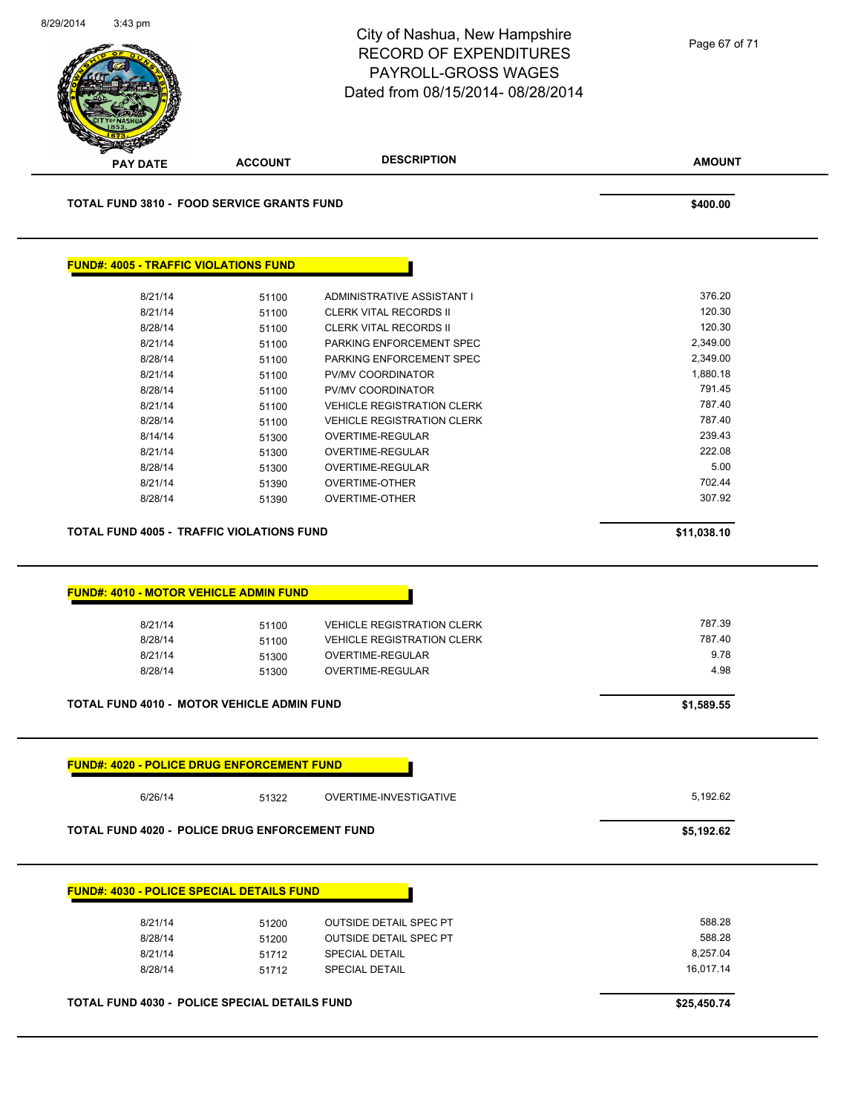|                                                                                                                                                                                                                 |                | City of Nashua, New Hampshire<br><b>RECORD OF EXPENDITURES</b><br>PAYROLL-GROSS WAGES<br>Dated from 08/15/2014-08/28/2014 | Page 67 of 71    |
|-----------------------------------------------------------------------------------------------------------------------------------------------------------------------------------------------------------------|----------------|---------------------------------------------------------------------------------------------------------------------------|------------------|
| <b>PAY DATE</b>                                                                                                                                                                                                 | <b>ACCOUNT</b> | <b>DESCRIPTION</b>                                                                                                        | <b>AMOUNT</b>    |
| <b>TOTAL FUND 3810 - FOOD SERVICE GRANTS FUND</b>                                                                                                                                                               |                |                                                                                                                           | \$400.00         |
| <b>FUND#: 4005 - TRAFFIC VIOLATIONS FUND</b>                                                                                                                                                                    |                |                                                                                                                           |                  |
| 8/21/14                                                                                                                                                                                                         | 51100          | ADMINISTRATIVE ASSISTANT I                                                                                                | 376.20           |
| 8/21/14                                                                                                                                                                                                         | 51100          | CLERK VITAL RECORDS II                                                                                                    | 120.30           |
| 8/28/14                                                                                                                                                                                                         | 51100          | CLERK VITAL RECORDS II                                                                                                    | 120.30           |
| 8/21/14                                                                                                                                                                                                         | 51100          | PARKING ENFORCEMENT SPEC                                                                                                  | 2,349.00         |
| 8/28/14                                                                                                                                                                                                         | 51100          | PARKING ENFORCEMENT SPEC                                                                                                  | 2,349.00         |
| 8/21/14                                                                                                                                                                                                         | 51100          | PV/MV COORDINATOR                                                                                                         | 1,880.18         |
| 8/28/14                                                                                                                                                                                                         | 51100          | PV/MV COORDINATOR                                                                                                         | 791.45           |
| 8/21/14                                                                                                                                                                                                         | 51100          | <b>VEHICLE REGISTRATION CLERK</b>                                                                                         | 787.40           |
| 8/28/14                                                                                                                                                                                                         | 51100          | <b>VEHICLE REGISTRATION CLERK</b>                                                                                         | 787.40           |
| 8/14/14                                                                                                                                                                                                         | 51300          | OVERTIME-REGULAR                                                                                                          | 239.43           |
| 8/21/14                                                                                                                                                                                                         | 51300          | OVERTIME-REGULAR                                                                                                          | 222.08<br>5.00   |
| 8/28/14                                                                                                                                                                                                         | 51300          | OVERTIME-REGULAR                                                                                                          |                  |
|                                                                                                                                                                                                                 |                |                                                                                                                           |                  |
| 8/21/14<br>8/28/14                                                                                                                                                                                              | 51390<br>51390 | <b>OVERTIME-OTHER</b><br><b>OVERTIME-OTHER</b>                                                                            | 702.44<br>307.92 |
|                                                                                                                                                                                                                 |                |                                                                                                                           | \$11,038.10      |
|                                                                                                                                                                                                                 |                |                                                                                                                           |                  |
| 8/21/14                                                                                                                                                                                                         | 51100          | <b>VEHICLE REGISTRATION CLERK</b>                                                                                         | 787.39           |
| 8/28/14                                                                                                                                                                                                         | 51100          | <b>VEHICLE REGISTRATION CLERK</b>                                                                                         | 787.40           |
| 8/21/14                                                                                                                                                                                                         | 51300          | OVERTIME-REGULAR                                                                                                          | 9.78             |
| 8/28/14                                                                                                                                                                                                         | 51300          | <b>OVERTIME-REGULAR</b>                                                                                                   | 4.98             |
|                                                                                                                                                                                                                 |                |                                                                                                                           | \$1,589.55       |
|                                                                                                                                                                                                                 |                |                                                                                                                           |                  |
| <b>TOTAL FUND 4005 - TRAFFIC VIOLATIONS FUND</b><br><b>FUND#: 4010 - MOTOR VEHICLE ADMIN FUND</b><br>TOTAL FUND 4010 - MOTOR VEHICLE ADMIN FUND<br><b>FUND#: 4020 - POLICE DRUG ENFORCEMENT FUND</b><br>6/26/14 | 51322          | OVERTIME-INVESTIGATIVE                                                                                                    | 5,192.62         |
|                                                                                                                                                                                                                 |                |                                                                                                                           | \$5,192.62       |
|                                                                                                                                                                                                                 |                |                                                                                                                           |                  |
| TOTAL FUND 4020 - POLICE DRUG ENFORCEMENT FUND<br><b>FUND#: 4030 - POLICE SPECIAL DETAILS FUND</b>                                                                                                              |                |                                                                                                                           | 588.28           |
| 8/21/14                                                                                                                                                                                                         | 51200          | <b>OUTSIDE DETAIL SPEC PT</b>                                                                                             | 588.28           |
| 8/28/14<br>8/21/14                                                                                                                                                                                              | 51200<br>51712 | <b>OUTSIDE DETAIL SPEC PT</b><br><b>SPECIAL DETAIL</b>                                                                    | 8,257.04         |
| 8/28/14                                                                                                                                                                                                         | 51712          | <b>SPECIAL DETAIL</b>                                                                                                     | 16,017.14        |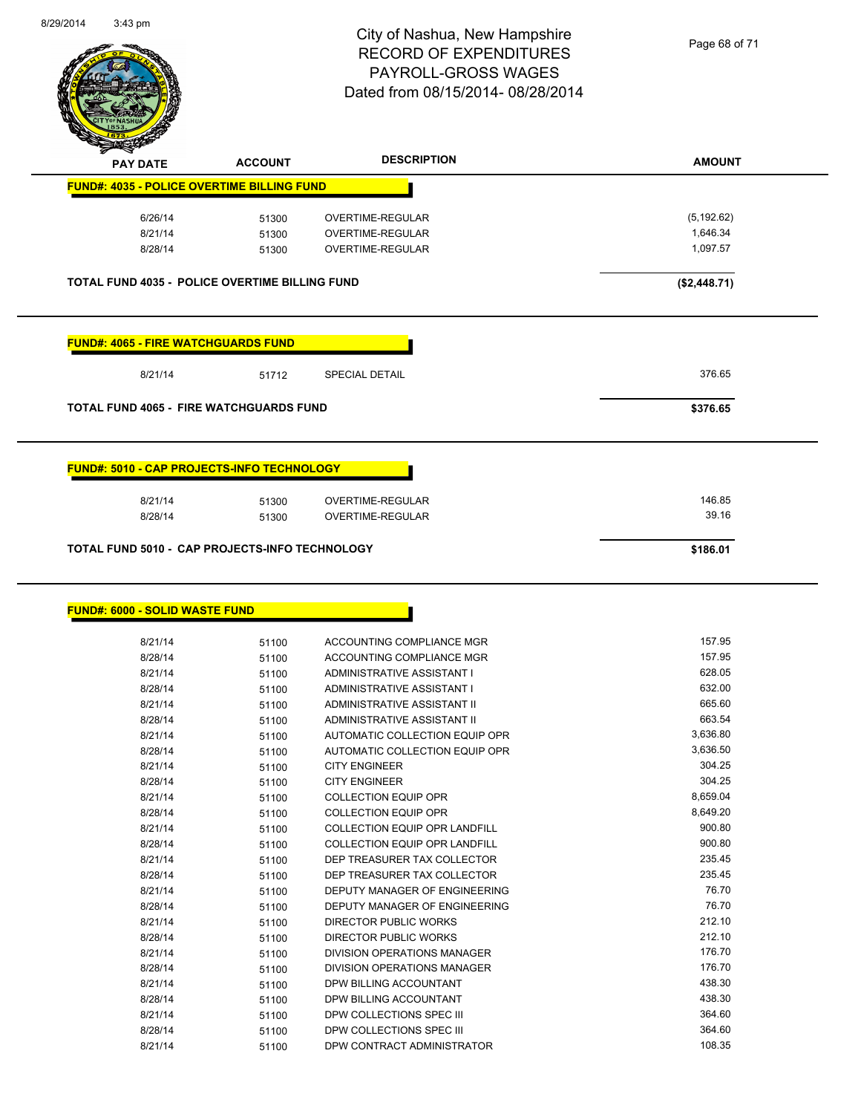

Page 68 of 71

|                                            | <b>ACCOUNT</b>                                        | <b>DESCRIPTION</b>      | <b>AMOUNT</b> |
|--------------------------------------------|-------------------------------------------------------|-------------------------|---------------|
|                                            | <b>FUND#: 4035 - POLICE OVERTIME BILLING FUND</b>     |                         |               |
| 6/26/14                                    | 51300                                                 | <b>OVERTIME-REGULAR</b> | (5, 192.62)   |
| 8/21/14                                    | 51300                                                 | <b>OVERTIME-REGULAR</b> | 1,646.34      |
| 8/28/14                                    | 51300                                                 | OVERTIME-REGULAR        | 1,097.57      |
|                                            | <b>TOTAL FUND 4035 - POLICE OVERTIME BILLING FUND</b> |                         | (\$2,448.71)  |
| <b>FUND#: 4065 - FIRE WATCHGUARDS FUND</b> |                                                       |                         |               |
| 8/21/14                                    | 51712                                                 | <b>SPECIAL DETAIL</b>   | 376.65        |
|                                            |                                                       |                         |               |
|                                            | <b>TOTAL FUND 4065 - FIRE WATCHGUARDS FUND</b>        |                         | \$376.65      |
|                                            | <b>FUND#: 5010 - CAP PROJECTS-INFO TECHNOLOGY</b>     |                         |               |
| 8/21/14                                    | 51300                                                 | OVERTIME-REGULAR        | 146.85        |
| 8/28/14                                    | 51300                                                 | <b>OVERTIME-REGULAR</b> | 39.16         |

| 8/21/14 | 51100 | ACCOUNTING COMPLIANCE MGR      | 157.95   |
|---------|-------|--------------------------------|----------|
| 8/28/14 | 51100 | ACCOUNTING COMPLIANCE MGR      | 157.95   |
| 8/21/14 | 51100 | ADMINISTRATIVE ASSISTANT I     | 628.05   |
| 8/28/14 | 51100 | ADMINISTRATIVE ASSISTANT I     | 632.00   |
| 8/21/14 | 51100 | ADMINISTRATIVE ASSISTANT II    | 665.60   |
| 8/28/14 | 51100 | ADMINISTRATIVE ASSISTANT II    | 663.54   |
| 8/21/14 | 51100 | AUTOMATIC COLLECTION EQUIP OPR | 3,636.80 |
| 8/28/14 | 51100 | AUTOMATIC COLLECTION EQUIP OPR | 3,636.50 |
| 8/21/14 | 51100 | <b>CITY ENGINEER</b>           | 304.25   |
| 8/28/14 | 51100 | <b>CITY ENGINEER</b>           | 304.25   |
| 8/21/14 | 51100 | <b>COLLECTION EQUIP OPR</b>    | 8,659.04 |
| 8/28/14 | 51100 | <b>COLLECTION EQUIP OPR</b>    | 8,649.20 |
| 8/21/14 | 51100 | COLLECTION EQUIP OPR LANDFILL  | 900.80   |
| 8/28/14 | 51100 | COLLECTION EQUIP OPR LANDFILL  | 900.80   |
| 8/21/14 | 51100 | DEP TREASURER TAX COLLECTOR    | 235.45   |
| 8/28/14 | 51100 | DEP TREASURER TAX COLLECTOR    | 235.45   |
| 8/21/14 | 51100 | DEPUTY MANAGER OF ENGINEERING  | 76.70    |
| 8/28/14 | 51100 | DEPUTY MANAGER OF ENGINEERING  | 76.70    |
| 8/21/14 | 51100 | DIRECTOR PUBLIC WORKS          | 212.10   |
| 8/28/14 | 51100 | DIRECTOR PUBLIC WORKS          | 212.10   |
| 8/21/14 | 51100 | DIVISION OPERATIONS MANAGER    | 176.70   |
| 8/28/14 | 51100 | DIVISION OPERATIONS MANAGER    | 176.70   |
| 8/21/14 | 51100 | DPW BILLING ACCOUNTANT         | 438.30   |
| 8/28/14 | 51100 | DPW BILLING ACCOUNTANT         | 438.30   |
| 8/21/14 | 51100 | DPW COLLECTIONS SPEC III       | 364.60   |
| 8/28/14 | 51100 | DPW COLLECTIONS SPEC III       | 364.60   |
| 8/21/14 | 51100 | DPW CONTRACT ADMINISTRATOR     | 108.35   |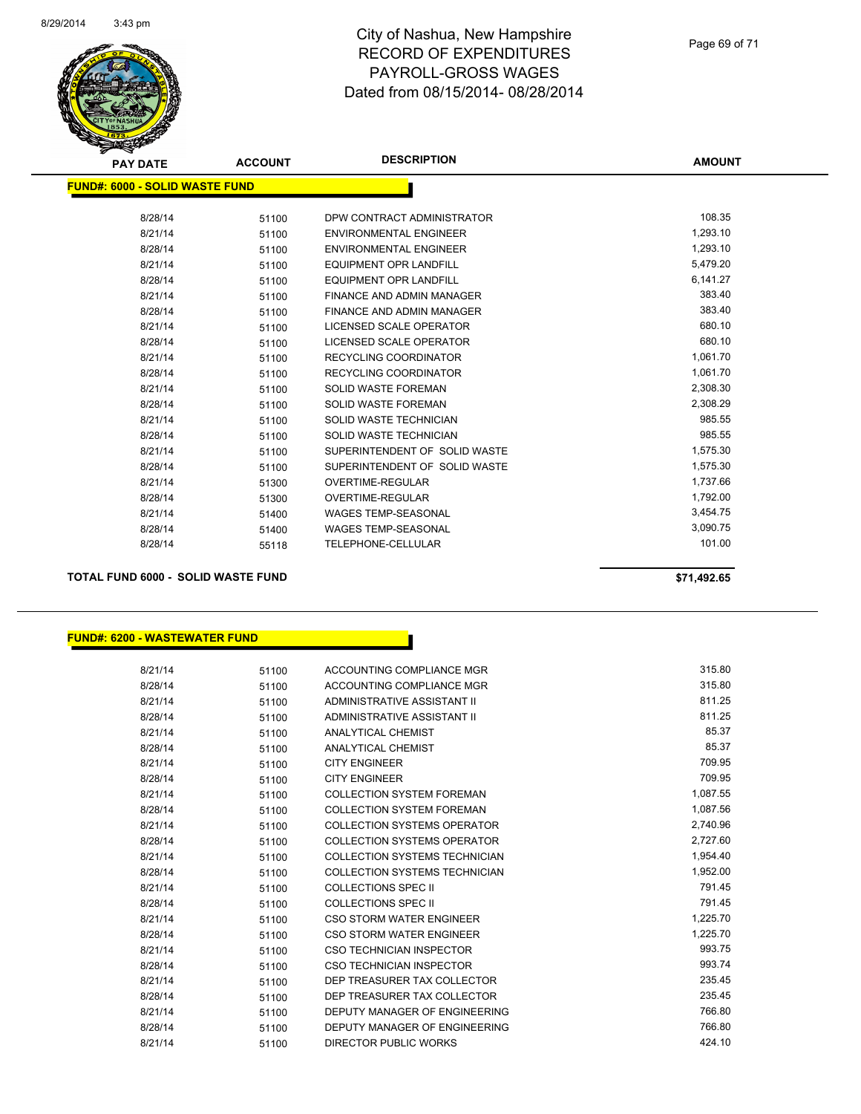

|                                       |       | <b>DESCRIPTION</b><br><b>AMOUNT</b><br><b>ACCOUNT</b> |          |
|---------------------------------------|-------|-------------------------------------------------------|----------|
| <b>PAY DATE</b>                       |       |                                                       |          |
| <b>FUND#: 6000 - SOLID WASTE FUND</b> |       |                                                       |          |
|                                       |       |                                                       |          |
| 8/28/14                               | 51100 | DPW CONTRACT ADMINISTRATOR                            | 108.35   |
| 8/21/14                               | 51100 | <b>ENVIRONMENTAL ENGINEER</b>                         | 1,293.10 |
| 8/28/14                               | 51100 | <b>ENVIRONMENTAL ENGINEER</b>                         | 1,293.10 |
| 8/21/14                               | 51100 | <b>EQUIPMENT OPR LANDFILL</b>                         | 5,479.20 |
| 8/28/14                               | 51100 | <b>EQUIPMENT OPR LANDFILL</b>                         | 6,141.27 |
| 8/21/14                               | 51100 | <b>FINANCE AND ADMIN MANAGER</b>                      | 383.40   |
| 8/28/14                               | 51100 | FINANCE AND ADMIN MANAGER                             | 383.40   |
| 8/21/14                               | 51100 | LICENSED SCALE OPERATOR                               | 680.10   |
| 8/28/14                               | 51100 | LICENSED SCALE OPERATOR                               | 680.10   |
| 8/21/14                               | 51100 | <b>RECYCLING COORDINATOR</b>                          | 1,061.70 |
| 8/28/14                               | 51100 | RECYCLING COORDINATOR                                 | 1,061.70 |
| 8/21/14                               | 51100 | <b>SOLID WASTE FOREMAN</b>                            | 2,308.30 |
| 8/28/14                               | 51100 | <b>SOLID WASTE FOREMAN</b>                            | 2,308.29 |
| 8/21/14                               | 51100 | SOLID WASTE TECHNICIAN                                | 985.55   |
| 8/28/14                               | 51100 | SOLID WASTE TECHNICIAN                                | 985.55   |
| 8/21/14                               | 51100 | SUPERINTENDENT OF SOLID WASTE                         | 1,575.30 |
| 8/28/14                               | 51100 | SUPERINTENDENT OF SOLID WASTE                         | 1,575.30 |
| 8/21/14                               | 51300 | <b>OVERTIME-REGULAR</b>                               | 1,737.66 |
| 8/28/14                               | 51300 | <b>OVERTIME-REGULAR</b>                               | 1,792.00 |
| 8/21/14                               | 51400 | <b>WAGES TEMP-SEASONAL</b>                            | 3,454.75 |
| 8/28/14                               | 51400 | <b>WAGES TEMP-SEASONAL</b>                            | 3,090.75 |
| 8/28/14                               | 55118 | <b>TELEPHONE-CELLULAR</b>                             | 101.00   |
|                                       |       |                                                       |          |

**TOTAL FUND 6000 - SOLID WASTE FUND \$71,492.65** 

#### **FUND#: 6200 - WASTEWATER FUND**

| 8/21/14 | 51100 | ACCOUNTING COMPLIANCE MGR            | 315.80   |
|---------|-------|--------------------------------------|----------|
| 8/28/14 | 51100 | ACCOUNTING COMPLIANCE MGR            | 315.80   |
| 8/21/14 | 51100 | ADMINISTRATIVE ASSISTANT II          | 811.25   |
| 8/28/14 | 51100 | ADMINISTRATIVE ASSISTANT II          | 811.25   |
| 8/21/14 | 51100 | ANALYTICAL CHEMIST                   | 85.37    |
| 8/28/14 | 51100 | <b>ANALYTICAL CHEMIST</b>            | 85.37    |
| 8/21/14 | 51100 | <b>CITY ENGINEER</b>                 | 709.95   |
| 8/28/14 | 51100 | <b>CITY ENGINEER</b>                 | 709.95   |
| 8/21/14 | 51100 | <b>COLLECTION SYSTEM FOREMAN</b>     | 1,087.55 |
| 8/28/14 | 51100 | <b>COLLECTION SYSTEM FOREMAN</b>     | 1,087.56 |
| 8/21/14 | 51100 | COLLECTION SYSTEMS OPERATOR          | 2,740.96 |
| 8/28/14 | 51100 | COLLECTION SYSTEMS OPERATOR          | 2,727.60 |
| 8/21/14 | 51100 | COLLECTION SYSTEMS TECHNICIAN        | 1,954.40 |
| 8/28/14 | 51100 | COLLECTION SYSTEMS TECHNICIAN        | 1,952.00 |
| 8/21/14 | 51100 | COLLECTIONS SPEC II                  | 791.45   |
| 8/28/14 | 51100 | <b>COLLECTIONS SPEC II</b>           | 791.45   |
| 8/21/14 | 51100 | CSO STORM WATER ENGINEER             | 1,225.70 |
| 8/28/14 | 51100 | CSO STORM WATER ENGINEER             | 1,225.70 |
| 8/21/14 | 51100 | CSO TECHNICIAN INSPECTOR             | 993.75   |
| 8/28/14 | 51100 | CSO TECHNICIAN INSPECTOR             | 993.74   |
| 8/21/14 | 51100 | DEP TREASURER TAX COLLECTOR          | 235.45   |
| 8/28/14 | 51100 | DEP TREASURER TAX COLLECTOR          | 235.45   |
| 8/21/14 | 51100 | <b>DEPUTY MANAGER OF ENGINEERING</b> | 766.80   |
| 8/28/14 | 51100 | DEPUTY MANAGER OF ENGINEERING        | 766.80   |
| 8/21/14 | 51100 | <b>DIRECTOR PUBLIC WORKS</b>         | 424.10   |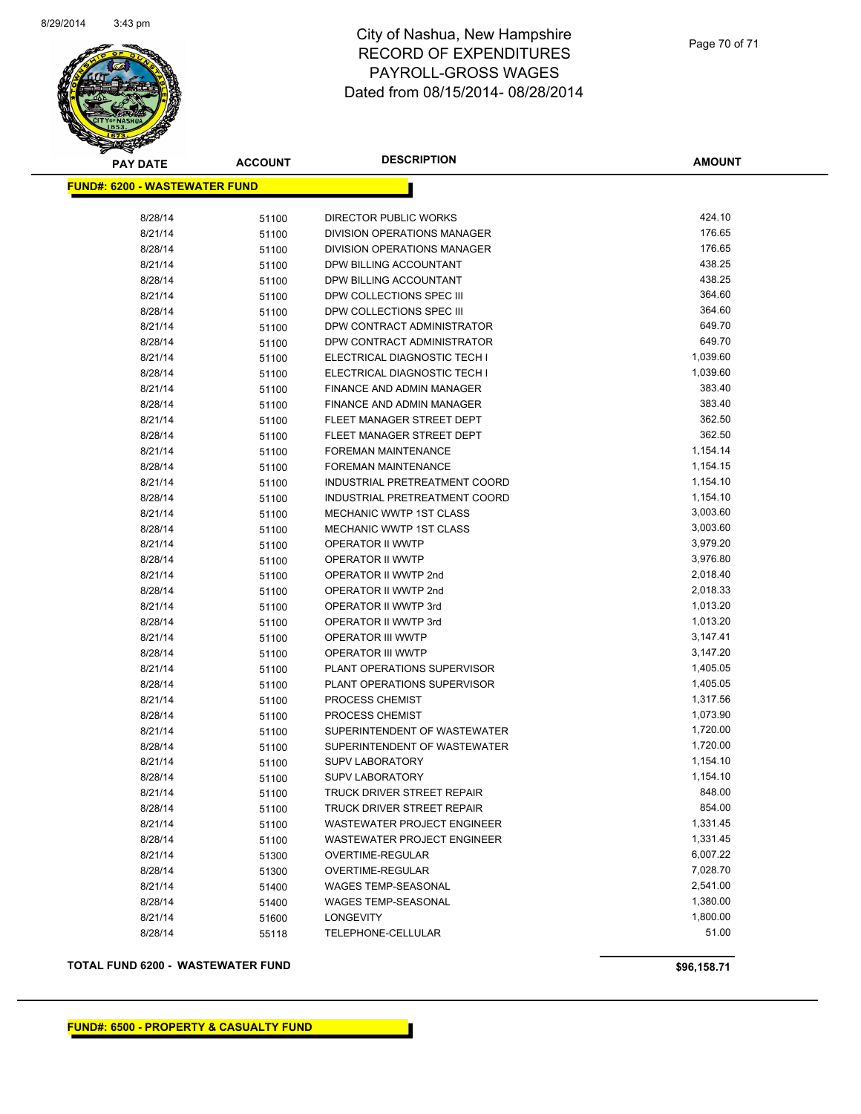

| <b>FUND#: 6200 - WASTEWATER FUND</b><br>424.10<br>8/28/14<br>DIRECTOR PUBLIC WORKS<br>51100<br>176.65<br>8/21/14<br>DIVISION OPERATIONS MANAGER<br>51100<br>176.65<br>8/28/14<br>DIVISION OPERATIONS MANAGER<br>51100<br>438.25<br>8/21/14<br>DPW BILLING ACCOUNTANT<br>51100<br>438.25<br>8/28/14<br>DPW BILLING ACCOUNTANT<br>51100<br>364.60<br>8/21/14<br>DPW COLLECTIONS SPEC III<br>51100<br>364.60<br>8/28/14<br>DPW COLLECTIONS SPEC III<br>51100<br>649.70<br>8/21/14<br>DPW CONTRACT ADMINISTRATOR<br>51100<br>649.70<br>8/28/14<br>DPW CONTRACT ADMINISTRATOR<br>51100<br>1,039.60<br>8/21/14<br>ELECTRICAL DIAGNOSTIC TECH I<br>51100<br>1,039.60<br>8/28/14<br>ELECTRICAL DIAGNOSTIC TECH I<br>51100<br>8/21/14<br>383.40<br>FINANCE AND ADMIN MANAGER<br>51100<br>383.40<br>8/28/14<br>FINANCE AND ADMIN MANAGER<br>51100<br>8/21/14<br>362.50<br>FLEET MANAGER STREET DEPT<br>51100<br>362.50<br>8/28/14<br>FLEET MANAGER STREET DEPT<br>51100<br>1,154.14<br>8/21/14<br>FOREMAN MAINTENANCE<br>51100<br>1,154.15<br>8/28/14<br><b>FOREMAN MAINTENANCE</b><br>51100<br>8/21/14<br>1,154.10<br>INDUSTRIAL PRETREATMENT COORD<br>51100<br>1,154.10<br>8/28/14<br>INDUSTRIAL PRETREATMENT COORD<br>51100<br>8/21/14<br>MECHANIC WWTP 1ST CLASS<br>3,003.60<br>51100<br>3,003.60<br>MECHANIC WWTP 1ST CLASS<br>8/28/14<br>51100<br>3,979.20<br>8/21/14<br>OPERATOR II WWTP<br>51100<br>3,976.80<br>8/28/14<br>OPERATOR II WWTP<br>51100<br>2,018.40<br>8/21/14<br>OPERATOR II WWTP 2nd<br>51100<br>2,018.33<br>8/28/14<br>OPERATOR II WWTP 2nd<br>51100<br>1,013.20<br>8/21/14<br>OPERATOR II WWTP 3rd<br>51100<br>1,013.20<br>8/28/14<br>OPERATOR II WWTP 3rd<br>51100<br>3,147.41<br>8/21/14<br><b>OPERATOR III WWTP</b><br>51100<br>8/28/14<br>3,147.20<br>OPERATOR III WWTP<br>51100<br>1,405.05<br>8/21/14<br>PLANT OPERATIONS SUPERVISOR<br>51100<br>8/28/14<br>PLANT OPERATIONS SUPERVISOR<br>1,405.05<br>51100<br>1,317.56<br>8/21/14<br><b>PROCESS CHEMIST</b><br>51100<br>8/28/14<br>1,073.90<br><b>PROCESS CHEMIST</b><br>51100<br>1,720.00<br>SUPERINTENDENT OF WASTEWATER<br>8/21/14<br>51100<br>8/28/14<br>SUPERINTENDENT OF WASTEWATER<br>1,720.00<br>51100<br>1,154.10<br>8/21/14<br><b>SUPV LABORATORY</b><br>51100<br>1,154.10<br>8/28/14<br><b>SUPV LABORATORY</b><br>51100<br>848.00<br>8/21/14<br><b>TRUCK DRIVER STREET REPAIR</b><br>51100<br>854.00<br>8/28/14<br>TRUCK DRIVER STREET REPAIR<br>51100<br>8/21/14<br>1,331.45<br>WASTEWATER PROJECT ENGINEER<br>51100<br>1,331.45<br>8/28/14<br>WASTEWATER PROJECT ENGINEER<br>51100<br>8/21/14<br>6,007.22<br>OVERTIME-REGULAR<br>51300<br>7,028.70<br>8/28/14<br>OVERTIME-REGULAR<br>51300<br>8/21/14<br>2,541.00<br><b>WAGES TEMP-SEASONAL</b><br>51400<br>1,380.00<br>8/28/14<br>WAGES TEMP-SEASONAL<br>51400<br>1,800.00<br>8/21/14<br><b>LONGEVITY</b><br>51600<br>51.00<br>8/28/14<br>TELEPHONE-CELLULAR<br>55118 | <b>PAY DATE</b> | <b>ACCOUNT</b> | <b>DESCRIPTION</b> | <b>AMOUNT</b> |
|------------------------------------------------------------------------------------------------------------------------------------------------------------------------------------------------------------------------------------------------------------------------------------------------------------------------------------------------------------------------------------------------------------------------------------------------------------------------------------------------------------------------------------------------------------------------------------------------------------------------------------------------------------------------------------------------------------------------------------------------------------------------------------------------------------------------------------------------------------------------------------------------------------------------------------------------------------------------------------------------------------------------------------------------------------------------------------------------------------------------------------------------------------------------------------------------------------------------------------------------------------------------------------------------------------------------------------------------------------------------------------------------------------------------------------------------------------------------------------------------------------------------------------------------------------------------------------------------------------------------------------------------------------------------------------------------------------------------------------------------------------------------------------------------------------------------------------------------------------------------------------------------------------------------------------------------------------------------------------------------------------------------------------------------------------------------------------------------------------------------------------------------------------------------------------------------------------------------------------------------------------------------------------------------------------------------------------------------------------------------------------------------------------------------------------------------------------------------------------------------------------------------------------------------------------------------------------------------------------------------------------------------------------------------------------------------------------------------------------------------------------------------------------------------------------------------------------------------------------------------------------------------------------|-----------------|----------------|--------------------|---------------|
|                                                                                                                                                                                                                                                                                                                                                                                                                                                                                                                                                                                                                                                                                                                                                                                                                                                                                                                                                                                                                                                                                                                                                                                                                                                                                                                                                                                                                                                                                                                                                                                                                                                                                                                                                                                                                                                                                                                                                                                                                                                                                                                                                                                                                                                                                                                                                                                                                                                                                                                                                                                                                                                                                                                                                                                                                                                                                                            |                 |                |                    |               |
|                                                                                                                                                                                                                                                                                                                                                                                                                                                                                                                                                                                                                                                                                                                                                                                                                                                                                                                                                                                                                                                                                                                                                                                                                                                                                                                                                                                                                                                                                                                                                                                                                                                                                                                                                                                                                                                                                                                                                                                                                                                                                                                                                                                                                                                                                                                                                                                                                                                                                                                                                                                                                                                                                                                                                                                                                                                                                                            |                 |                |                    |               |
|                                                                                                                                                                                                                                                                                                                                                                                                                                                                                                                                                                                                                                                                                                                                                                                                                                                                                                                                                                                                                                                                                                                                                                                                                                                                                                                                                                                                                                                                                                                                                                                                                                                                                                                                                                                                                                                                                                                                                                                                                                                                                                                                                                                                                                                                                                                                                                                                                                                                                                                                                                                                                                                                                                                                                                                                                                                                                                            |                 |                |                    |               |
|                                                                                                                                                                                                                                                                                                                                                                                                                                                                                                                                                                                                                                                                                                                                                                                                                                                                                                                                                                                                                                                                                                                                                                                                                                                                                                                                                                                                                                                                                                                                                                                                                                                                                                                                                                                                                                                                                                                                                                                                                                                                                                                                                                                                                                                                                                                                                                                                                                                                                                                                                                                                                                                                                                                                                                                                                                                                                                            |                 |                |                    |               |
|                                                                                                                                                                                                                                                                                                                                                                                                                                                                                                                                                                                                                                                                                                                                                                                                                                                                                                                                                                                                                                                                                                                                                                                                                                                                                                                                                                                                                                                                                                                                                                                                                                                                                                                                                                                                                                                                                                                                                                                                                                                                                                                                                                                                                                                                                                                                                                                                                                                                                                                                                                                                                                                                                                                                                                                                                                                                                                            |                 |                |                    |               |
|                                                                                                                                                                                                                                                                                                                                                                                                                                                                                                                                                                                                                                                                                                                                                                                                                                                                                                                                                                                                                                                                                                                                                                                                                                                                                                                                                                                                                                                                                                                                                                                                                                                                                                                                                                                                                                                                                                                                                                                                                                                                                                                                                                                                                                                                                                                                                                                                                                                                                                                                                                                                                                                                                                                                                                                                                                                                                                            |                 |                |                    |               |
|                                                                                                                                                                                                                                                                                                                                                                                                                                                                                                                                                                                                                                                                                                                                                                                                                                                                                                                                                                                                                                                                                                                                                                                                                                                                                                                                                                                                                                                                                                                                                                                                                                                                                                                                                                                                                                                                                                                                                                                                                                                                                                                                                                                                                                                                                                                                                                                                                                                                                                                                                                                                                                                                                                                                                                                                                                                                                                            |                 |                |                    |               |
|                                                                                                                                                                                                                                                                                                                                                                                                                                                                                                                                                                                                                                                                                                                                                                                                                                                                                                                                                                                                                                                                                                                                                                                                                                                                                                                                                                                                                                                                                                                                                                                                                                                                                                                                                                                                                                                                                                                                                                                                                                                                                                                                                                                                                                                                                                                                                                                                                                                                                                                                                                                                                                                                                                                                                                                                                                                                                                            |                 |                |                    |               |
|                                                                                                                                                                                                                                                                                                                                                                                                                                                                                                                                                                                                                                                                                                                                                                                                                                                                                                                                                                                                                                                                                                                                                                                                                                                                                                                                                                                                                                                                                                                                                                                                                                                                                                                                                                                                                                                                                                                                                                                                                                                                                                                                                                                                                                                                                                                                                                                                                                                                                                                                                                                                                                                                                                                                                                                                                                                                                                            |                 |                |                    |               |
|                                                                                                                                                                                                                                                                                                                                                                                                                                                                                                                                                                                                                                                                                                                                                                                                                                                                                                                                                                                                                                                                                                                                                                                                                                                                                                                                                                                                                                                                                                                                                                                                                                                                                                                                                                                                                                                                                                                                                                                                                                                                                                                                                                                                                                                                                                                                                                                                                                                                                                                                                                                                                                                                                                                                                                                                                                                                                                            |                 |                |                    |               |
|                                                                                                                                                                                                                                                                                                                                                                                                                                                                                                                                                                                                                                                                                                                                                                                                                                                                                                                                                                                                                                                                                                                                                                                                                                                                                                                                                                                                                                                                                                                                                                                                                                                                                                                                                                                                                                                                                                                                                                                                                                                                                                                                                                                                                                                                                                                                                                                                                                                                                                                                                                                                                                                                                                                                                                                                                                                                                                            |                 |                |                    |               |
|                                                                                                                                                                                                                                                                                                                                                                                                                                                                                                                                                                                                                                                                                                                                                                                                                                                                                                                                                                                                                                                                                                                                                                                                                                                                                                                                                                                                                                                                                                                                                                                                                                                                                                                                                                                                                                                                                                                                                                                                                                                                                                                                                                                                                                                                                                                                                                                                                                                                                                                                                                                                                                                                                                                                                                                                                                                                                                            |                 |                |                    |               |
|                                                                                                                                                                                                                                                                                                                                                                                                                                                                                                                                                                                                                                                                                                                                                                                                                                                                                                                                                                                                                                                                                                                                                                                                                                                                                                                                                                                                                                                                                                                                                                                                                                                                                                                                                                                                                                                                                                                                                                                                                                                                                                                                                                                                                                                                                                                                                                                                                                                                                                                                                                                                                                                                                                                                                                                                                                                                                                            |                 |                |                    |               |
|                                                                                                                                                                                                                                                                                                                                                                                                                                                                                                                                                                                                                                                                                                                                                                                                                                                                                                                                                                                                                                                                                                                                                                                                                                                                                                                                                                                                                                                                                                                                                                                                                                                                                                                                                                                                                                                                                                                                                                                                                                                                                                                                                                                                                                                                                                                                                                                                                                                                                                                                                                                                                                                                                                                                                                                                                                                                                                            |                 |                |                    |               |
|                                                                                                                                                                                                                                                                                                                                                                                                                                                                                                                                                                                                                                                                                                                                                                                                                                                                                                                                                                                                                                                                                                                                                                                                                                                                                                                                                                                                                                                                                                                                                                                                                                                                                                                                                                                                                                                                                                                                                                                                                                                                                                                                                                                                                                                                                                                                                                                                                                                                                                                                                                                                                                                                                                                                                                                                                                                                                                            |                 |                |                    |               |
|                                                                                                                                                                                                                                                                                                                                                                                                                                                                                                                                                                                                                                                                                                                                                                                                                                                                                                                                                                                                                                                                                                                                                                                                                                                                                                                                                                                                                                                                                                                                                                                                                                                                                                                                                                                                                                                                                                                                                                                                                                                                                                                                                                                                                                                                                                                                                                                                                                                                                                                                                                                                                                                                                                                                                                                                                                                                                                            |                 |                |                    |               |
|                                                                                                                                                                                                                                                                                                                                                                                                                                                                                                                                                                                                                                                                                                                                                                                                                                                                                                                                                                                                                                                                                                                                                                                                                                                                                                                                                                                                                                                                                                                                                                                                                                                                                                                                                                                                                                                                                                                                                                                                                                                                                                                                                                                                                                                                                                                                                                                                                                                                                                                                                                                                                                                                                                                                                                                                                                                                                                            |                 |                |                    |               |
|                                                                                                                                                                                                                                                                                                                                                                                                                                                                                                                                                                                                                                                                                                                                                                                                                                                                                                                                                                                                                                                                                                                                                                                                                                                                                                                                                                                                                                                                                                                                                                                                                                                                                                                                                                                                                                                                                                                                                                                                                                                                                                                                                                                                                                                                                                                                                                                                                                                                                                                                                                                                                                                                                                                                                                                                                                                                                                            |                 |                |                    |               |
|                                                                                                                                                                                                                                                                                                                                                                                                                                                                                                                                                                                                                                                                                                                                                                                                                                                                                                                                                                                                                                                                                                                                                                                                                                                                                                                                                                                                                                                                                                                                                                                                                                                                                                                                                                                                                                                                                                                                                                                                                                                                                                                                                                                                                                                                                                                                                                                                                                                                                                                                                                                                                                                                                                                                                                                                                                                                                                            |                 |                |                    |               |
|                                                                                                                                                                                                                                                                                                                                                                                                                                                                                                                                                                                                                                                                                                                                                                                                                                                                                                                                                                                                                                                                                                                                                                                                                                                                                                                                                                                                                                                                                                                                                                                                                                                                                                                                                                                                                                                                                                                                                                                                                                                                                                                                                                                                                                                                                                                                                                                                                                                                                                                                                                                                                                                                                                                                                                                                                                                                                                            |                 |                |                    |               |
|                                                                                                                                                                                                                                                                                                                                                                                                                                                                                                                                                                                                                                                                                                                                                                                                                                                                                                                                                                                                                                                                                                                                                                                                                                                                                                                                                                                                                                                                                                                                                                                                                                                                                                                                                                                                                                                                                                                                                                                                                                                                                                                                                                                                                                                                                                                                                                                                                                                                                                                                                                                                                                                                                                                                                                                                                                                                                                            |                 |                |                    |               |
|                                                                                                                                                                                                                                                                                                                                                                                                                                                                                                                                                                                                                                                                                                                                                                                                                                                                                                                                                                                                                                                                                                                                                                                                                                                                                                                                                                                                                                                                                                                                                                                                                                                                                                                                                                                                                                                                                                                                                                                                                                                                                                                                                                                                                                                                                                                                                                                                                                                                                                                                                                                                                                                                                                                                                                                                                                                                                                            |                 |                |                    |               |
|                                                                                                                                                                                                                                                                                                                                                                                                                                                                                                                                                                                                                                                                                                                                                                                                                                                                                                                                                                                                                                                                                                                                                                                                                                                                                                                                                                                                                                                                                                                                                                                                                                                                                                                                                                                                                                                                                                                                                                                                                                                                                                                                                                                                                                                                                                                                                                                                                                                                                                                                                                                                                                                                                                                                                                                                                                                                                                            |                 |                |                    |               |
|                                                                                                                                                                                                                                                                                                                                                                                                                                                                                                                                                                                                                                                                                                                                                                                                                                                                                                                                                                                                                                                                                                                                                                                                                                                                                                                                                                                                                                                                                                                                                                                                                                                                                                                                                                                                                                                                                                                                                                                                                                                                                                                                                                                                                                                                                                                                                                                                                                                                                                                                                                                                                                                                                                                                                                                                                                                                                                            |                 |                |                    |               |
|                                                                                                                                                                                                                                                                                                                                                                                                                                                                                                                                                                                                                                                                                                                                                                                                                                                                                                                                                                                                                                                                                                                                                                                                                                                                                                                                                                                                                                                                                                                                                                                                                                                                                                                                                                                                                                                                                                                                                                                                                                                                                                                                                                                                                                                                                                                                                                                                                                                                                                                                                                                                                                                                                                                                                                                                                                                                                                            |                 |                |                    |               |
|                                                                                                                                                                                                                                                                                                                                                                                                                                                                                                                                                                                                                                                                                                                                                                                                                                                                                                                                                                                                                                                                                                                                                                                                                                                                                                                                                                                                                                                                                                                                                                                                                                                                                                                                                                                                                                                                                                                                                                                                                                                                                                                                                                                                                                                                                                                                                                                                                                                                                                                                                                                                                                                                                                                                                                                                                                                                                                            |                 |                |                    |               |
|                                                                                                                                                                                                                                                                                                                                                                                                                                                                                                                                                                                                                                                                                                                                                                                                                                                                                                                                                                                                                                                                                                                                                                                                                                                                                                                                                                                                                                                                                                                                                                                                                                                                                                                                                                                                                                                                                                                                                                                                                                                                                                                                                                                                                                                                                                                                                                                                                                                                                                                                                                                                                                                                                                                                                                                                                                                                                                            |                 |                |                    |               |
|                                                                                                                                                                                                                                                                                                                                                                                                                                                                                                                                                                                                                                                                                                                                                                                                                                                                                                                                                                                                                                                                                                                                                                                                                                                                                                                                                                                                                                                                                                                                                                                                                                                                                                                                                                                                                                                                                                                                                                                                                                                                                                                                                                                                                                                                                                                                                                                                                                                                                                                                                                                                                                                                                                                                                                                                                                                                                                            |                 |                |                    |               |
|                                                                                                                                                                                                                                                                                                                                                                                                                                                                                                                                                                                                                                                                                                                                                                                                                                                                                                                                                                                                                                                                                                                                                                                                                                                                                                                                                                                                                                                                                                                                                                                                                                                                                                                                                                                                                                                                                                                                                                                                                                                                                                                                                                                                                                                                                                                                                                                                                                                                                                                                                                                                                                                                                                                                                                                                                                                                                                            |                 |                |                    |               |
|                                                                                                                                                                                                                                                                                                                                                                                                                                                                                                                                                                                                                                                                                                                                                                                                                                                                                                                                                                                                                                                                                                                                                                                                                                                                                                                                                                                                                                                                                                                                                                                                                                                                                                                                                                                                                                                                                                                                                                                                                                                                                                                                                                                                                                                                                                                                                                                                                                                                                                                                                                                                                                                                                                                                                                                                                                                                                                            |                 |                |                    |               |
|                                                                                                                                                                                                                                                                                                                                                                                                                                                                                                                                                                                                                                                                                                                                                                                                                                                                                                                                                                                                                                                                                                                                                                                                                                                                                                                                                                                                                                                                                                                                                                                                                                                                                                                                                                                                                                                                                                                                                                                                                                                                                                                                                                                                                                                                                                                                                                                                                                                                                                                                                                                                                                                                                                                                                                                                                                                                                                            |                 |                |                    |               |
|                                                                                                                                                                                                                                                                                                                                                                                                                                                                                                                                                                                                                                                                                                                                                                                                                                                                                                                                                                                                                                                                                                                                                                                                                                                                                                                                                                                                                                                                                                                                                                                                                                                                                                                                                                                                                                                                                                                                                                                                                                                                                                                                                                                                                                                                                                                                                                                                                                                                                                                                                                                                                                                                                                                                                                                                                                                                                                            |                 |                |                    |               |
|                                                                                                                                                                                                                                                                                                                                                                                                                                                                                                                                                                                                                                                                                                                                                                                                                                                                                                                                                                                                                                                                                                                                                                                                                                                                                                                                                                                                                                                                                                                                                                                                                                                                                                                                                                                                                                                                                                                                                                                                                                                                                                                                                                                                                                                                                                                                                                                                                                                                                                                                                                                                                                                                                                                                                                                                                                                                                                            |                 |                |                    |               |
|                                                                                                                                                                                                                                                                                                                                                                                                                                                                                                                                                                                                                                                                                                                                                                                                                                                                                                                                                                                                                                                                                                                                                                                                                                                                                                                                                                                                                                                                                                                                                                                                                                                                                                                                                                                                                                                                                                                                                                                                                                                                                                                                                                                                                                                                                                                                                                                                                                                                                                                                                                                                                                                                                                                                                                                                                                                                                                            |                 |                |                    |               |
|                                                                                                                                                                                                                                                                                                                                                                                                                                                                                                                                                                                                                                                                                                                                                                                                                                                                                                                                                                                                                                                                                                                                                                                                                                                                                                                                                                                                                                                                                                                                                                                                                                                                                                                                                                                                                                                                                                                                                                                                                                                                                                                                                                                                                                                                                                                                                                                                                                                                                                                                                                                                                                                                                                                                                                                                                                                                                                            |                 |                |                    |               |
|                                                                                                                                                                                                                                                                                                                                                                                                                                                                                                                                                                                                                                                                                                                                                                                                                                                                                                                                                                                                                                                                                                                                                                                                                                                                                                                                                                                                                                                                                                                                                                                                                                                                                                                                                                                                                                                                                                                                                                                                                                                                                                                                                                                                                                                                                                                                                                                                                                                                                                                                                                                                                                                                                                                                                                                                                                                                                                            |                 |                |                    |               |
|                                                                                                                                                                                                                                                                                                                                                                                                                                                                                                                                                                                                                                                                                                                                                                                                                                                                                                                                                                                                                                                                                                                                                                                                                                                                                                                                                                                                                                                                                                                                                                                                                                                                                                                                                                                                                                                                                                                                                                                                                                                                                                                                                                                                                                                                                                                                                                                                                                                                                                                                                                                                                                                                                                                                                                                                                                                                                                            |                 |                |                    |               |
|                                                                                                                                                                                                                                                                                                                                                                                                                                                                                                                                                                                                                                                                                                                                                                                                                                                                                                                                                                                                                                                                                                                                                                                                                                                                                                                                                                                                                                                                                                                                                                                                                                                                                                                                                                                                                                                                                                                                                                                                                                                                                                                                                                                                                                                                                                                                                                                                                                                                                                                                                                                                                                                                                                                                                                                                                                                                                                            |                 |                |                    |               |
|                                                                                                                                                                                                                                                                                                                                                                                                                                                                                                                                                                                                                                                                                                                                                                                                                                                                                                                                                                                                                                                                                                                                                                                                                                                                                                                                                                                                                                                                                                                                                                                                                                                                                                                                                                                                                                                                                                                                                                                                                                                                                                                                                                                                                                                                                                                                                                                                                                                                                                                                                                                                                                                                                                                                                                                                                                                                                                            |                 |                |                    |               |
|                                                                                                                                                                                                                                                                                                                                                                                                                                                                                                                                                                                                                                                                                                                                                                                                                                                                                                                                                                                                                                                                                                                                                                                                                                                                                                                                                                                                                                                                                                                                                                                                                                                                                                                                                                                                                                                                                                                                                                                                                                                                                                                                                                                                                                                                                                                                                                                                                                                                                                                                                                                                                                                                                                                                                                                                                                                                                                            |                 |                |                    |               |
|                                                                                                                                                                                                                                                                                                                                                                                                                                                                                                                                                                                                                                                                                                                                                                                                                                                                                                                                                                                                                                                                                                                                                                                                                                                                                                                                                                                                                                                                                                                                                                                                                                                                                                                                                                                                                                                                                                                                                                                                                                                                                                                                                                                                                                                                                                                                                                                                                                                                                                                                                                                                                                                                                                                                                                                                                                                                                                            |                 |                |                    |               |
|                                                                                                                                                                                                                                                                                                                                                                                                                                                                                                                                                                                                                                                                                                                                                                                                                                                                                                                                                                                                                                                                                                                                                                                                                                                                                                                                                                                                                                                                                                                                                                                                                                                                                                                                                                                                                                                                                                                                                                                                                                                                                                                                                                                                                                                                                                                                                                                                                                                                                                                                                                                                                                                                                                                                                                                                                                                                                                            |                 |                |                    |               |
|                                                                                                                                                                                                                                                                                                                                                                                                                                                                                                                                                                                                                                                                                                                                                                                                                                                                                                                                                                                                                                                                                                                                                                                                                                                                                                                                                                                                                                                                                                                                                                                                                                                                                                                                                                                                                                                                                                                                                                                                                                                                                                                                                                                                                                                                                                                                                                                                                                                                                                                                                                                                                                                                                                                                                                                                                                                                                                            |                 |                |                    |               |
|                                                                                                                                                                                                                                                                                                                                                                                                                                                                                                                                                                                                                                                                                                                                                                                                                                                                                                                                                                                                                                                                                                                                                                                                                                                                                                                                                                                                                                                                                                                                                                                                                                                                                                                                                                                                                                                                                                                                                                                                                                                                                                                                                                                                                                                                                                                                                                                                                                                                                                                                                                                                                                                                                                                                                                                                                                                                                                            |                 |                |                    |               |
|                                                                                                                                                                                                                                                                                                                                                                                                                                                                                                                                                                                                                                                                                                                                                                                                                                                                                                                                                                                                                                                                                                                                                                                                                                                                                                                                                                                                                                                                                                                                                                                                                                                                                                                                                                                                                                                                                                                                                                                                                                                                                                                                                                                                                                                                                                                                                                                                                                                                                                                                                                                                                                                                                                                                                                                                                                                                                                            |                 |                |                    |               |
|                                                                                                                                                                                                                                                                                                                                                                                                                                                                                                                                                                                                                                                                                                                                                                                                                                                                                                                                                                                                                                                                                                                                                                                                                                                                                                                                                                                                                                                                                                                                                                                                                                                                                                                                                                                                                                                                                                                                                                                                                                                                                                                                                                                                                                                                                                                                                                                                                                                                                                                                                                                                                                                                                                                                                                                                                                                                                                            |                 |                |                    |               |
|                                                                                                                                                                                                                                                                                                                                                                                                                                                                                                                                                                                                                                                                                                                                                                                                                                                                                                                                                                                                                                                                                                                                                                                                                                                                                                                                                                                                                                                                                                                                                                                                                                                                                                                                                                                                                                                                                                                                                                                                                                                                                                                                                                                                                                                                                                                                                                                                                                                                                                                                                                                                                                                                                                                                                                                                                                                                                                            |                 |                |                    |               |
|                                                                                                                                                                                                                                                                                                                                                                                                                                                                                                                                                                                                                                                                                                                                                                                                                                                                                                                                                                                                                                                                                                                                                                                                                                                                                                                                                                                                                                                                                                                                                                                                                                                                                                                                                                                                                                                                                                                                                                                                                                                                                                                                                                                                                                                                                                                                                                                                                                                                                                                                                                                                                                                                                                                                                                                                                                                                                                            |                 |                |                    |               |
|                                                                                                                                                                                                                                                                                                                                                                                                                                                                                                                                                                                                                                                                                                                                                                                                                                                                                                                                                                                                                                                                                                                                                                                                                                                                                                                                                                                                                                                                                                                                                                                                                                                                                                                                                                                                                                                                                                                                                                                                                                                                                                                                                                                                                                                                                                                                                                                                                                                                                                                                                                                                                                                                                                                                                                                                                                                                                                            |                 |                |                    |               |

#### **TOTAL FUND 6200 - WASTEWATER FUND \$96,158.71**